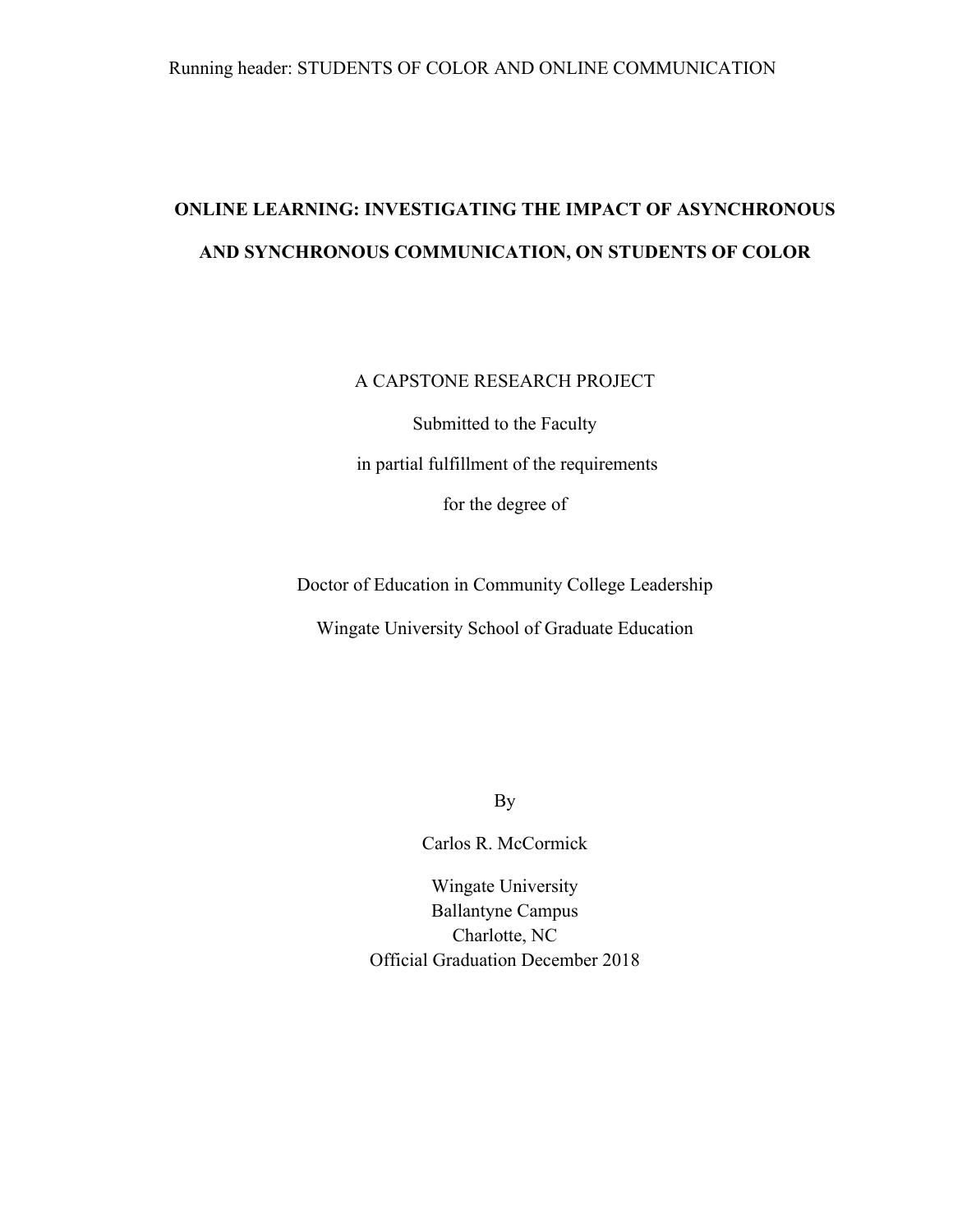# **ONLINE LEARNING: INVESTIGATING THE IMPACT OF ASYNCHRONOUS AND SYNCHRONOUS COMMUNICATION, ON STUDENTS OF COLOR**

# A CAPSTONE RESEARCH PROJECT

Submitted to the Faculty in partial fulfillment of the requirements for the degree of

Doctor of Education in Community College Leadership Wingate University School of Graduate Education

By

Carlos R. McCormick

Wingate University Ballantyne Campus Charlotte, NC Official Graduation December 2018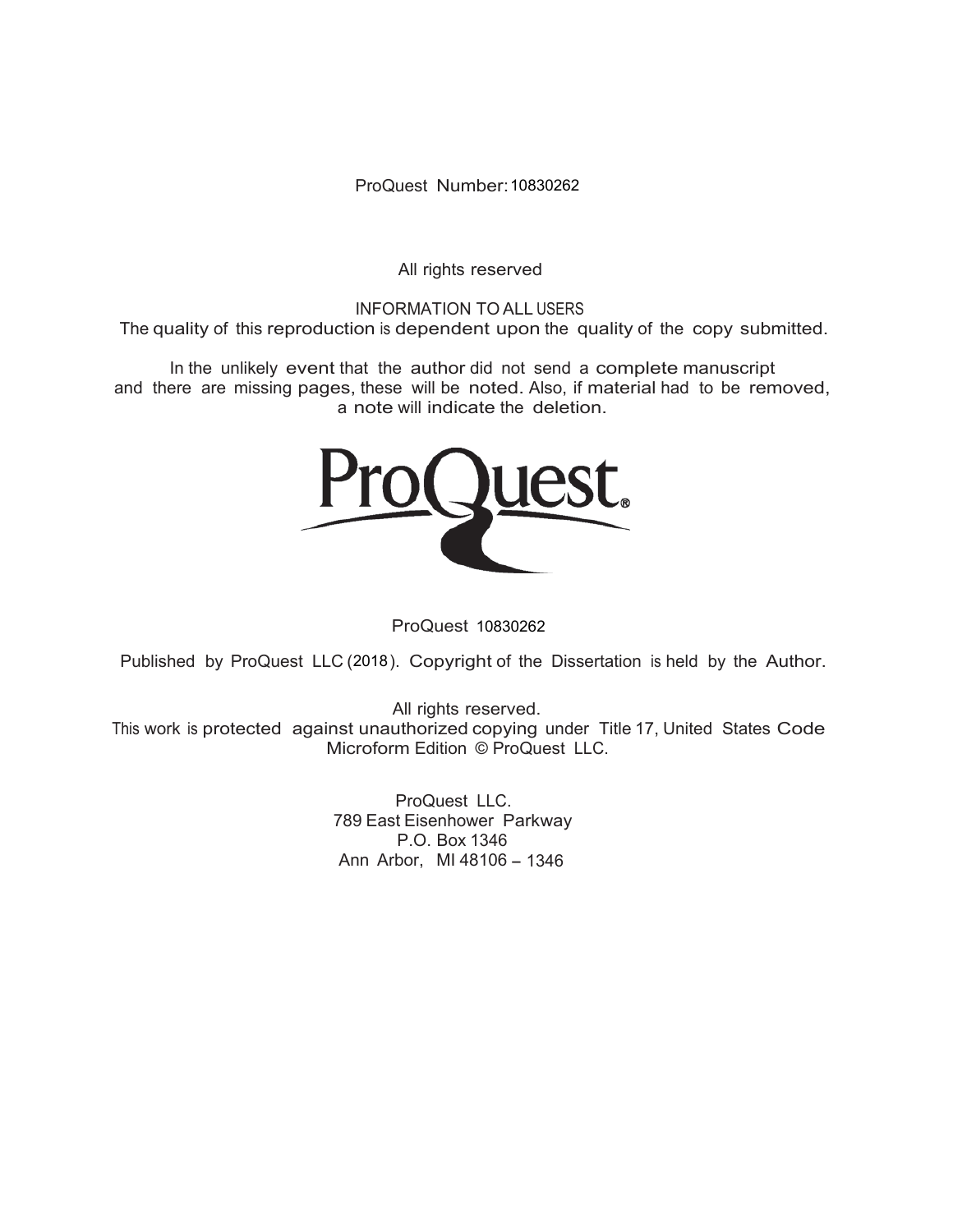ProQuest Number: 10830262

All rights reserved

INFORMATION TO ALL USERS The quality of this reproduction is dependent upon the quality of the copy submitted.

In the unlikely event that the author did not send a complete manuscript and there are missing pages, these will be noted. Also, if material had to be removed, a note will indicate the deletion.



ProQuest 10830262

Published by ProQuest LLC (2018). Copyright of the Dissertation is held by the Author.

All rights reserved. This work is protected against unauthorized copying under Title 17, United States Code Microform Edition © ProQuest LLC.

> ProQuest LLC. 789 East Eisenhower Parkway P.O. Box 1346 Ann Arbor, MI 48106 - 1346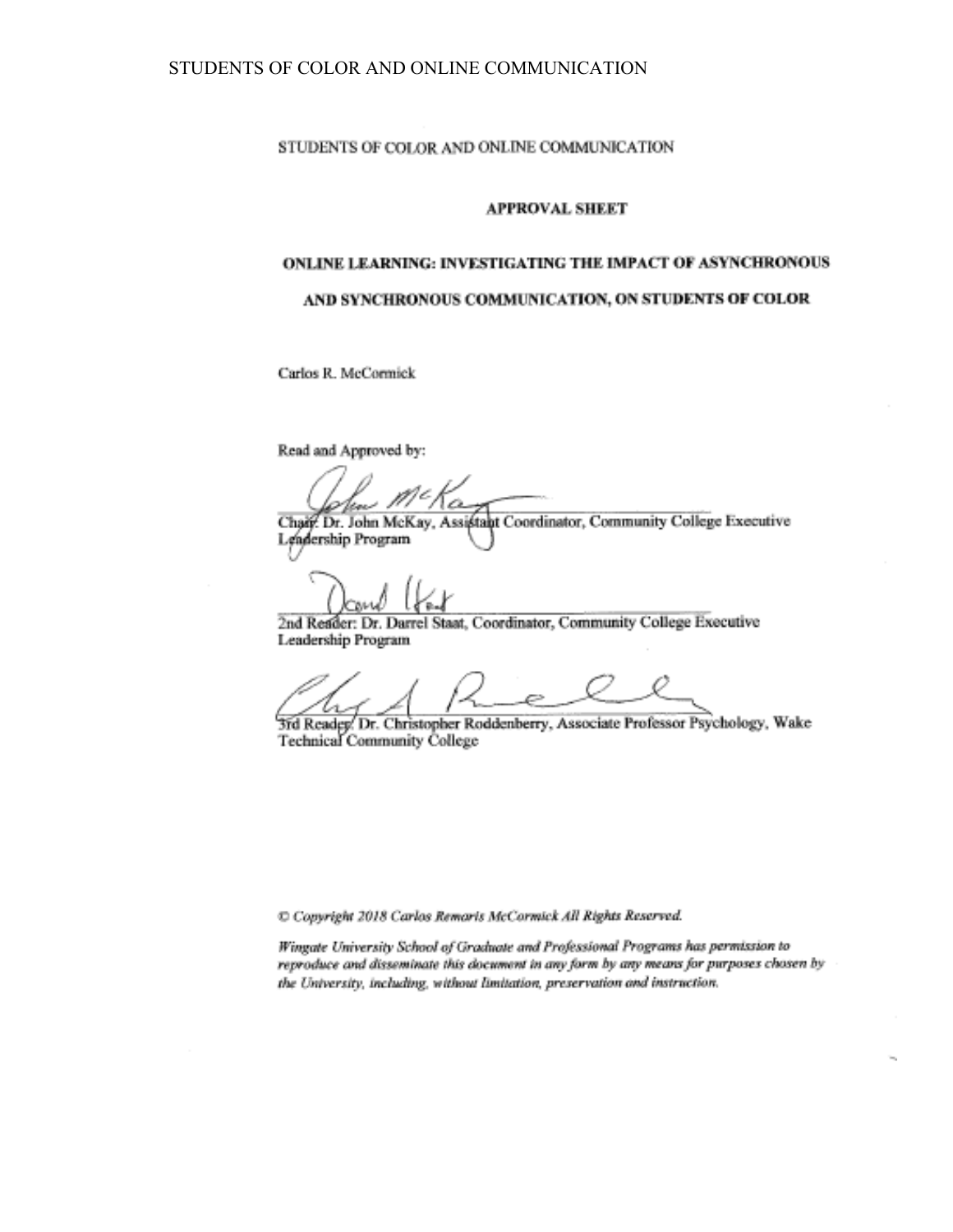#### STUDENTS OF COLOR AND ONLINE COMMUNICATION

#### **APPROVAL SHEET**

# ONLINE LEARNING: INVESTIGATING THE IMPACT OF ASYNCHRONOUS AND SYNCHRONOUS COMMUNICATION, ON STUDENTS OF COLOR

Carlos R. McCormick

Read and Approved by:

Chair. Dr. John McKay, Assistant Coordinator, Community College Executive

Lendership Program

2nd Reader: Dr. Darrel Staat, Coordinator, Community College Executive Leadership Program

3rd Reader. Dr. Christopher Roddenberry, Associate Professor Psychology, Wake **Technical Community College** 

C Copyright 2018 Carlos Remaris McCormick All Rights Reserved.

Wingate University School of Graduate and Professional Programs has permission to reproduce and disseminate this document in any form by any means for purposes chosen by the University, including, without limitation, preservation and instruction.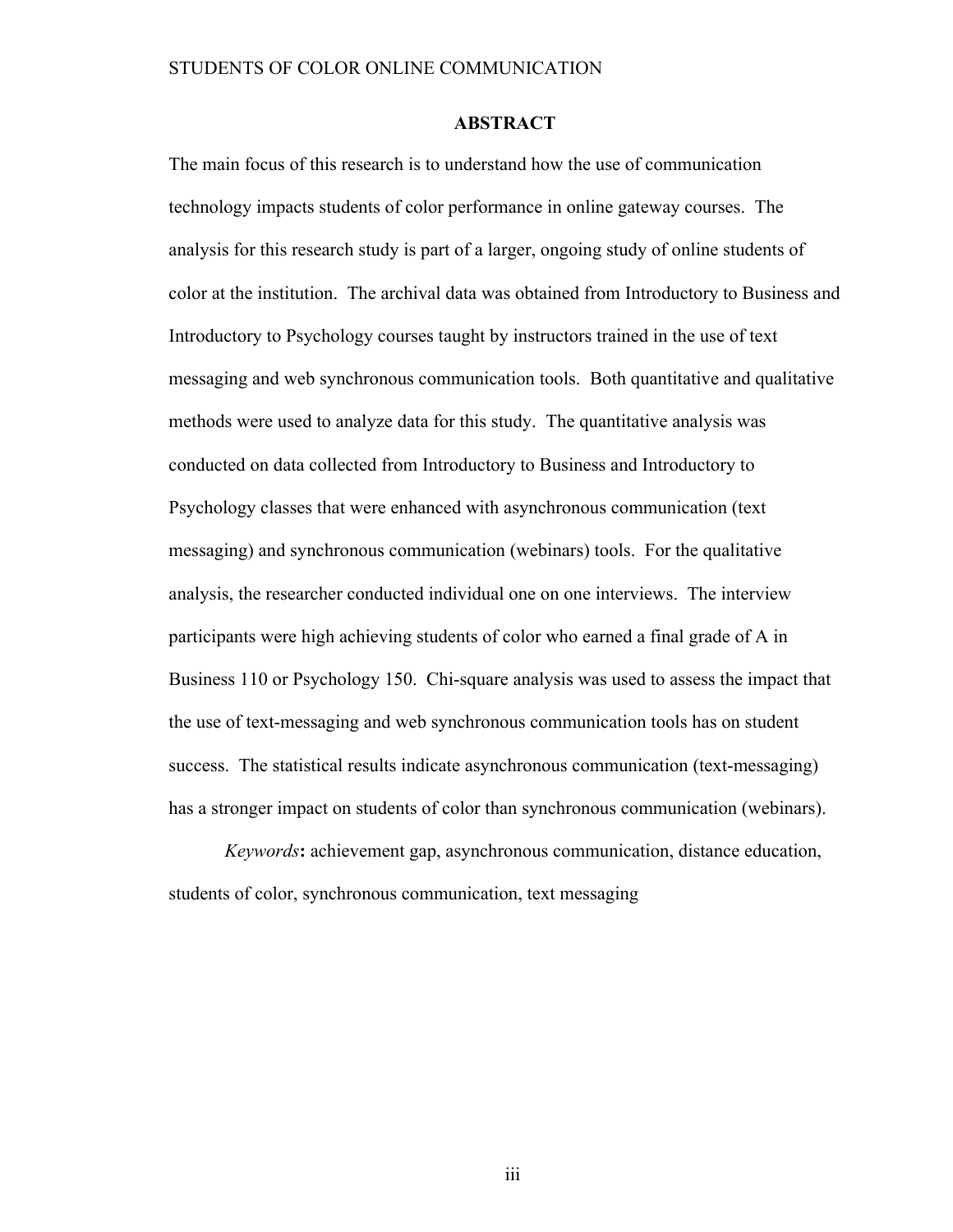# **ABSTRACT**

The main focus of this research is to understand how the use of communication technology impacts students of color performance in online gateway courses. The analysis for this research study is part of a larger, ongoing study of online students of color at the institution. The archival data was obtained from Introductory to Business and Introductory to Psychology courses taught by instructors trained in the use of text messaging and web synchronous communication tools. Both quantitative and qualitative methods were used to analyze data for this study. The quantitative analysis was conducted on data collected from Introductory to Business and Introductory to Psychology classes that were enhanced with asynchronous communication (text messaging) and synchronous communication (webinars) tools. For the qualitative analysis, the researcher conducted individual one on one interviews. The interview participants were high achieving students of color who earned a final grade of A in Business 110 or Psychology 150. Chi-square analysis was used to assess the impact that the use of text-messaging and web synchronous communication tools has on student success. The statistical results indicate asynchronous communication (text-messaging) has a stronger impact on students of color than synchronous communication (webinars).

*Keywords***:** achievement gap, asynchronous communication, distance education, students of color, synchronous communication, text messaging

iii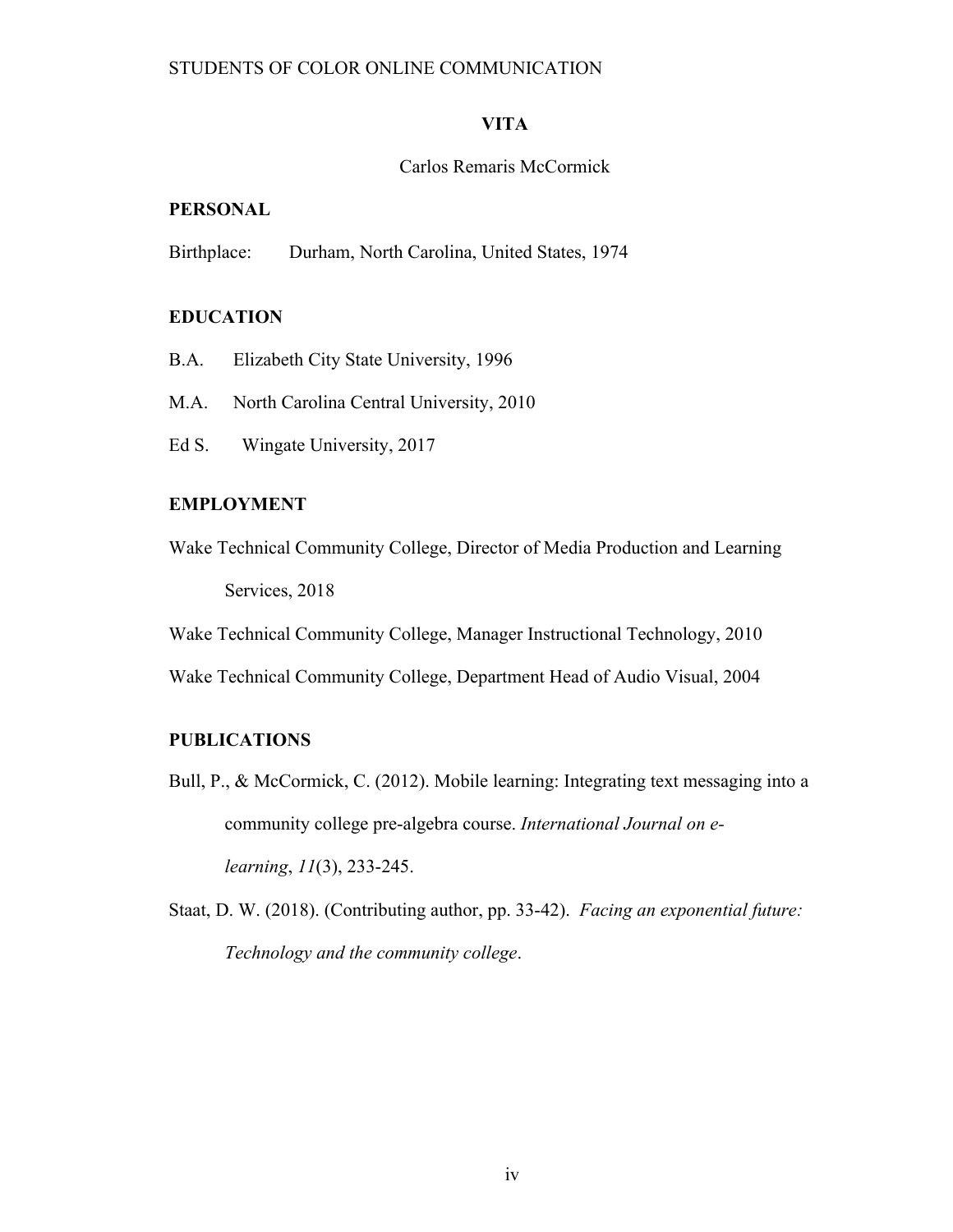# **VITA**

# Carlos Remaris McCormick

# **PERSONAL**

Birthplace: Durham, North Carolina, United States, 1974

# **EDUCATION**

- B.A. Elizabeth City State University, 1996
- M.A. North Carolina Central University, 2010
- Ed S. Wingate University, 2017

### **EMPLOYMENT**

Wake Technical Community College, Director of Media Production and Learning Services, 2018

Wake Technical Community College, Manager Instructional Technology, 2010

Wake Technical Community College, Department Head of Audio Visual, 2004

# **PUBLICATIONS**

Bull, P., & McCormick, C. (2012). Mobile learning: Integrating text messaging into a community college pre-algebra course. *International Journal on elearning*, *11*(3), 233-245.

Staat, D. W. (2018). (Contributing author, pp. 33-42). *Facing an exponential future: Technology and the community college*.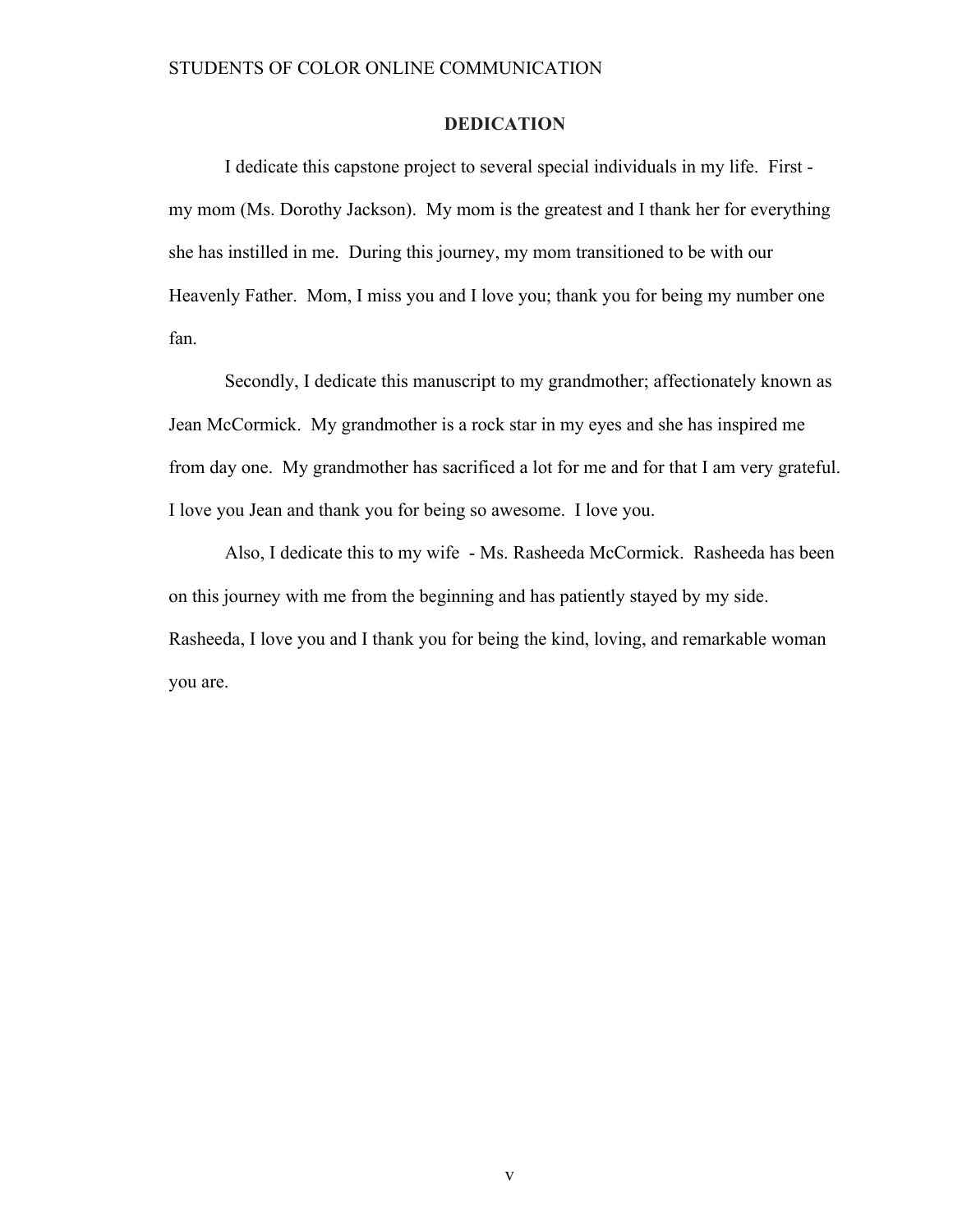# **DEDICATION**

I dedicate this capstone project to several special individuals in my life. First my mom (Ms. Dorothy Jackson). My mom is the greatest and I thank her for everything she has instilled in me. During this journey, my mom transitioned to be with our Heavenly Father. Mom, I miss you and I love you; thank you for being my number one fan.

Secondly, I dedicate this manuscript to my grandmother; affectionately known as Jean McCormick. My grandmother is a rock star in my eyes and she has inspired me from day one. My grandmother has sacrificed a lot for me and for that I am very grateful. I love you Jean and thank you for being so awesome. I love you.

Also, I dedicate this to my wife - Ms. Rasheeda McCormick. Rasheeda has been on this journey with me from the beginning and has patiently stayed by my side. Rasheeda, I love you and I thank you for being the kind, loving, and remarkable woman you are.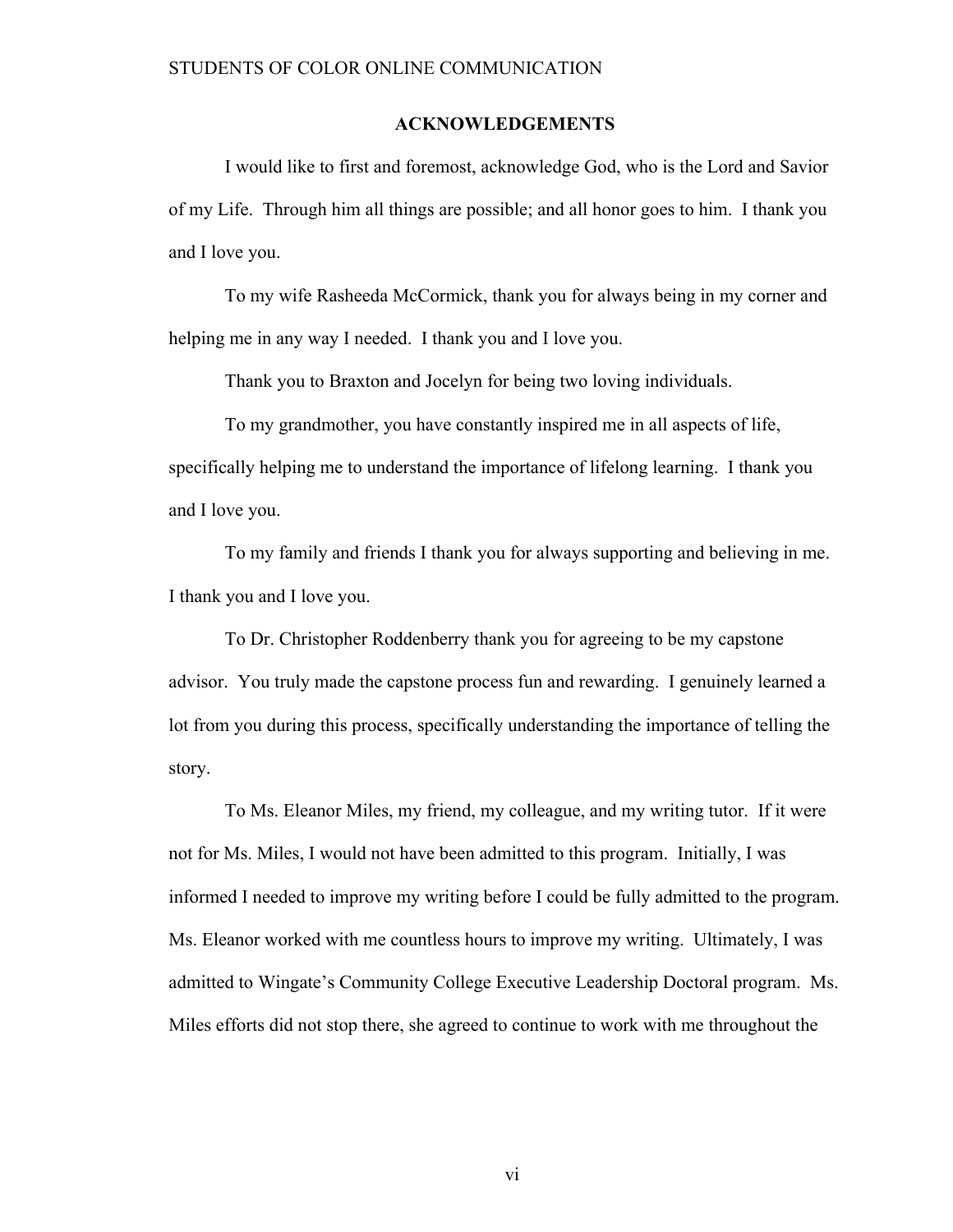#### **ACKNOWLEDGEMENTS**

I would like to first and foremost, acknowledge God, who is the Lord and Savior of my Life. Through him all things are possible; and all honor goes to him. I thank you and I love you.

To my wife Rasheeda McCormick, thank you for always being in my corner and helping me in any way I needed. I thank you and I love you.

Thank you to Braxton and Jocelyn for being two loving individuals.

To my grandmother, you have constantly inspired me in all aspects of life, specifically helping me to understand the importance of lifelong learning. I thank you and I love you.

To my family and friends I thank you for always supporting and believing in me. I thank you and I love you.

To Dr. Christopher Roddenberry thank you for agreeing to be my capstone advisor. You truly made the capstone process fun and rewarding. I genuinely learned a lot from you during this process, specifically understanding the importance of telling the story.

To Ms. Eleanor Miles, my friend, my colleague, and my writing tutor. If it were not for Ms. Miles, I would not have been admitted to this program. Initially, I was informed I needed to improve my writing before I could be fully admitted to the program. Ms. Eleanor worked with me countless hours to improve my writing. Ultimately, I was admitted to Wingate's Community College Executive Leadership Doctoral program. Ms. Miles efforts did not stop there, she agreed to continue to work with me throughout the

vi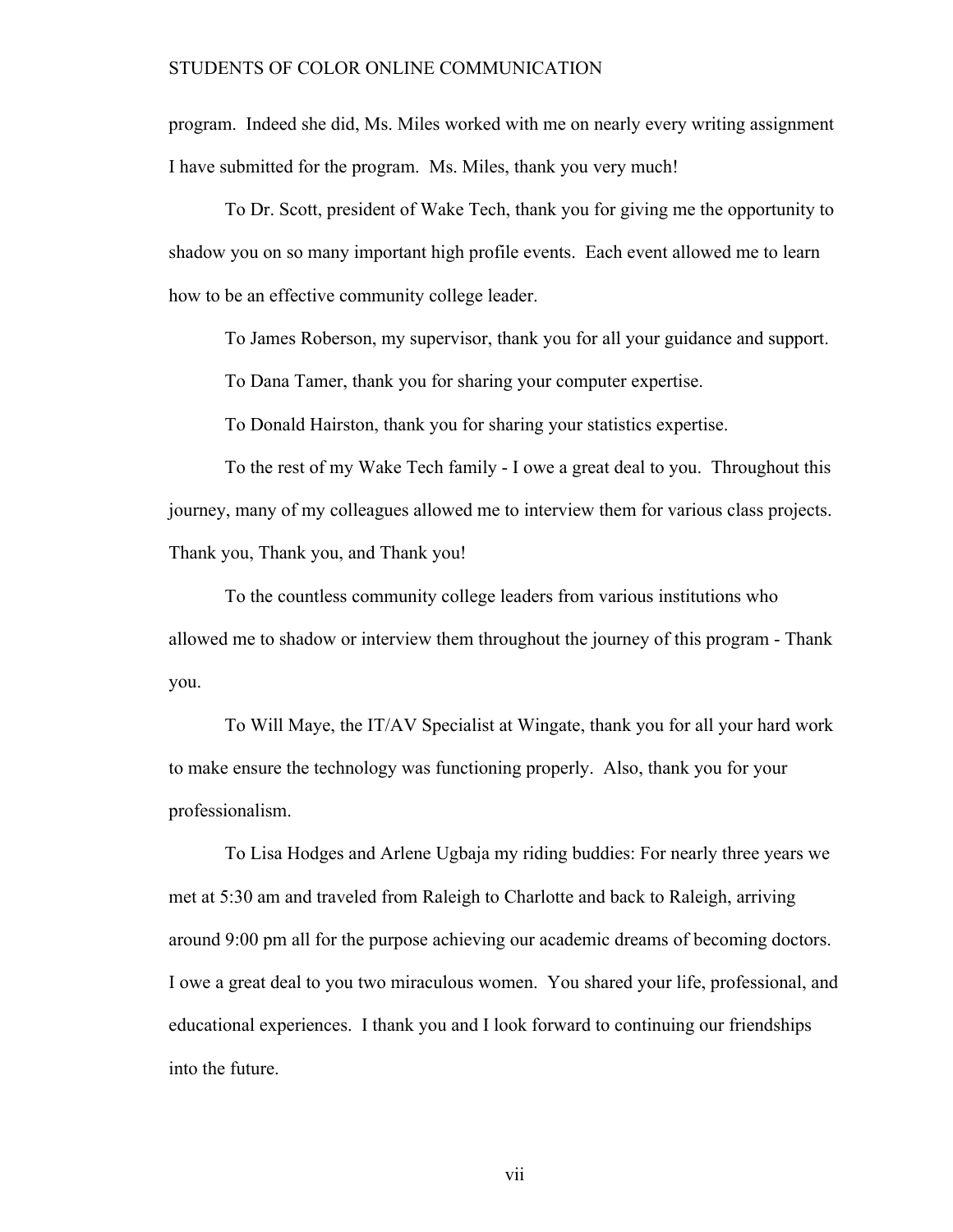program. Indeed she did, Ms. Miles worked with me on nearly every writing assignment I have submitted for the program. Ms. Miles, thank you very much!

To Dr. Scott, president of Wake Tech, thank you for giving me the opportunity to shadow you on so many important high profile events. Each event allowed me to learn how to be an effective community college leader.

To James Roberson, my supervisor, thank you for all your guidance and support.

To Dana Tamer, thank you for sharing your computer expertise.

To Donald Hairston, thank you for sharing your statistics expertise.

To the rest of my Wake Tech family - I owe a great deal to you. Throughout this journey, many of my colleagues allowed me to interview them for various class projects. Thank you, Thank you, and Thank you!

To the countless community college leaders from various institutions who allowed me to shadow or interview them throughout the journey of this program - Thank you.

To Will Maye, the IT/AV Specialist at Wingate, thank you for all your hard work to make ensure the technology was functioning properly. Also, thank you for your professionalism.

To Lisa Hodges and Arlene Ugbaja my riding buddies: For nearly three years we met at 5:30 am and traveled from Raleigh to Charlotte and back to Raleigh, arriving around 9:00 pm all for the purpose achieving our academic dreams of becoming doctors. I owe a great deal to you two miraculous women. You shared your life, professional, and educational experiences. I thank you and I look forward to continuing our friendships into the future.

vii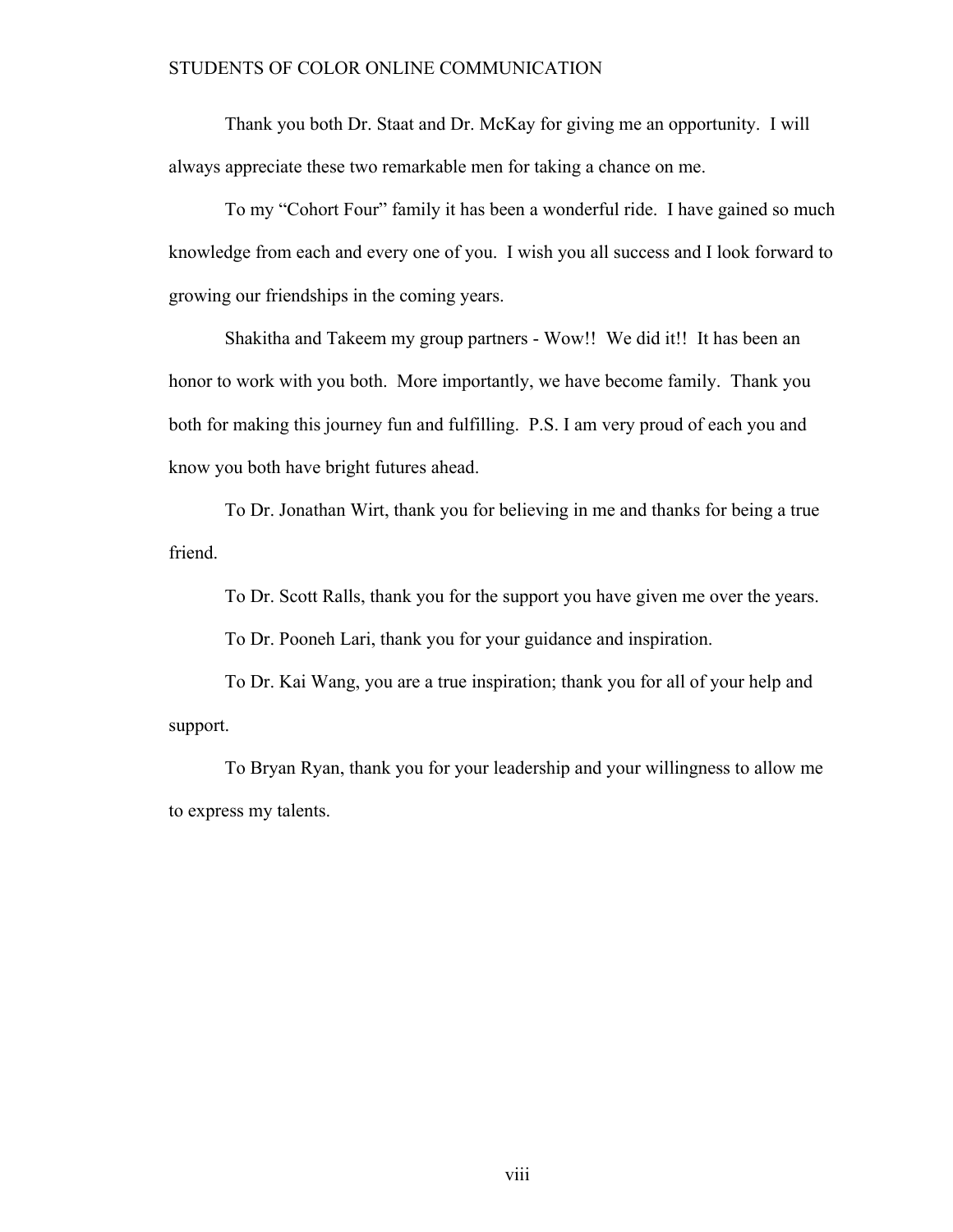Thank you both Dr. Staat and Dr. McKay for giving me an opportunity. I will always appreciate these two remarkable men for taking a chance on me.

To my "Cohort Four" family it has been a wonderful ride. I have gained so much knowledge from each and every one of you. I wish you all success and I look forward to growing our friendships in the coming years.

Shakitha and Takeem my group partners - Wow!! We did it!! It has been an honor to work with you both. More importantly, we have become family. Thank you both for making this journey fun and fulfilling. P.S. I am very proud of each you and know you both have bright futures ahead.

To Dr. Jonathan Wirt, thank you for believing in me and thanks for being a true friend.

To Dr. Scott Ralls, thank you for the support you have given me over the years.

To Dr. Pooneh Lari, thank you for your guidance and inspiration.

To Dr. Kai Wang, you are a true inspiration; thank you for all of your help and support.

To Bryan Ryan, thank you for your leadership and your willingness to allow me to express my talents.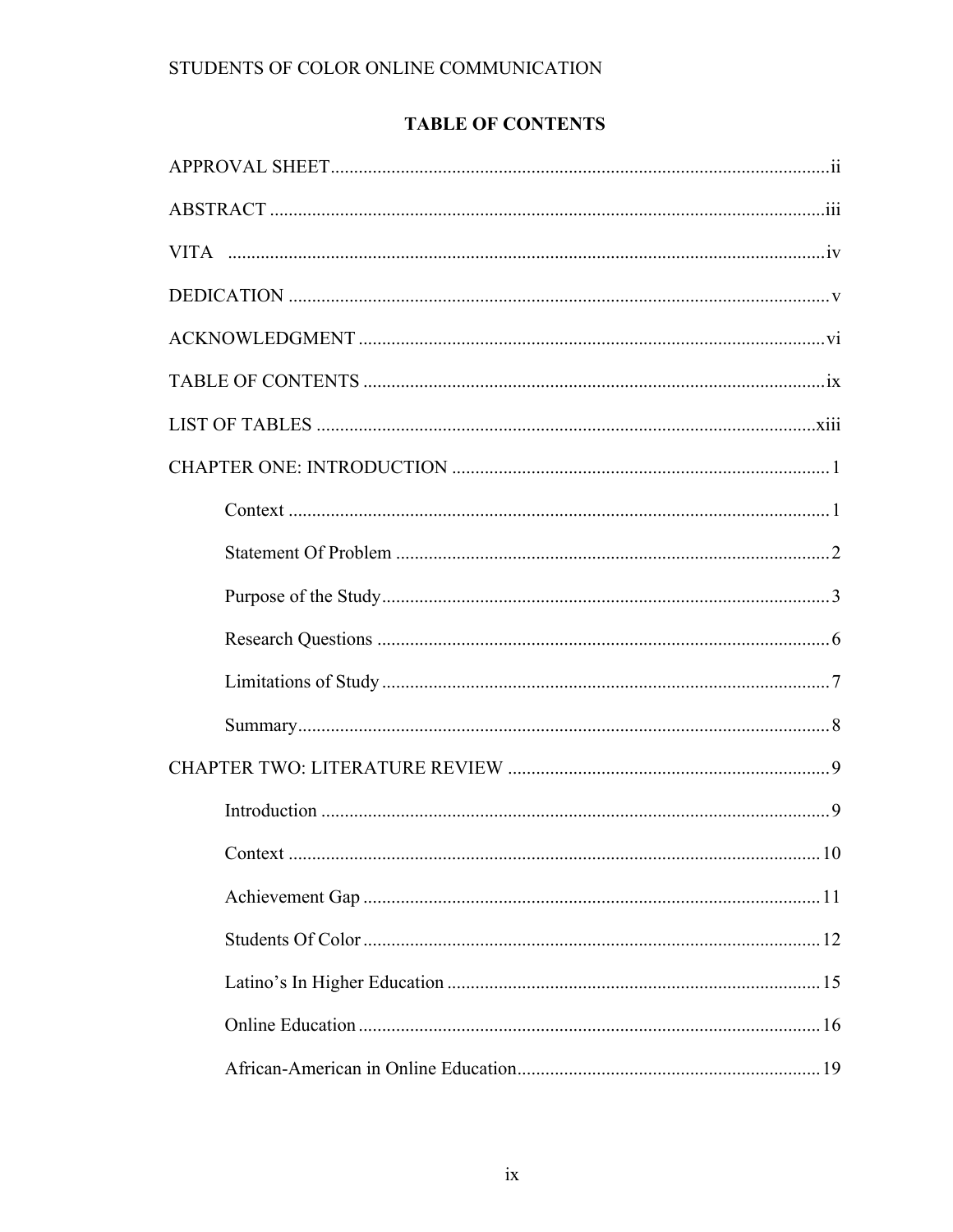# **TABLE OF CONTENTS**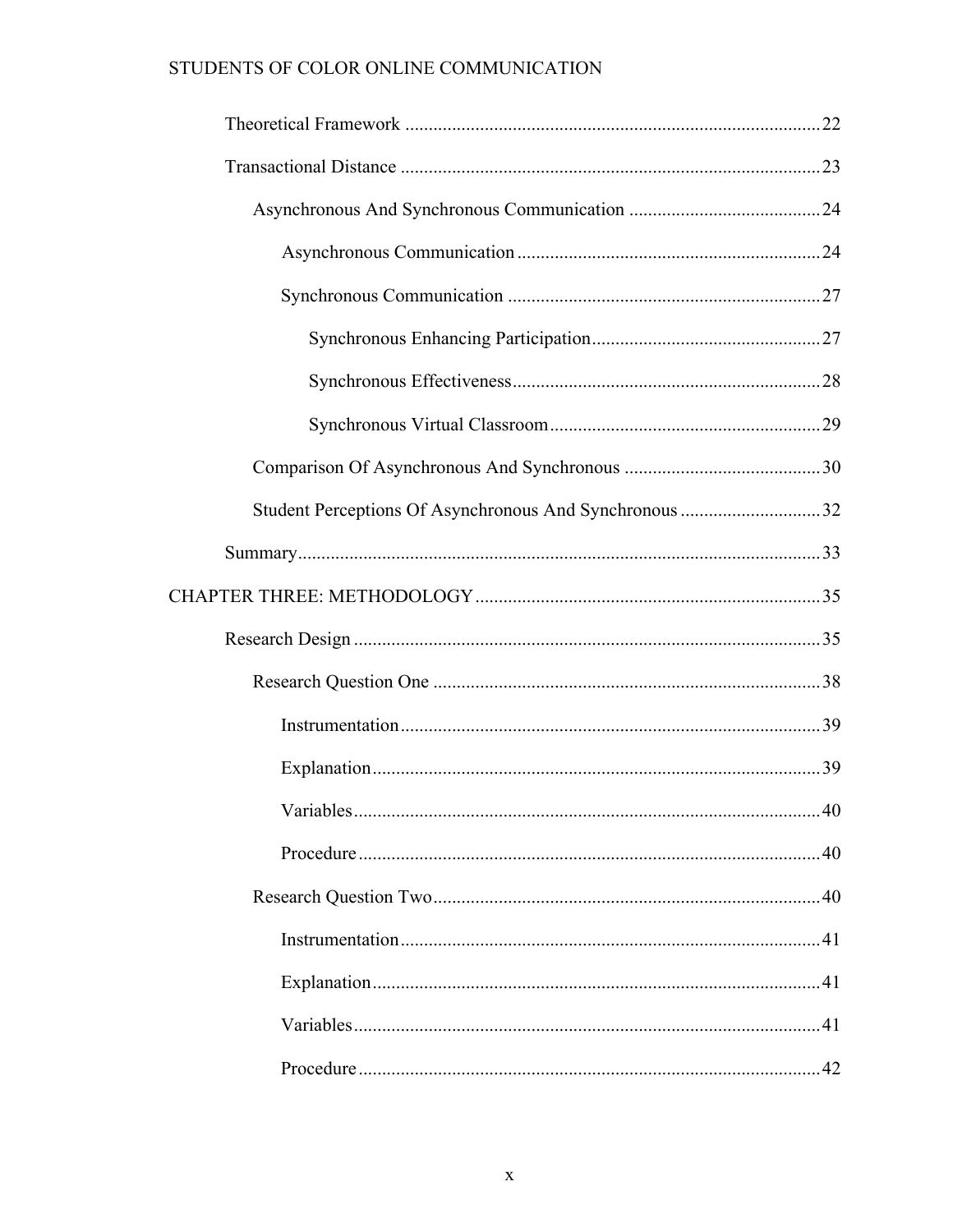| Student Perceptions Of Asynchronous And Synchronous 32 |  |
|--------------------------------------------------------|--|
|                                                        |  |
|                                                        |  |
|                                                        |  |
|                                                        |  |
|                                                        |  |
|                                                        |  |
|                                                        |  |
|                                                        |  |
|                                                        |  |
|                                                        |  |
|                                                        |  |
|                                                        |  |
|                                                        |  |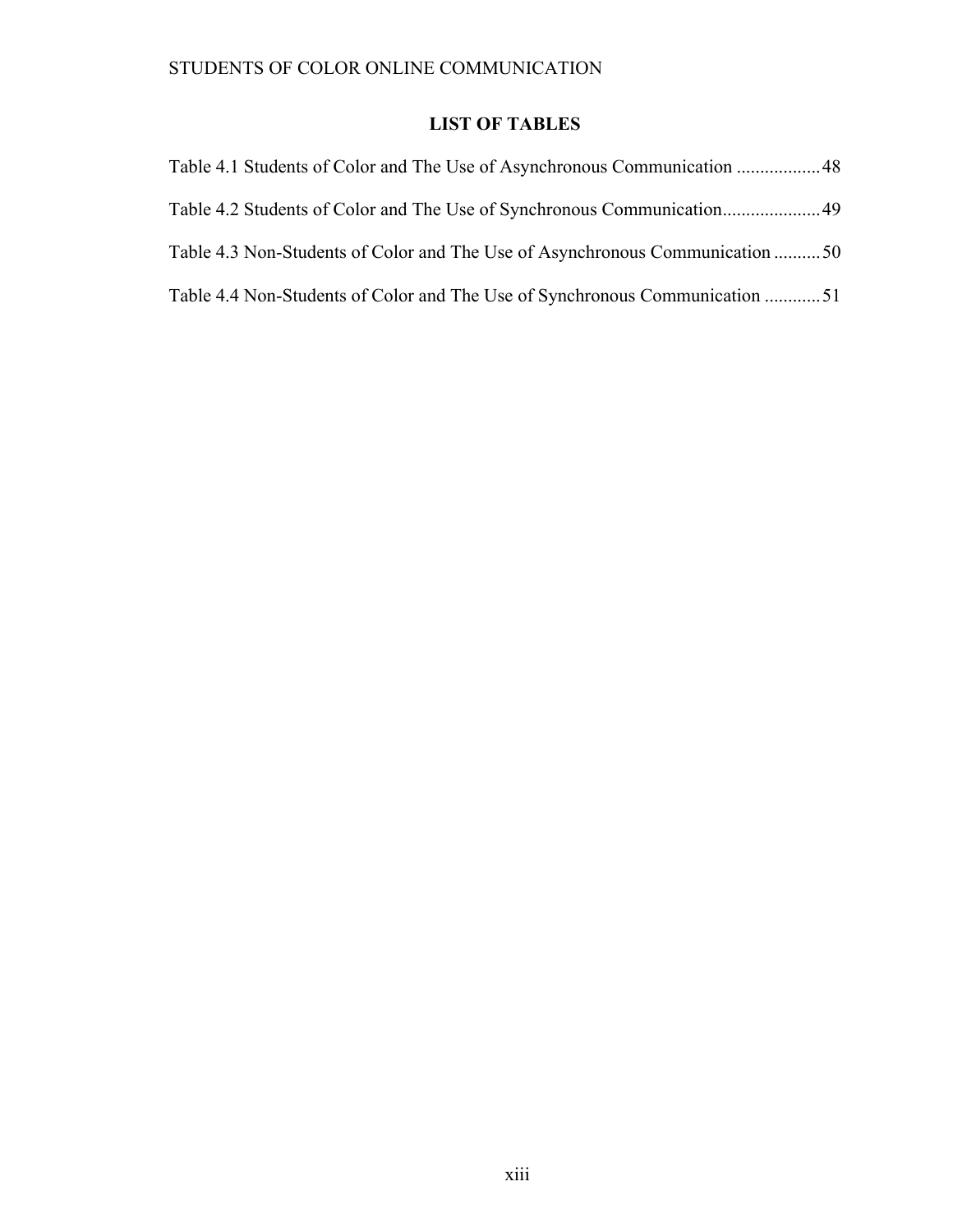# **LIST OF TABLES**

| Table 4.1 Students of Color and The Use of Asynchronous Communication  48    |  |
|------------------------------------------------------------------------------|--|
|                                                                              |  |
| Table 4.3 Non-Students of Color and The Use of Asynchronous Communication 50 |  |
| Table 4.4 Non-Students of Color and The Use of Synchronous Communication 51  |  |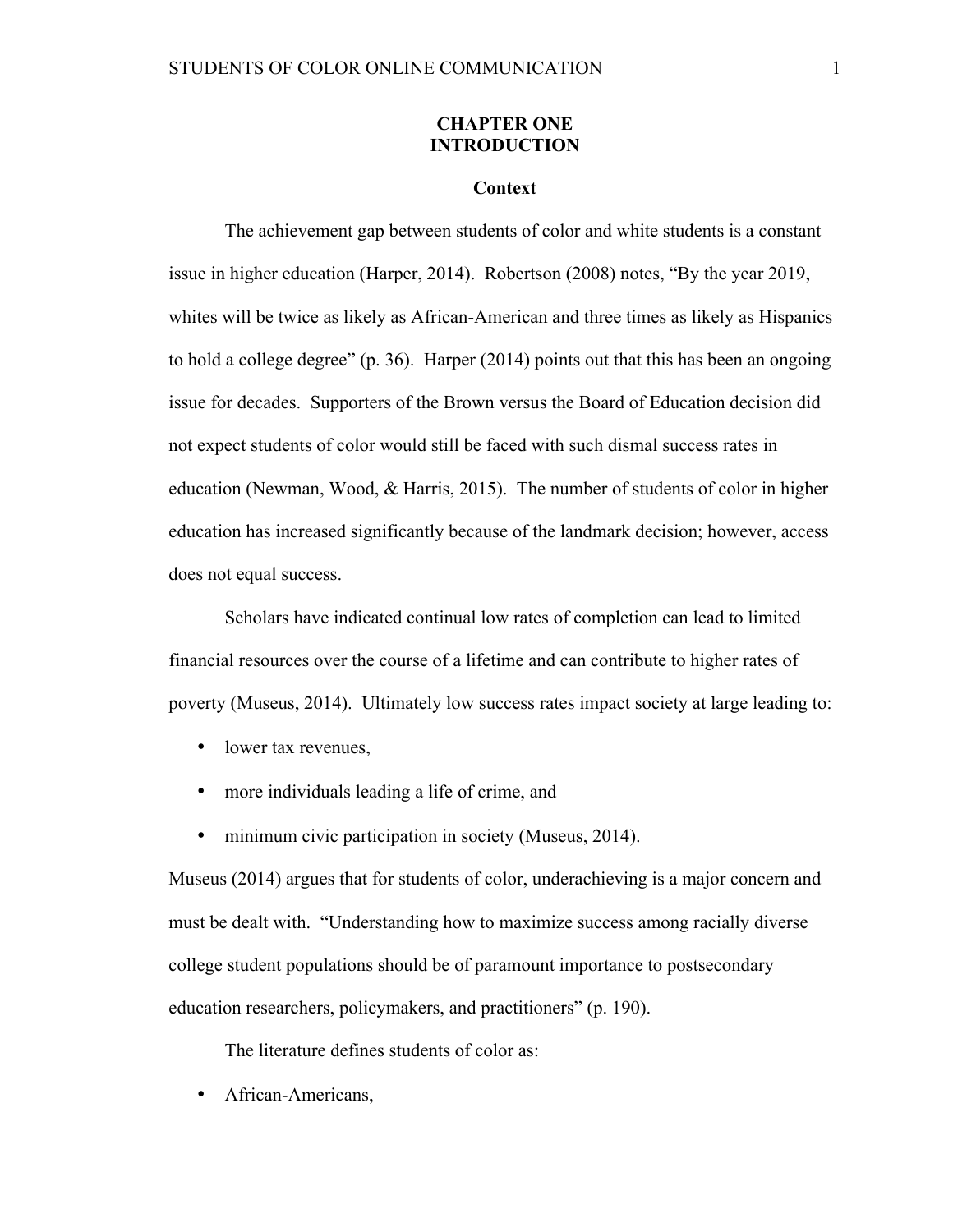### **CHAPTER ONE INTRODUCTION**

#### **Context**

The achievement gap between students of color and white students is a constant issue in higher education (Harper, 2014). Robertson (2008) notes, "By the year 2019, whites will be twice as likely as African-American and three times as likely as Hispanics to hold a college degree" (p. 36). Harper (2014) points out that this has been an ongoing issue for decades. Supporters of the Brown versus the Board of Education decision did not expect students of color would still be faced with such dismal success rates in education (Newman, Wood, & Harris, 2015). The number of students of color in higher education has increased significantly because of the landmark decision; however, access does not equal success.

Scholars have indicated continual low rates of completion can lead to limited financial resources over the course of a lifetime and can contribute to higher rates of poverty (Museus, 2014). Ultimately low success rates impact society at large leading to:

- lower tax revenues.
- more individuals leading a life of crime, and
- minimum civic participation in society (Museus, 2014).

Museus (2014) argues that for students of color, underachieving is a major concern and must be dealt with. "Understanding how to maximize success among racially diverse college student populations should be of paramount importance to postsecondary education researchers, policymakers, and practitioners" (p. 190).

The literature defines students of color as:

• African-Americans,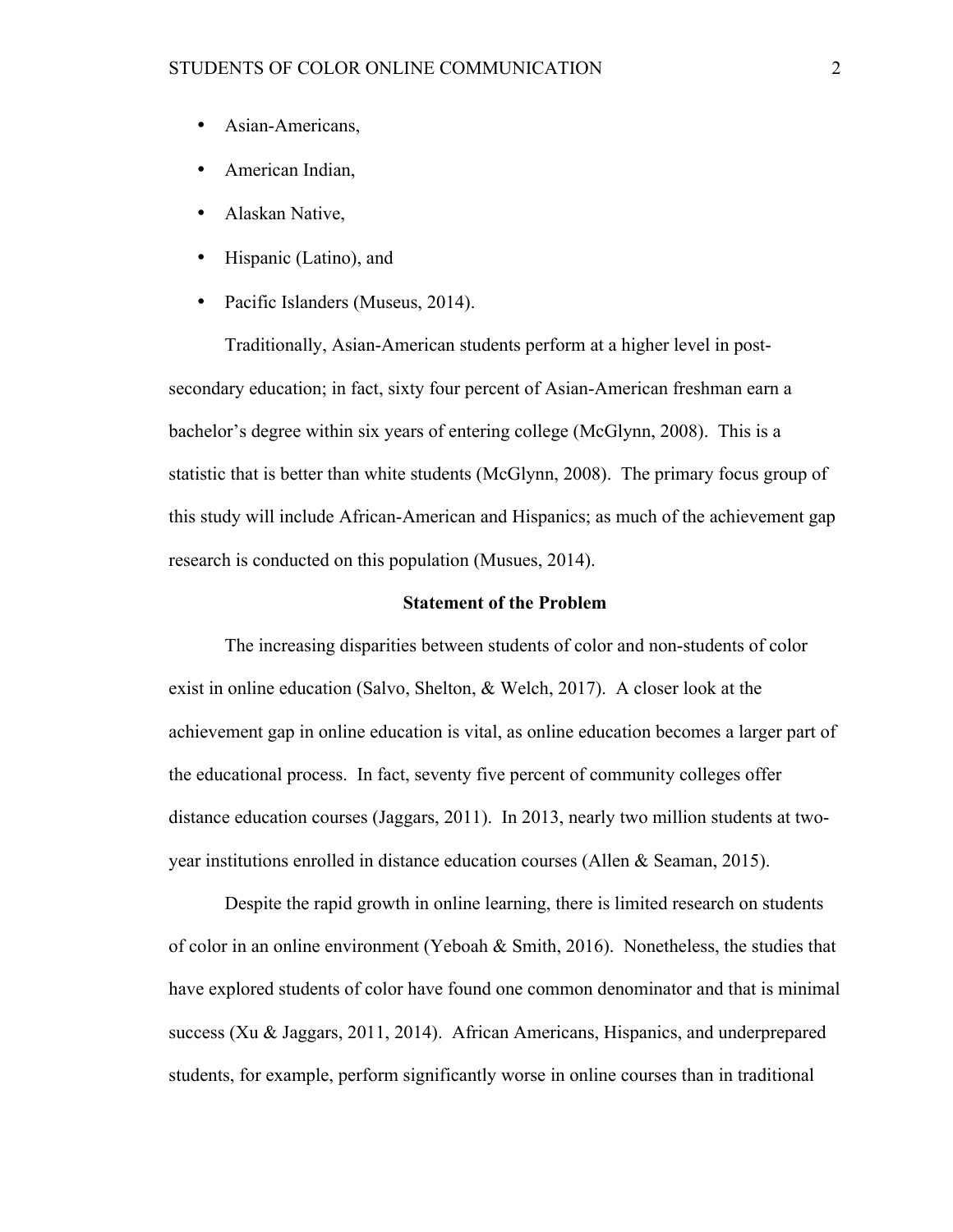- Asian-Americans,
- American Indian,
- Alaskan Native,
- Hispanic (Latino), and
- Pacific Islanders (Museus, 2014).

Traditionally, Asian-American students perform at a higher level in postsecondary education; in fact, sixty four percent of Asian-American freshman earn a bachelor's degree within six years of entering college (McGlynn, 2008). This is a statistic that is better than white students (McGlynn, 2008). The primary focus group of this study will include African-American and Hispanics; as much of the achievement gap research is conducted on this population (Musues, 2014).

## **Statement of the Problem**

The increasing disparities between students of color and non-students of color exist in online education (Salvo, Shelton, & Welch, 2017). A closer look at the achievement gap in online education is vital, as online education becomes a larger part of the educational process. In fact, seventy five percent of community colleges offer distance education courses (Jaggars, 2011). In 2013, nearly two million students at twoyear institutions enrolled in distance education courses (Allen & Seaman, 2015).

Despite the rapid growth in online learning, there is limited research on students of color in an online environment (Yeboah & Smith, 2016). Nonetheless, the studies that have explored students of color have found one common denominator and that is minimal success (Xu & Jaggars, 2011, 2014). African Americans, Hispanics, and underprepared students, for example, perform significantly worse in online courses than in traditional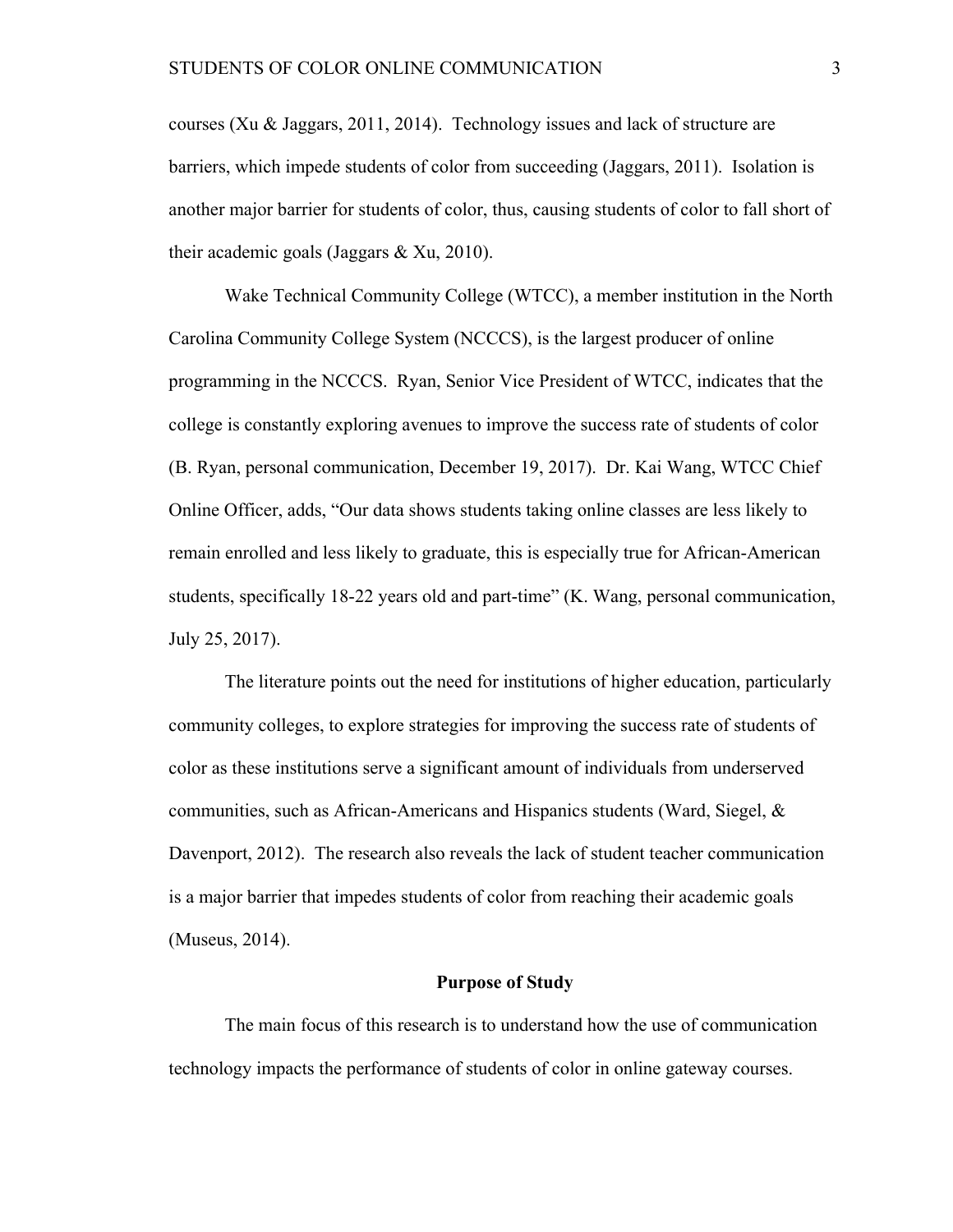courses (Xu & Jaggars, 2011, 2014). Technology issues and lack of structure are barriers, which impede students of color from succeeding (Jaggars, 2011). Isolation is another major barrier for students of color, thus, causing students of color to fall short of their academic goals (Jaggars & Xu, 2010).

Wake Technical Community College (WTCC), a member institution in the North Carolina Community College System (NCCCS), is the largest producer of online programming in the NCCCS. Ryan, Senior Vice President of WTCC, indicates that the college is constantly exploring avenues to improve the success rate of students of color (B. Ryan, personal communication, December 19, 2017). Dr. Kai Wang, WTCC Chief Online Officer, adds, "Our data shows students taking online classes are less likely to remain enrolled and less likely to graduate, this is especially true for African-American students, specifically 18-22 years old and part-time" (K. Wang, personal communication, July 25, 2017).

The literature points out the need for institutions of higher education, particularly community colleges, to explore strategies for improving the success rate of students of color as these institutions serve a significant amount of individuals from underserved communities, such as African-Americans and Hispanics students (Ward, Siegel, & Davenport, 2012). The research also reveals the lack of student teacher communication is a major barrier that impedes students of color from reaching their academic goals (Museus, 2014).

#### **Purpose of Study**

The main focus of this research is to understand how the use of communication technology impacts the performance of students of color in online gateway courses.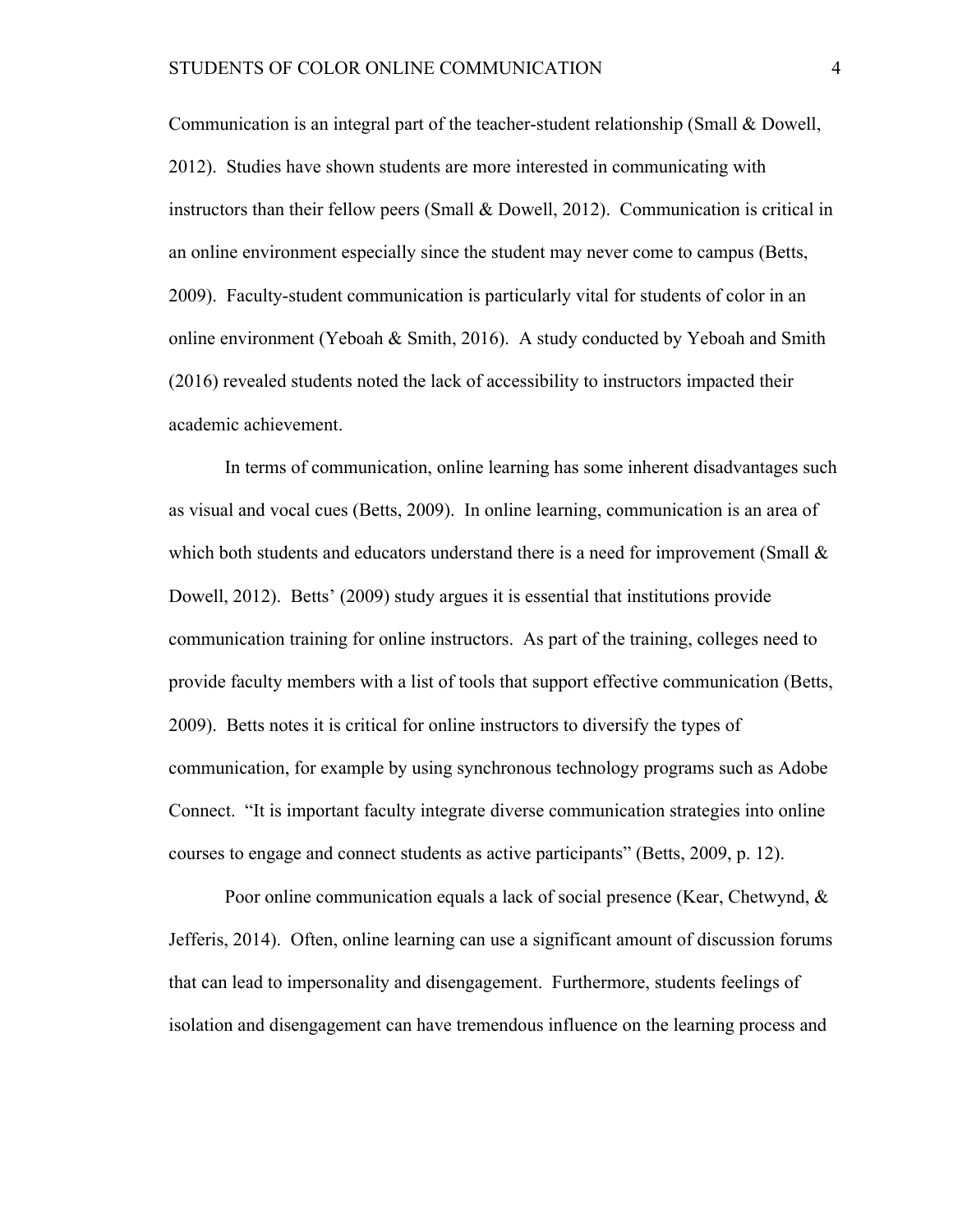Communication is an integral part of the teacher-student relationship (Small & Dowell, 2012). Studies have shown students are more interested in communicating with instructors than their fellow peers (Small & Dowell, 2012). Communication is critical in an online environment especially since the student may never come to campus (Betts, 2009). Faculty-student communication is particularly vital for students of color in an online environment (Yeboah & Smith, 2016). A study conducted by Yeboah and Smith (2016) revealed students noted the lack of accessibility to instructors impacted their academic achievement.

In terms of communication, online learning has some inherent disadvantages such as visual and vocal cues (Betts, 2009). In online learning, communication is an area of which both students and educators understand there is a need for improvement (Small  $\&$ Dowell, 2012). Betts' (2009) study argues it is essential that institutions provide communication training for online instructors. As part of the training, colleges need to provide faculty members with a list of tools that support effective communication (Betts, 2009). Betts notes it is critical for online instructors to diversify the types of communication, for example by using synchronous technology programs such as Adobe Connect. "It is important faculty integrate diverse communication strategies into online courses to engage and connect students as active participants" (Betts, 2009, p. 12).

Poor online communication equals a lack of social presence (Kear, Chetwynd, & Jefferis, 2014). Often, online learning can use a significant amount of discussion forums that can lead to impersonality and disengagement. Furthermore, students feelings of isolation and disengagement can have tremendous influence on the learning process and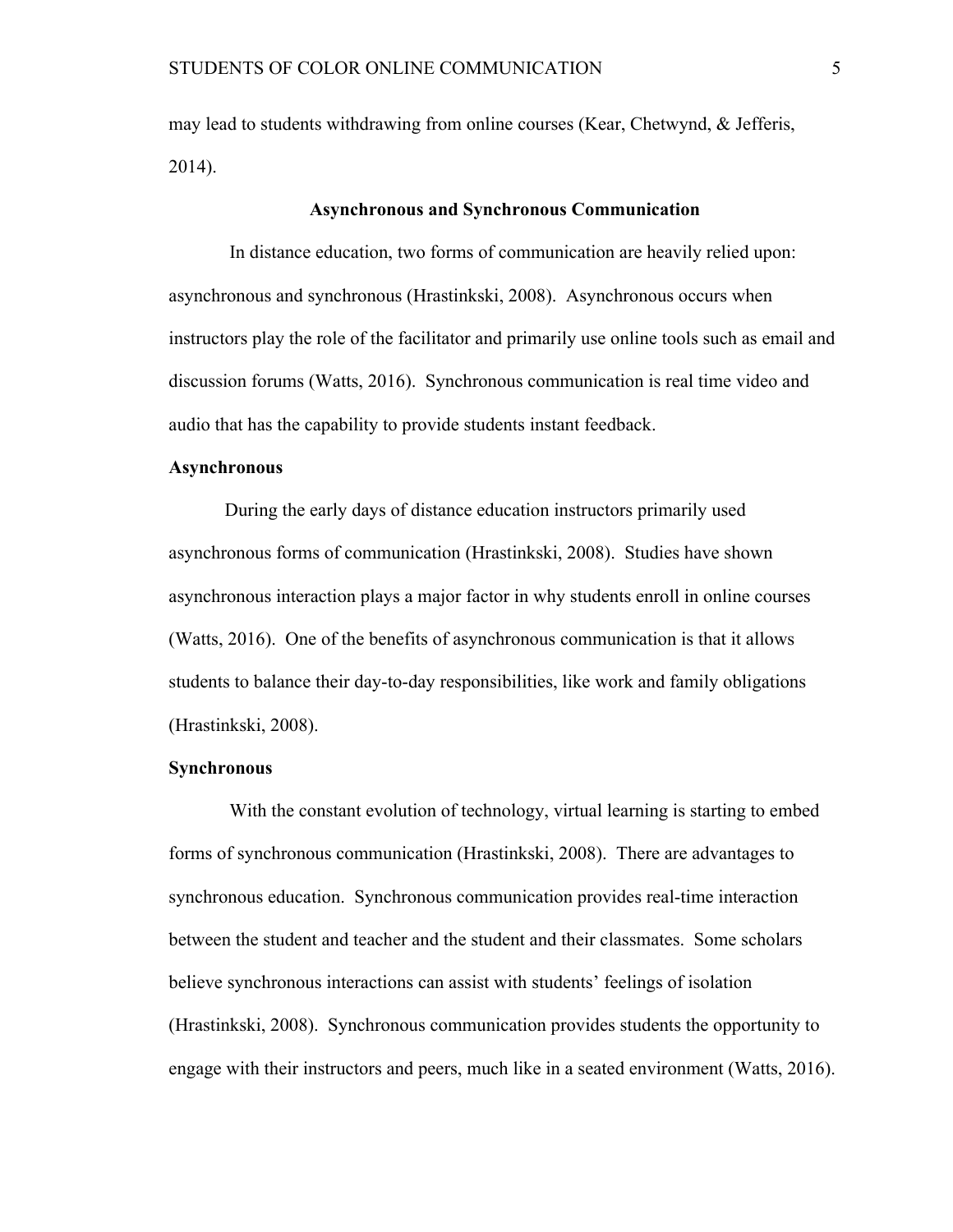may lead to students withdrawing from online courses (Kear, Chetwynd, & Jefferis, 2014).

#### **Asynchronous and Synchronous Communication**

In distance education, two forms of communication are heavily relied upon: asynchronous and synchronous (Hrastinkski, 2008). Asynchronous occurs when instructors play the role of the facilitator and primarily use online tools such as email and discussion forums (Watts, 2016). Synchronous communication is real time video and audio that has the capability to provide students instant feedback.

#### **Asynchronous**

During the early days of distance education instructors primarily used asynchronous forms of communication (Hrastinkski, 2008). Studies have shown asynchronous interaction plays a major factor in why students enroll in online courses (Watts, 2016). One of the benefits of asynchronous communication is that it allows students to balance their day-to-day responsibilities, like work and family obligations (Hrastinkski, 2008).

#### **Synchronous**

With the constant evolution of technology, virtual learning is starting to embed forms of synchronous communication (Hrastinkski, 2008). There are advantages to synchronous education. Synchronous communication provides real-time interaction between the student and teacher and the student and their classmates. Some scholars believe synchronous interactions can assist with students' feelings of isolation (Hrastinkski, 2008). Synchronous communication provides students the opportunity to engage with their instructors and peers, much like in a seated environment (Watts, 2016).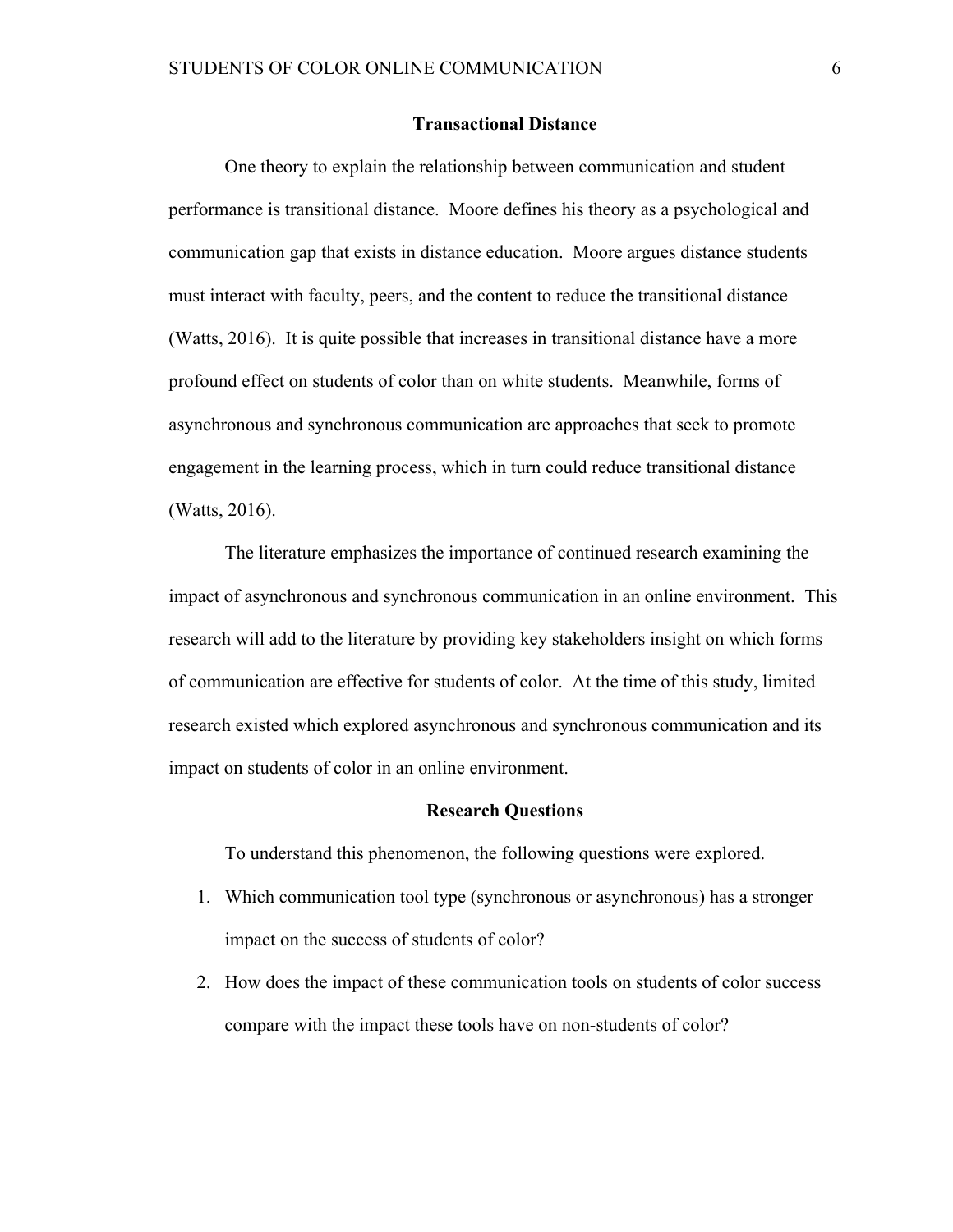#### **Transactional Distance**

One theory to explain the relationship between communication and student performance is transitional distance. Moore defines his theory as a psychological and communication gap that exists in distance education. Moore argues distance students must interact with faculty, peers, and the content to reduce the transitional distance (Watts, 2016). It is quite possible that increases in transitional distance have a more profound effect on students of color than on white students. Meanwhile, forms of asynchronous and synchronous communication are approaches that seek to promote engagement in the learning process, which in turn could reduce transitional distance (Watts, 2016).

The literature emphasizes the importance of continued research examining the impact of asynchronous and synchronous communication in an online environment. This research will add to the literature by providing key stakeholders insight on which forms of communication are effective for students of color. At the time of this study, limited research existed which explored asynchronous and synchronous communication and its impact on students of color in an online environment.

#### **Research Questions**

To understand this phenomenon, the following questions were explored.

- 1. Which communication tool type (synchronous or asynchronous) has a stronger impact on the success of students of color?
- 2. How does the impact of these communication tools on students of color success compare with the impact these tools have on non-students of color?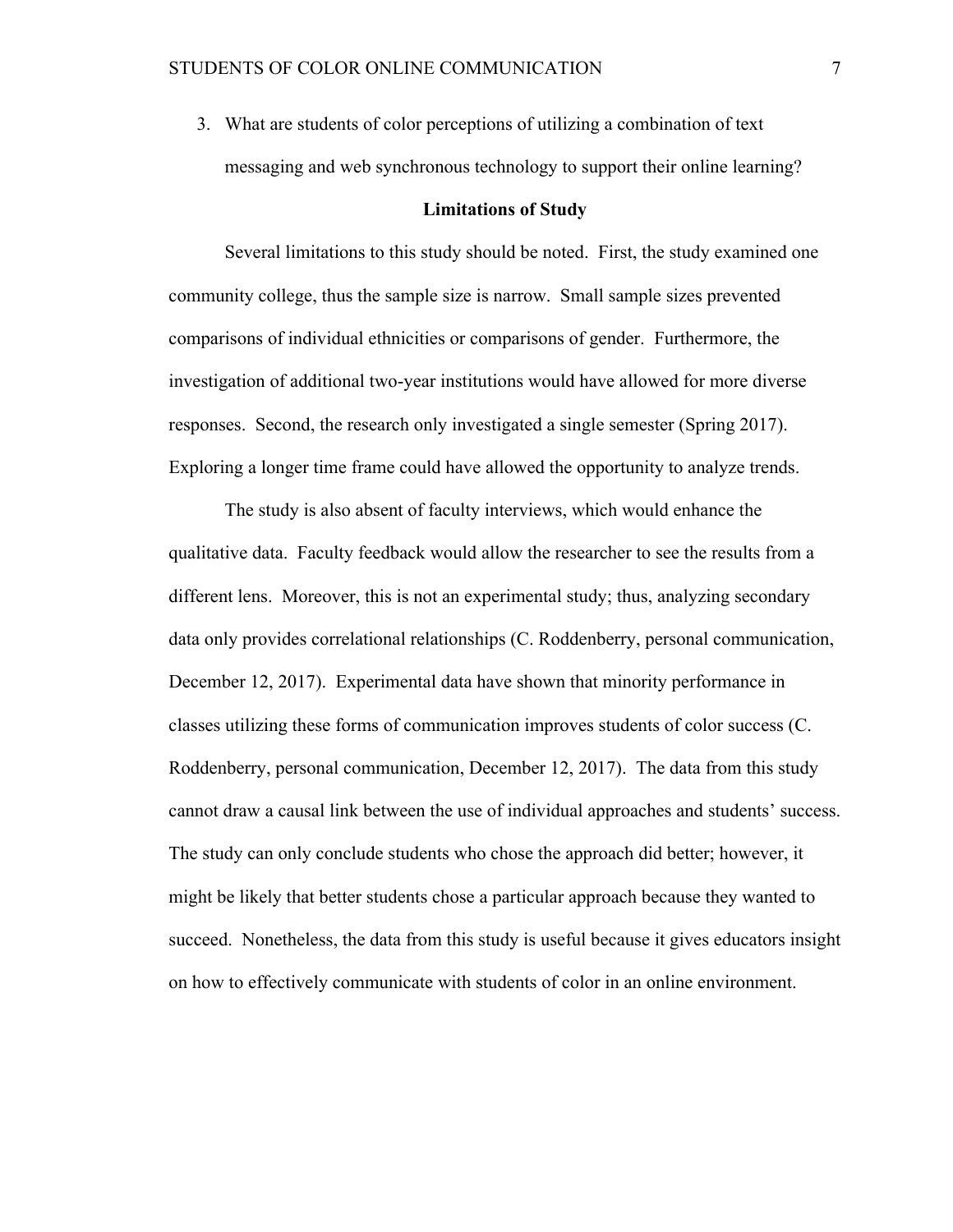3. What are students of color perceptions of utilizing a combination of text messaging and web synchronous technology to support their online learning?

#### **Limitations of Study**

Several limitations to this study should be noted. First, the study examined one community college, thus the sample size is narrow. Small sample sizes prevented comparisons of individual ethnicities or comparisons of gender. Furthermore, the investigation of additional two-year institutions would have allowed for more diverse responses. Second, the research only investigated a single semester (Spring 2017). Exploring a longer time frame could have allowed the opportunity to analyze trends.

The study is also absent of faculty interviews, which would enhance the qualitative data. Faculty feedback would allow the researcher to see the results from a different lens. Moreover, this is not an experimental study; thus, analyzing secondary data only provides correlational relationships (C. Roddenberry, personal communication, December 12, 2017). Experimental data have shown that minority performance in classes utilizing these forms of communication improves students of color success (C. Roddenberry, personal communication, December 12, 2017). The data from this study cannot draw a causal link between the use of individual approaches and students' success. The study can only conclude students who chose the approach did better; however, it might be likely that better students chose a particular approach because they wanted to succeed. Nonetheless, the data from this study is useful because it gives educators insight on how to effectively communicate with students of color in an online environment.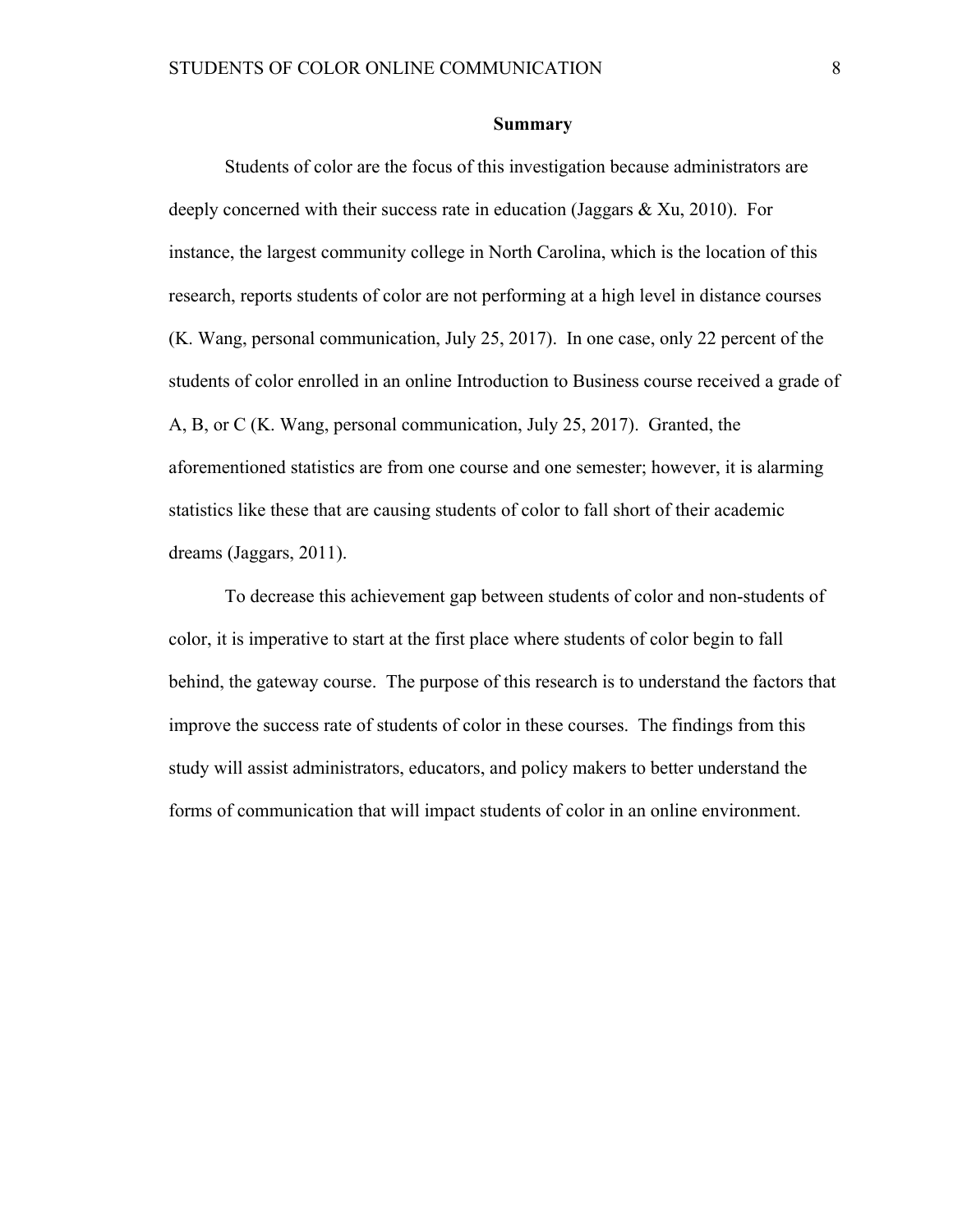#### **Summary**

Students of color are the focus of this investigation because administrators are deeply concerned with their success rate in education (Jaggars  $\&$  Xu, 2010). For instance, the largest community college in North Carolina, which is the location of this research, reports students of color are not performing at a high level in distance courses (K. Wang, personal communication, July 25, 2017). In one case, only 22 percent of the students of color enrolled in an online Introduction to Business course received a grade of A, B, or C (K. Wang, personal communication, July 25, 2017). Granted, the aforementioned statistics are from one course and one semester; however, it is alarming statistics like these that are causing students of color to fall short of their academic dreams (Jaggars, 2011).

To decrease this achievement gap between students of color and non-students of color, it is imperative to start at the first place where students of color begin to fall behind, the gateway course. The purpose of this research is to understand the factors that improve the success rate of students of color in these courses. The findings from this study will assist administrators, educators, and policy makers to better understand the forms of communication that will impact students of color in an online environment.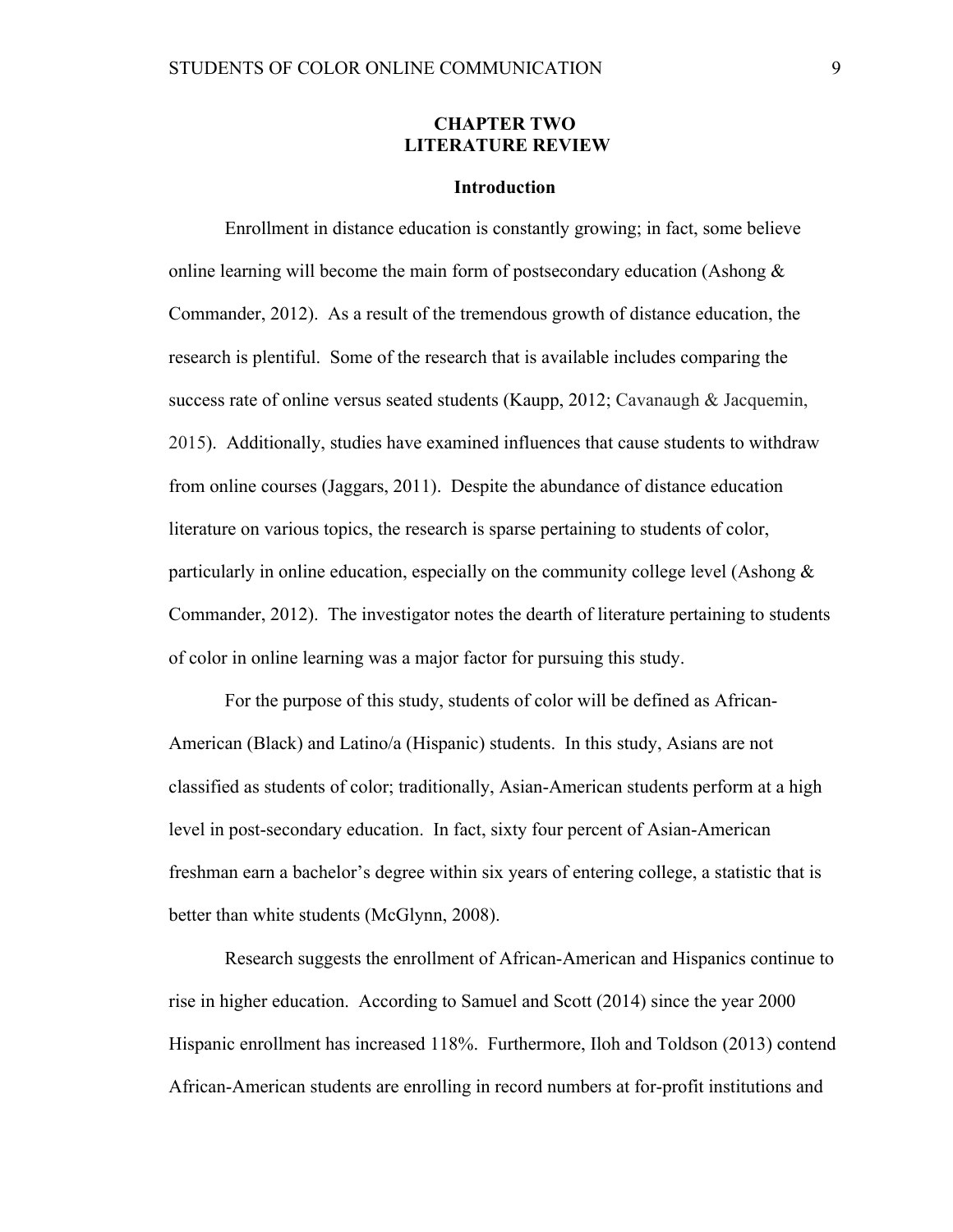## **CHAPTER TWO LITERATURE REVIEW**

#### **Introduction**

Enrollment in distance education is constantly growing; in fact, some believe online learning will become the main form of postsecondary education (Ashong & Commander, 2012). As a result of the tremendous growth of distance education, the research is plentiful. Some of the research that is available includes comparing the success rate of online versus seated students (Kaupp, 2012; Cavanaugh & Jacquemin, 2015). Additionally, studies have examined influences that cause students to withdraw from online courses (Jaggars, 2011). Despite the abundance of distance education literature on various topics, the research is sparse pertaining to students of color, particularly in online education, especially on the community college level (Ashong  $\&$ Commander, 2012). The investigator notes the dearth of literature pertaining to students of color in online learning was a major factor for pursuing this study.

For the purpose of this study, students of color will be defined as African-American (Black) and Latino/a (Hispanic) students. In this study, Asians are not classified as students of color; traditionally, Asian-American students perform at a high level in post-secondary education. In fact, sixty four percent of Asian-American freshman earn a bachelor's degree within six years of entering college, a statistic that is better than white students (McGlynn, 2008).

Research suggests the enrollment of African-American and Hispanics continue to rise in higher education. According to Samuel and Scott (2014) since the year 2000 Hispanic enrollment has increased 118%. Furthermore, Iloh and Toldson (2013) contend African-American students are enrolling in record numbers at for-profit institutions and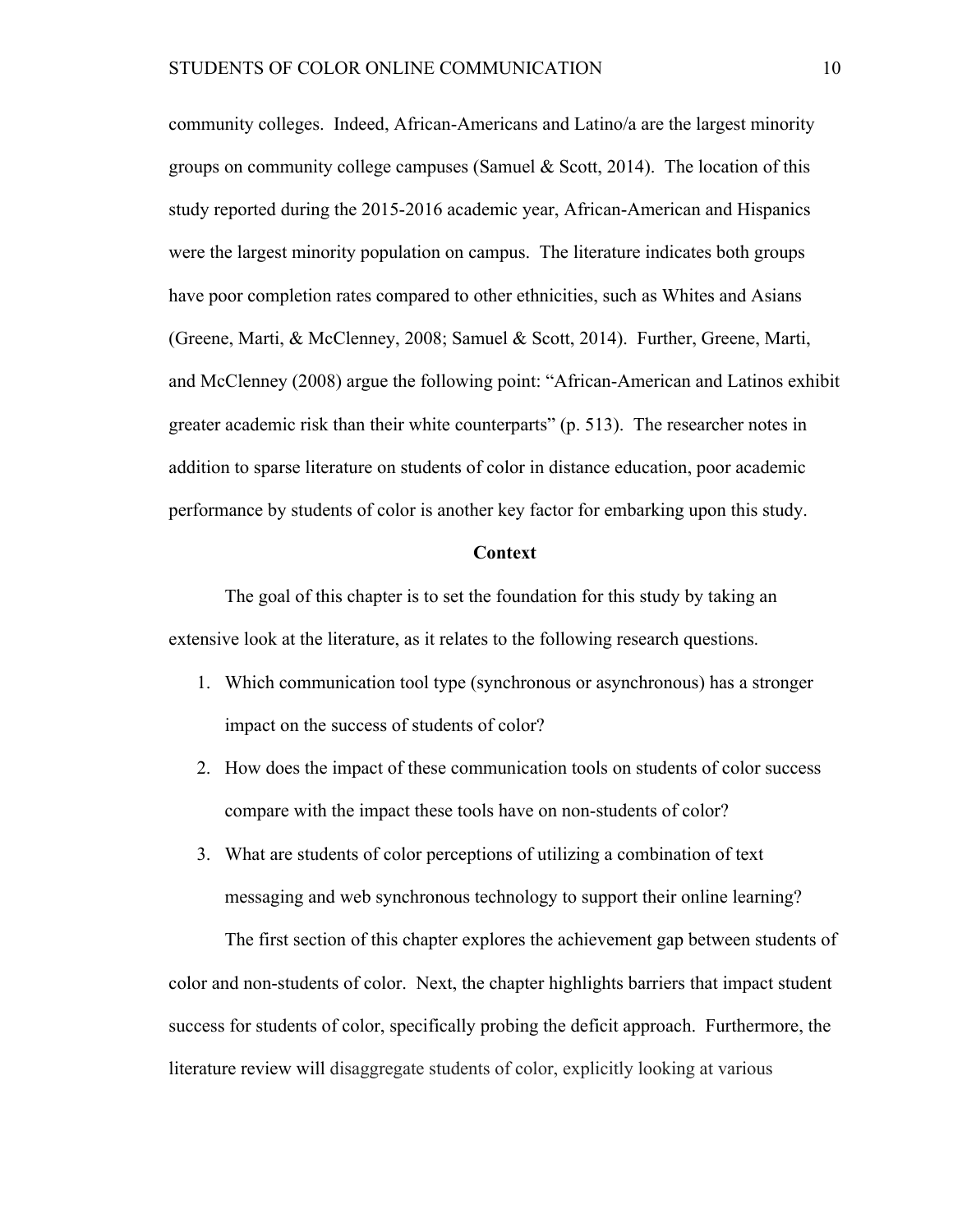community colleges. Indeed, African-Americans and Latino/a are the largest minority groups on community college campuses (Samuel & Scott, 2014). The location of this study reported during the 2015-2016 academic year, African-American and Hispanics were the largest minority population on campus. The literature indicates both groups have poor completion rates compared to other ethnicities, such as Whites and Asians (Greene, Marti, & McClenney, 2008; Samuel & Scott, 2014). Further, Greene, Marti, and McClenney (2008) argue the following point: "African-American and Latinos exhibit greater academic risk than their white counterparts" (p. 513). The researcher notes in addition to sparse literature on students of color in distance education, poor academic performance by students of color is another key factor for embarking upon this study.

#### **Context**

The goal of this chapter is to set the foundation for this study by taking an extensive look at the literature, as it relates to the following research questions.

- 1. Which communication tool type (synchronous or asynchronous) has a stronger impact on the success of students of color?
- 2. How does the impact of these communication tools on students of color success compare with the impact these tools have on non-students of color?
- 3. What are students of color perceptions of utilizing a combination of text messaging and web synchronous technology to support their online learning?

The first section of this chapter explores the achievement gap between students of color and non-students of color. Next, the chapter highlights barriers that impact student success for students of color, specifically probing the deficit approach. Furthermore, the literature review will disaggregate students of color, explicitly looking at various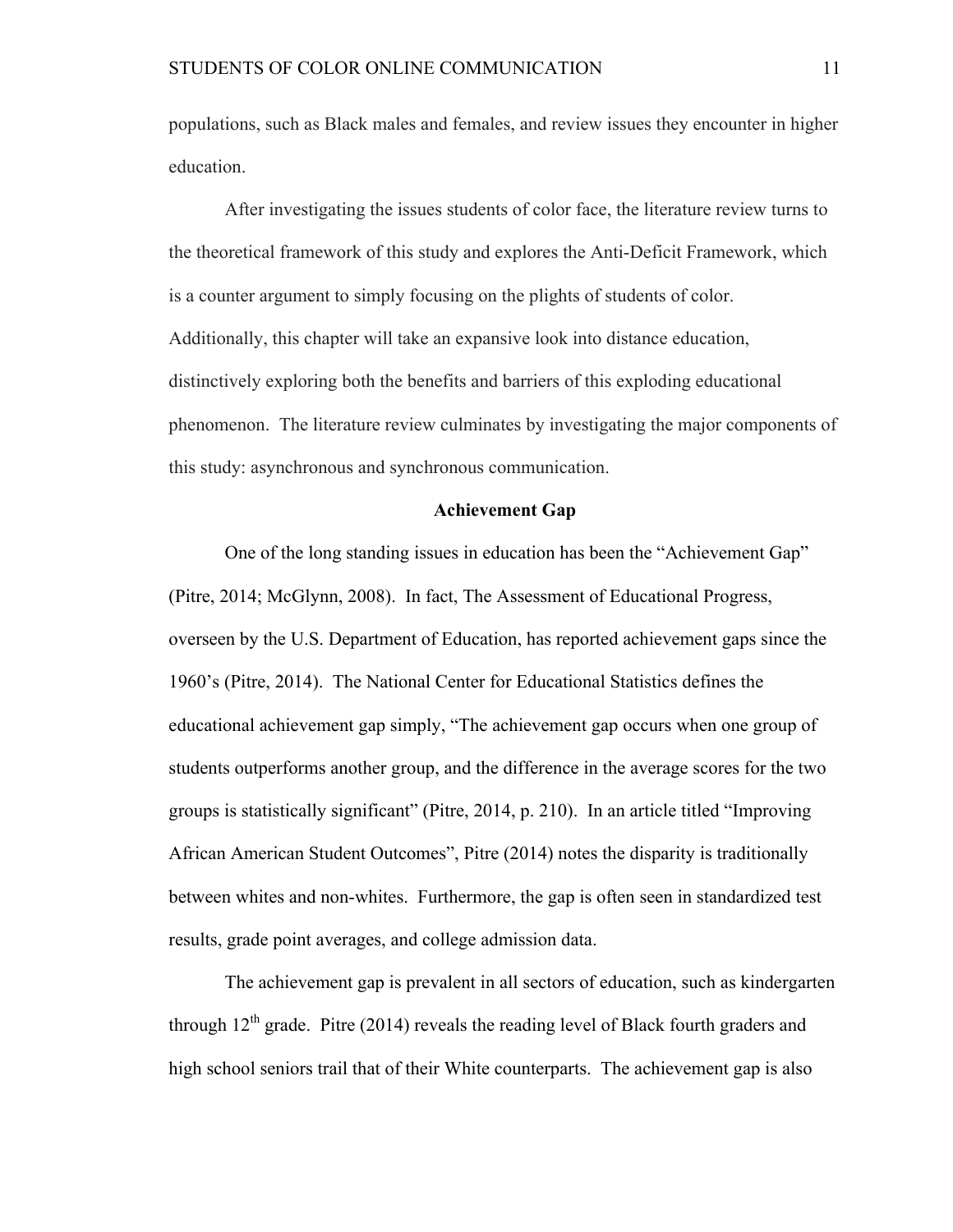populations, such as Black males and females, and review issues they encounter in higher education.

After investigating the issues students of color face, the literature review turns to the theoretical framework of this study and explores the Anti-Deficit Framework, which is a counter argument to simply focusing on the plights of students of color. Additionally, this chapter will take an expansive look into distance education, distinctively exploring both the benefits and barriers of this exploding educational phenomenon. The literature review culminates by investigating the major components of this study: asynchronous and synchronous communication.

### **Achievement Gap**

One of the long standing issues in education has been the "Achievement Gap" (Pitre, 2014; McGlynn, 2008). In fact, The Assessment of Educational Progress, overseen by the U.S. Department of Education, has reported achievement gaps since the 1960's (Pitre, 2014). The National Center for Educational Statistics defines the educational achievement gap simply, "The achievement gap occurs when one group of students outperforms another group, and the difference in the average scores for the two groups is statistically significant" (Pitre, 2014, p. 210). In an article titled "Improving African American Student Outcomes", Pitre (2014) notes the disparity is traditionally between whites and non-whites. Furthermore, the gap is often seen in standardized test results, grade point averages, and college admission data.

The achievement gap is prevalent in all sectors of education, such as kindergarten through  $12<sup>th</sup>$  grade. Pitre (2014) reveals the reading level of Black fourth graders and high school seniors trail that of their White counterparts. The achievement gap is also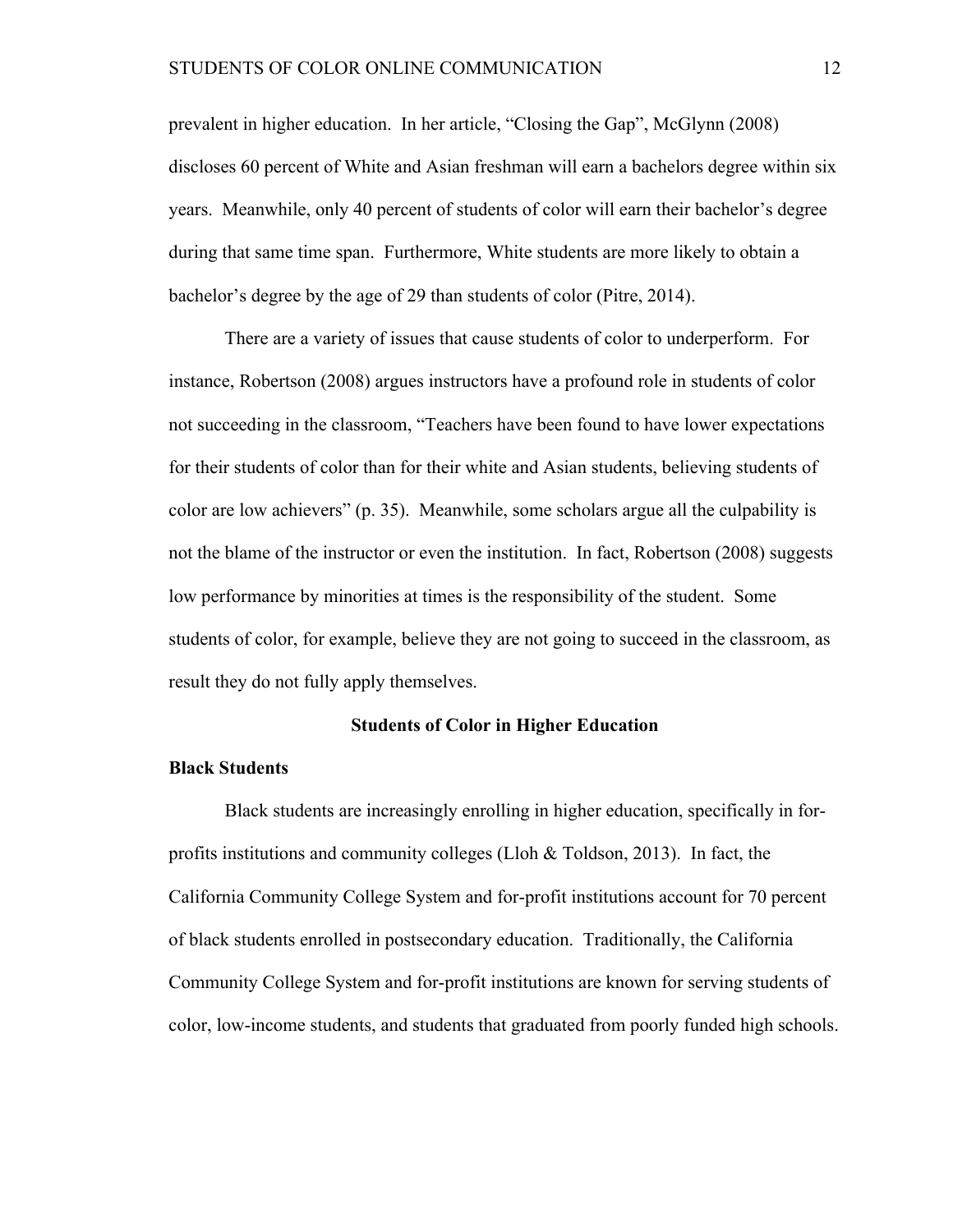prevalent in higher education. In her article, "Closing the Gap", McGlynn (2008) discloses 60 percent of White and Asian freshman will earn a bachelors degree within six years. Meanwhile, only 40 percent of students of color will earn their bachelor's degree during that same time span. Furthermore, White students are more likely to obtain a bachelor's degree by the age of 29 than students of color (Pitre, 2014).

There are a variety of issues that cause students of color to underperform. For instance, Robertson (2008) argues instructors have a profound role in students of color not succeeding in the classroom, "Teachers have been found to have lower expectations for their students of color than for their white and Asian students, believing students of color are low achievers" (p. 35). Meanwhile, some scholars argue all the culpability is not the blame of the instructor or even the institution. In fact, Robertson (2008) suggests low performance by minorities at times is the responsibility of the student. Some students of color, for example, believe they are not going to succeed in the classroom, as result they do not fully apply themselves.

#### **Students of Color in Higher Education**

#### **Black Students**

Black students are increasingly enrolling in higher education, specifically in forprofits institutions and community colleges (Lloh & Toldson, 2013). In fact, the California Community College System and for-profit institutions account for 70 percent of black students enrolled in postsecondary education. Traditionally, the California Community College System and for-profit institutions are known for serving students of color, low-income students, and students that graduated from poorly funded high schools.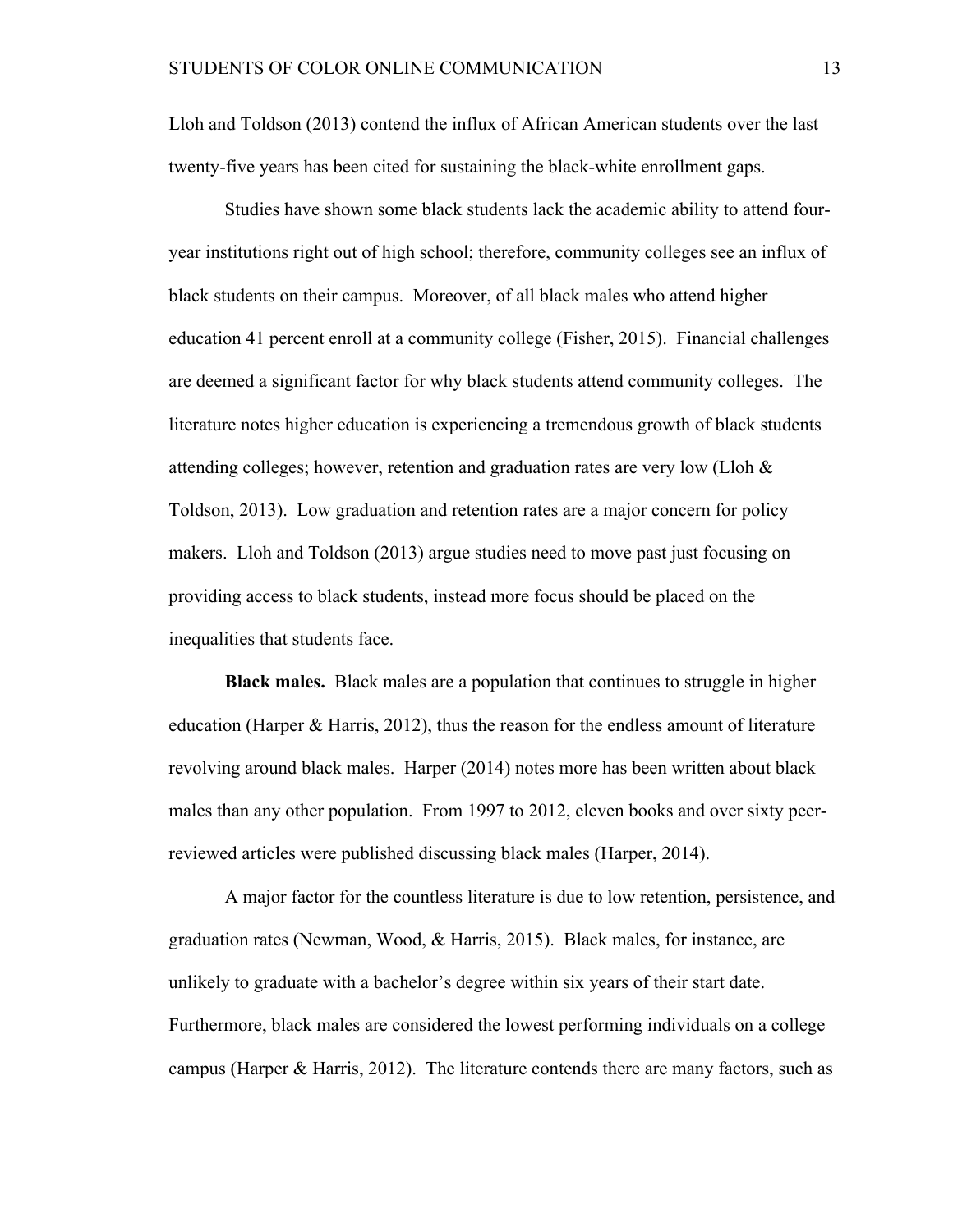Lloh and Toldson (2013) contend the influx of African American students over the last twenty-five years has been cited for sustaining the black-white enrollment gaps.

Studies have shown some black students lack the academic ability to attend fouryear institutions right out of high school; therefore, community colleges see an influx of black students on their campus. Moreover, of all black males who attend higher education 41 percent enroll at a community college (Fisher, 2015). Financial challenges are deemed a significant factor for why black students attend community colleges. The literature notes higher education is experiencing a tremendous growth of black students attending colleges; however, retention and graduation rates are very low (Lloh  $\&$ Toldson, 2013). Low graduation and retention rates are a major concern for policy makers. Lloh and Toldson (2013) argue studies need to move past just focusing on providing access to black students, instead more focus should be placed on the inequalities that students face.

**Black males.** Black males are a population that continues to struggle in higher education (Harper & Harris, 2012), thus the reason for the endless amount of literature revolving around black males. Harper (2014) notes more has been written about black males than any other population. From 1997 to 2012, eleven books and over sixty peerreviewed articles were published discussing black males (Harper, 2014).

A major factor for the countless literature is due to low retention, persistence, and graduation rates (Newman, Wood, & Harris, 2015). Black males, for instance, are unlikely to graduate with a bachelor's degree within six years of their start date. Furthermore, black males are considered the lowest performing individuals on a college campus (Harper & Harris, 2012). The literature contends there are many factors, such as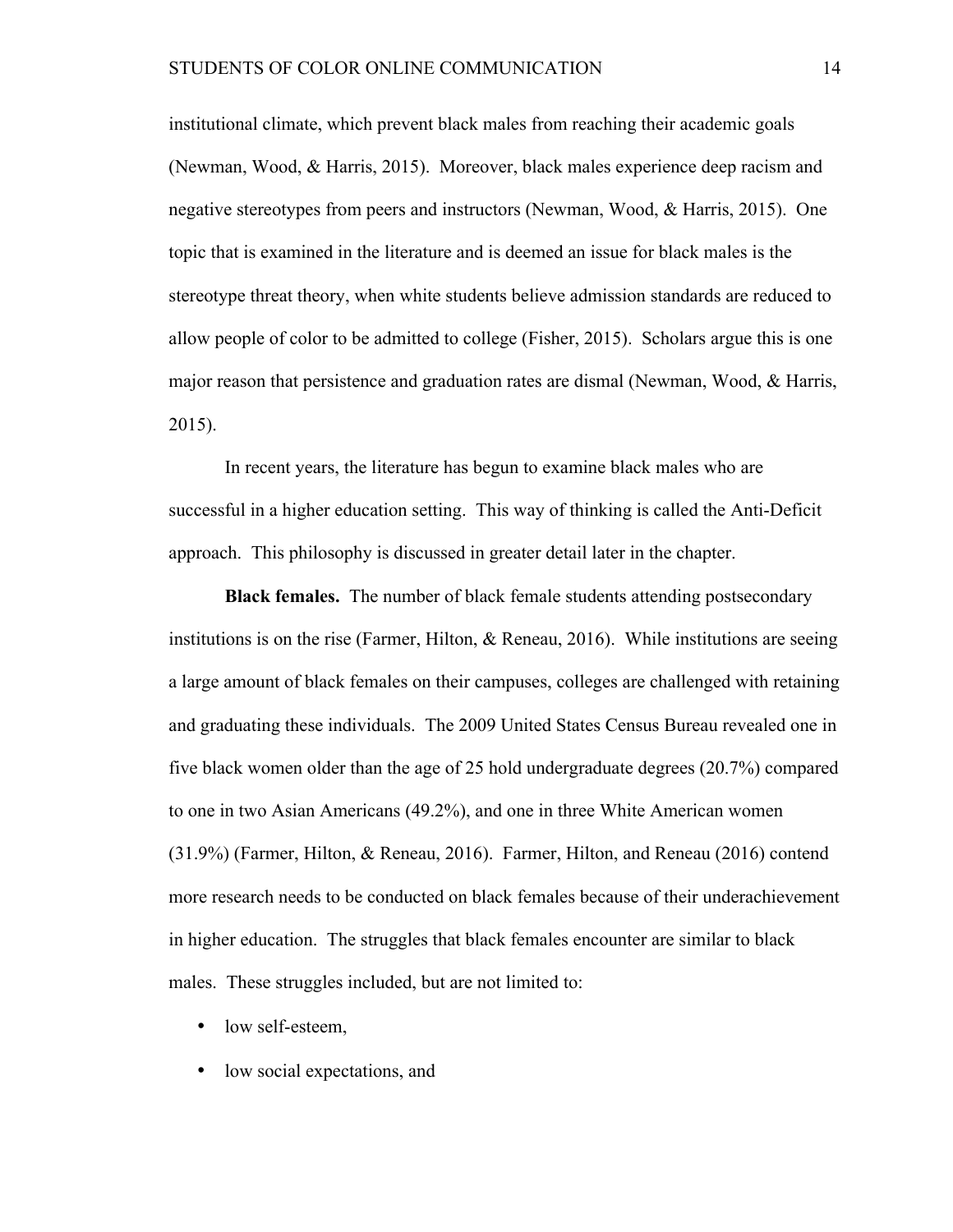institutional climate, which prevent black males from reaching their academic goals (Newman, Wood, & Harris, 2015). Moreover, black males experience deep racism and negative stereotypes from peers and instructors (Newman, Wood, & Harris, 2015). One topic that is examined in the literature and is deemed an issue for black males is the stereotype threat theory, when white students believe admission standards are reduced to allow people of color to be admitted to college (Fisher, 2015). Scholars argue this is one major reason that persistence and graduation rates are dismal (Newman, Wood, & Harris, 2015).

In recent years, the literature has begun to examine black males who are successful in a higher education setting. This way of thinking is called the Anti-Deficit approach. This philosophy is discussed in greater detail later in the chapter.

**Black females.** The number of black female students attending postsecondary institutions is on the rise (Farmer, Hilton, & Reneau, 2016). While institutions are seeing a large amount of black females on their campuses, colleges are challenged with retaining and graduating these individuals. The 2009 United States Census Bureau revealed one in five black women older than the age of 25 hold undergraduate degrees (20.7%) compared to one in two Asian Americans (49.2%), and one in three White American women (31.9%) (Farmer, Hilton, & Reneau, 2016). Farmer, Hilton, and Reneau (2016) contend more research needs to be conducted on black females because of their underachievement in higher education. The struggles that black females encounter are similar to black males. These struggles included, but are not limited to:

- low self-esteem,
- low social expectations, and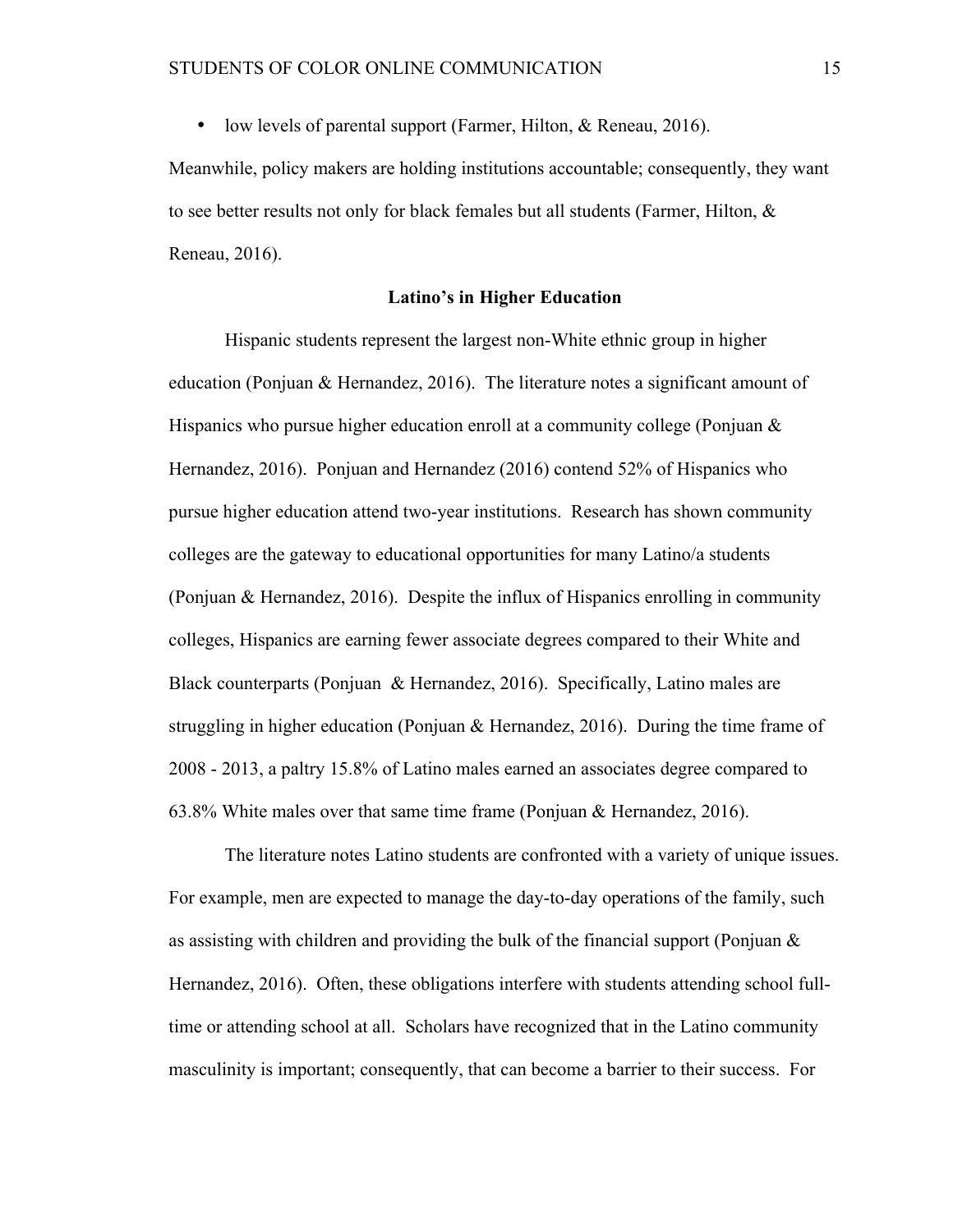• low levels of parental support (Farmer, Hilton, & Reneau, 2016).

Meanwhile, policy makers are holding institutions accountable; consequently, they want to see better results not only for black females but all students (Farmer, Hilton, & Reneau, 2016).

#### **Latino's in Higher Education**

Hispanic students represent the largest non-White ethnic group in higher education (Ponjuan & Hernandez, 2016). The literature notes a significant amount of Hispanics who pursue higher education enroll at a community college (Ponjuan  $\&$ Hernandez, 2016). Ponjuan and Hernandez (2016) contend 52% of Hispanics who pursue higher education attend two-year institutions. Research has shown community colleges are the gateway to educational opportunities for many Latino/a students (Ponjuan & Hernandez, 2016). Despite the influx of Hispanics enrolling in community colleges, Hispanics are earning fewer associate degrees compared to their White and Black counterparts (Ponjuan & Hernandez, 2016). Specifically, Latino males are struggling in higher education (Ponjuan & Hernandez, 2016). During the time frame of 2008 - 2013, a paltry 15.8% of Latino males earned an associates degree compared to 63.8% White males over that same time frame (Ponjuan & Hernandez, 2016).

The literature notes Latino students are confronted with a variety of unique issues. For example, men are expected to manage the day-to-day operations of the family, such as assisting with children and providing the bulk of the financial support (Ponjuan & Hernandez, 2016). Often, these obligations interfere with students attending school fulltime or attending school at all. Scholars have recognized that in the Latino community masculinity is important; consequently, that can become a barrier to their success. For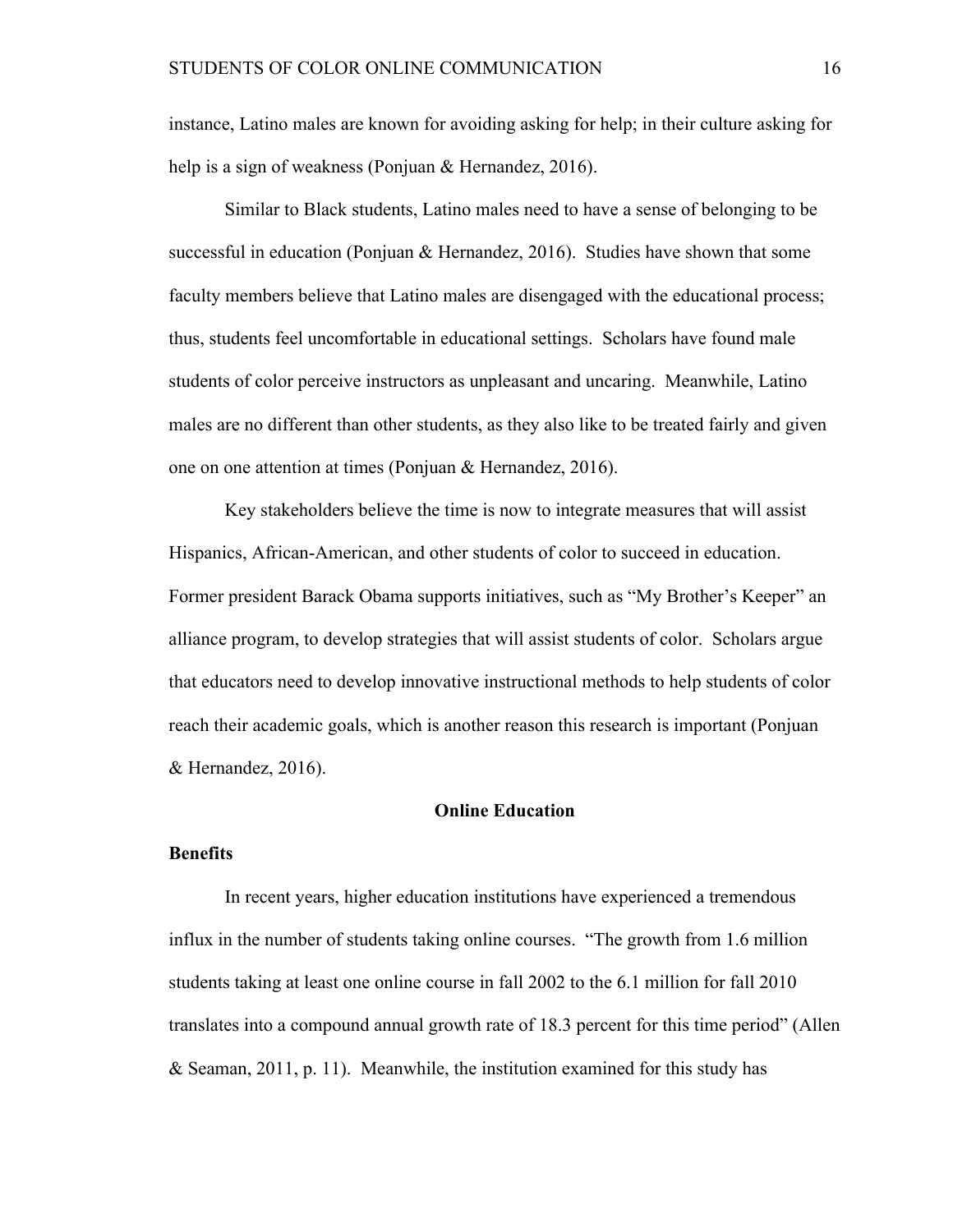instance, Latino males are known for avoiding asking for help; in their culture asking for help is a sign of weakness (Ponjuan & Hernandez, 2016).

Similar to Black students, Latino males need to have a sense of belonging to be successful in education (Ponjuan & Hernandez, 2016). Studies have shown that some faculty members believe that Latino males are disengaged with the educational process; thus, students feel uncomfortable in educational settings. Scholars have found male students of color perceive instructors as unpleasant and uncaring. Meanwhile, Latino males are no different than other students, as they also like to be treated fairly and given one on one attention at times (Ponjuan & Hernandez, 2016).

Key stakeholders believe the time is now to integrate measures that will assist Hispanics, African-American, and other students of color to succeed in education. Former president Barack Obama supports initiatives, such as "My Brother's Keeper" an alliance program, to develop strategies that will assist students of color. Scholars argue that educators need to develop innovative instructional methods to help students of color reach their academic goals, which is another reason this research is important (Ponjuan & Hernandez, 2016).

#### **Online Education**

#### **Benefits**

In recent years, higher education institutions have experienced a tremendous influx in the number of students taking online courses. "The growth from 1.6 million students taking at least one online course in fall 2002 to the 6.1 million for fall 2010 translates into a compound annual growth rate of 18.3 percent for this time period" (Allen & Seaman, 2011, p. 11). Meanwhile, the institution examined for this study has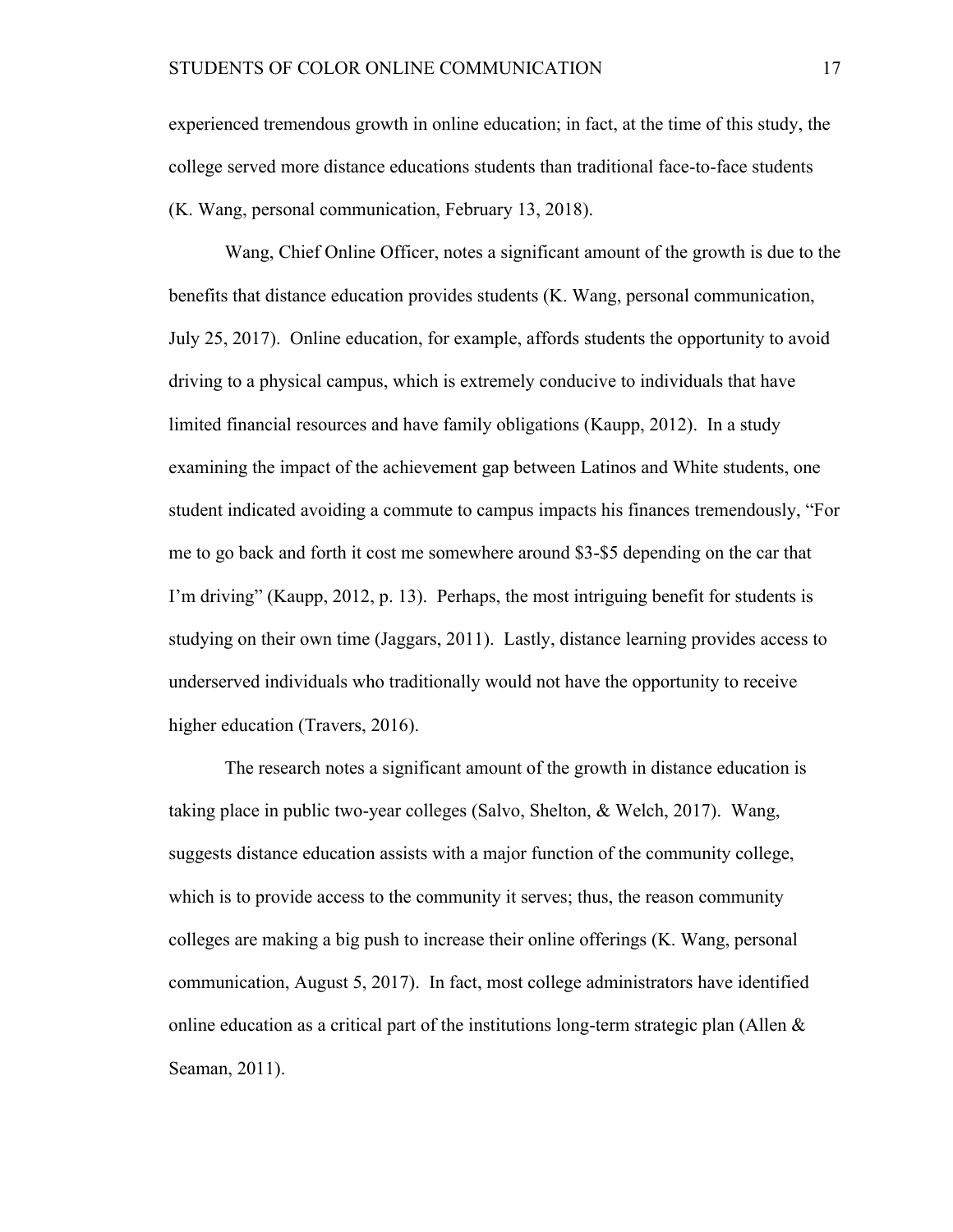experienced tremendous growth in online education; in fact, at the time of this study, the college served more distance educations students than traditional face-to-face students (K. Wang, personal communication, February 13, 2018).

Wang, Chief Online Officer, notes a significant amount of the growth is due to the benefits that distance education provides students (K. Wang, personal communication, July 25, 2017). Online education, for example, affords students the opportunity to avoid driving to a physical campus, which is extremely conducive to individuals that have limited financial resources and have family obligations (Kaupp, 2012). In a study examining the impact of the achievement gap between Latinos and White students, one student indicated avoiding a commute to campus impacts his finances tremendously, "For me to go back and forth it cost me somewhere around \$3-\$5 depending on the car that I'm driving" (Kaupp, 2012, p. 13). Perhaps, the most intriguing benefit for students is studying on their own time (Jaggars, 2011). Lastly, distance learning provides access to underserved individuals who traditionally would not have the opportunity to receive higher education (Travers, 2016).

The research notes a significant amount of the growth in distance education is taking place in public two-year colleges (Salvo, Shelton, & Welch, 2017). Wang, suggests distance education assists with a major function of the community college, which is to provide access to the community it serves; thus, the reason community colleges are making a big push to increase their online offerings (K. Wang, personal communication, August 5, 2017). In fact, most college administrators have identified online education as a critical part of the institutions long-term strategic plan (Allen  $\&$ Seaman, 2011).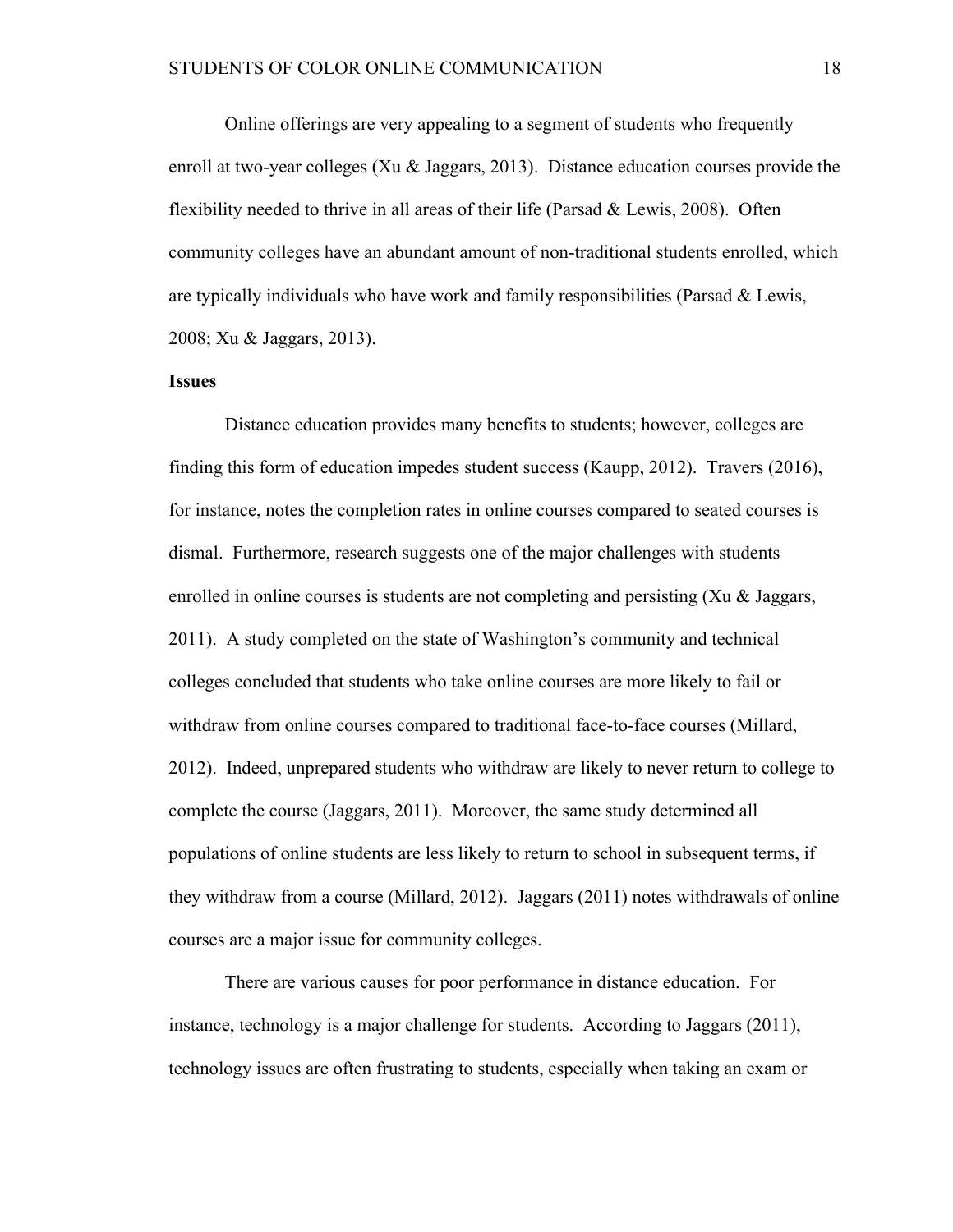Online offerings are very appealing to a segment of students who frequently enroll at two-year colleges (Xu & Jaggars, 2013). Distance education courses provide the flexibility needed to thrive in all areas of their life (Parsad & Lewis, 2008). Often community colleges have an abundant amount of non-traditional students enrolled, which are typically individuals who have work and family responsibilities (Parsad & Lewis, 2008; Xu & Jaggars, 2013).

### **Issues**

Distance education provides many benefits to students; however, colleges are finding this form of education impedes student success (Kaupp, 2012). Travers (2016), for instance, notes the completion rates in online courses compared to seated courses is dismal. Furthermore, research suggests one of the major challenges with students enrolled in online courses is students are not completing and persisting (Xu & Jaggars, 2011). A study completed on the state of Washington's community and technical colleges concluded that students who take online courses are more likely to fail or withdraw from online courses compared to traditional face-to-face courses (Millard, 2012). Indeed, unprepared students who withdraw are likely to never return to college to complete the course (Jaggars, 2011). Moreover, the same study determined all populations of online students are less likely to return to school in subsequent terms, if they withdraw from a course (Millard, 2012). Jaggars (2011) notes withdrawals of online courses are a major issue for community colleges.

There are various causes for poor performance in distance education. For instance, technology is a major challenge for students. According to Jaggars (2011), technology issues are often frustrating to students, especially when taking an exam or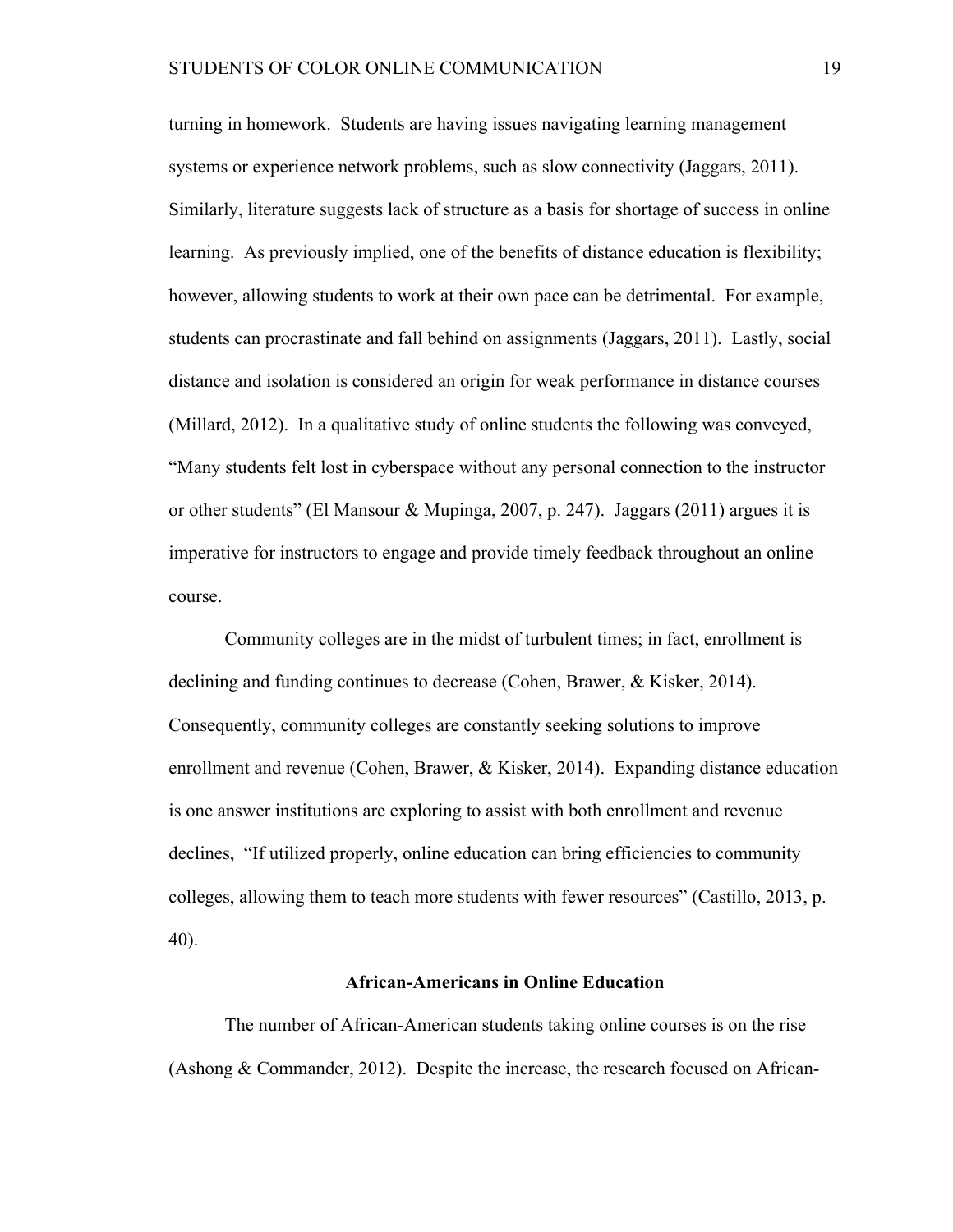turning in homework. Students are having issues navigating learning management systems or experience network problems, such as slow connectivity (Jaggars, 2011). Similarly, literature suggests lack of structure as a basis for shortage of success in online learning. As previously implied, one of the benefits of distance education is flexibility; however, allowing students to work at their own pace can be detrimental. For example, students can procrastinate and fall behind on assignments (Jaggars, 2011). Lastly, social distance and isolation is considered an origin for weak performance in distance courses (Millard, 2012). In a qualitative study of online students the following was conveyed, "Many students felt lost in cyberspace without any personal connection to the instructor or other students" (El Mansour & Mupinga, 2007, p. 247). Jaggars (2011) argues it is imperative for instructors to engage and provide timely feedback throughout an online course.

Community colleges are in the midst of turbulent times; in fact, enrollment is declining and funding continues to decrease (Cohen, Brawer, & Kisker, 2014). Consequently, community colleges are constantly seeking solutions to improve enrollment and revenue (Cohen, Brawer, & Kisker, 2014). Expanding distance education is one answer institutions are exploring to assist with both enrollment and revenue declines, "If utilized properly, online education can bring efficiencies to community colleges, allowing them to teach more students with fewer resources" (Castillo, 2013, p. 40).

#### **African-Americans in Online Education**

The number of African-American students taking online courses is on the rise (Ashong & Commander, 2012). Despite the increase, the research focused on African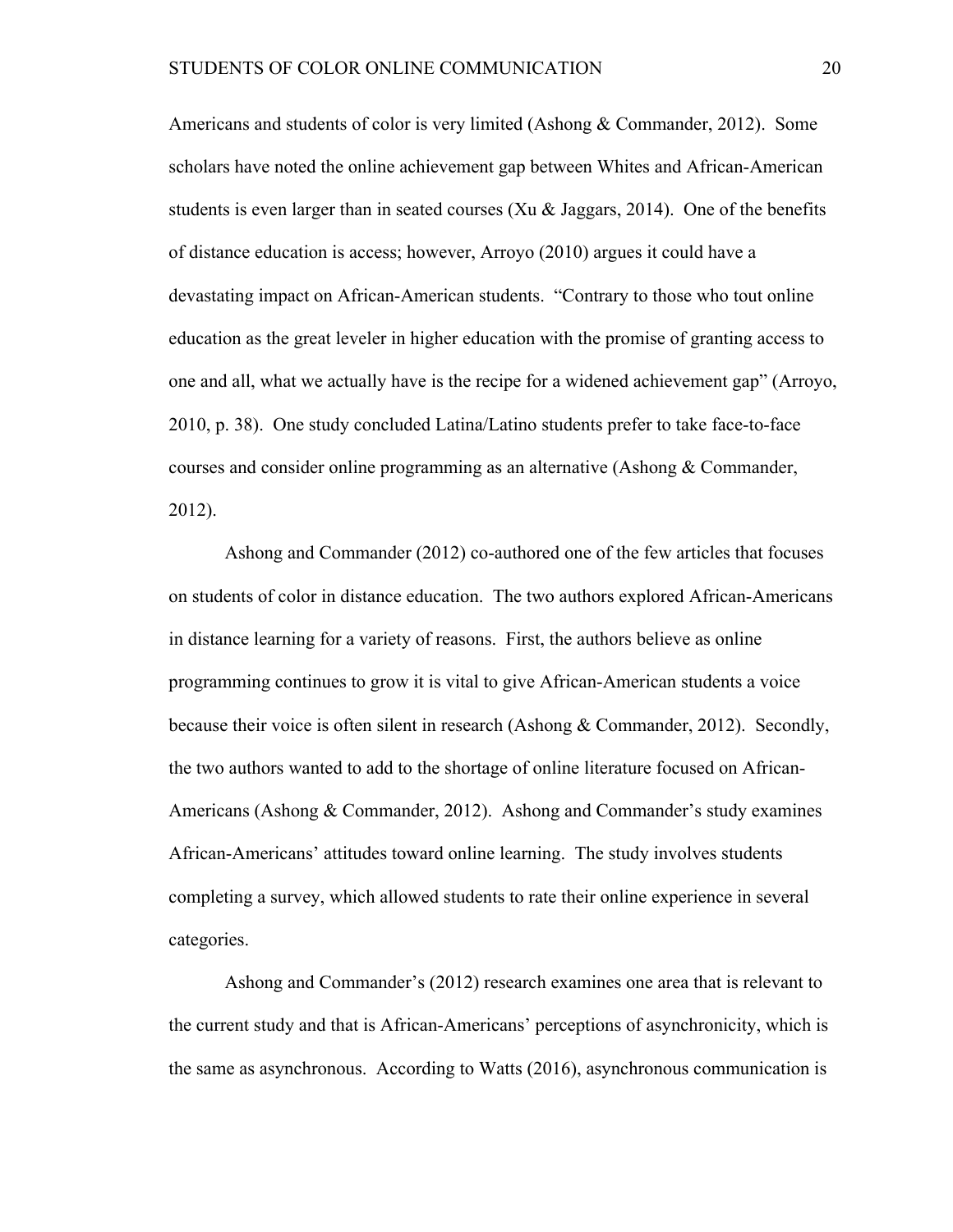Americans and students of color is very limited (Ashong & Commander, 2012). Some scholars have noted the online achievement gap between Whites and African-American students is even larger than in seated courses  $(Xu \& \text{Jaggars}, 2014)$ . One of the benefits of distance education is access; however, Arroyo (2010) argues it could have a devastating impact on African-American students. "Contrary to those who tout online education as the great leveler in higher education with the promise of granting access to one and all, what we actually have is the recipe for a widened achievement gap" (Arroyo, 2010, p. 38). One study concluded Latina/Latino students prefer to take face-to-face courses and consider online programming as an alternative (Ashong & Commander, 2012).

Ashong and Commander (2012) co-authored one of the few articles that focuses on students of color in distance education. The two authors explored African-Americans in distance learning for a variety of reasons. First, the authors believe as online programming continues to grow it is vital to give African-American students a voice because their voice is often silent in research (Ashong & Commander, 2012). Secondly, the two authors wanted to add to the shortage of online literature focused on African-Americans (Ashong & Commander, 2012). Ashong and Commander's study examines African-Americans' attitudes toward online learning. The study involves students completing a survey, which allowed students to rate their online experience in several categories.

Ashong and Commander's (2012) research examines one area that is relevant to the current study and that is African-Americans' perceptions of asynchronicity, which is the same as asynchronous. According to Watts (2016), asynchronous communication is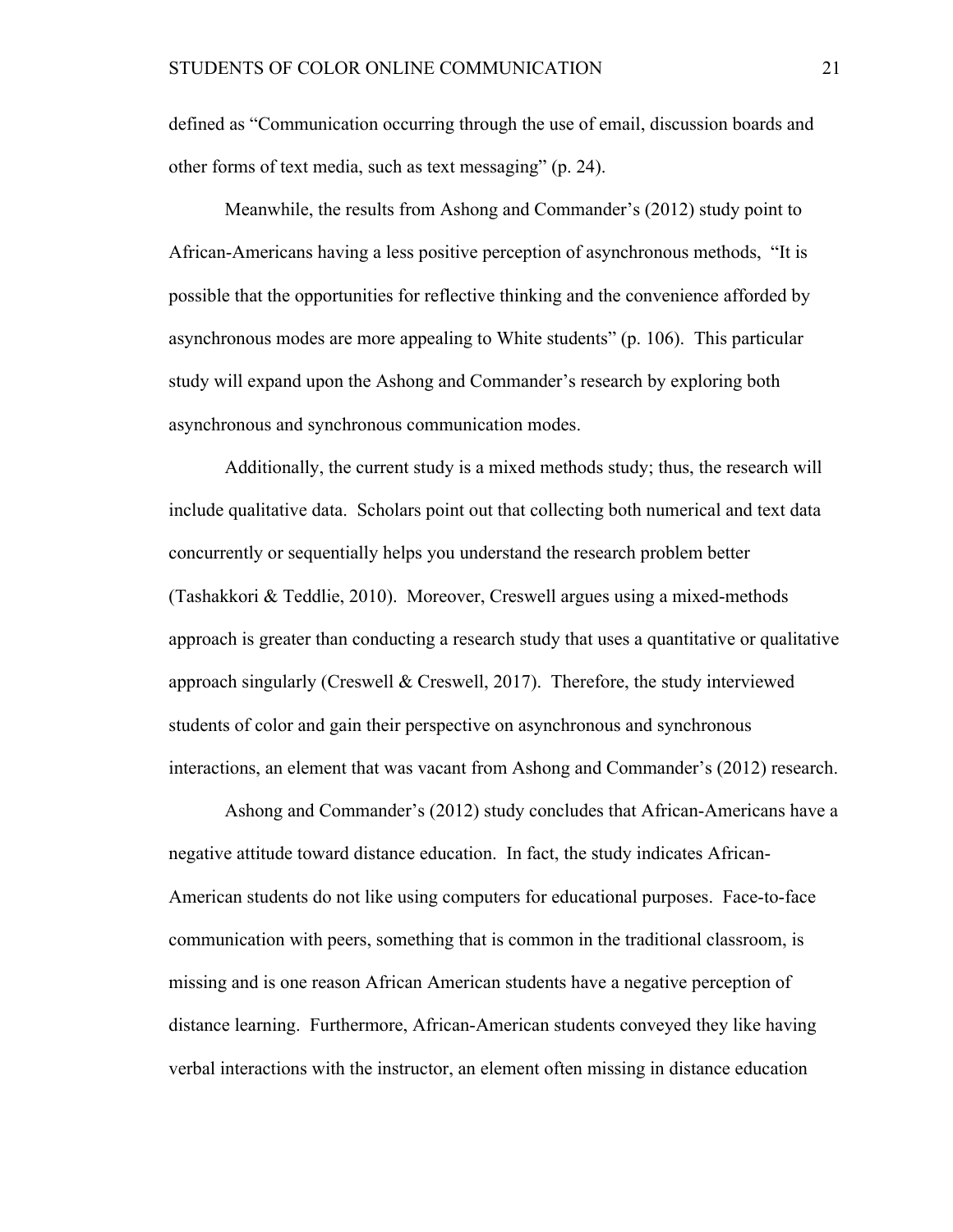defined as "Communication occurring through the use of email, discussion boards and other forms of text media, such as text messaging" (p. 24).

Meanwhile, the results from Ashong and Commander's (2012) study point to African-Americans having a less positive perception of asynchronous methods, "It is possible that the opportunities for reflective thinking and the convenience afforded by asynchronous modes are more appealing to White students" (p. 106). This particular study will expand upon the Ashong and Commander's research by exploring both asynchronous and synchronous communication modes.

Additionally, the current study is a mixed methods study; thus, the research will include qualitative data. Scholars point out that collecting both numerical and text data concurrently or sequentially helps you understand the research problem better (Tashakkori & Teddlie, 2010). Moreover, Creswell argues using a mixed-methods approach is greater than conducting a research study that uses a quantitative or qualitative approach singularly (Creswell  $\&$  Creswell, 2017). Therefore, the study interviewed students of color and gain their perspective on asynchronous and synchronous interactions, an element that was vacant from Ashong and Commander's (2012) research.

Ashong and Commander's (2012) study concludes that African-Americans have a negative attitude toward distance education. In fact, the study indicates African-American students do not like using computers for educational purposes. Face-to-face communication with peers, something that is common in the traditional classroom, is missing and is one reason African American students have a negative perception of distance learning. Furthermore, African-American students conveyed they like having verbal interactions with the instructor, an element often missing in distance education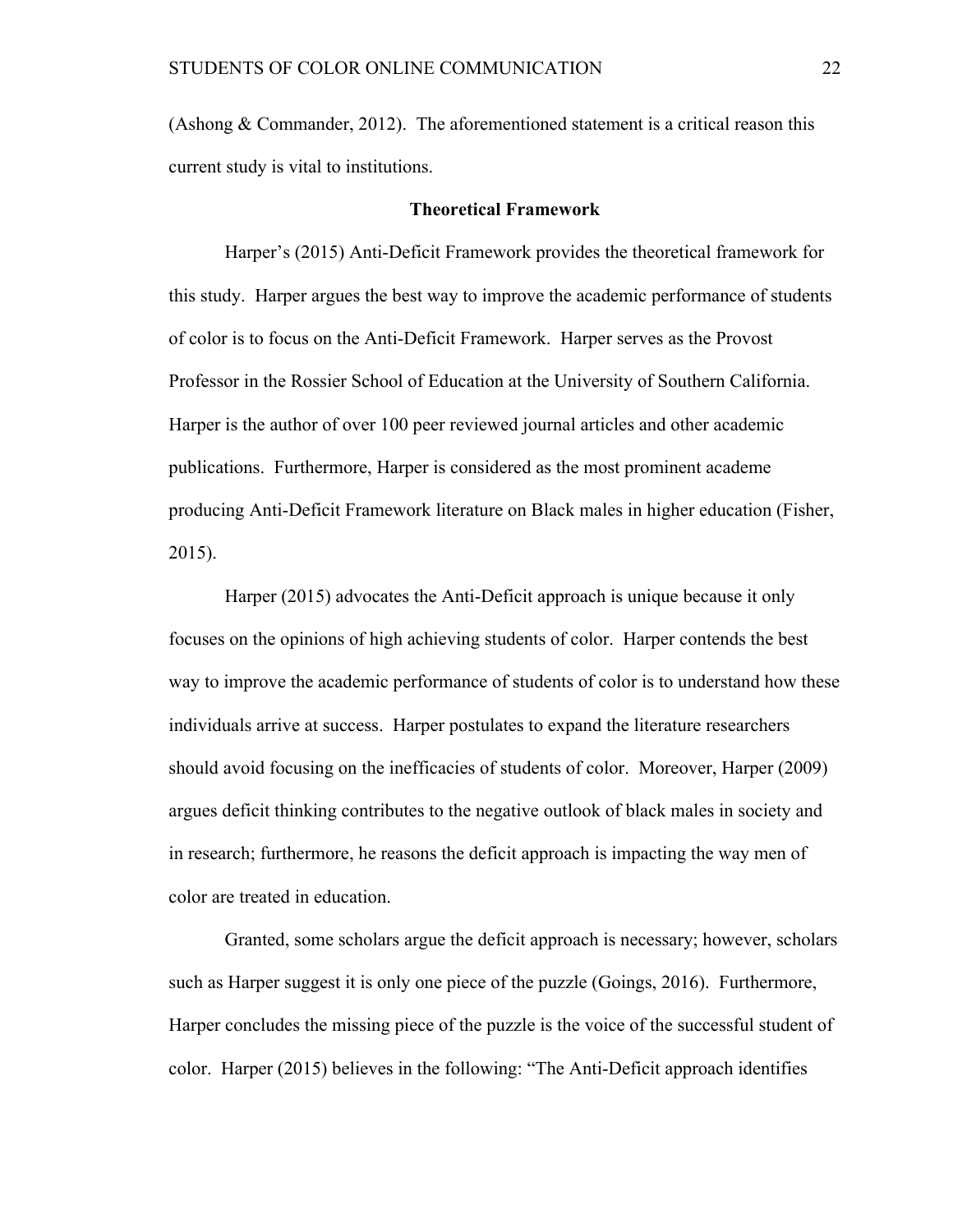(Ashong  $&$  Commander, 2012). The aforementioned statement is a critical reason this current study is vital to institutions.

#### **Theoretical Framework**

Harper's (2015) Anti-Deficit Framework provides the theoretical framework for this study. Harper argues the best way to improve the academic performance of students of color is to focus on the Anti-Deficit Framework. Harper serves as the Provost Professor in the Rossier School of Education at the University of Southern California. Harper is the author of over 100 peer reviewed journal articles and other academic publications. Furthermore, Harper is considered as the most prominent academe producing Anti-Deficit Framework literature on Black males in higher education (Fisher, 2015).

Harper (2015) advocates the Anti-Deficit approach is unique because it only focuses on the opinions of high achieving students of color. Harper contends the best way to improve the academic performance of students of color is to understand how these individuals arrive at success. Harper postulates to expand the literature researchers should avoid focusing on the inefficacies of students of color. Moreover, Harper (2009) argues deficit thinking contributes to the negative outlook of black males in society and in research; furthermore, he reasons the deficit approach is impacting the way men of color are treated in education.

Granted, some scholars argue the deficit approach is necessary; however, scholars such as Harper suggest it is only one piece of the puzzle (Goings, 2016). Furthermore, Harper concludes the missing piece of the puzzle is the voice of the successful student of color. Harper (2015) believes in the following: "The Anti-Deficit approach identifies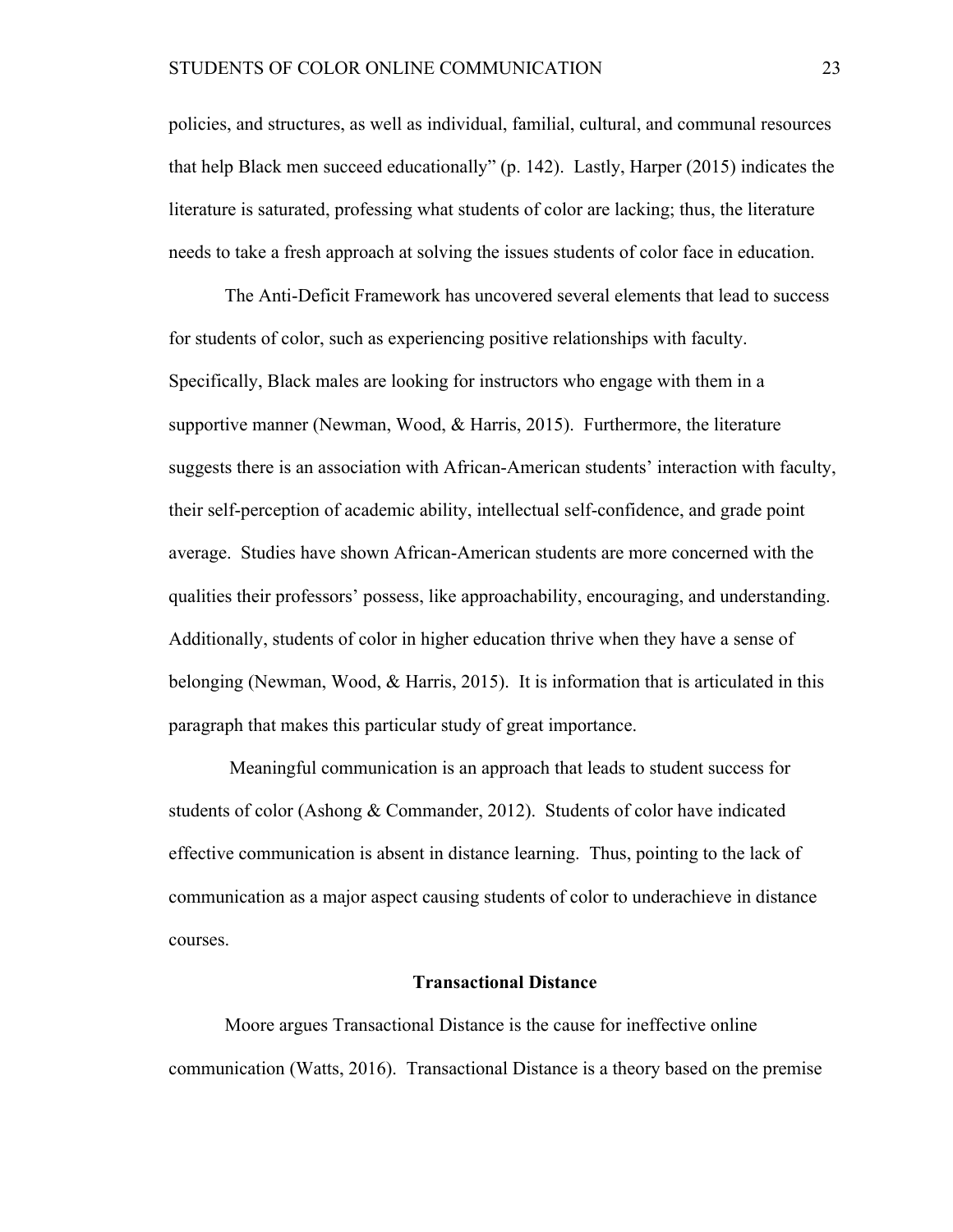policies, and structures, as well as individual, familial, cultural, and communal resources that help Black men succeed educationally" (p. 142). Lastly, Harper (2015) indicates the literature is saturated, professing what students of color are lacking; thus, the literature needs to take a fresh approach at solving the issues students of color face in education.

The Anti-Deficit Framework has uncovered several elements that lead to success for students of color, such as experiencing positive relationships with faculty. Specifically, Black males are looking for instructors who engage with them in a supportive manner (Newman, Wood, & Harris, 2015). Furthermore, the literature suggests there is an association with African-American students' interaction with faculty, their self-perception of academic ability, intellectual self-confidence, and grade point average. Studies have shown African-American students are more concerned with the qualities their professors' possess, like approachability, encouraging, and understanding. Additionally, students of color in higher education thrive when they have a sense of belonging (Newman, Wood, & Harris, 2015). It is information that is articulated in this paragraph that makes this particular study of great importance.

Meaningful communication is an approach that leads to student success for students of color (Ashong & Commander, 2012). Students of color have indicated effective communication is absent in distance learning. Thus, pointing to the lack of communication as a major aspect causing students of color to underachieve in distance courses.

#### **Transactional Distance**

Moore argues Transactional Distance is the cause for ineffective online communication (Watts, 2016). Transactional Distance is a theory based on the premise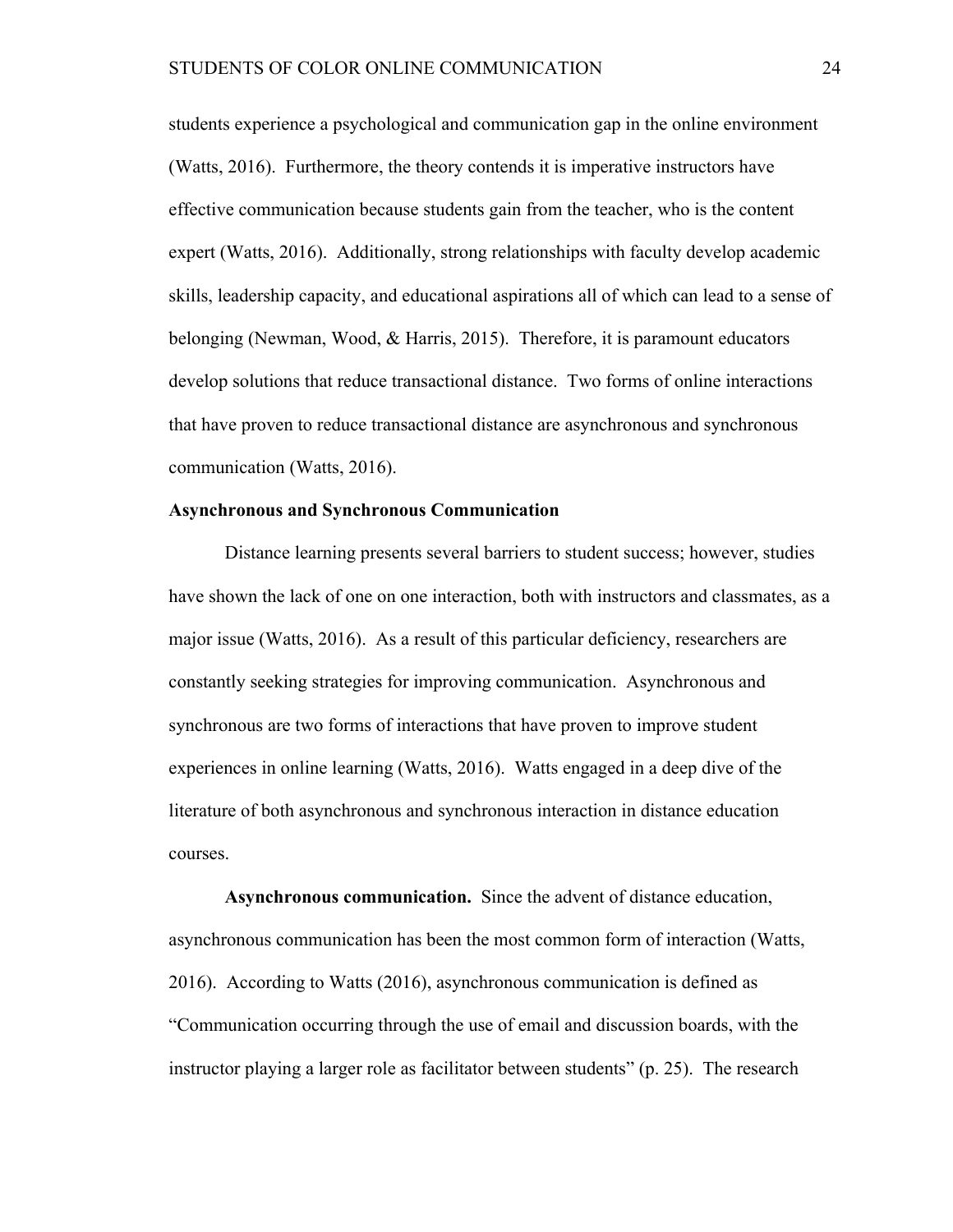students experience a psychological and communication gap in the online environment (Watts, 2016). Furthermore, the theory contends it is imperative instructors have effective communication because students gain from the teacher, who is the content expert (Watts, 2016). Additionally, strong relationships with faculty develop academic skills, leadership capacity, and educational aspirations all of which can lead to a sense of belonging (Newman, Wood, & Harris, 2015). Therefore, it is paramount educators develop solutions that reduce transactional distance. Two forms of online interactions that have proven to reduce transactional distance are asynchronous and synchronous communication (Watts, 2016).

# **Asynchronous and Synchronous Communication**

Distance learning presents several barriers to student success; however, studies have shown the lack of one on one interaction, both with instructors and classmates, as a major issue (Watts, 2016). As a result of this particular deficiency, researchers are constantly seeking strategies for improving communication. Asynchronous and synchronous are two forms of interactions that have proven to improve student experiences in online learning (Watts, 2016). Watts engaged in a deep dive of the literature of both asynchronous and synchronous interaction in distance education courses.

**Asynchronous communication.** Since the advent of distance education, asynchronous communication has been the most common form of interaction (Watts, 2016). According to Watts (2016), asynchronous communication is defined as "Communication occurring through the use of email and discussion boards, with the instructor playing a larger role as facilitator between students" (p. 25). The research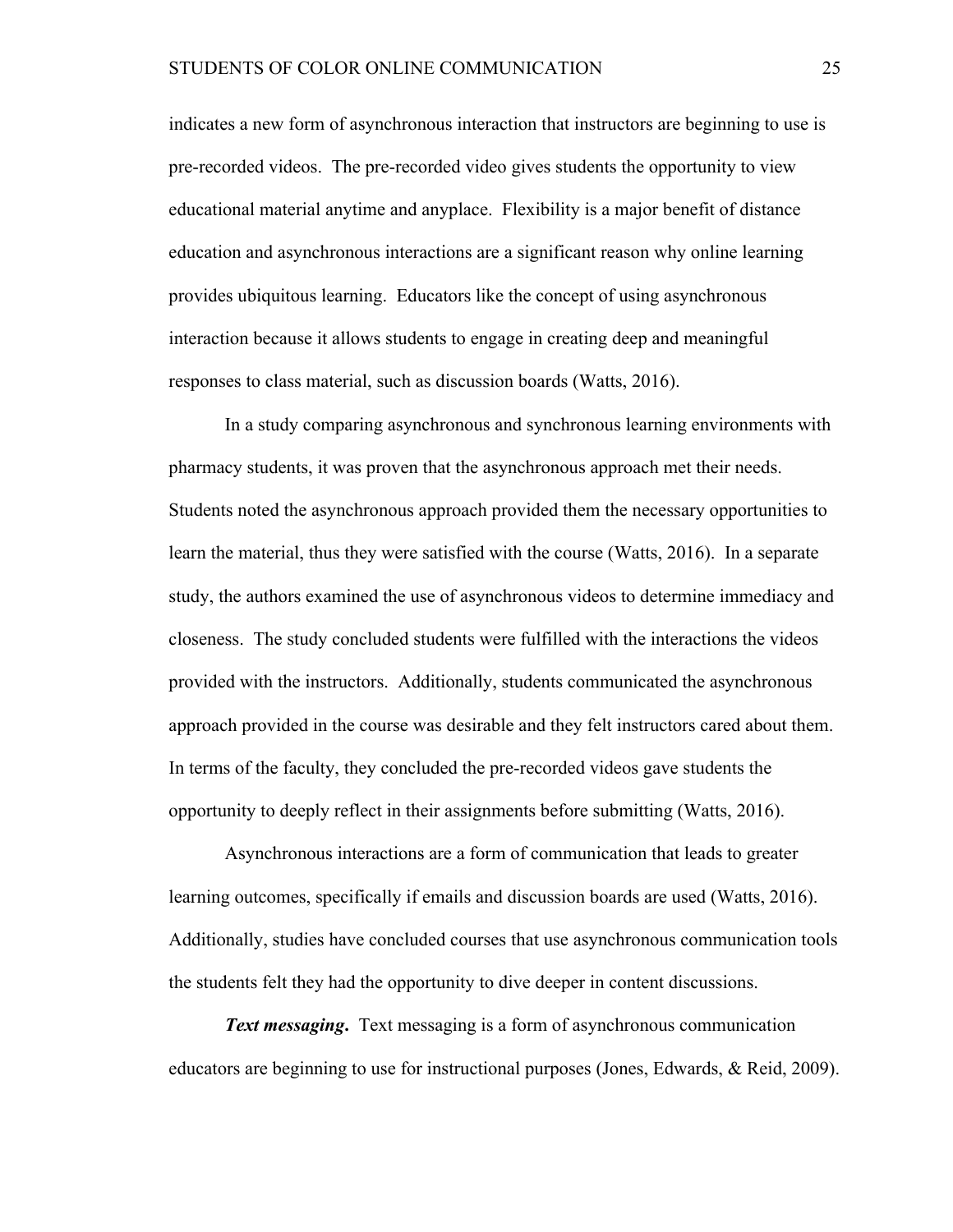indicates a new form of asynchronous interaction that instructors are beginning to use is pre-recorded videos. The pre-recorded video gives students the opportunity to view educational material anytime and anyplace. Flexibility is a major benefit of distance education and asynchronous interactions are a significant reason why online learning provides ubiquitous learning. Educators like the concept of using asynchronous interaction because it allows students to engage in creating deep and meaningful responses to class material, such as discussion boards (Watts, 2016).

In a study comparing asynchronous and synchronous learning environments with pharmacy students, it was proven that the asynchronous approach met their needs. Students noted the asynchronous approach provided them the necessary opportunities to learn the material, thus they were satisfied with the course (Watts, 2016). In a separate study, the authors examined the use of asynchronous videos to determine immediacy and closeness. The study concluded students were fulfilled with the interactions the videos provided with the instructors. Additionally, students communicated the asynchronous approach provided in the course was desirable and they felt instructors cared about them. In terms of the faculty, they concluded the pre-recorded videos gave students the opportunity to deeply reflect in their assignments before submitting (Watts, 2016).

Asynchronous interactions are a form of communication that leads to greater learning outcomes, specifically if emails and discussion boards are used (Watts, 2016). Additionally, studies have concluded courses that use asynchronous communication tools the students felt they had the opportunity to dive deeper in content discussions.

*Text messaging***.** Text messaging is a form of asynchronous communication educators are beginning to use for instructional purposes (Jones, Edwards, & Reid, 2009).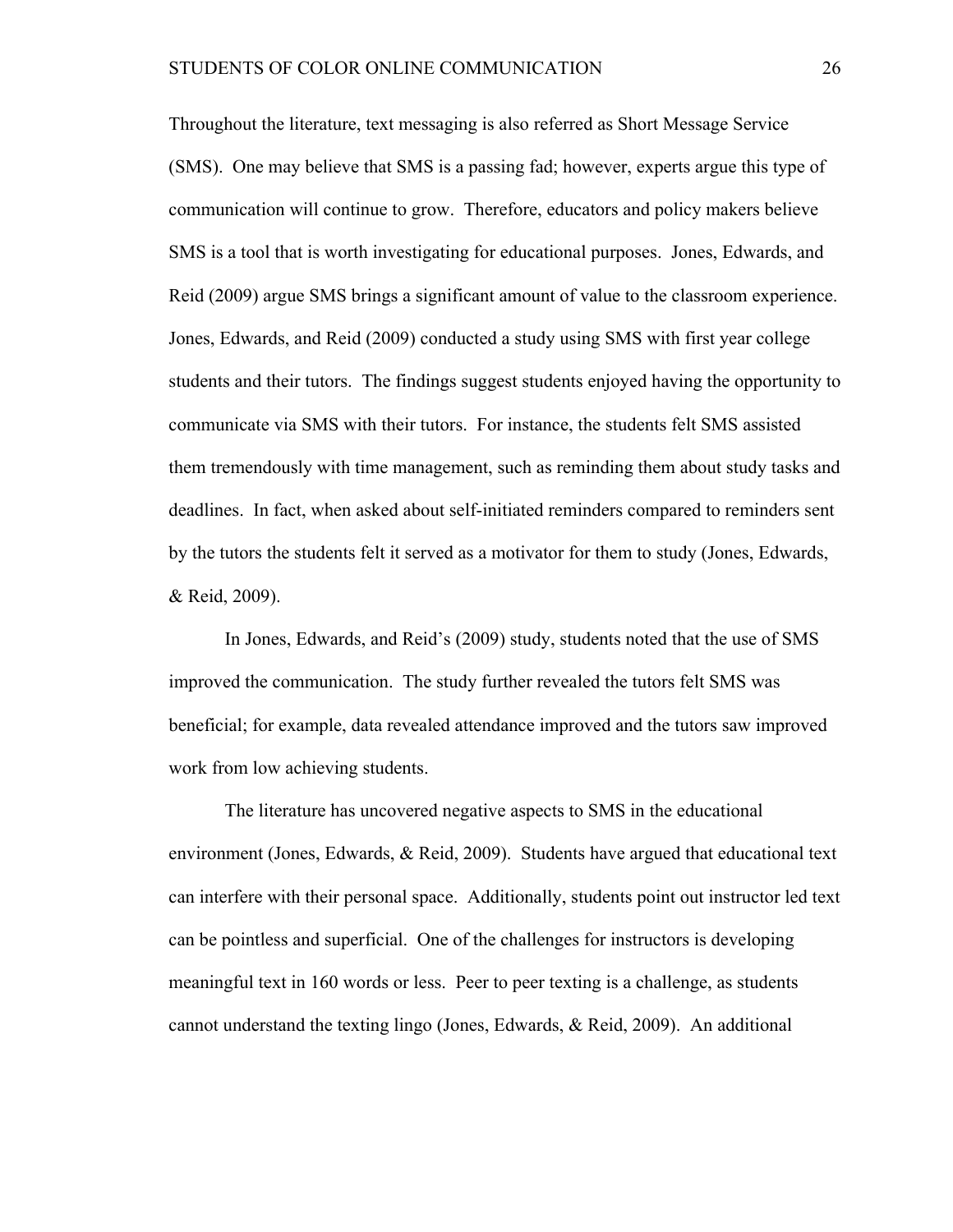Throughout the literature, text messaging is also referred as Short Message Service (SMS). One may believe that SMS is a passing fad; however, experts argue this type of communication will continue to grow. Therefore, educators and policy makers believe SMS is a tool that is worth investigating for educational purposes. Jones, Edwards, and Reid (2009) argue SMS brings a significant amount of value to the classroom experience. Jones, Edwards, and Reid (2009) conducted a study using SMS with first year college students and their tutors. The findings suggest students enjoyed having the opportunity to communicate via SMS with their tutors. For instance, the students felt SMS assisted them tremendously with time management, such as reminding them about study tasks and deadlines. In fact, when asked about self-initiated reminders compared to reminders sent by the tutors the students felt it served as a motivator for them to study (Jones, Edwards, & Reid, 2009).

In Jones, Edwards, and Reid's (2009) study, students noted that the use of SMS improved the communication. The study further revealed the tutors felt SMS was beneficial; for example, data revealed attendance improved and the tutors saw improved work from low achieving students.

The literature has uncovered negative aspects to SMS in the educational environment (Jones, Edwards, & Reid, 2009). Students have argued that educational text can interfere with their personal space. Additionally, students point out instructor led text can be pointless and superficial. One of the challenges for instructors is developing meaningful text in 160 words or less. Peer to peer texting is a challenge, as students cannot understand the texting lingo (Jones, Edwards, & Reid, 2009). An additional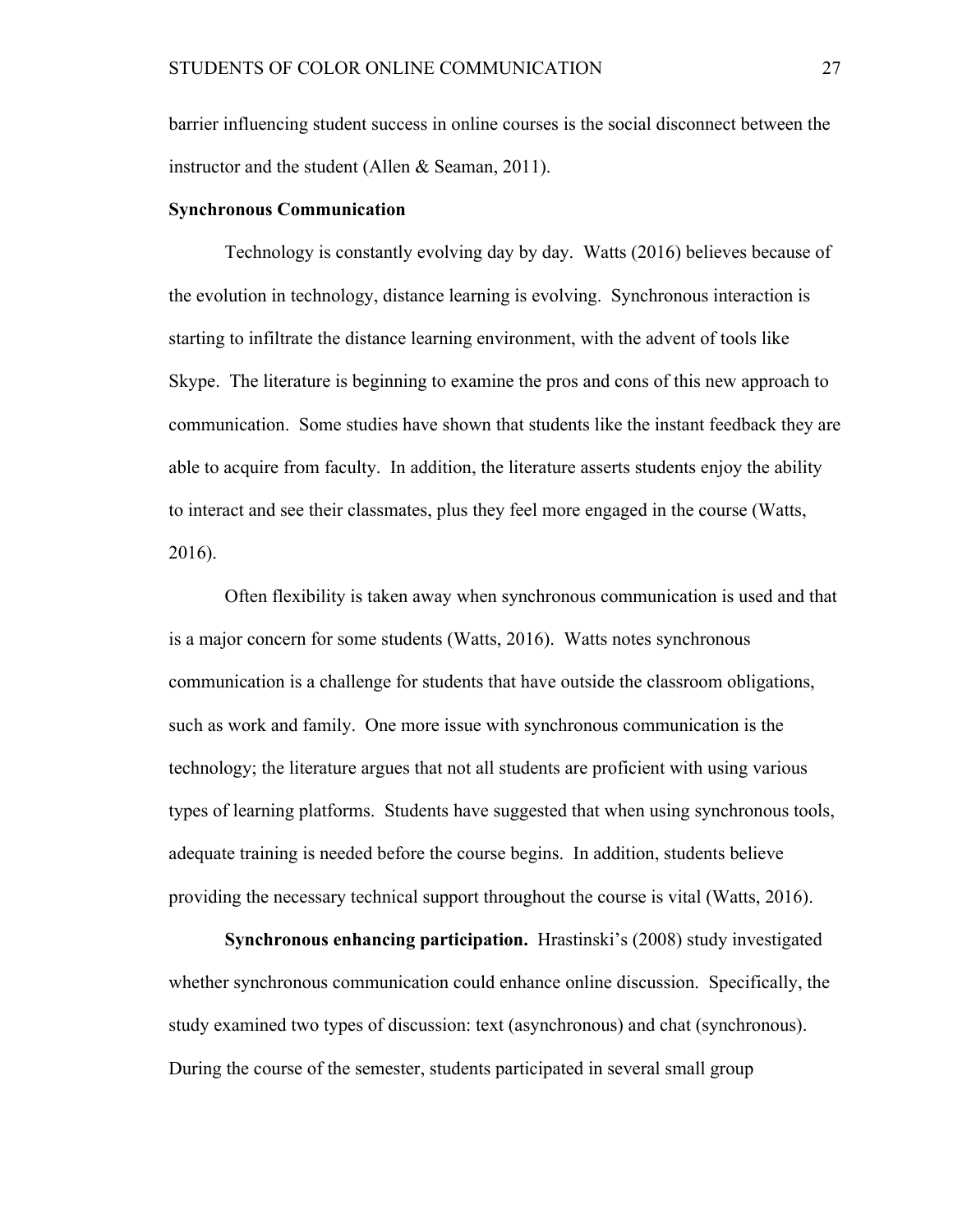barrier influencing student success in online courses is the social disconnect between the instructor and the student (Allen & Seaman, 2011).

# **Synchronous Communication**

Technology is constantly evolving day by day. Watts (2016) believes because of the evolution in technology, distance learning is evolving. Synchronous interaction is starting to infiltrate the distance learning environment, with the advent of tools like Skype. The literature is beginning to examine the pros and cons of this new approach to communication. Some studies have shown that students like the instant feedback they are able to acquire from faculty. In addition, the literature asserts students enjoy the ability to interact and see their classmates, plus they feel more engaged in the course (Watts, 2016).

Often flexibility is taken away when synchronous communication is used and that is a major concern for some students (Watts, 2016). Watts notes synchronous communication is a challenge for students that have outside the classroom obligations, such as work and family. One more issue with synchronous communication is the technology; the literature argues that not all students are proficient with using various types of learning platforms. Students have suggested that when using synchronous tools, adequate training is needed before the course begins. In addition, students believe providing the necessary technical support throughout the course is vital (Watts, 2016).

**Synchronous enhancing participation.** Hrastinski's (2008) study investigated whether synchronous communication could enhance online discussion. Specifically, the study examined two types of discussion: text (asynchronous) and chat (synchronous). During the course of the semester, students participated in several small group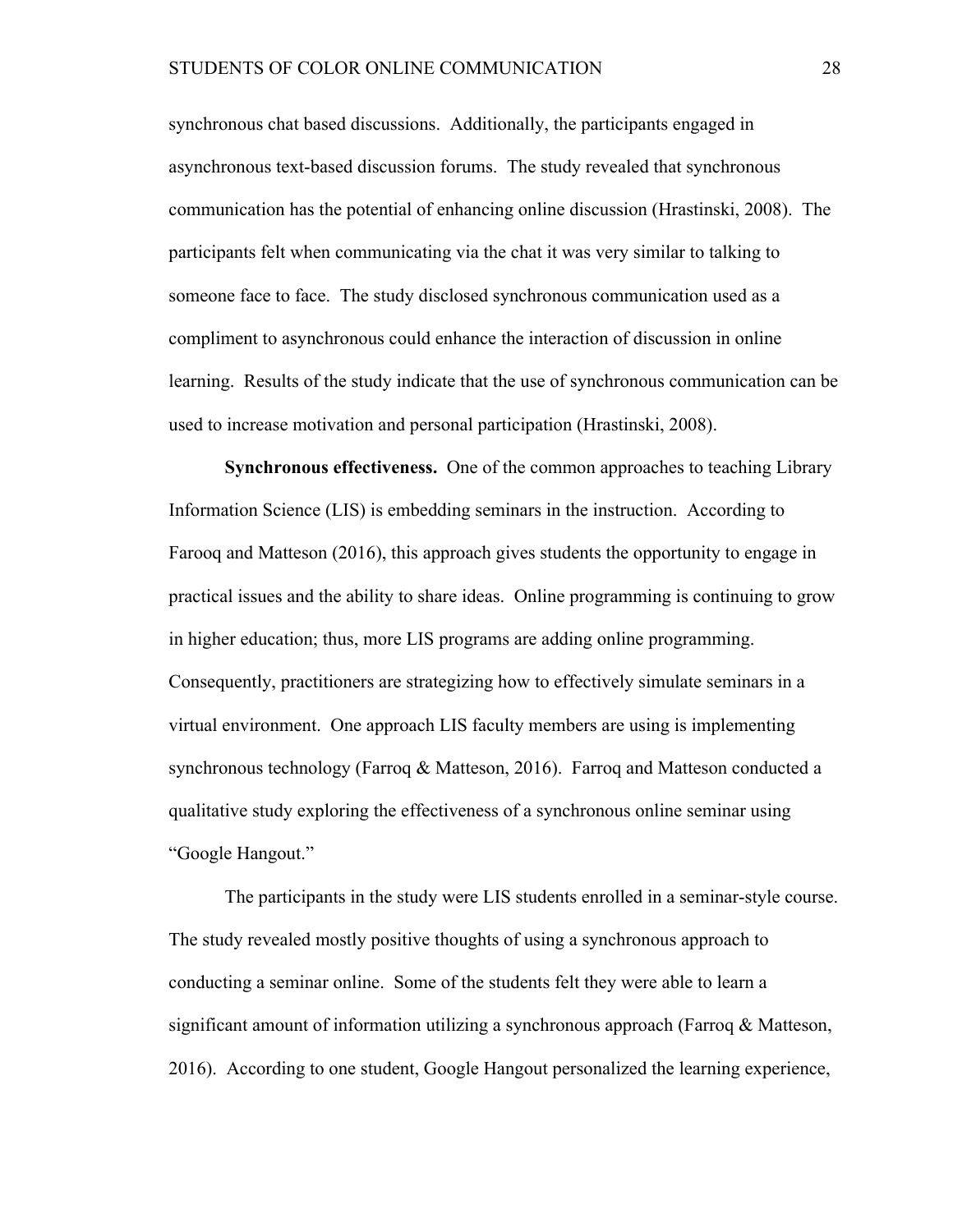synchronous chat based discussions. Additionally, the participants engaged in asynchronous text-based discussion forums. The study revealed that synchronous communication has the potential of enhancing online discussion (Hrastinski, 2008). The participants felt when communicating via the chat it was very similar to talking to someone face to face. The study disclosed synchronous communication used as a compliment to asynchronous could enhance the interaction of discussion in online learning. Results of the study indicate that the use of synchronous communication can be used to increase motivation and personal participation (Hrastinski, 2008).

**Synchronous effectiveness.** One of the common approaches to teaching Library Information Science (LIS) is embedding seminars in the instruction. According to Farooq and Matteson (2016), this approach gives students the opportunity to engage in practical issues and the ability to share ideas. Online programming is continuing to grow in higher education; thus, more LIS programs are adding online programming. Consequently, practitioners are strategizing how to effectively simulate seminars in a virtual environment. One approach LIS faculty members are using is implementing synchronous technology (Farroq & Matteson, 2016). Farroq and Matteson conducted a qualitative study exploring the effectiveness of a synchronous online seminar using "Google Hangout."

The participants in the study were LIS students enrolled in a seminar-style course. The study revealed mostly positive thoughts of using a synchronous approach to conducting a seminar online. Some of the students felt they were able to learn a significant amount of information utilizing a synchronous approach (Farroq & Matteson, 2016). According to one student, Google Hangout personalized the learning experience,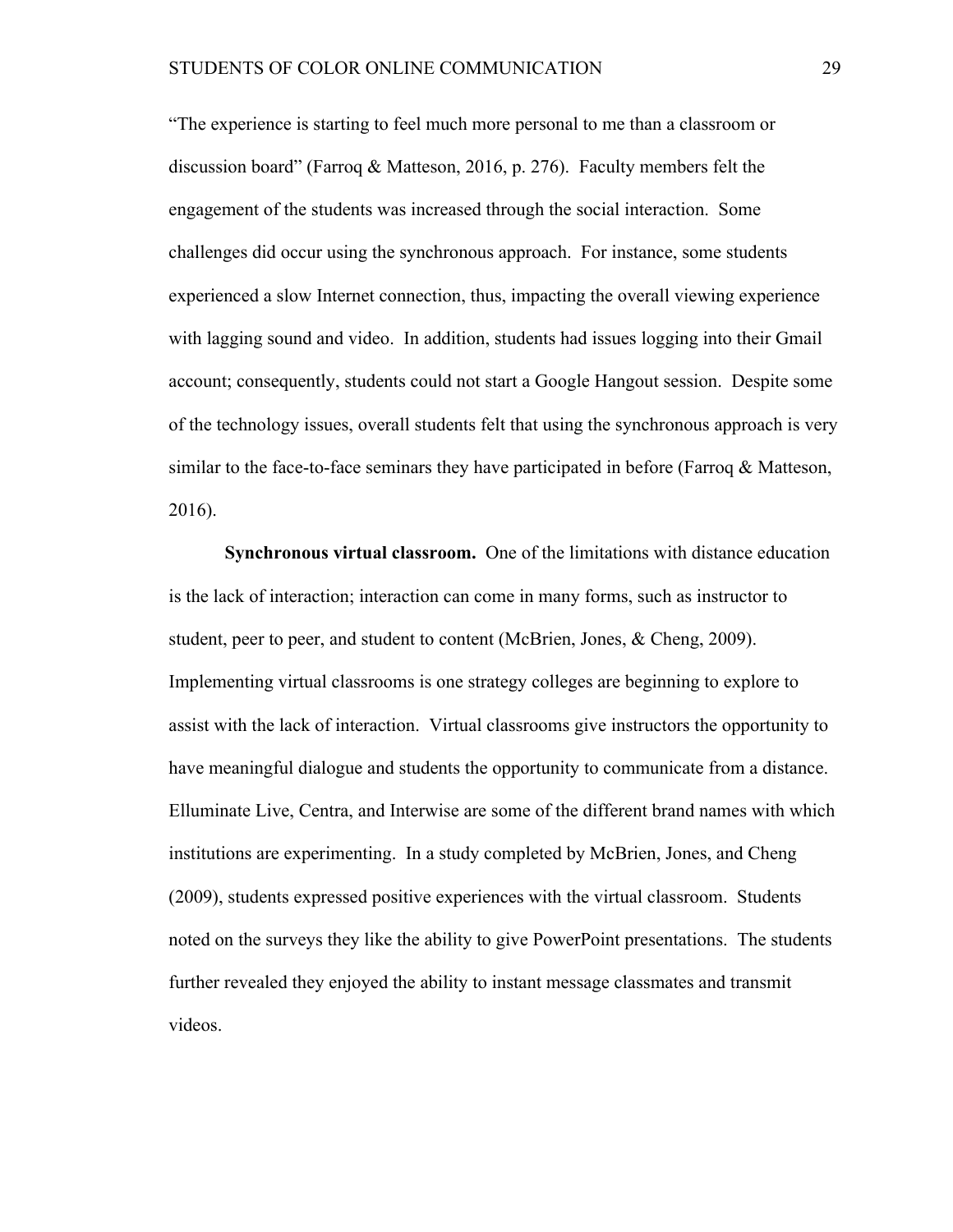"The experience is starting to feel much more personal to me than a classroom or discussion board" (Farroq & Matteson, 2016, p. 276). Faculty members felt the engagement of the students was increased through the social interaction. Some challenges did occur using the synchronous approach. For instance, some students experienced a slow Internet connection, thus, impacting the overall viewing experience with lagging sound and video. In addition, students had issues logging into their Gmail account; consequently, students could not start a Google Hangout session. Despite some of the technology issues, overall students felt that using the synchronous approach is very similar to the face-to-face seminars they have participated in before (Farroq  $\&$  Matteson, 2016).

**Synchronous virtual classroom.** One of the limitations with distance education is the lack of interaction; interaction can come in many forms, such as instructor to student, peer to peer, and student to content (McBrien, Jones, & Cheng, 2009). Implementing virtual classrooms is one strategy colleges are beginning to explore to assist with the lack of interaction. Virtual classrooms give instructors the opportunity to have meaningful dialogue and students the opportunity to communicate from a distance. Elluminate Live, Centra, and Interwise are some of the different brand names with which institutions are experimenting. In a study completed by McBrien, Jones, and Cheng (2009), students expressed positive experiences with the virtual classroom. Students noted on the surveys they like the ability to give PowerPoint presentations. The students further revealed they enjoyed the ability to instant message classmates and transmit videos.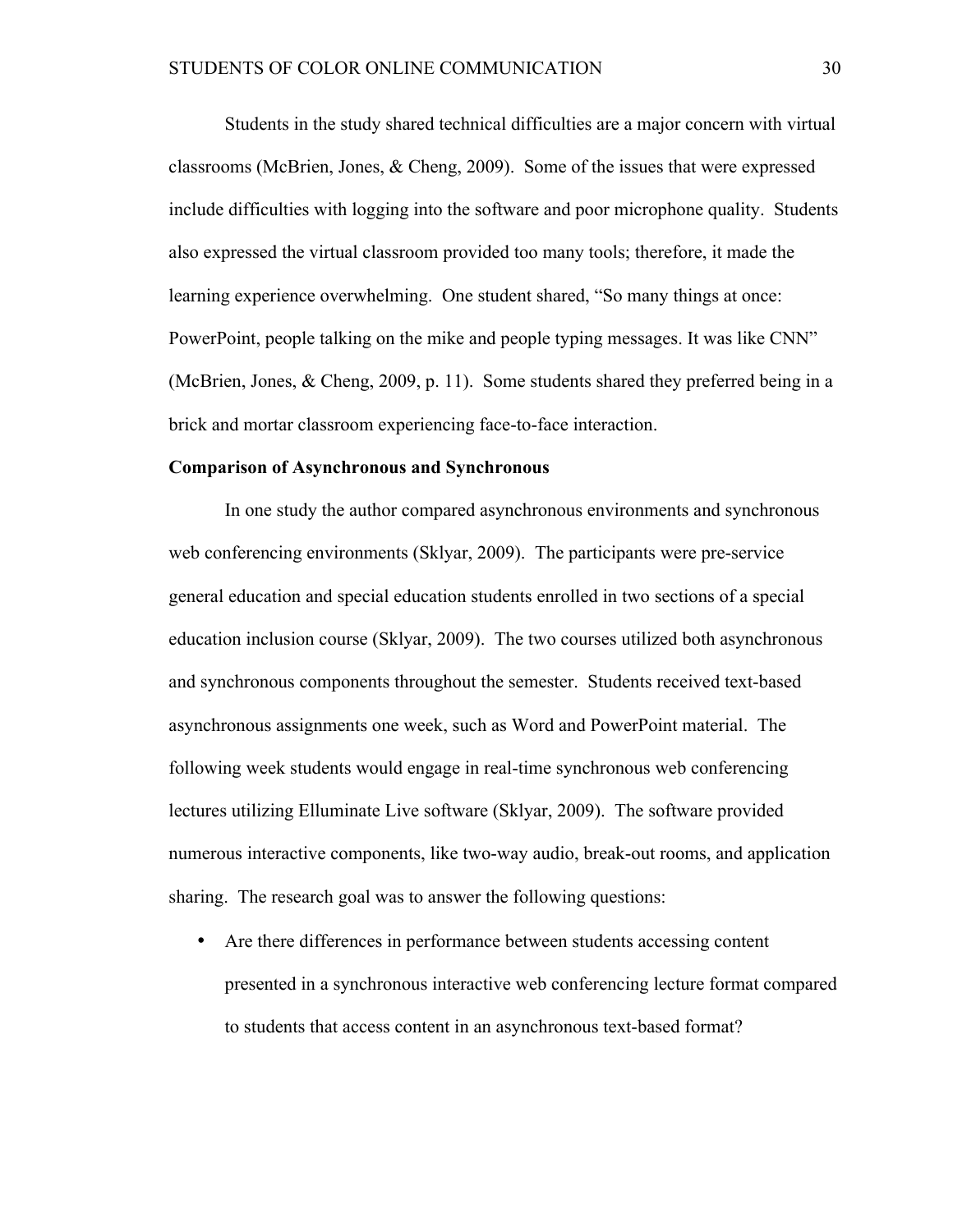Students in the study shared technical difficulties are a major concern with virtual classrooms (McBrien, Jones, & Cheng, 2009). Some of the issues that were expressed include difficulties with logging into the software and poor microphone quality. Students also expressed the virtual classroom provided too many tools; therefore, it made the learning experience overwhelming. One student shared, "So many things at once: PowerPoint, people talking on the mike and people typing messages. It was like CNN" (McBrien, Jones, & Cheng, 2009, p. 11). Some students shared they preferred being in a brick and mortar classroom experiencing face-to-face interaction.

### **Comparison of Asynchronous and Synchronous**

In one study the author compared asynchronous environments and synchronous web conferencing environments (Sklyar, 2009). The participants were pre-service general education and special education students enrolled in two sections of a special education inclusion course (Sklyar, 2009). The two courses utilized both asynchronous and synchronous components throughout the semester. Students received text-based asynchronous assignments one week, such as Word and PowerPoint material. The following week students would engage in real-time synchronous web conferencing lectures utilizing Elluminate Live software (Sklyar, 2009). The software provided numerous interactive components, like two-way audio, break-out rooms, and application sharing. The research goal was to answer the following questions:

• Are there differences in performance between students accessing content presented in a synchronous interactive web conferencing lecture format compared to students that access content in an asynchronous text-based format?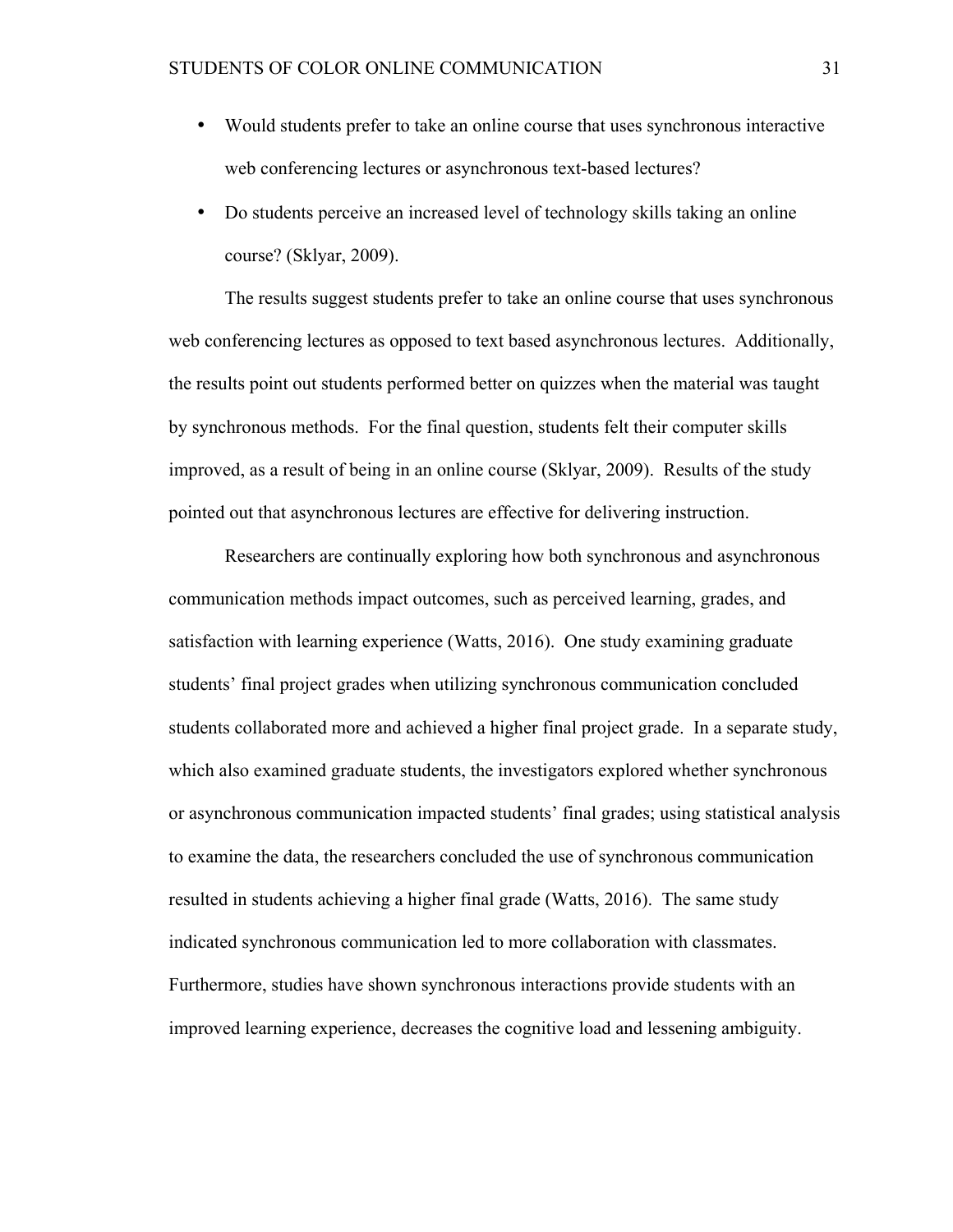- Would students prefer to take an online course that uses synchronous interactive web conferencing lectures or asynchronous text-based lectures?
- Do students perceive an increased level of technology skills taking an online course? (Sklyar, 2009).

The results suggest students prefer to take an online course that uses synchronous web conferencing lectures as opposed to text based asynchronous lectures. Additionally, the results point out students performed better on quizzes when the material was taught by synchronous methods. For the final question, students felt their computer skills improved, as a result of being in an online course (Sklyar, 2009). Results of the study pointed out that asynchronous lectures are effective for delivering instruction.

Researchers are continually exploring how both synchronous and asynchronous communication methods impact outcomes, such as perceived learning, grades, and satisfaction with learning experience (Watts, 2016). One study examining graduate students' final project grades when utilizing synchronous communication concluded students collaborated more and achieved a higher final project grade. In a separate study, which also examined graduate students, the investigators explored whether synchronous or asynchronous communication impacted students' final grades; using statistical analysis to examine the data, the researchers concluded the use of synchronous communication resulted in students achieving a higher final grade (Watts, 2016). The same study indicated synchronous communication led to more collaboration with classmates. Furthermore, studies have shown synchronous interactions provide students with an improved learning experience, decreases the cognitive load and lessening ambiguity.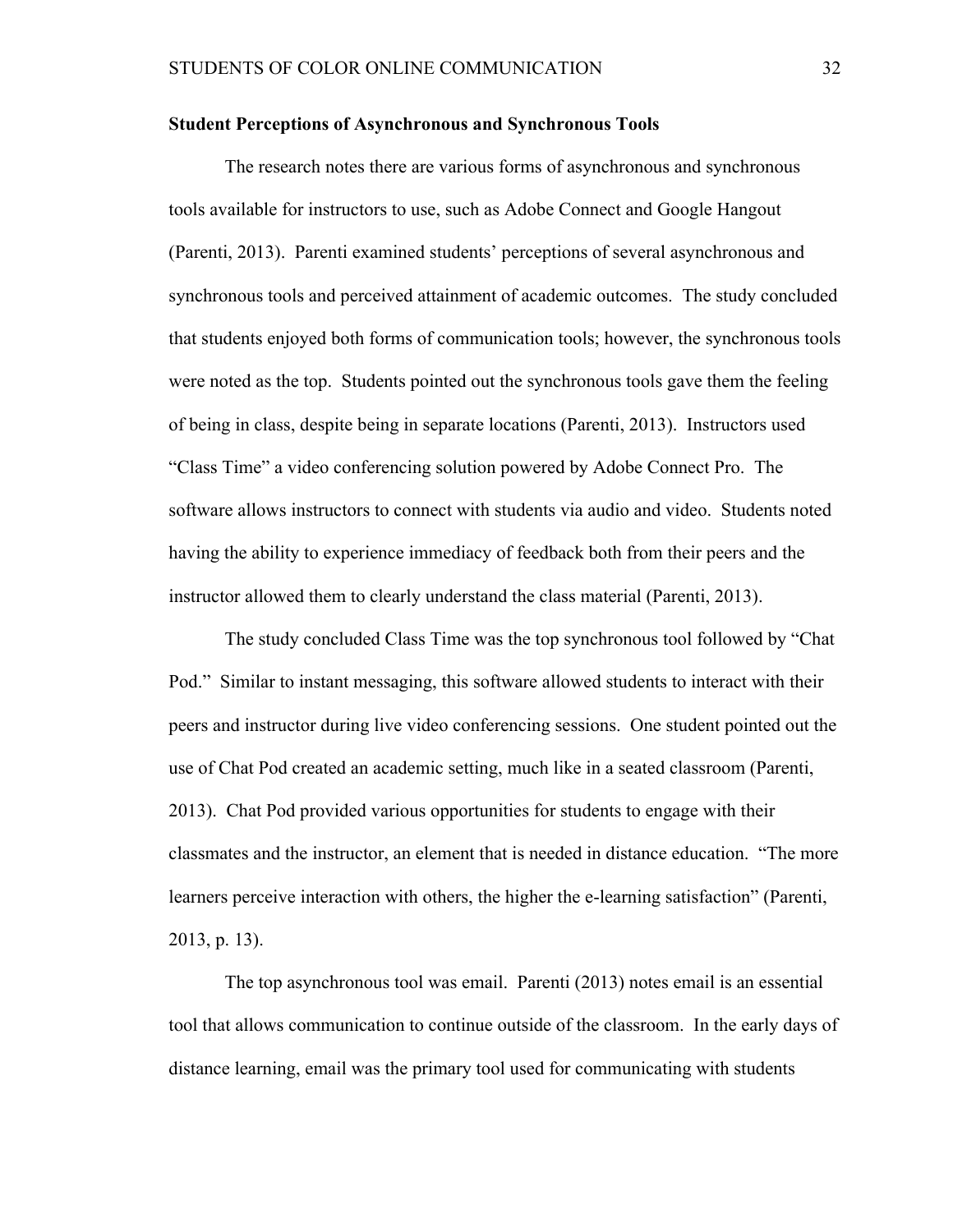# **Student Perceptions of Asynchronous and Synchronous Tools**

The research notes there are various forms of asynchronous and synchronous tools available for instructors to use, such as Adobe Connect and Google Hangout (Parenti, 2013). Parenti examined students' perceptions of several asynchronous and synchronous tools and perceived attainment of academic outcomes. The study concluded that students enjoyed both forms of communication tools; however, the synchronous tools were noted as the top. Students pointed out the synchronous tools gave them the feeling of being in class, despite being in separate locations (Parenti, 2013). Instructors used "Class Time" a video conferencing solution powered by Adobe Connect Pro. The software allows instructors to connect with students via audio and video. Students noted having the ability to experience immediacy of feedback both from their peers and the instructor allowed them to clearly understand the class material (Parenti, 2013).

The study concluded Class Time was the top synchronous tool followed by "Chat Pod." Similar to instant messaging, this software allowed students to interact with their peers and instructor during live video conferencing sessions. One student pointed out the use of Chat Pod created an academic setting, much like in a seated classroom (Parenti, 2013). Chat Pod provided various opportunities for students to engage with their classmates and the instructor, an element that is needed in distance education. "The more learners perceive interaction with others, the higher the e-learning satisfaction" (Parenti, 2013, p. 13).

The top asynchronous tool was email. Parenti (2013) notes email is an essential tool that allows communication to continue outside of the classroom. In the early days of distance learning, email was the primary tool used for communicating with students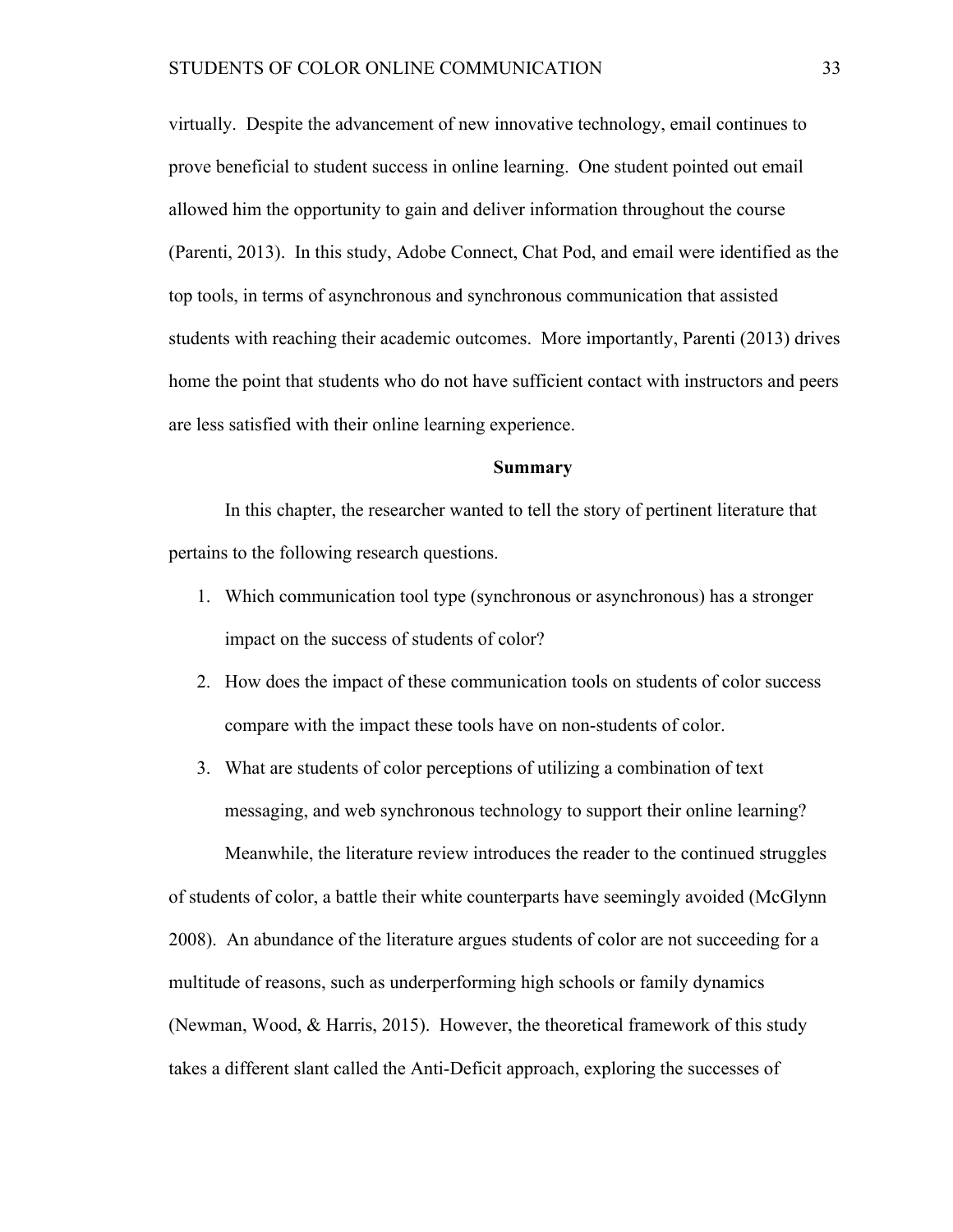virtually. Despite the advancement of new innovative technology, email continues to prove beneficial to student success in online learning. One student pointed out email allowed him the opportunity to gain and deliver information throughout the course (Parenti, 2013). In this study, Adobe Connect, Chat Pod, and email were identified as the top tools, in terms of asynchronous and synchronous communication that assisted students with reaching their academic outcomes. More importantly, Parenti (2013) drives home the point that students who do not have sufficient contact with instructors and peers are less satisfied with their online learning experience.

#### **Summary**

In this chapter, the researcher wanted to tell the story of pertinent literature that pertains to the following research questions.

- 1. Which communication tool type (synchronous or asynchronous) has a stronger impact on the success of students of color?
- 2. How does the impact of these communication tools on students of color success compare with the impact these tools have on non-students of color.
- 3. What are students of color perceptions of utilizing a combination of text messaging, and web synchronous technology to support their online learning?

Meanwhile, the literature review introduces the reader to the continued struggles of students of color, a battle their white counterparts have seemingly avoided (McGlynn 2008). An abundance of the literature argues students of color are not succeeding for a multitude of reasons, such as underperforming high schools or family dynamics (Newman, Wood, & Harris, 2015). However, the theoretical framework of this study takes a different slant called the Anti-Deficit approach, exploring the successes of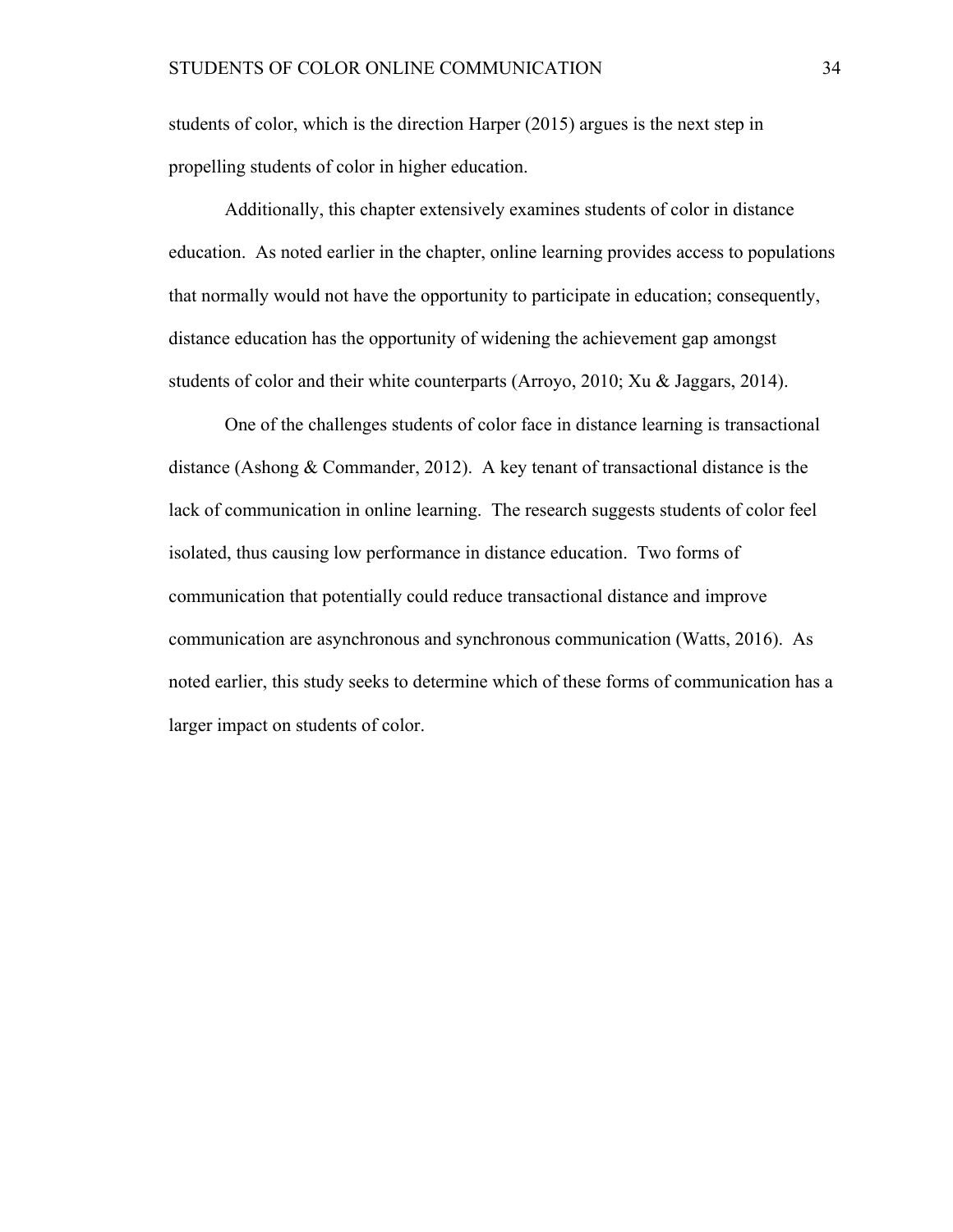students of color, which is the direction Harper (2015) argues is the next step in propelling students of color in higher education.

Additionally, this chapter extensively examines students of color in distance education. As noted earlier in the chapter, online learning provides access to populations that normally would not have the opportunity to participate in education; consequently, distance education has the opportunity of widening the achievement gap amongst students of color and their white counterparts (Arroyo, 2010; Xu & Jaggars, 2014).

One of the challenges students of color face in distance learning is transactional distance (Ashong & Commander, 2012). A key tenant of transactional distance is the lack of communication in online learning. The research suggests students of color feel isolated, thus causing low performance in distance education. Two forms of communication that potentially could reduce transactional distance and improve communication are asynchronous and synchronous communication (Watts, 2016). As noted earlier, this study seeks to determine which of these forms of communication has a larger impact on students of color.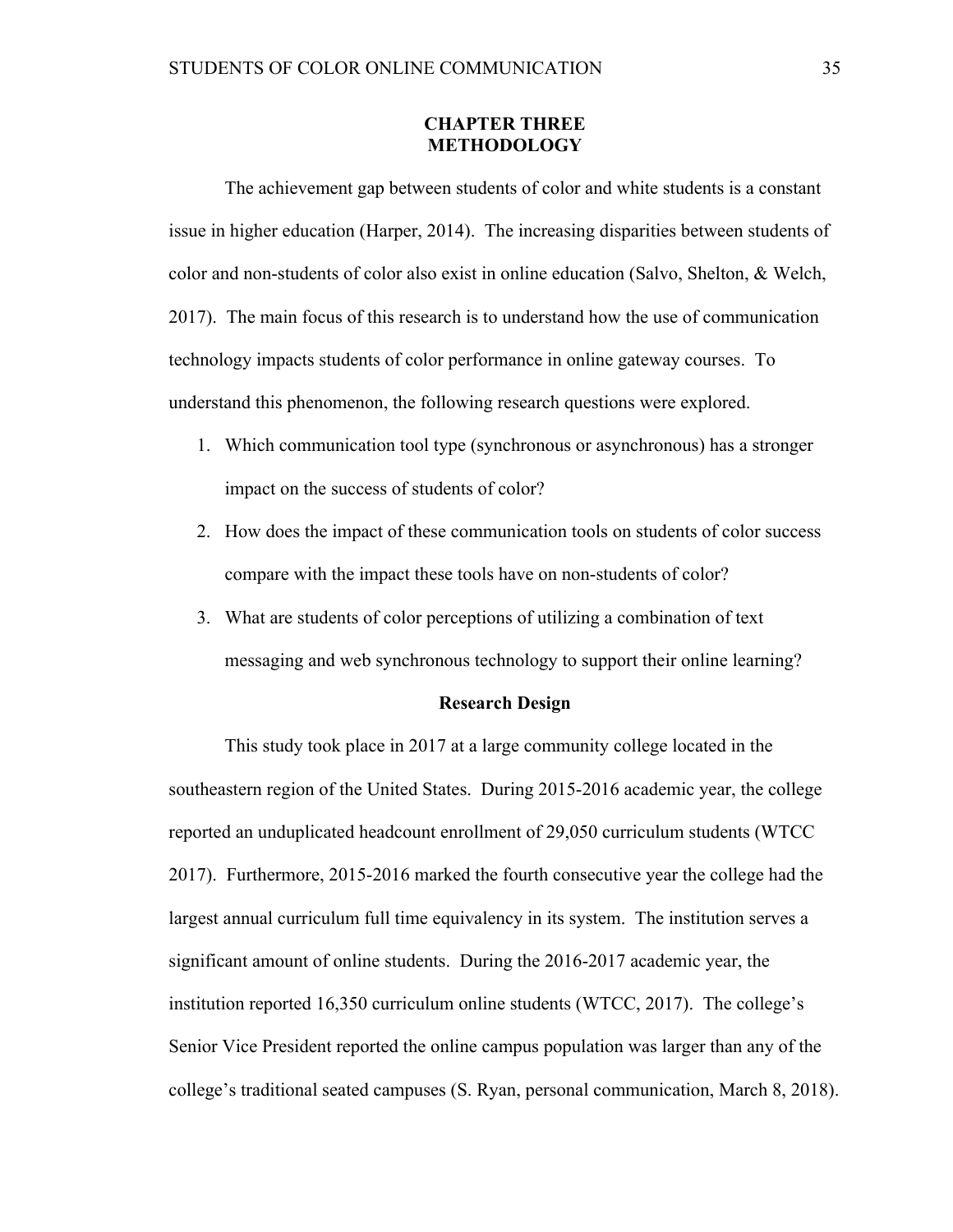# **CHAPTER THREE METHODOLOGY**

The achievement gap between students of color and white students is a constant issue in higher education (Harper, 2014). The increasing disparities between students of color and non-students of color also exist in online education (Salvo, Shelton, & Welch, 2017). The main focus of this research is to understand how the use of communication technology impacts students of color performance in online gateway courses. To understand this phenomenon, the following research questions were explored.

- 1. Which communication tool type (synchronous or asynchronous) has a stronger impact on the success of students of color?
- 2. How does the impact of these communication tools on students of color success compare with the impact these tools have on non-students of color?
- 3. What are students of color perceptions of utilizing a combination of text messaging and web synchronous technology to support their online learning?

## **Research Design**

This study took place in 2017 at a large community college located in the southeastern region of the United States. During 2015-2016 academic year, the college reported an unduplicated headcount enrollment of 29,050 curriculum students (WTCC 2017). Furthermore, 2015-2016 marked the fourth consecutive year the college had the largest annual curriculum full time equivalency in its system. The institution serves a significant amount of online students. During the 2016-2017 academic year, the institution reported 16,350 curriculum online students (WTCC, 2017). The college's Senior Vice President reported the online campus population was larger than any of the college's traditional seated campuses (S. Ryan, personal communication, March 8, 2018).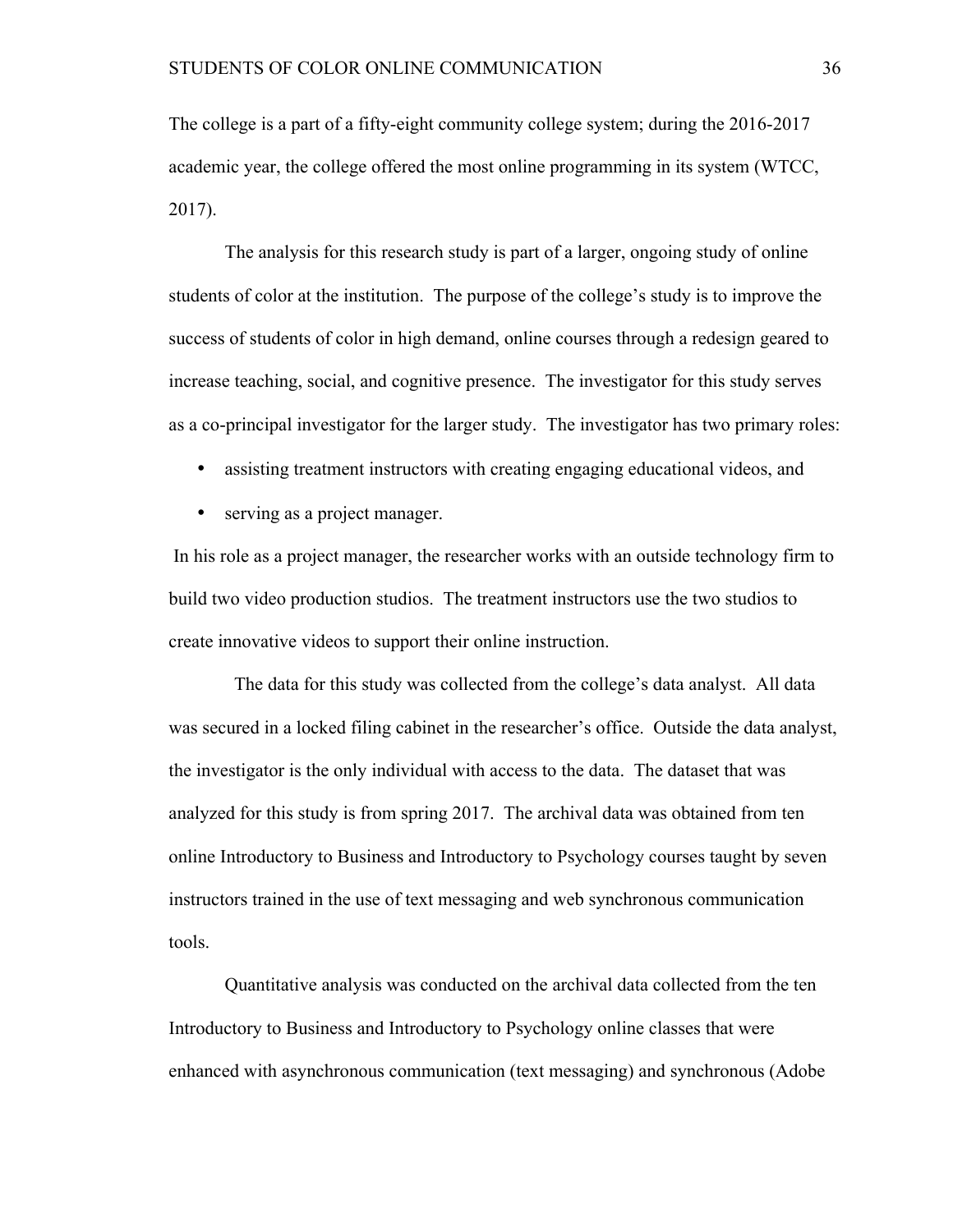The college is a part of a fifty-eight community college system; during the 2016-2017 academic year, the college offered the most online programming in its system (WTCC, 2017).

The analysis for this research study is part of a larger, ongoing study of online students of color at the institution. The purpose of the college's study is to improve the success of students of color in high demand, online courses through a redesign geared to increase teaching, social, and cognitive presence. The investigator for this study serves as a co-principal investigator for the larger study. The investigator has two primary roles:

- assisting treatment instructors with creating engaging educational videos, and
- serving as a project manager.

In his role as a project manager, the researcher works with an outside technology firm to build two video production studios. The treatment instructors use the two studios to create innovative videos to support their online instruction.

 The data for this study was collected from the college's data analyst. All data was secured in a locked filing cabinet in the researcher's office. Outside the data analyst, the investigator is the only individual with access to the data. The dataset that was analyzed for this study is from spring 2017. The archival data was obtained from ten online Introductory to Business and Introductory to Psychology courses taught by seven instructors trained in the use of text messaging and web synchronous communication tools.

Quantitative analysis was conducted on the archival data collected from the ten Introductory to Business and Introductory to Psychology online classes that were enhanced with asynchronous communication (text messaging) and synchronous (Adobe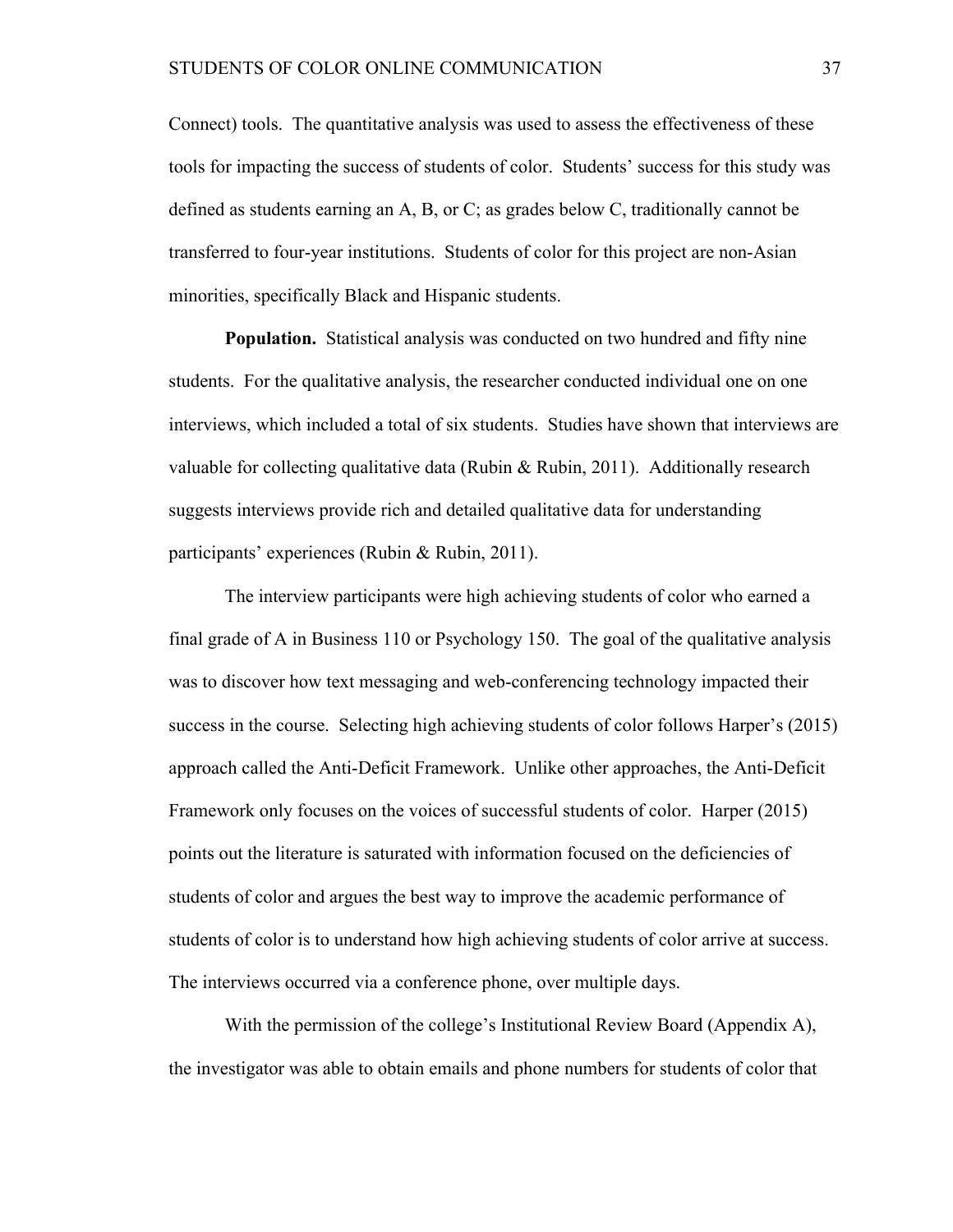Connect) tools. The quantitative analysis was used to assess the effectiveness of these tools for impacting the success of students of color. Students' success for this study was defined as students earning an A, B, or C; as grades below C, traditionally cannot be transferred to four-year institutions. Students of color for this project are non-Asian minorities, specifically Black and Hispanic students.

**Population.** Statistical analysis was conducted on two hundred and fifty nine students. For the qualitative analysis, the researcher conducted individual one on one interviews, which included a total of six students. Studies have shown that interviews are valuable for collecting qualitative data (Rubin & Rubin, 2011). Additionally research suggests interviews provide rich and detailed qualitative data for understanding participants' experiences (Rubin & Rubin, 2011).

The interview participants were high achieving students of color who earned a final grade of A in Business 110 or Psychology 150. The goal of the qualitative analysis was to discover how text messaging and web-conferencing technology impacted their success in the course. Selecting high achieving students of color follows Harper's (2015) approach called the Anti-Deficit Framework. Unlike other approaches, the Anti-Deficit Framework only focuses on the voices of successful students of color. Harper (2015) points out the literature is saturated with information focused on the deficiencies of students of color and argues the best way to improve the academic performance of students of color is to understand how high achieving students of color arrive at success. The interviews occurred via a conference phone, over multiple days.

With the permission of the college's Institutional Review Board (Appendix A), the investigator was able to obtain emails and phone numbers for students of color that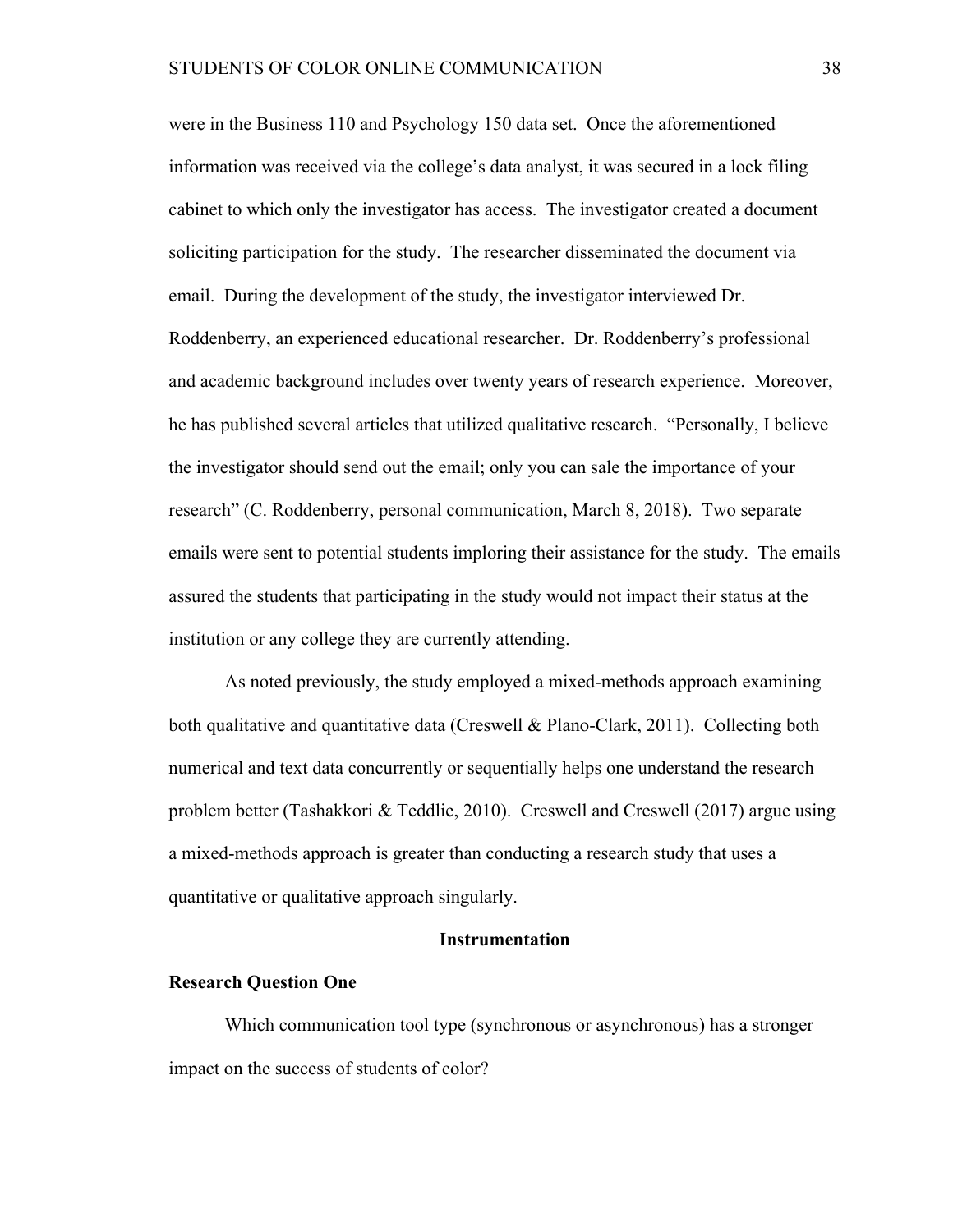were in the Business 110 and Psychology 150 data set. Once the aforementioned information was received via the college's data analyst, it was secured in a lock filing cabinet to which only the investigator has access. The investigator created a document soliciting participation for the study. The researcher disseminated the document via email. During the development of the study, the investigator interviewed Dr. Roddenberry, an experienced educational researcher. Dr. Roddenberry's professional and academic background includes over twenty years of research experience. Moreover, he has published several articles that utilized qualitative research. "Personally, I believe the investigator should send out the email; only you can sale the importance of your research" (C. Roddenberry, personal communication, March 8, 2018). Two separate emails were sent to potential students imploring their assistance for the study. The emails assured the students that participating in the study would not impact their status at the institution or any college they are currently attending.

As noted previously, the study employed a mixed-methods approach examining both qualitative and quantitative data (Creswell & Plano-Clark, 2011). Collecting both numerical and text data concurrently or sequentially helps one understand the research problem better (Tashakkori & Teddlie, 2010). Creswell and Creswell (2017) argue using a mixed-methods approach is greater than conducting a research study that uses a quantitative or qualitative approach singularly.

# **Instrumentation**

### **Research Question One**

Which communication tool type (synchronous or asynchronous) has a stronger impact on the success of students of color?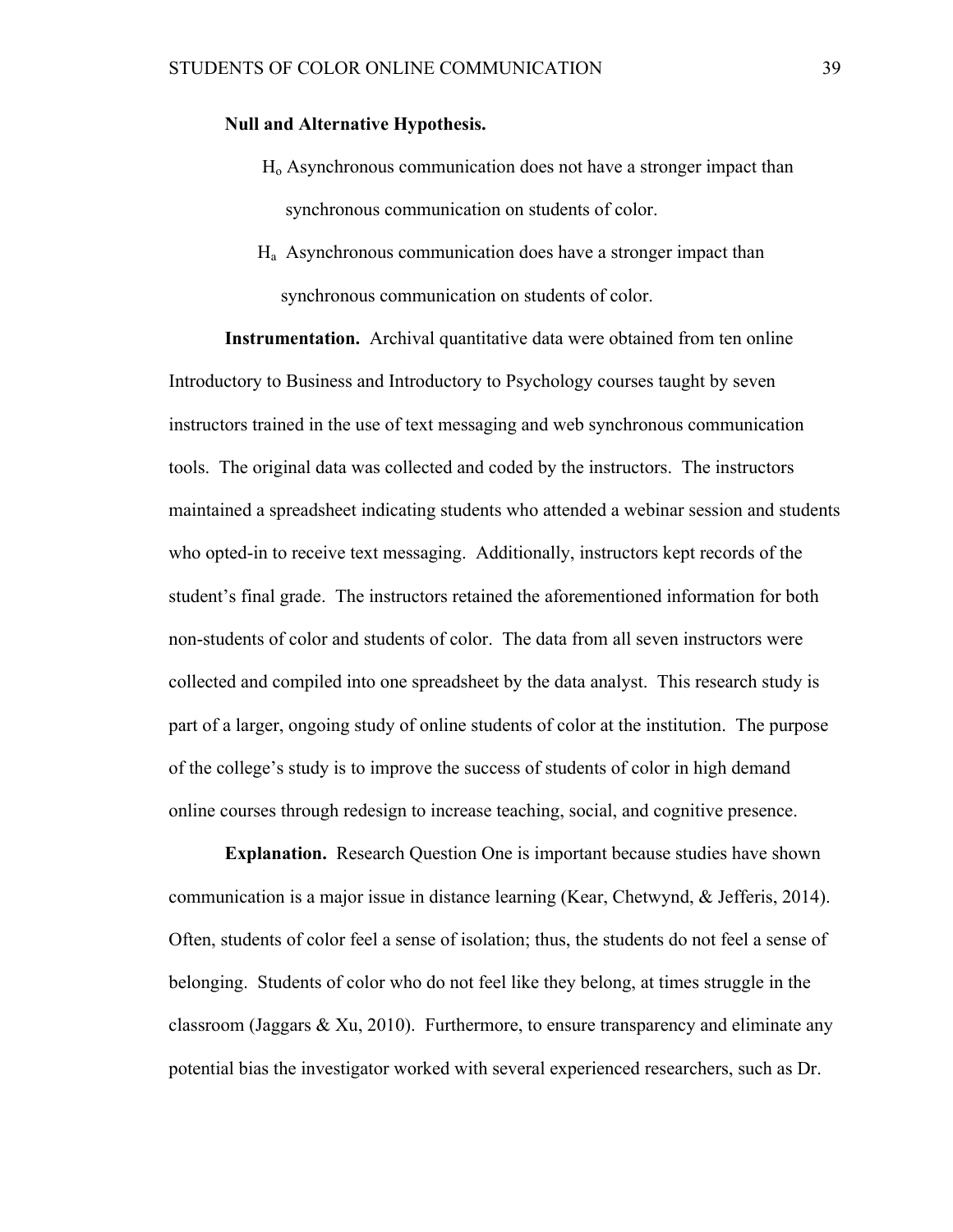# **Null and Alternative Hypothesis.**

- Ho Asynchronous communication does not have a stronger impact than synchronous communication on students of color.
- Ha Asynchronous communication does have a stronger impact than synchronous communication on students of color.

**Instrumentation.** Archival quantitative data were obtained from ten online Introductory to Business and Introductory to Psychology courses taught by seven instructors trained in the use of text messaging and web synchronous communication tools. The original data was collected and coded by the instructors. The instructors maintained a spreadsheet indicating students who attended a webinar session and students who opted-in to receive text messaging. Additionally, instructors kept records of the student's final grade. The instructors retained the aforementioned information for both non-students of color and students of color. The data from all seven instructors were collected and compiled into one spreadsheet by the data analyst. This research study is part of a larger, ongoing study of online students of color at the institution. The purpose of the college's study is to improve the success of students of color in high demand online courses through redesign to increase teaching, social, and cognitive presence.

**Explanation.** Research Question One is important because studies have shown communication is a major issue in distance learning (Kear, Chetwynd, & Jefferis, 2014). Often, students of color feel a sense of isolation; thus, the students do not feel a sense of belonging. Students of color who do not feel like they belong, at times struggle in the classroom (Jaggars & Xu, 2010). Furthermore, to ensure transparency and eliminate any potential bias the investigator worked with several experienced researchers, such as Dr.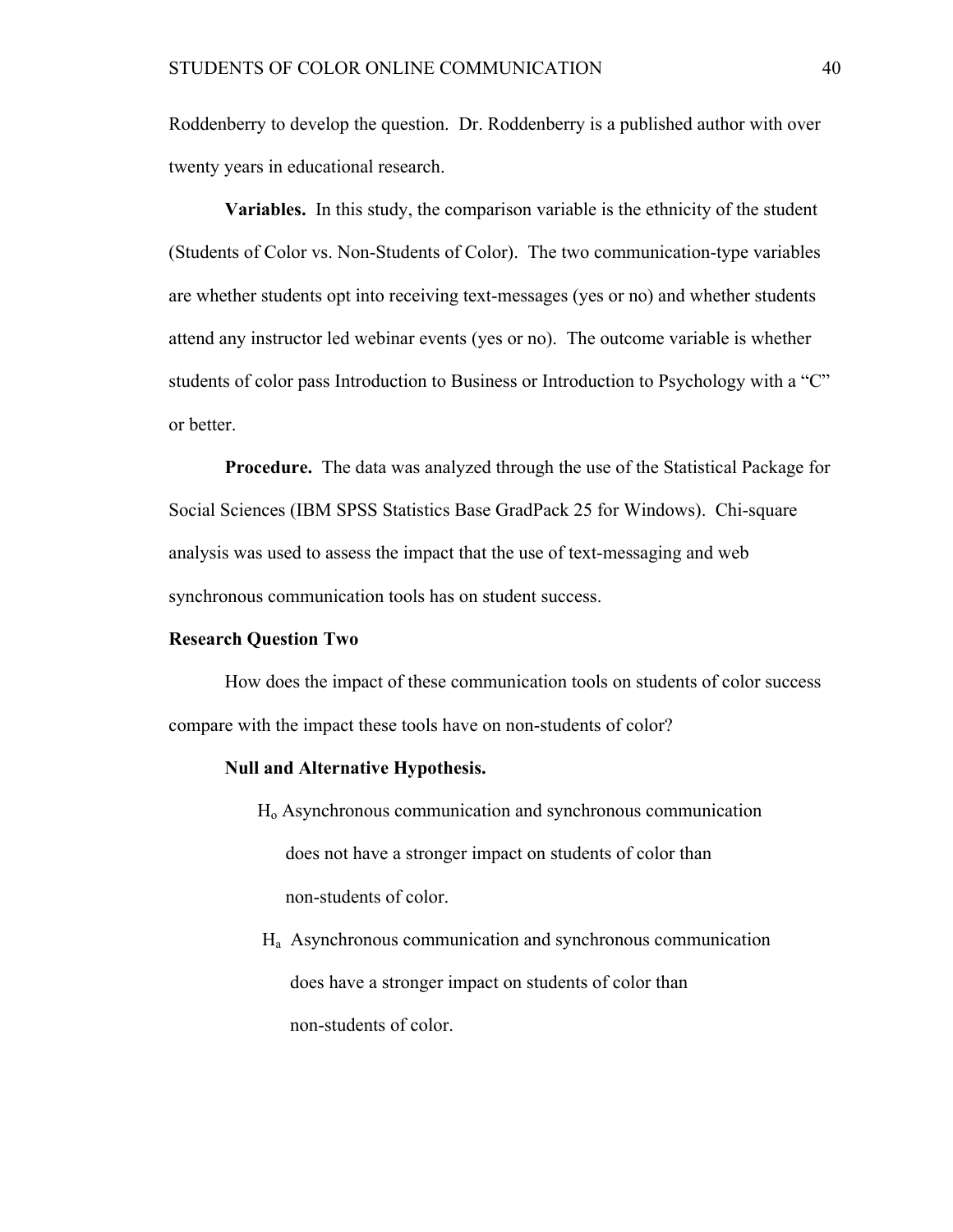Roddenberry to develop the question. Dr. Roddenberry is a published author with over twenty years in educational research.

**Variables.** In this study, the comparison variable is the ethnicity of the student (Students of Color vs. Non-Students of Color). The two communication-type variables are whether students opt into receiving text-messages (yes or no) and whether students attend any instructor led webinar events (yes or no). The outcome variable is whether students of color pass Introduction to Business or Introduction to Psychology with a "C" or better.

**Procedure.** The data was analyzed through the use of the Statistical Package for Social Sciences (IBM SPSS Statistics Base GradPack 25 for Windows). Chi-square analysis was used to assess the impact that the use of text-messaging and web synchronous communication tools has on student success.

# **Research Question Two**

How does the impact of these communication tools on students of color success compare with the impact these tools have on non-students of color?

#### **Null and Alternative Hypothesis.**

- Ho Asynchronous communication and synchronous communication does not have a stronger impact on students of color than non-students of color.
- Ha Asynchronous communication and synchronous communication does have a stronger impact on students of color than non-students of color.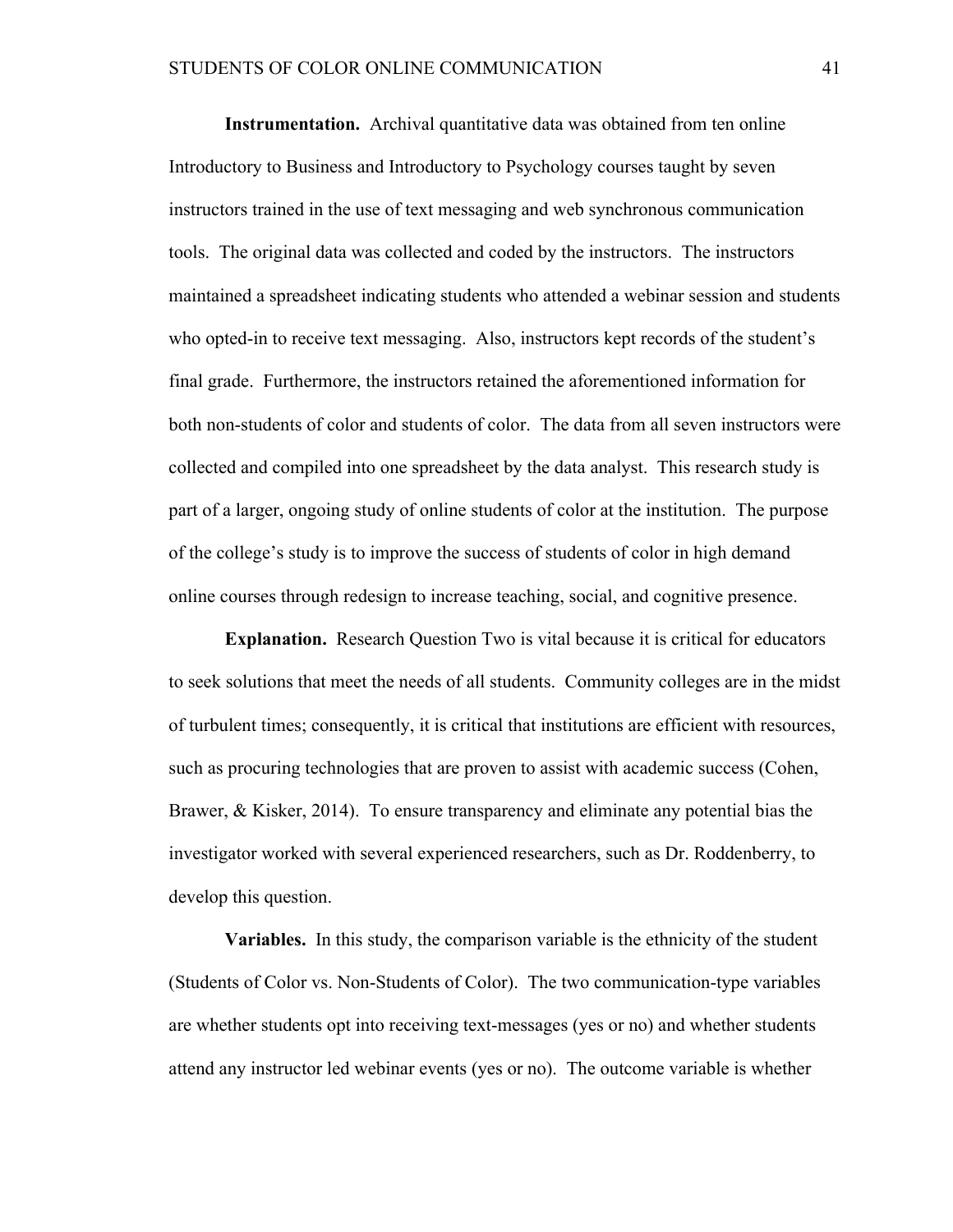**Instrumentation.** Archival quantitative data was obtained from ten online Introductory to Business and Introductory to Psychology courses taught by seven instructors trained in the use of text messaging and web synchronous communication tools. The original data was collected and coded by the instructors. The instructors maintained a spreadsheet indicating students who attended a webinar session and students who opted-in to receive text messaging. Also, instructors kept records of the student's final grade. Furthermore, the instructors retained the aforementioned information for both non-students of color and students of color. The data from all seven instructors were collected and compiled into one spreadsheet by the data analyst. This research study is part of a larger, ongoing study of online students of color at the institution. The purpose of the college's study is to improve the success of students of color in high demand online courses through redesign to increase teaching, social, and cognitive presence.

**Explanation.** Research Question Two is vital because it is critical for educators to seek solutions that meet the needs of all students. Community colleges are in the midst of turbulent times; consequently, it is critical that institutions are efficient with resources, such as procuring technologies that are proven to assist with academic success (Cohen, Brawer, & Kisker, 2014). To ensure transparency and eliminate any potential bias the investigator worked with several experienced researchers, such as Dr. Roddenberry, to develop this question.

**Variables.** In this study, the comparison variable is the ethnicity of the student (Students of Color vs. Non-Students of Color). The two communication-type variables are whether students opt into receiving text-messages (yes or no) and whether students attend any instructor led webinar events (yes or no). The outcome variable is whether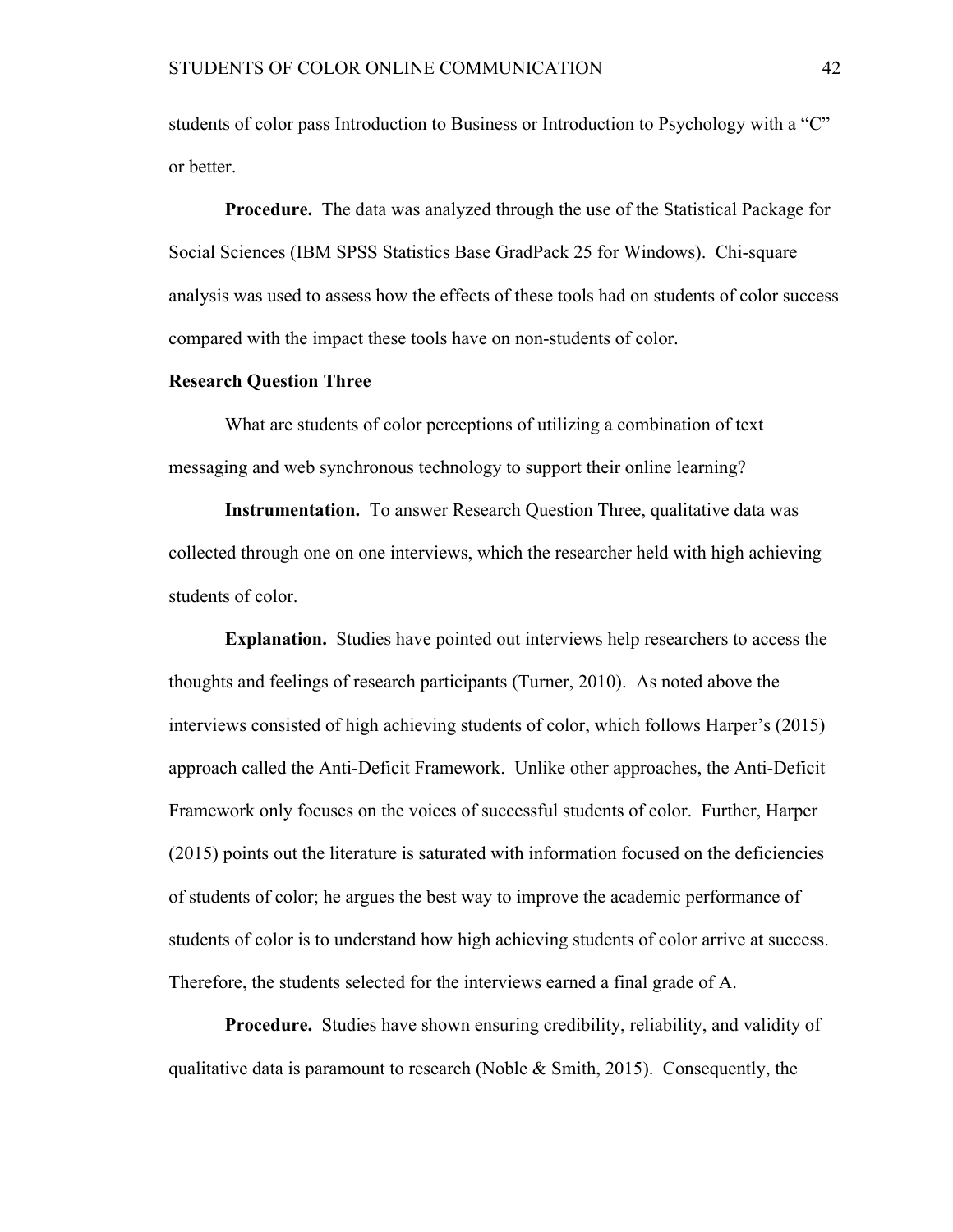students of color pass Introduction to Business or Introduction to Psychology with a "C" or better.

**Procedure.** The data was analyzed through the use of the Statistical Package for Social Sciences (IBM SPSS Statistics Base GradPack 25 for Windows). Chi-square analysis was used to assess how the effects of these tools had on students of color success compared with the impact these tools have on non-students of color.

# **Research Question Three**

What are students of color perceptions of utilizing a combination of text messaging and web synchronous technology to support their online learning?

**Instrumentation.** To answer Research Question Three, qualitative data was collected through one on one interviews, which the researcher held with high achieving students of color.

**Explanation.** Studies have pointed out interviews help researchers to access the thoughts and feelings of research participants (Turner, 2010). As noted above the interviews consisted of high achieving students of color, which follows Harper's (2015) approach called the Anti-Deficit Framework. Unlike other approaches, the Anti-Deficit Framework only focuses on the voices of successful students of color. Further, Harper (2015) points out the literature is saturated with information focused on the deficiencies of students of color; he argues the best way to improve the academic performance of students of color is to understand how high achieving students of color arrive at success. Therefore, the students selected for the interviews earned a final grade of A.

**Procedure.** Studies have shown ensuring credibility, reliability, and validity of qualitative data is paramount to research (Noble  $& Smith, 2015$ ). Consequently, the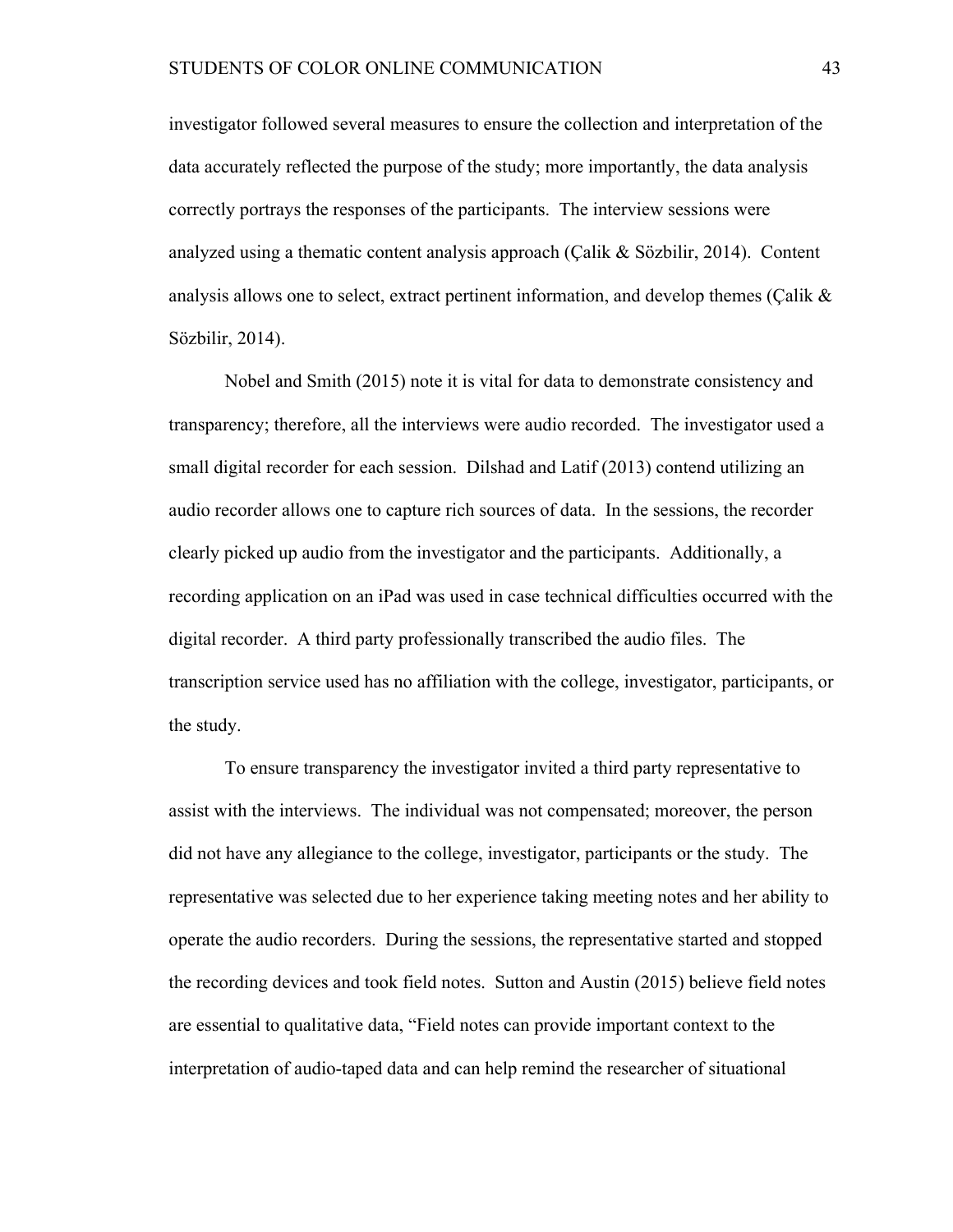investigator followed several measures to ensure the collection and interpretation of the data accurately reflected the purpose of the study; more importantly, the data analysis correctly portrays the responses of the participants. The interview sessions were analyzed using a thematic content analysis approach (Çalik & Sözbilir, 2014). Content analysis allows one to select, extract pertinent information, and develop themes (Çalik & Sözbilir, 2014).

Nobel and Smith (2015) note it is vital for data to demonstrate consistency and transparency; therefore, all the interviews were audio recorded. The investigator used a small digital recorder for each session. Dilshad and Latif (2013) contend utilizing an audio recorder allows one to capture rich sources of data. In the sessions, the recorder clearly picked up audio from the investigator and the participants. Additionally, a recording application on an iPad was used in case technical difficulties occurred with the digital recorder. A third party professionally transcribed the audio files. The transcription service used has no affiliation with the college, investigator, participants, or the study.

To ensure transparency the investigator invited a third party representative to assist with the interviews. The individual was not compensated; moreover, the person did not have any allegiance to the college, investigator, participants or the study. The representative was selected due to her experience taking meeting notes and her ability to operate the audio recorders. During the sessions, the representative started and stopped the recording devices and took field notes. Sutton and Austin (2015) believe field notes are essential to qualitative data, "Field notes can provide important context to the interpretation of audio-taped data and can help remind the researcher of situational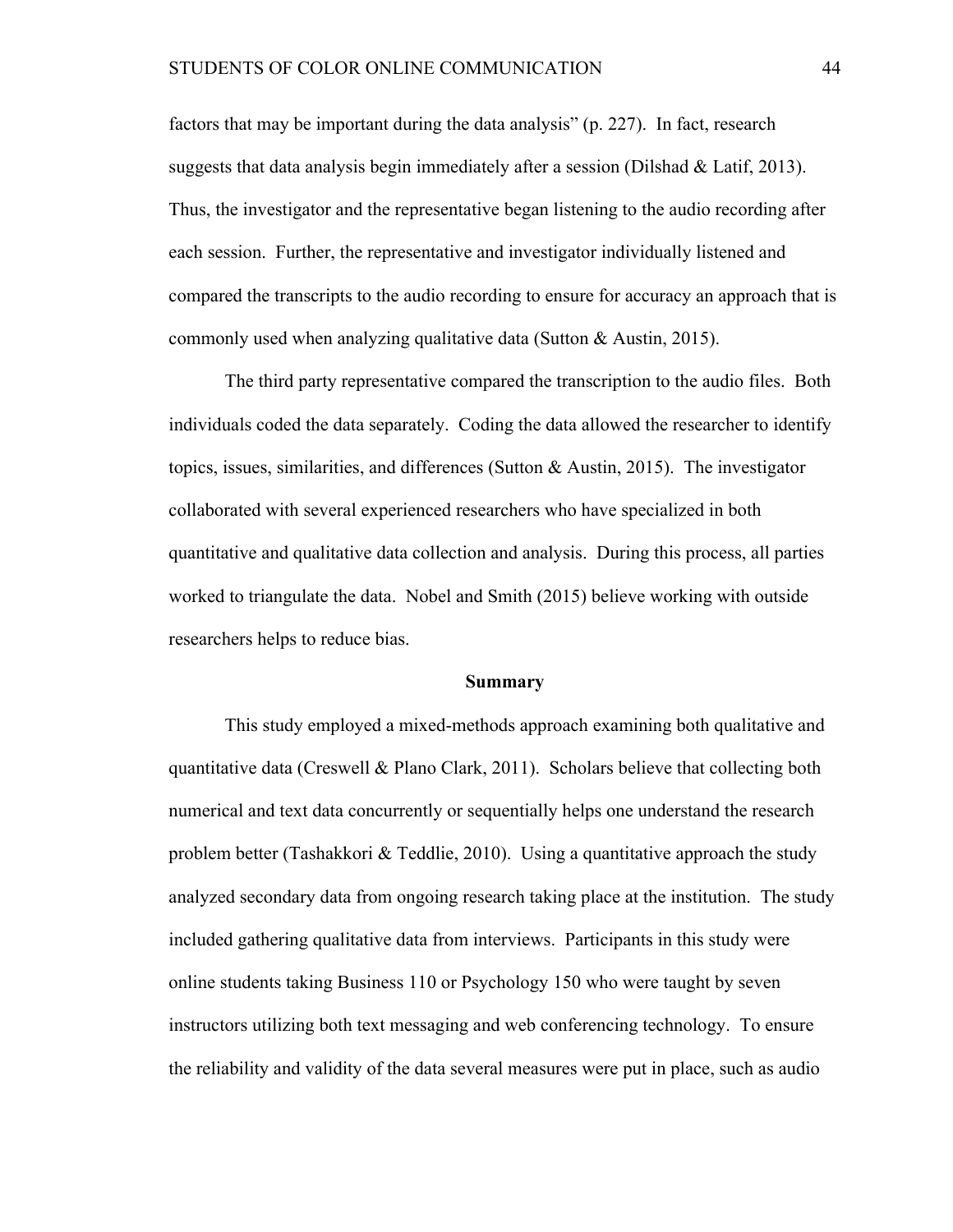factors that may be important during the data analysis" (p. 227). In fact, research suggests that data analysis begin immediately after a session (Dilshad & Latif, 2013). Thus, the investigator and the representative began listening to the audio recording after each session. Further, the representative and investigator individually listened and compared the transcripts to the audio recording to ensure for accuracy an approach that is commonly used when analyzing qualitative data (Sutton & Austin, 2015).

The third party representative compared the transcription to the audio files. Both individuals coded the data separately. Coding the data allowed the researcher to identify topics, issues, similarities, and differences (Sutton & Austin, 2015). The investigator collaborated with several experienced researchers who have specialized in both quantitative and qualitative data collection and analysis. During this process, all parties worked to triangulate the data. Nobel and Smith (2015) believe working with outside researchers helps to reduce bias.

#### **Summary**

This study employed a mixed-methods approach examining both qualitative and quantitative data (Creswell & Plano Clark, 2011). Scholars believe that collecting both numerical and text data concurrently or sequentially helps one understand the research problem better (Tashakkori  $\&$  Teddlie, 2010). Using a quantitative approach the study analyzed secondary data from ongoing research taking place at the institution. The study included gathering qualitative data from interviews. Participants in this study were online students taking Business 110 or Psychology 150 who were taught by seven instructors utilizing both text messaging and web conferencing technology. To ensure the reliability and validity of the data several measures were put in place, such as audio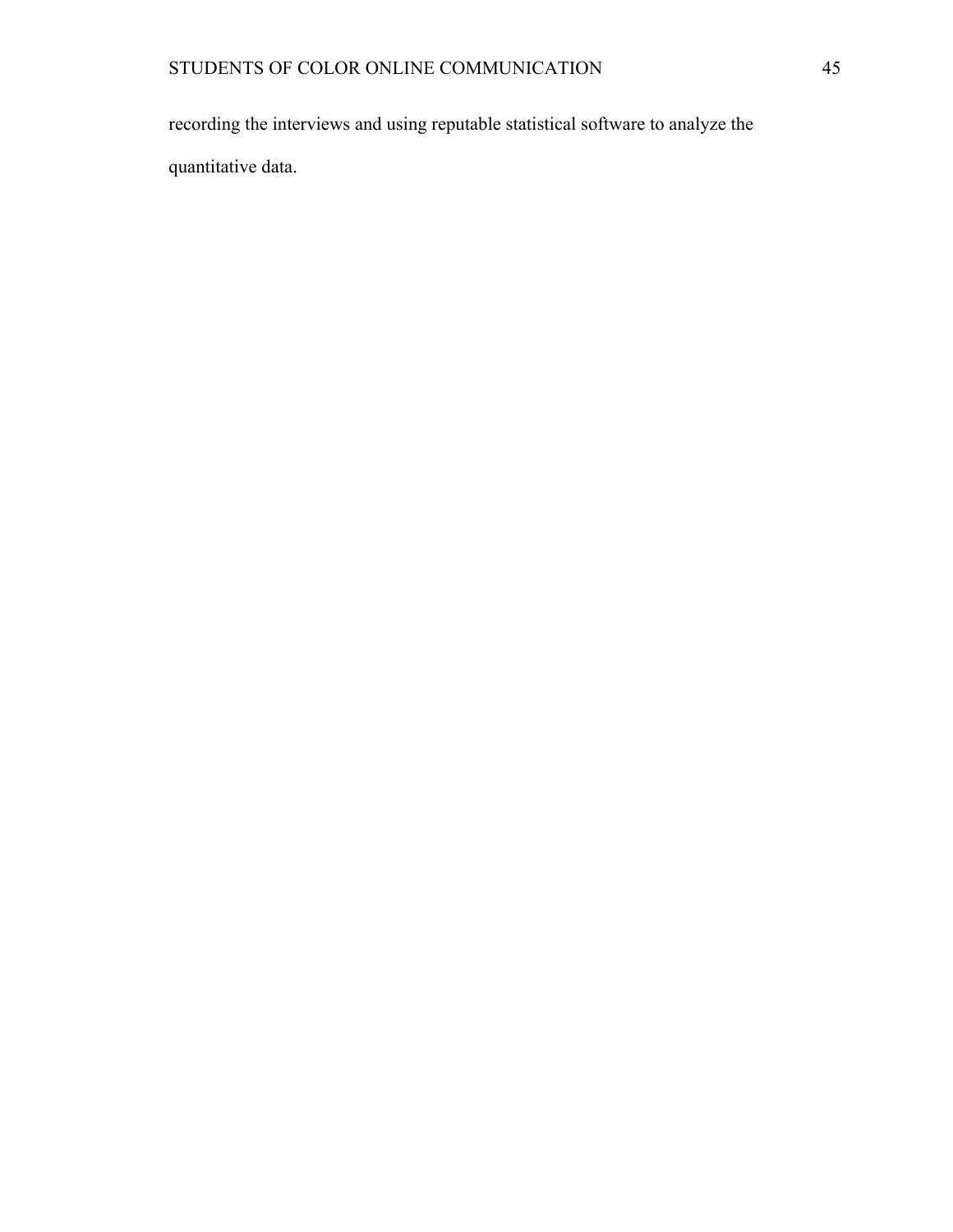recording the interviews and using reputable statistical software to analyze the quantitative data.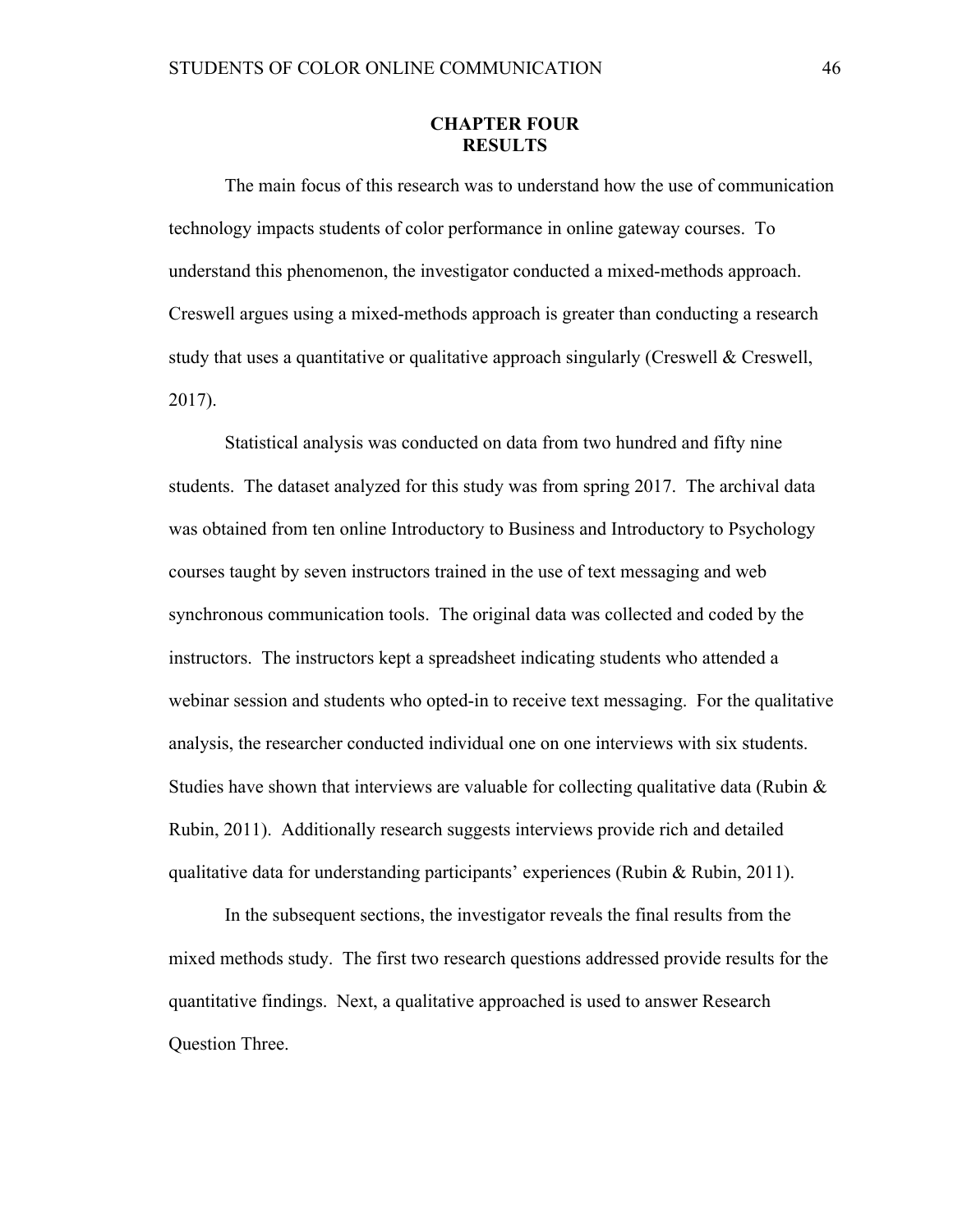# **CHAPTER FOUR RESULTS**

The main focus of this research was to understand how the use of communication technology impacts students of color performance in online gateway courses. To understand this phenomenon, the investigator conducted a mixed-methods approach. Creswell argues using a mixed-methods approach is greater than conducting a research study that uses a quantitative or qualitative approach singularly (Creswell  $\&$  Creswell, 2017).

Statistical analysis was conducted on data from two hundred and fifty nine students. The dataset analyzed for this study was from spring 2017. The archival data was obtained from ten online Introductory to Business and Introductory to Psychology courses taught by seven instructors trained in the use of text messaging and web synchronous communication tools. The original data was collected and coded by the instructors. The instructors kept a spreadsheet indicating students who attended a webinar session and students who opted-in to receive text messaging. For the qualitative analysis, the researcher conducted individual one on one interviews with six students. Studies have shown that interviews are valuable for collecting qualitative data (Rubin  $\&$ Rubin, 2011). Additionally research suggests interviews provide rich and detailed qualitative data for understanding participants' experiences (Rubin & Rubin, 2011).

In the subsequent sections, the investigator reveals the final results from the mixed methods study. The first two research questions addressed provide results for the quantitative findings. Next, a qualitative approached is used to answer Research Question Three.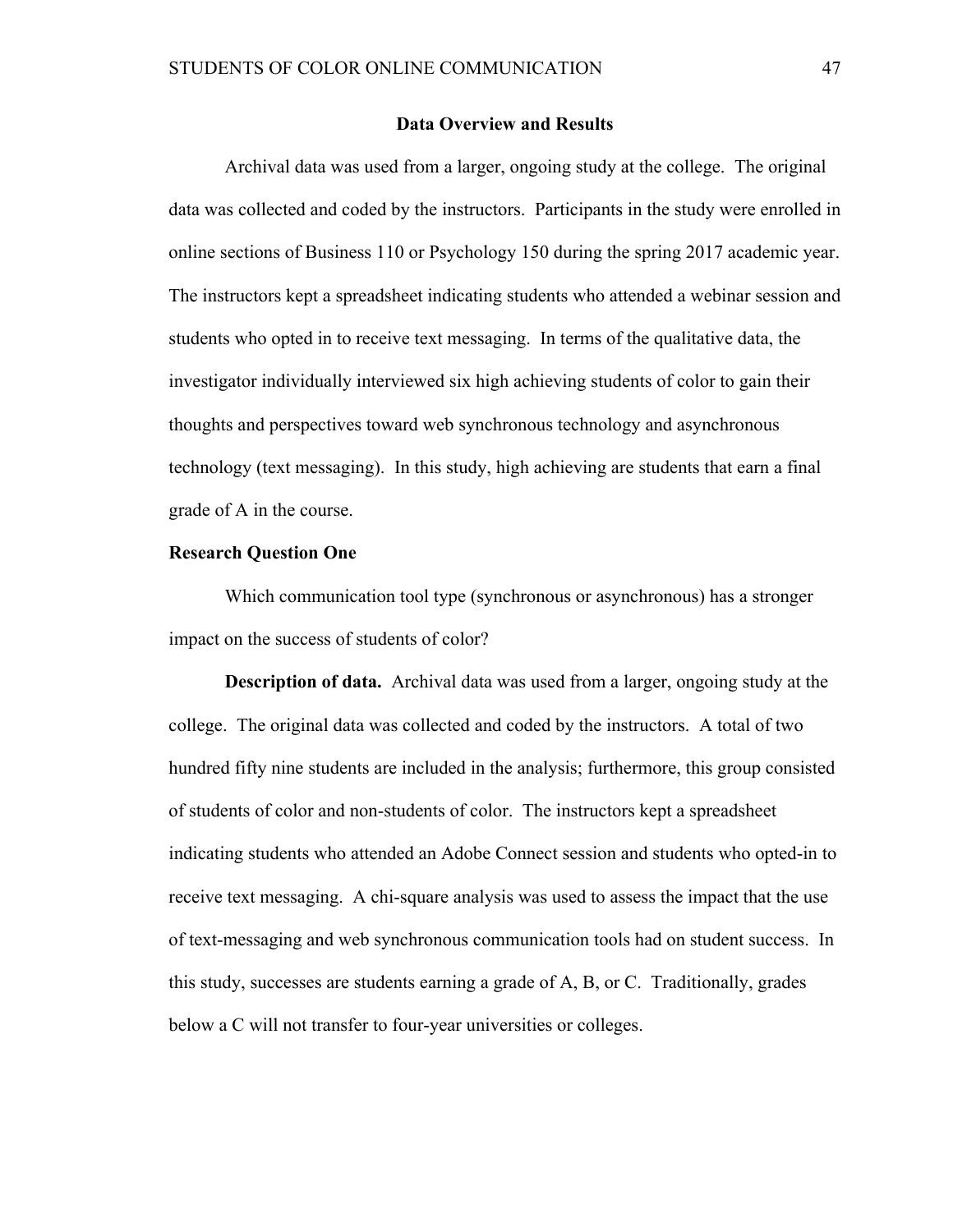### **Data Overview and Results**

Archival data was used from a larger, ongoing study at the college. The original data was collected and coded by the instructors. Participants in the study were enrolled in online sections of Business 110 or Psychology 150 during the spring 2017 academic year. The instructors kept a spreadsheet indicating students who attended a webinar session and students who opted in to receive text messaging. In terms of the qualitative data, the investigator individually interviewed six high achieving students of color to gain their thoughts and perspectives toward web synchronous technology and asynchronous technology (text messaging). In this study, high achieving are students that earn a final grade of A in the course.

#### **Research Question One**

Which communication tool type (synchronous or asynchronous) has a stronger impact on the success of students of color?

**Description of data.** Archival data was used from a larger, ongoing study at the college. The original data was collected and coded by the instructors. A total of two hundred fifty nine students are included in the analysis; furthermore, this group consisted of students of color and non-students of color. The instructors kept a spreadsheet indicating students who attended an Adobe Connect session and students who opted-in to receive text messaging. A chi-square analysis was used to assess the impact that the use of text-messaging and web synchronous communication tools had on student success. In this study, successes are students earning a grade of A, B, or C. Traditionally, grades below a C will not transfer to four-year universities or colleges.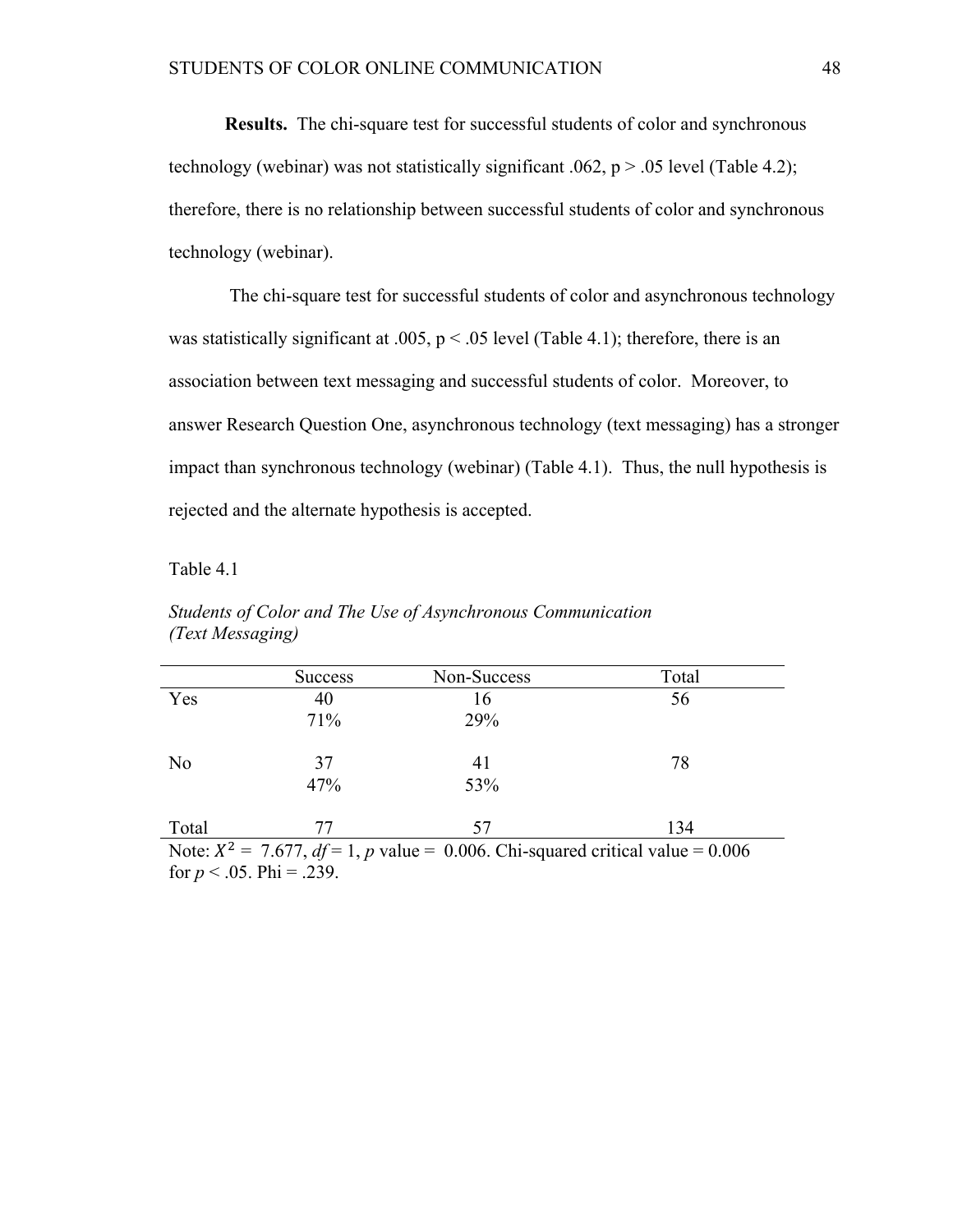**Results.** The chi-square test for successful students of color and synchronous technology (webinar) was not statistically significant .062,  $p > .05$  level (Table 4.2); therefore, there is no relationship between successful students of color and synchronous technology (webinar).

The chi-square test for successful students of color and asynchronous technology was statistically significant at .005,  $p < .05$  level (Table 4.1); therefore, there is an association between text messaging and successful students of color. Moreover, to answer Research Question One, asynchronous technology (text messaging) has a stronger impact than synchronous technology (webinar) (Table 4.1). Thus, the null hypothesis is rejected and the alternate hypothesis is accepted.

Table 4.1

|                                                                                      | <b>Success</b> | Non-Success | Total |  |
|--------------------------------------------------------------------------------------|----------------|-------------|-------|--|
| Yes                                                                                  | 40             | 16          | 56    |  |
|                                                                                      | 71%            | 29%         |       |  |
| N <sub>0</sub>                                                                       | 37             | 41          | 78    |  |
|                                                                                      | 47%            | 53%         |       |  |
| Total                                                                                | 77             | 57          | 134   |  |
| Note: $X^2 = 7.677$ , $df = 1$ , p value = 0.006. Chi-squared critical value = 0.006 |                |             |       |  |

*Students of Color and The Use of Asynchronous Communication (Text Messaging)*

for  $p < .05$ . Phi = .239.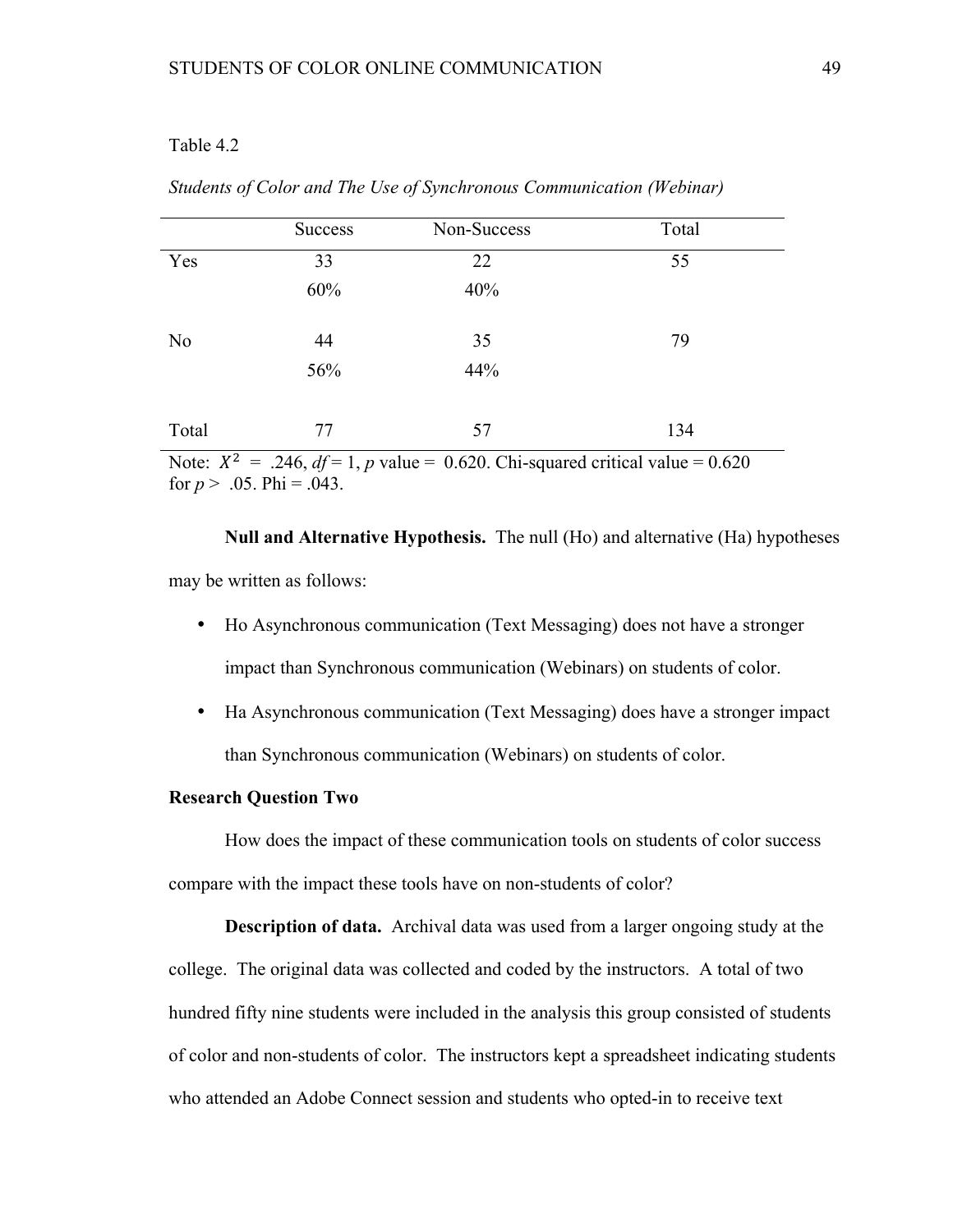# Table 4.2

|                | <b>Success</b> | Non-Success | Total |
|----------------|----------------|-------------|-------|
| Yes            | 33             | 22          | 55    |
|                | 60%            | 40%         |       |
| N <sub>0</sub> | 44             | 35          | 79    |
|                | 56%            | 44%         |       |
| Total          | 77             | 57          | 134   |

*Students of Color and The Use of Synchronous Communication (Webinar)*

Note:  $X^2 = .246$ ,  $df = 1$ , *p* value = 0.620. Chi-squared critical value = 0.620 for  $p > .05$ . Phi = .043.

**Null and Alternative Hypothesis.** The null (Ho) and alternative (Ha) hypotheses may be written as follows:

- Ho Asynchronous communication (Text Messaging) does not have a stronger impact than Synchronous communication (Webinars) on students of color.
- Ha Asynchronous communication (Text Messaging) does have a stronger impact than Synchronous communication (Webinars) on students of color.

### **Research Question Two**

How does the impact of these communication tools on students of color success compare with the impact these tools have on non-students of color?

**Description of data.** Archival data was used from a larger ongoing study at the college. The original data was collected and coded by the instructors. A total of two hundred fifty nine students were included in the analysis this group consisted of students of color and non-students of color. The instructors kept a spreadsheet indicating students who attended an Adobe Connect session and students who opted-in to receive text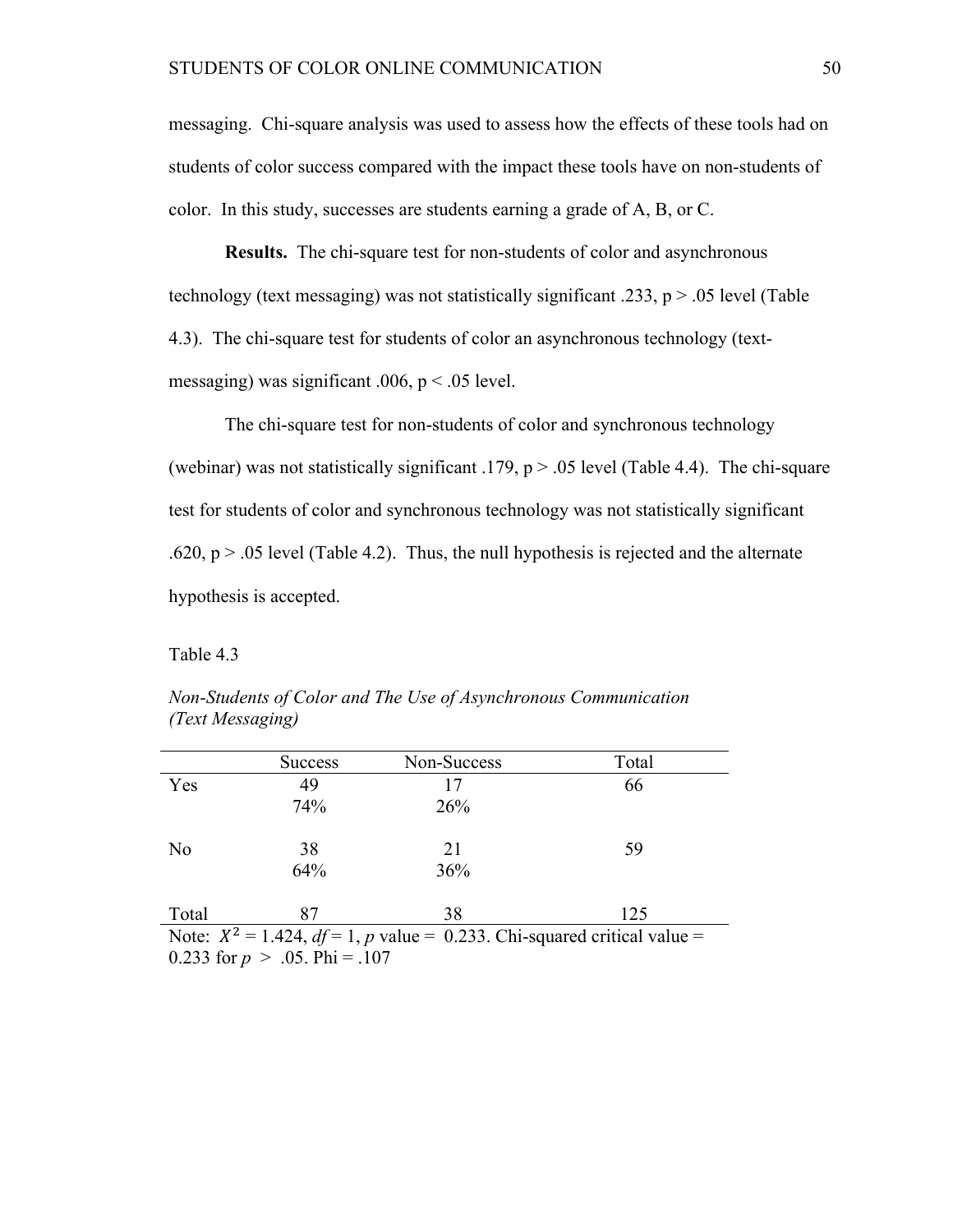messaging. Chi-square analysis was used to assess how the effects of these tools had on students of color success compared with the impact these tools have on non-students of color. In this study, successes are students earning a grade of A, B, or C.

**Results.** The chi-square test for non-students of color and asynchronous technology (text messaging) was not statistically significant .233, p > .05 level (Table 4.3). The chi-square test for students of color an asynchronous technology (textmessaging) was significant .006,  $p < 0.05$  level.

The chi-square test for non-students of color and synchronous technology (webinar) was not statistically significant .179,  $p > .05$  level (Table 4.4). The chi-square test for students of color and synchronous technology was not statistically significant .620,  $p > 0.05$  level (Table 4.2). Thus, the null hypothesis is rejected and the alternate hypothesis is accepted.

Table 4.3

|                                                                                | <b>Success</b> | Non-Success | Total |  |  |
|--------------------------------------------------------------------------------|----------------|-------------|-------|--|--|
| Yes                                                                            | 49             | 17          | 66    |  |  |
|                                                                                | 74%            | 26%         |       |  |  |
| N <sub>0</sub>                                                                 | 38             | 21          | 59    |  |  |
|                                                                                | 64%            | 36%         |       |  |  |
| Total                                                                          | 87             | 38          | 125   |  |  |
| Note: $X^2 = 1.424$ , $df = 1$ , p value = 0.233. Chi-squared critical value = |                |             |       |  |  |
| 0.233 for $p > .05$ . Phi = .107                                               |                |             |       |  |  |

*Non-Students of Color and The Use of Asynchronous Communication (Text Messaging)*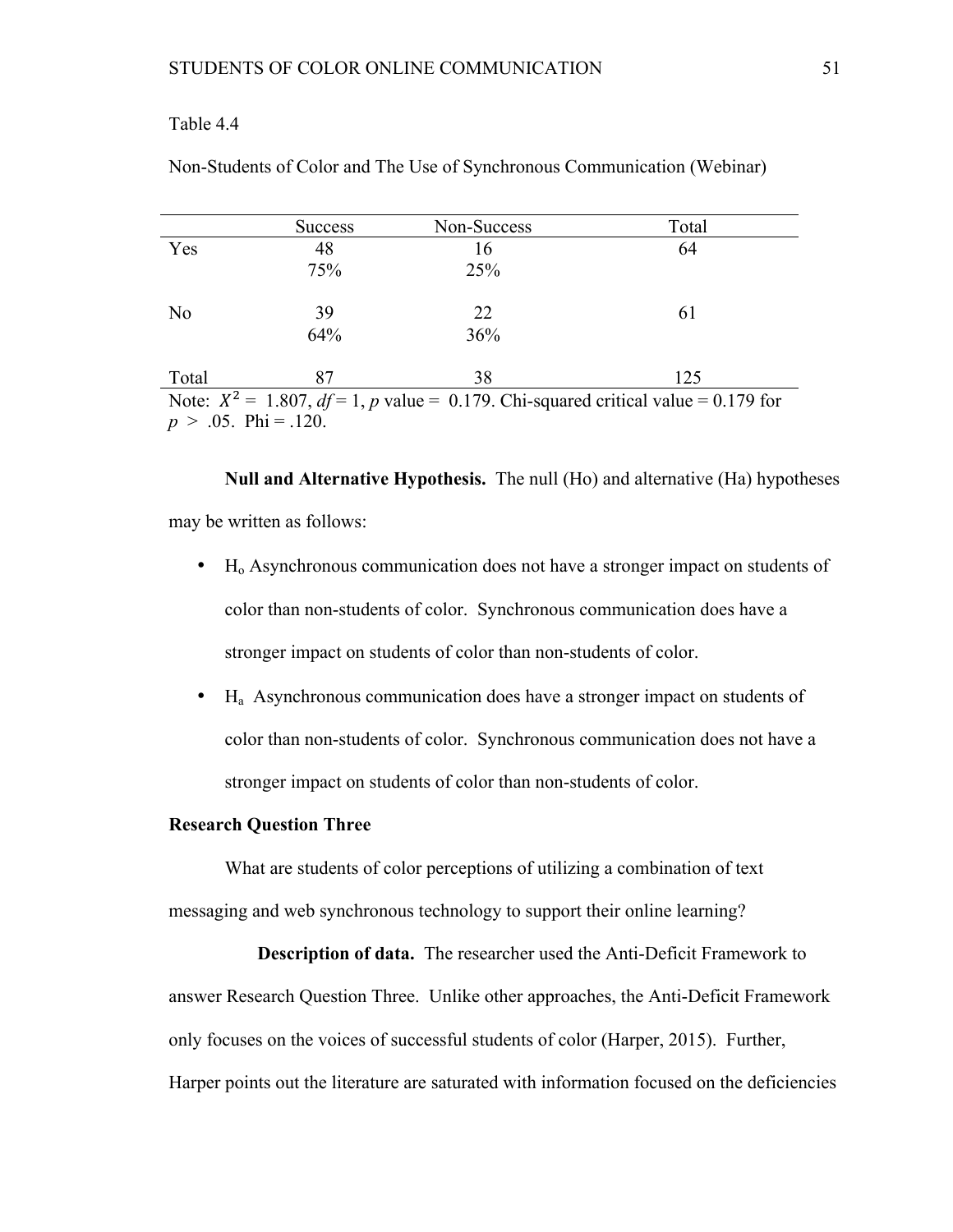# Table 4.4

|                                                                                          | <b>Success</b> | Non-Success | Total |  |  |
|------------------------------------------------------------------------------------------|----------------|-------------|-------|--|--|
| Yes                                                                                      | 48             | 16          | 64    |  |  |
|                                                                                          | 75%            | 25%         |       |  |  |
| N <sub>0</sub>                                                                           | 39             | 22          | 61    |  |  |
|                                                                                          | 64%            | 36%         |       |  |  |
| Total                                                                                    | 87             | 38          | 125   |  |  |
| Note: $X^2 = 1.807$ , $df = 1$ , p value = 0.179. Chi-squared critical value = 0.179 for |                |             |       |  |  |
| $\sim$ $\sim$ $\sim$ $\sim$ $\sim$ $\sim$                                                |                |             |       |  |  |

Non-Students of Color and The Use of Synchronous Communication (Webinar)

 $p > .05$ . Phi = .120.

**Null and Alternative Hypothesis.** The null (Ho) and alternative (Ha) hypotheses may be written as follows:

- $\bullet$  H<sub>o</sub> Asynchronous communication does not have a stronger impact on students of color than non-students of color. Synchronous communication does have a stronger impact on students of color than non-students of color.
- $H_a$  Asynchronous communication does have a stronger impact on students of color than non-students of color. Synchronous communication does not have a stronger impact on students of color than non-students of color.

# **Research Question Three**

What are students of color perceptions of utilizing a combination of text messaging and web synchronous technology to support their online learning?

**Description of data.** The researcher used the Anti-Deficit Framework to answer Research Question Three. Unlike other approaches, the Anti-Deficit Framework only focuses on the voices of successful students of color (Harper, 2015). Further, Harper points out the literature are saturated with information focused on the deficiencies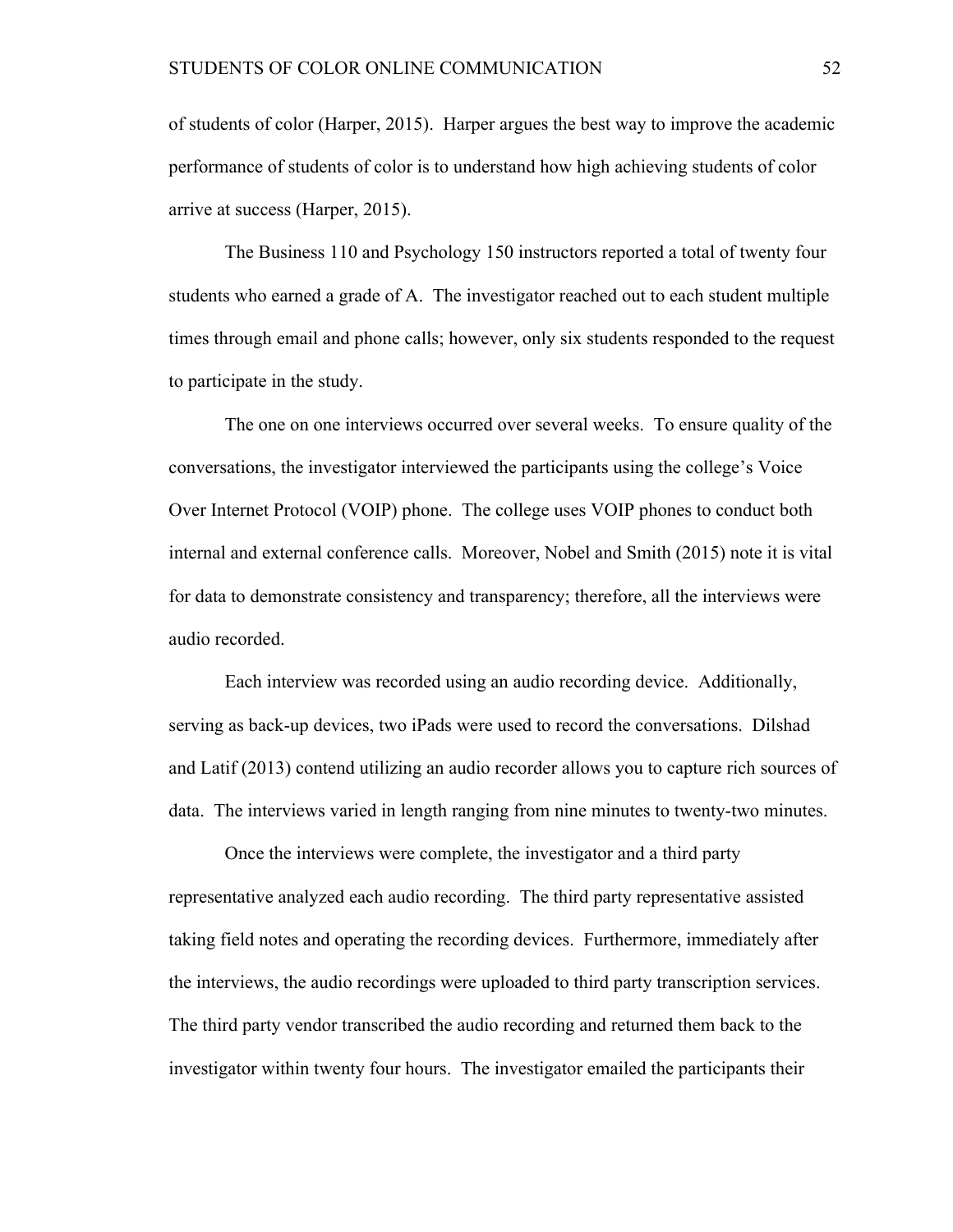of students of color (Harper, 2015). Harper argues the best way to improve the academic performance of students of color is to understand how high achieving students of color arrive at success (Harper, 2015).

The Business 110 and Psychology 150 instructors reported a total of twenty four students who earned a grade of A. The investigator reached out to each student multiple times through email and phone calls; however, only six students responded to the request to participate in the study.

The one on one interviews occurred over several weeks. To ensure quality of the conversations, the investigator interviewed the participants using the college's Voice Over Internet Protocol (VOIP) phone. The college uses VOIP phones to conduct both internal and external conference calls. Moreover, Nobel and Smith (2015) note it is vital for data to demonstrate consistency and transparency; therefore, all the interviews were audio recorded.

Each interview was recorded using an audio recording device. Additionally, serving as back-up devices, two iPads were used to record the conversations. Dilshad and Latif (2013) contend utilizing an audio recorder allows you to capture rich sources of data. The interviews varied in length ranging from nine minutes to twenty-two minutes.

Once the interviews were complete, the investigator and a third party representative analyzed each audio recording. The third party representative assisted taking field notes and operating the recording devices. Furthermore, immediately after the interviews, the audio recordings were uploaded to third party transcription services. The third party vendor transcribed the audio recording and returned them back to the investigator within twenty four hours. The investigator emailed the participants their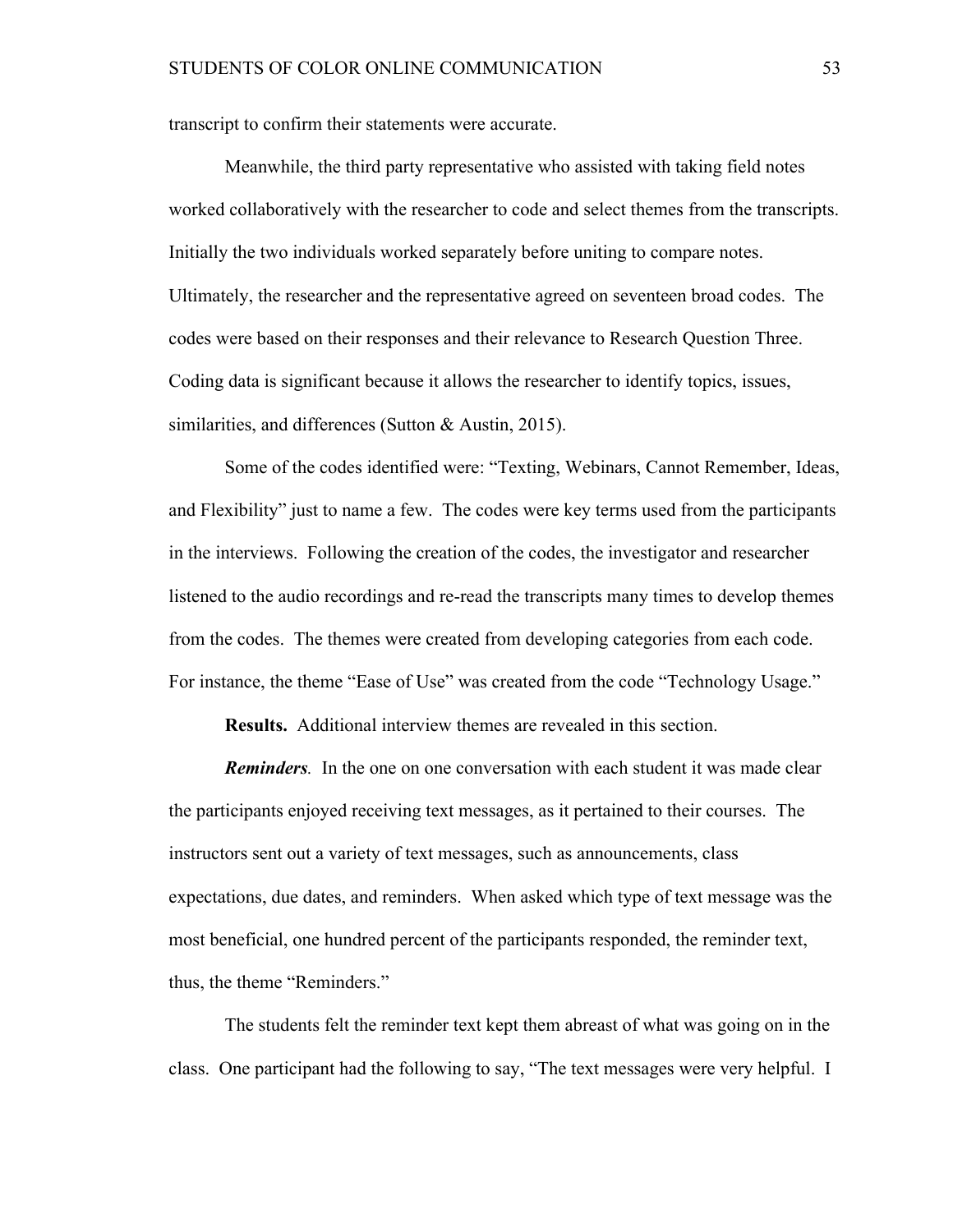transcript to confirm their statements were accurate.

Meanwhile, the third party representative who assisted with taking field notes worked collaboratively with the researcher to code and select themes from the transcripts. Initially the two individuals worked separately before uniting to compare notes. Ultimately, the researcher and the representative agreed on seventeen broad codes. The codes were based on their responses and their relevance to Research Question Three. Coding data is significant because it allows the researcher to identify topics, issues, similarities, and differences (Sutton & Austin, 2015).

Some of the codes identified were: "Texting, Webinars, Cannot Remember, Ideas, and Flexibility" just to name a few. The codes were key terms used from the participants in the interviews. Following the creation of the codes, the investigator and researcher listened to the audio recordings and re-read the transcripts many times to develop themes from the codes. The themes were created from developing categories from each code. For instance, the theme "Ease of Use" was created from the code "Technology Usage."

**Results.** Additional interview themes are revealed in this section.

*Reminders.* In the one on one conversation with each student it was made clear the participants enjoyed receiving text messages, as it pertained to their courses. The instructors sent out a variety of text messages, such as announcements, class expectations, due dates, and reminders. When asked which type of text message was the most beneficial, one hundred percent of the participants responded, the reminder text, thus, the theme "Reminders."

The students felt the reminder text kept them abreast of what was going on in the class. One participant had the following to say, "The text messages were very helpful. I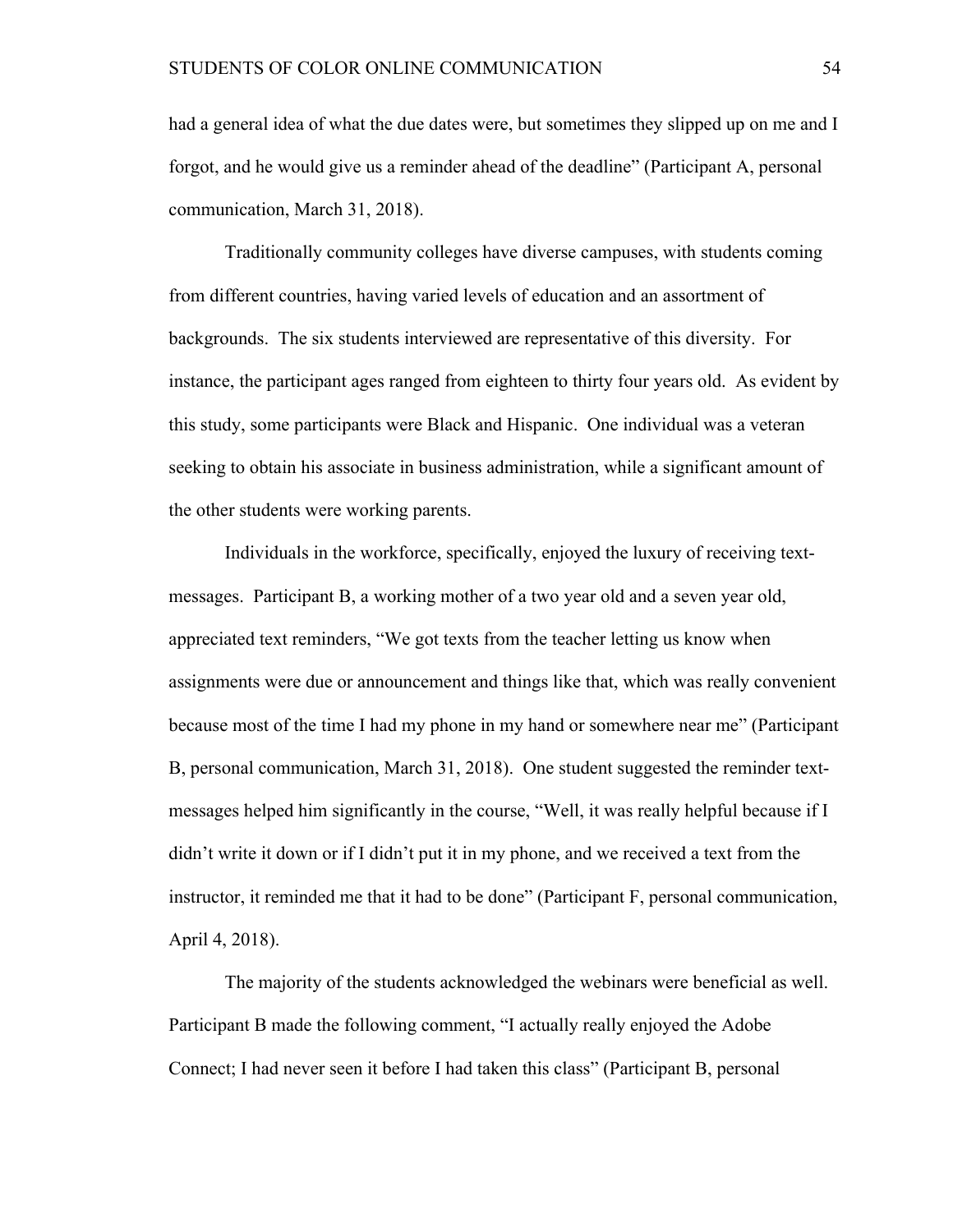had a general idea of what the due dates were, but sometimes they slipped up on me and I forgot, and he would give us a reminder ahead of the deadline" (Participant A, personal communication, March 31, 2018).

Traditionally community colleges have diverse campuses, with students coming from different countries, having varied levels of education and an assortment of backgrounds. The six students interviewed are representative of this diversity. For instance, the participant ages ranged from eighteen to thirty four years old. As evident by this study, some participants were Black and Hispanic. One individual was a veteran seeking to obtain his associate in business administration, while a significant amount of the other students were working parents.

Individuals in the workforce, specifically, enjoyed the luxury of receiving textmessages. Participant B, a working mother of a two year old and a seven year old, appreciated text reminders, "We got texts from the teacher letting us know when assignments were due or announcement and things like that, which was really convenient because most of the time I had my phone in my hand or somewhere near me" (Participant B, personal communication, March 31, 2018). One student suggested the reminder textmessages helped him significantly in the course, "Well, it was really helpful because if I didn't write it down or if I didn't put it in my phone, and we received a text from the instructor, it reminded me that it had to be done" (Participant F, personal communication, April 4, 2018).

The majority of the students acknowledged the webinars were beneficial as well. Participant B made the following comment, "I actually really enjoyed the Adobe Connect; I had never seen it before I had taken this class" (Participant B, personal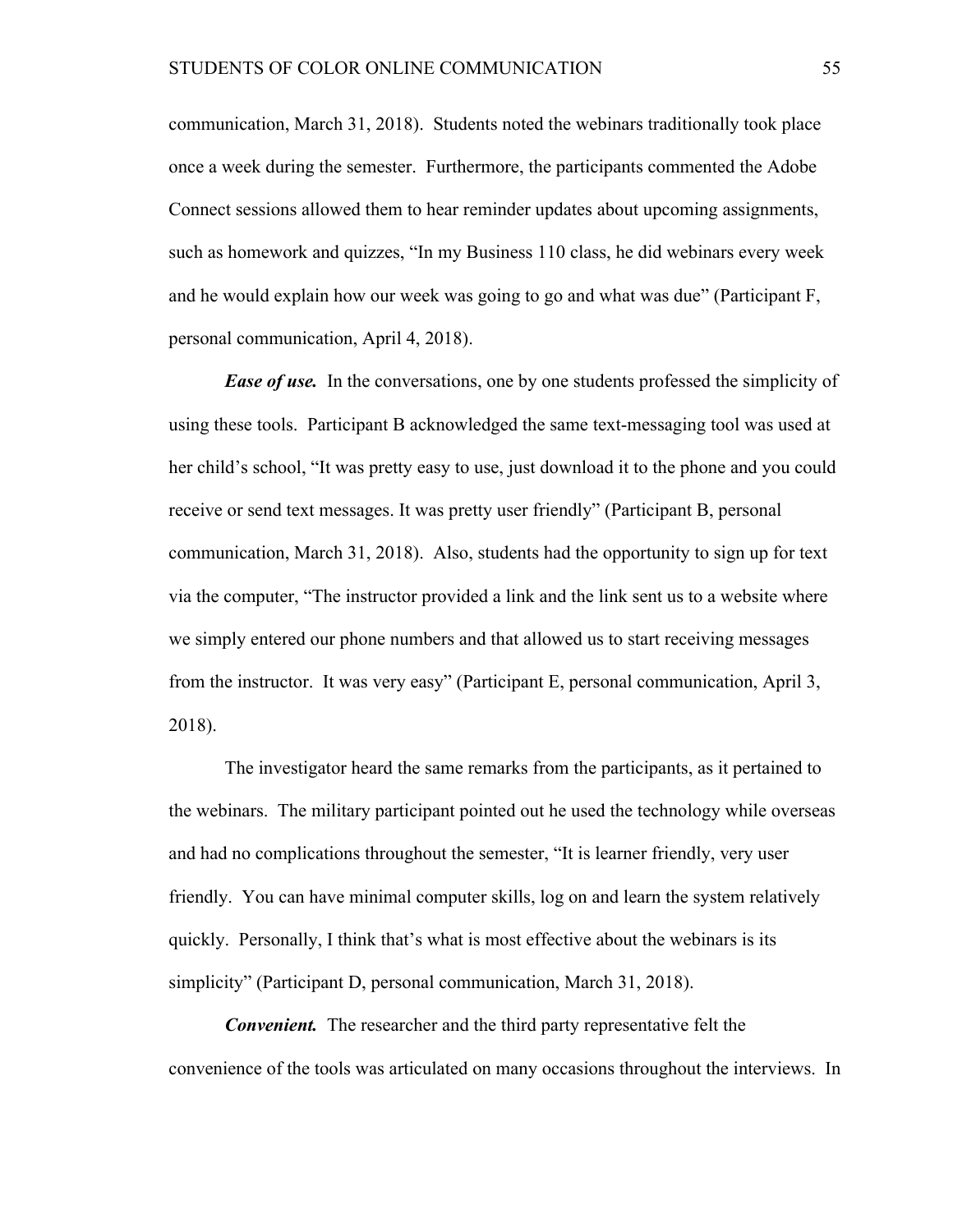communication, March 31, 2018). Students noted the webinars traditionally took place once a week during the semester. Furthermore, the participants commented the Adobe Connect sessions allowed them to hear reminder updates about upcoming assignments, such as homework and quizzes, "In my Business 110 class, he did webinars every week and he would explain how our week was going to go and what was due" (Participant F, personal communication, April 4, 2018).

*Ease of use.* In the conversations, one by one students professed the simplicity of using these tools. Participant B acknowledged the same text-messaging tool was used at her child's school, "It was pretty easy to use, just download it to the phone and you could receive or send text messages. It was pretty user friendly" (Participant B, personal communication, March 31, 2018). Also, students had the opportunity to sign up for text via the computer, "The instructor provided a link and the link sent us to a website where we simply entered our phone numbers and that allowed us to start receiving messages from the instructor. It was very easy" (Participant E, personal communication, April 3, 2018).

The investigator heard the same remarks from the participants, as it pertained to the webinars. The military participant pointed out he used the technology while overseas and had no complications throughout the semester, "It is learner friendly, very user friendly. You can have minimal computer skills, log on and learn the system relatively quickly. Personally, I think that's what is most effective about the webinars is its simplicity" (Participant D, personal communication, March 31, 2018).

*Convenient.* The researcher and the third party representative felt the convenience of the tools was articulated on many occasions throughout the interviews. In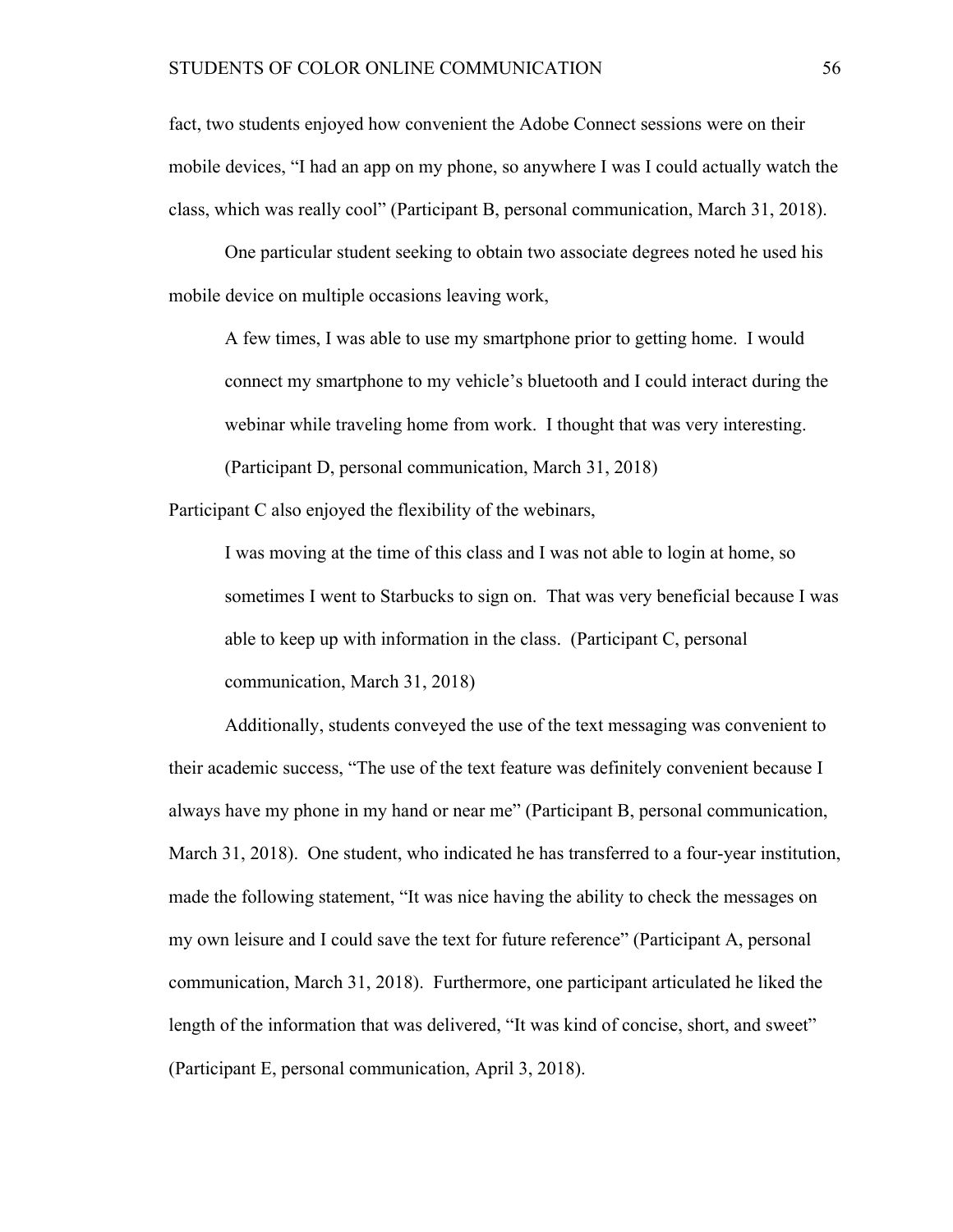fact, two students enjoyed how convenient the Adobe Connect sessions were on their mobile devices, "I had an app on my phone, so anywhere I was I could actually watch the class, which was really cool" (Participant B, personal communication, March 31, 2018).

One particular student seeking to obtain two associate degrees noted he used his mobile device on multiple occasions leaving work,

A few times, I was able to use my smartphone prior to getting home. I would connect my smartphone to my vehicle's bluetooth and I could interact during the webinar while traveling home from work. I thought that was very interesting. (Participant D, personal communication, March 31, 2018)

Participant C also enjoyed the flexibility of the webinars,

I was moving at the time of this class and I was not able to login at home, so sometimes I went to Starbucks to sign on. That was very beneficial because I was able to keep up with information in the class. (Participant C, personal communication, March 31, 2018)

Additionally, students conveyed the use of the text messaging was convenient to their academic success, "The use of the text feature was definitely convenient because I always have my phone in my hand or near me" (Participant B, personal communication, March 31, 2018). One student, who indicated he has transferred to a four-year institution, made the following statement, "It was nice having the ability to check the messages on my own leisure and I could save the text for future reference" (Participant A, personal communication, March 31, 2018). Furthermore, one participant articulated he liked the length of the information that was delivered, "It was kind of concise, short, and sweet" (Participant E, personal communication, April 3, 2018).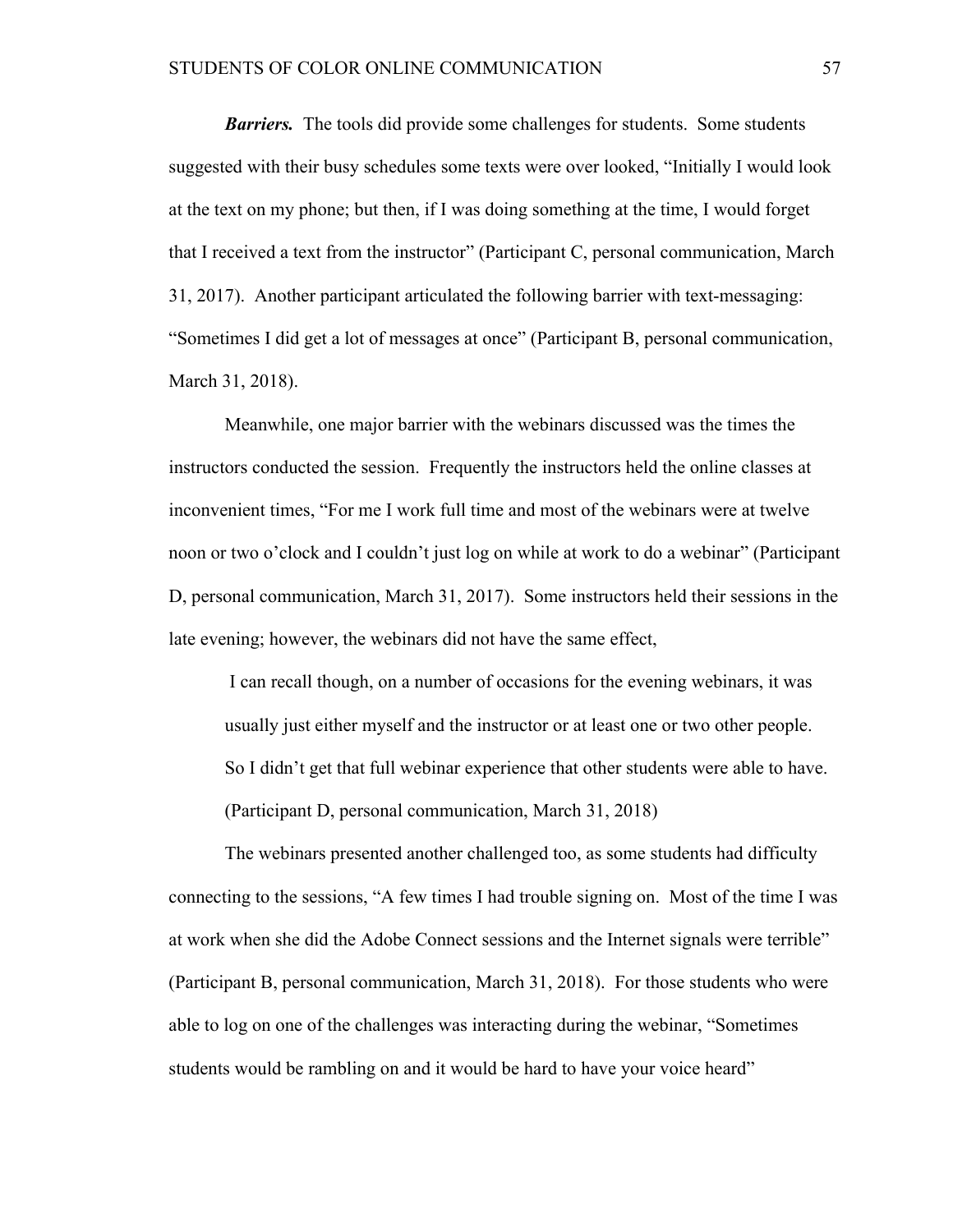*Barriers.* The tools did provide some challenges for students. Some students suggested with their busy schedules some texts were over looked, "Initially I would look at the text on my phone; but then, if I was doing something at the time, I would forget that I received a text from the instructor" (Participant C, personal communication, March 31, 2017). Another participant articulated the following barrier with text-messaging: "Sometimes I did get a lot of messages at once" (Participant B, personal communication, March 31, 2018).

Meanwhile, one major barrier with the webinars discussed was the times the instructors conducted the session. Frequently the instructors held the online classes at inconvenient times, "For me I work full time and most of the webinars were at twelve noon or two o'clock and I couldn't just log on while at work to do a webinar" (Participant D, personal communication, March 31, 2017). Some instructors held their sessions in the late evening; however, the webinars did not have the same effect,

I can recall though, on a number of occasions for the evening webinars, it was usually just either myself and the instructor or at least one or two other people. So I didn't get that full webinar experience that other students were able to have. (Participant D, personal communication, March 31, 2018)

The webinars presented another challenged too, as some students had difficulty connecting to the sessions, "A few times I had trouble signing on. Most of the time I was at work when she did the Adobe Connect sessions and the Internet signals were terrible" (Participant B, personal communication, March 31, 2018). For those students who were able to log on one of the challenges was interacting during the webinar, "Sometimes students would be rambling on and it would be hard to have your voice heard"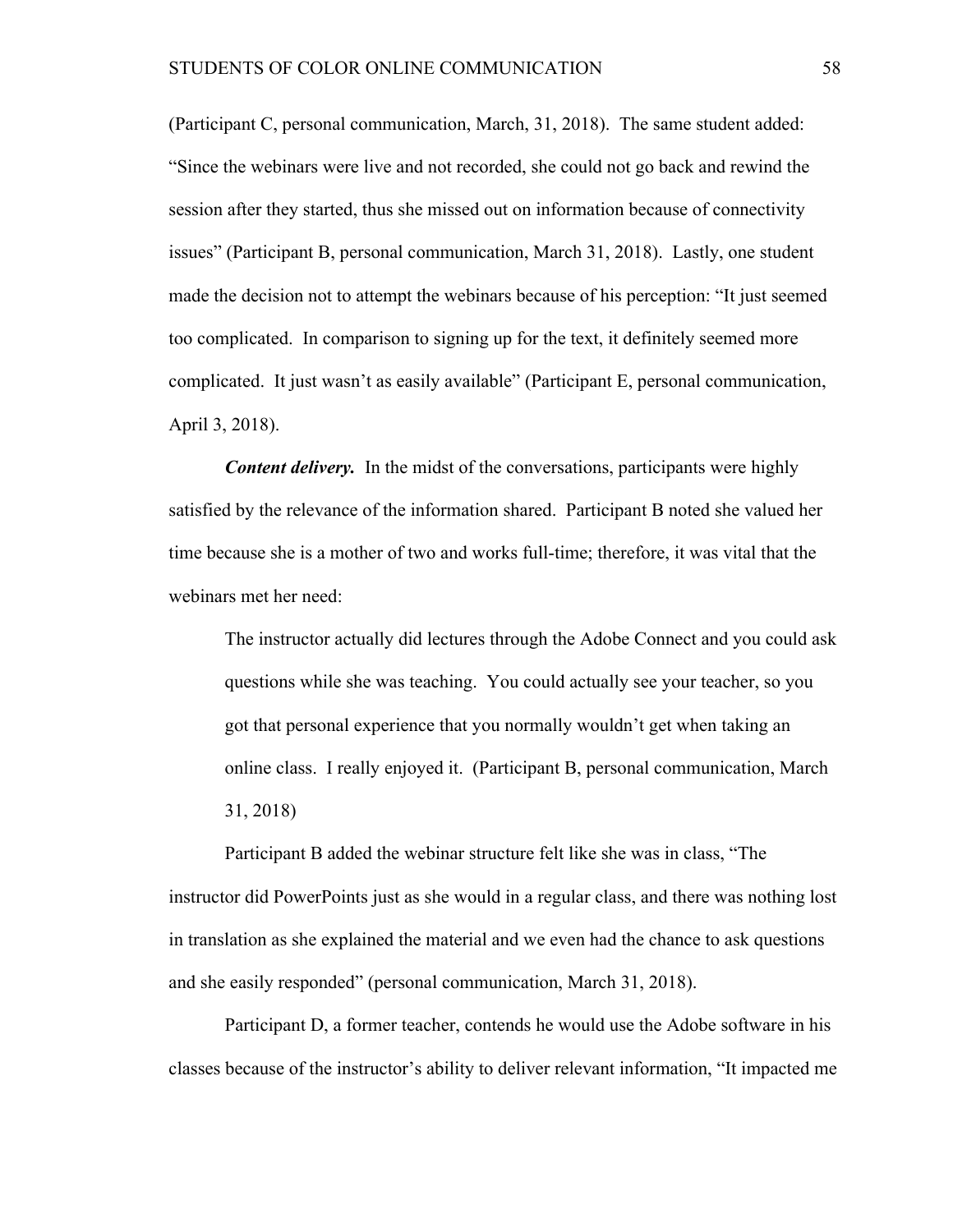(Participant C, personal communication, March, 31, 2018). The same student added: "Since the webinars were live and not recorded, she could not go back and rewind the session after they started, thus she missed out on information because of connectivity issues" (Participant B, personal communication, March 31, 2018). Lastly, one student made the decision not to attempt the webinars because of his perception: "It just seemed too complicated. In comparison to signing up for the text, it definitely seemed more complicated. It just wasn't as easily available" (Participant E, personal communication, April 3, 2018).

*Content delivery.* In the midst of the conversations, participants were highly satisfied by the relevance of the information shared. Participant B noted she valued her time because she is a mother of two and works full-time; therefore, it was vital that the webinars met her need:

The instructor actually did lectures through the Adobe Connect and you could ask questions while she was teaching. You could actually see your teacher, so you got that personal experience that you normally wouldn't get when taking an online class. I really enjoyed it. (Participant B, personal communication, March 31, 2018)

 Participant B added the webinar structure felt like she was in class, "The instructor did PowerPoints just as she would in a regular class, and there was nothing lost in translation as she explained the material and we even had the chance to ask questions and she easily responded" (personal communication, March 31, 2018).

Participant D, a former teacher, contends he would use the Adobe software in his classes because of the instructor's ability to deliver relevant information, "It impacted me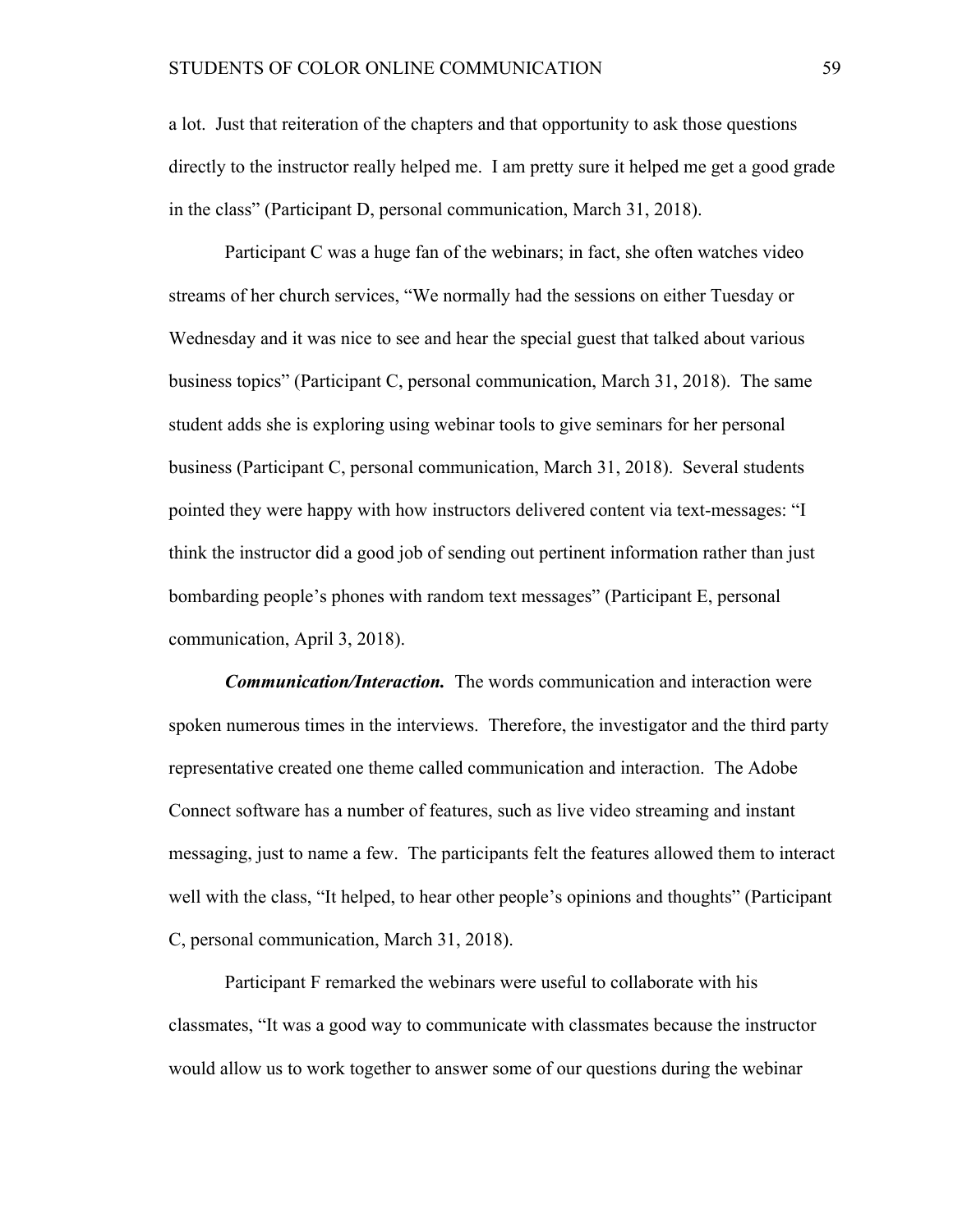a lot. Just that reiteration of the chapters and that opportunity to ask those questions directly to the instructor really helped me. I am pretty sure it helped me get a good grade in the class" (Participant D, personal communication, March 31, 2018).

Participant C was a huge fan of the webinars; in fact, she often watches video streams of her church services, "We normally had the sessions on either Tuesday or Wednesday and it was nice to see and hear the special guest that talked about various business topics" (Participant C, personal communication, March 31, 2018). The same student adds she is exploring using webinar tools to give seminars for her personal business (Participant C, personal communication, March 31, 2018). Several students pointed they were happy with how instructors delivered content via text-messages: "I think the instructor did a good job of sending out pertinent information rather than just bombarding people's phones with random text messages" (Participant E, personal communication, April 3, 2018).

*Communication/Interaction.* The words communication and interaction were spoken numerous times in the interviews. Therefore, the investigator and the third party representative created one theme called communication and interaction. The Adobe Connect software has a number of features, such as live video streaming and instant messaging, just to name a few. The participants felt the features allowed them to interact well with the class, "It helped, to hear other people's opinions and thoughts" (Participant C, personal communication, March 31, 2018).

Participant F remarked the webinars were useful to collaborate with his classmates, "It was a good way to communicate with classmates because the instructor would allow us to work together to answer some of our questions during the webinar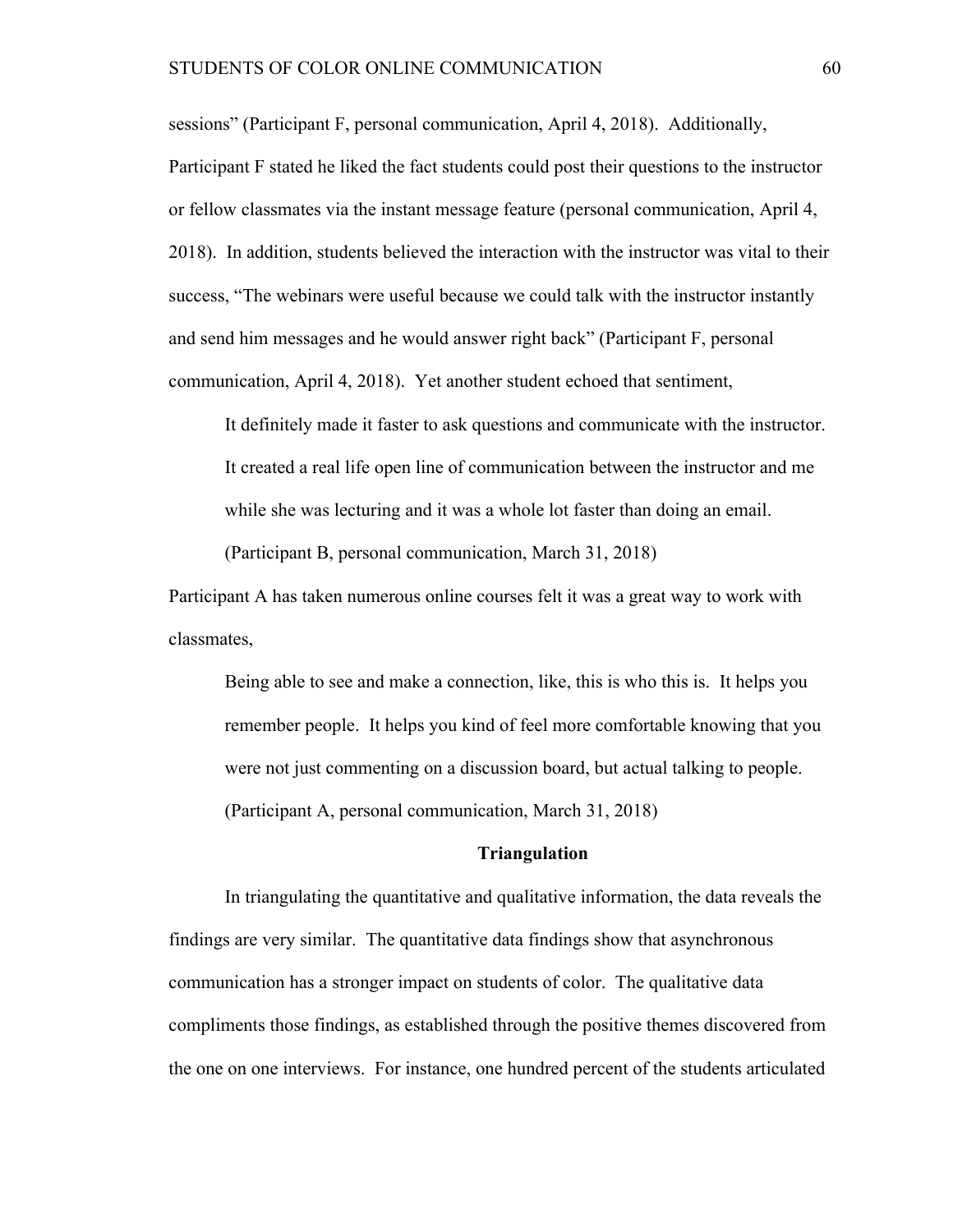sessions" (Participant F, personal communication, April 4, 2018). Additionally,

Participant F stated he liked the fact students could post their questions to the instructor or fellow classmates via the instant message feature (personal communication, April 4, 2018). In addition, students believed the interaction with the instructor was vital to their success, "The webinars were useful because we could talk with the instructor instantly and send him messages and he would answer right back" (Participant F, personal communication, April 4, 2018). Yet another student echoed that sentiment,

It definitely made it faster to ask questions and communicate with the instructor. It created a real life open line of communication between the instructor and me while she was lecturing and it was a whole lot faster than doing an email.

(Participant B, personal communication, March 31, 2018)

Participant A has taken numerous online courses felt it was a great way to work with classmates,

Being able to see and make a connection, like, this is who this is. It helps you remember people. It helps you kind of feel more comfortable knowing that you were not just commenting on a discussion board, but actual talking to people. (Participant A, personal communication, March 31, 2018)

#### **Triangulation**

In triangulating the quantitative and qualitative information, the data reveals the findings are very similar. The quantitative data findings show that asynchronous communication has a stronger impact on students of color. The qualitative data compliments those findings, as established through the positive themes discovered from the one on one interviews. For instance, one hundred percent of the students articulated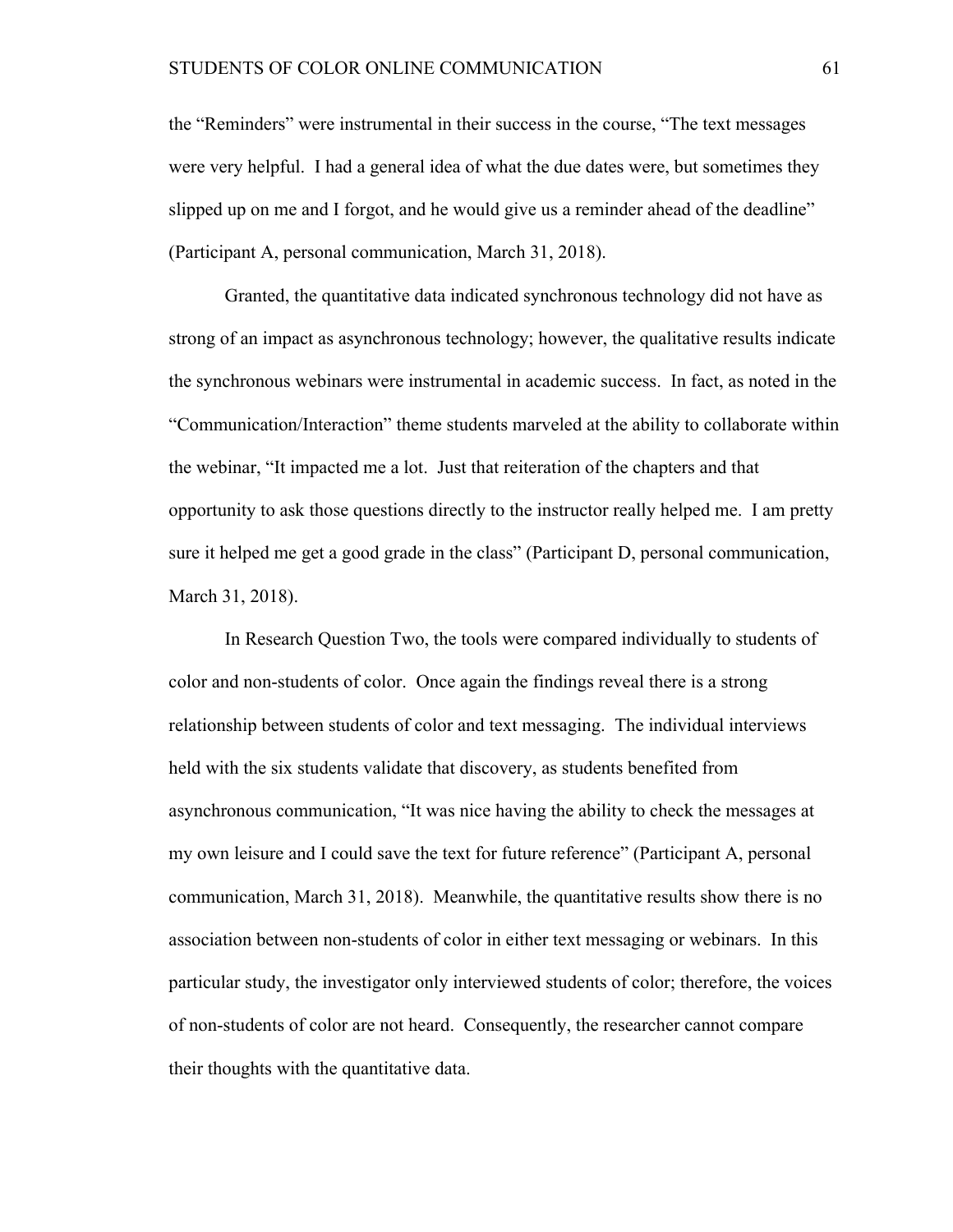the "Reminders" were instrumental in their success in the course, "The text messages were very helpful. I had a general idea of what the due dates were, but sometimes they slipped up on me and I forgot, and he would give us a reminder ahead of the deadline" (Participant A, personal communication, March 31, 2018).

Granted, the quantitative data indicated synchronous technology did not have as strong of an impact as asynchronous technology; however, the qualitative results indicate the synchronous webinars were instrumental in academic success. In fact, as noted in the "Communication/Interaction" theme students marveled at the ability to collaborate within the webinar, "It impacted me a lot. Just that reiteration of the chapters and that opportunity to ask those questions directly to the instructor really helped me. I am pretty sure it helped me get a good grade in the class" (Participant D, personal communication, March 31, 2018).

In Research Question Two, the tools were compared individually to students of color and non-students of color. Once again the findings reveal there is a strong relationship between students of color and text messaging. The individual interviews held with the six students validate that discovery, as students benefited from asynchronous communication, "It was nice having the ability to check the messages at my own leisure and I could save the text for future reference" (Participant A, personal communication, March 31, 2018). Meanwhile, the quantitative results show there is no association between non-students of color in either text messaging or webinars. In this particular study, the investigator only interviewed students of color; therefore, the voices of non-students of color are not heard. Consequently, the researcher cannot compare their thoughts with the quantitative data.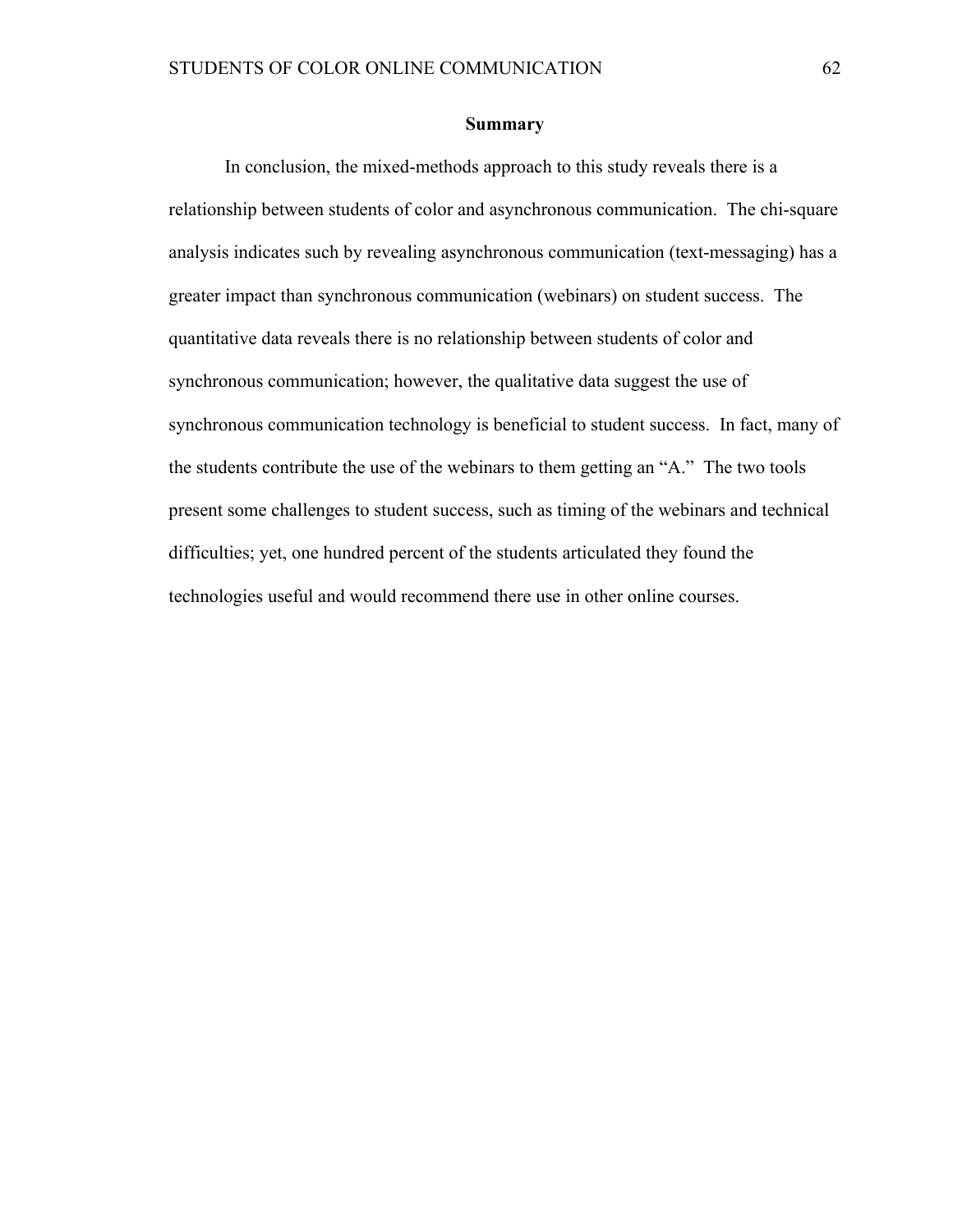#### **Summary**

In conclusion, the mixed-methods approach to this study reveals there is a relationship between students of color and asynchronous communication. The chi-square analysis indicates such by revealing asynchronous communication (text-messaging) has a greater impact than synchronous communication (webinars) on student success. The quantitative data reveals there is no relationship between students of color and synchronous communication; however, the qualitative data suggest the use of synchronous communication technology is beneficial to student success. In fact, many of the students contribute the use of the webinars to them getting an "A." The two tools present some challenges to student success, such as timing of the webinars and technical difficulties; yet, one hundred percent of the students articulated they found the technologies useful and would recommend there use in other online courses.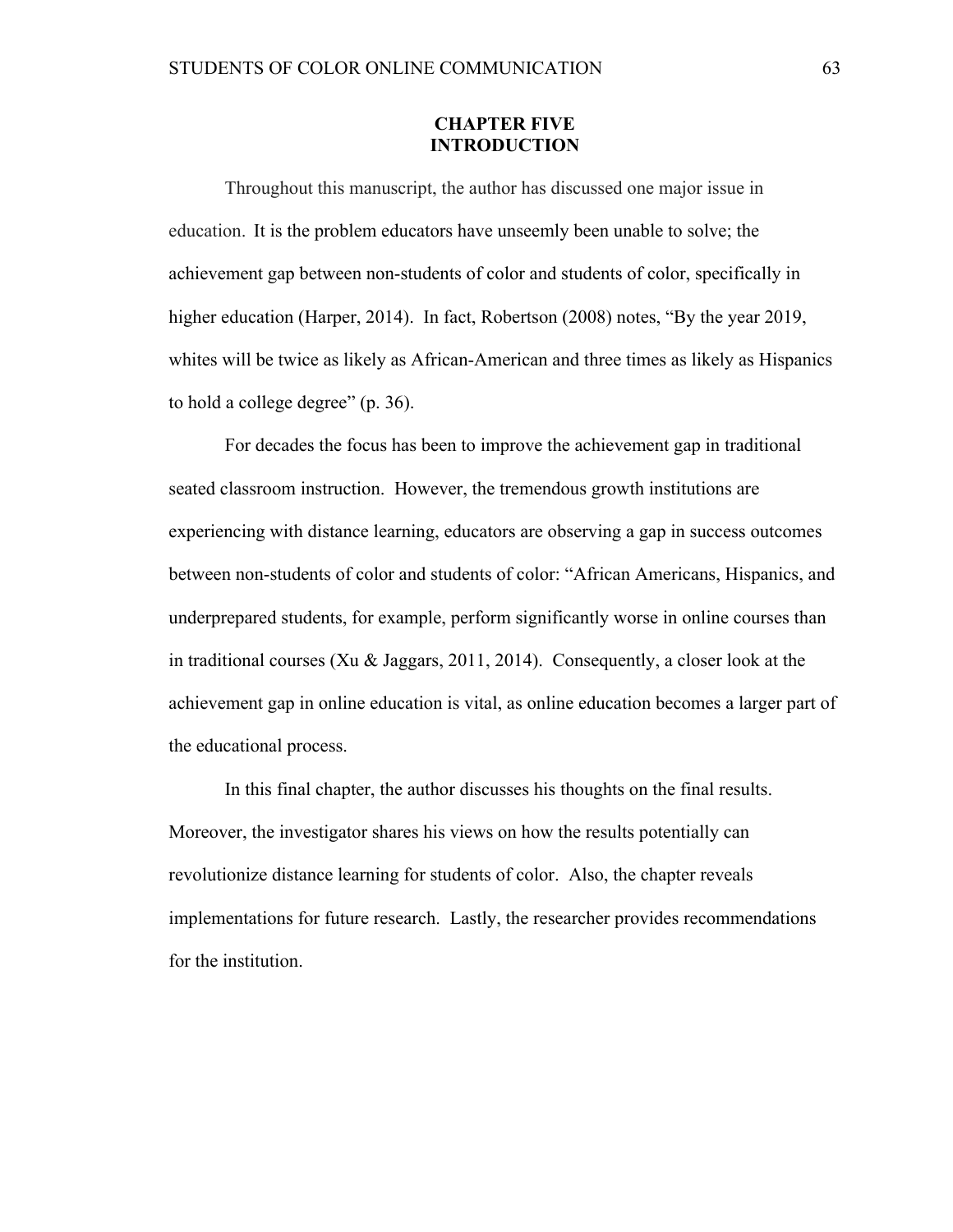#### **CHAPTER FIVE INTRODUCTION**

Throughout this manuscript, the author has discussed one major issue in education. It is the problem educators have unseemly been unable to solve; the achievement gap between non-students of color and students of color, specifically in higher education (Harper, 2014). In fact, Robertson (2008) notes, "By the year 2019, whites will be twice as likely as African-American and three times as likely as Hispanics to hold a college degree" (p. 36).

For decades the focus has been to improve the achievement gap in traditional seated classroom instruction. However, the tremendous growth institutions are experiencing with distance learning, educators are observing a gap in success outcomes between non-students of color and students of color: "African Americans, Hispanics, and underprepared students, for example, perform significantly worse in online courses than in traditional courses (Xu & Jaggars, 2011, 2014). Consequently, a closer look at the achievement gap in online education is vital, as online education becomes a larger part of the educational process.

In this final chapter, the author discusses his thoughts on the final results. Moreover, the investigator shares his views on how the results potentially can revolutionize distance learning for students of color. Also, the chapter reveals implementations for future research. Lastly, the researcher provides recommendations for the institution.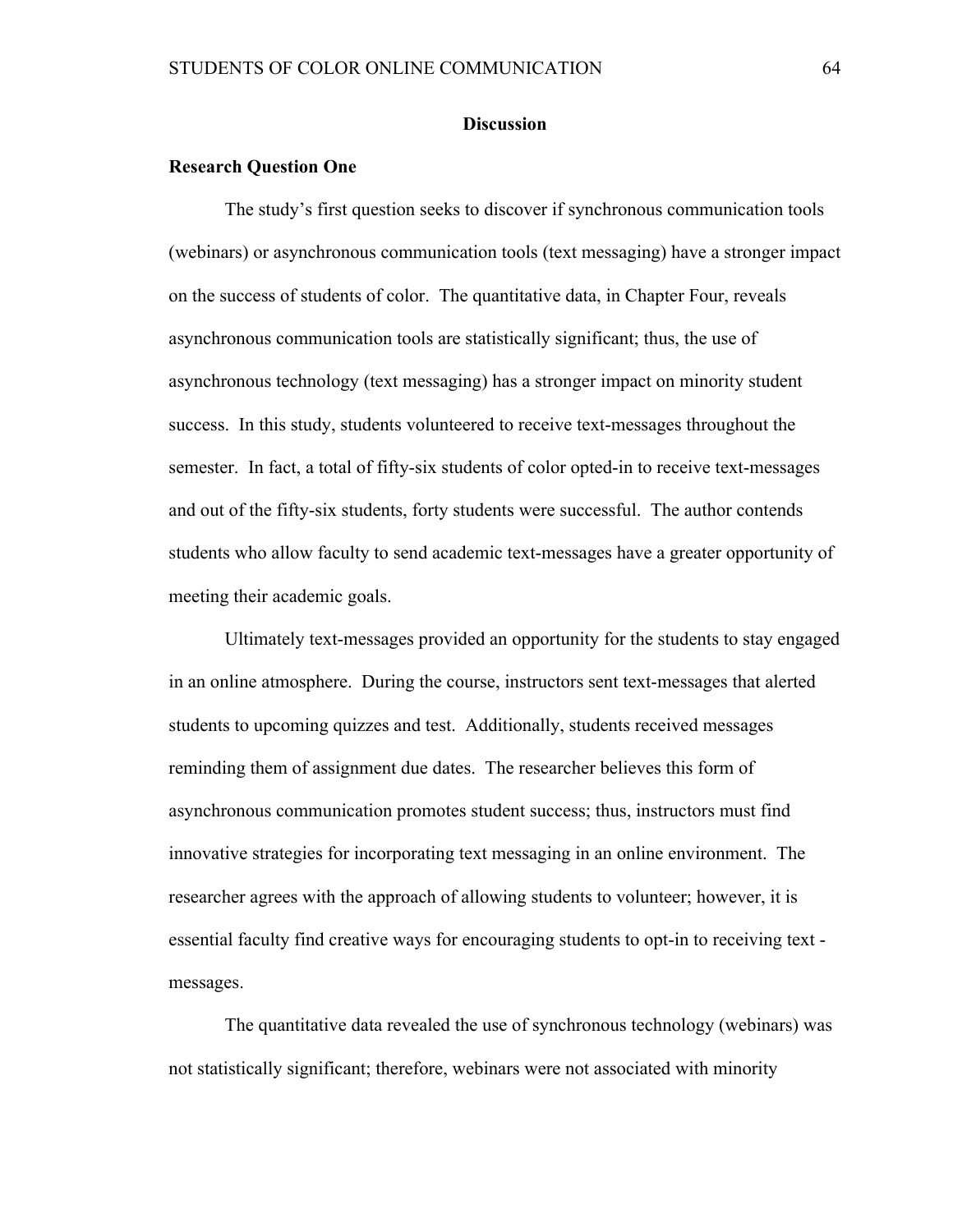#### **Discussion**

#### **Research Question One**

The study's first question seeks to discover if synchronous communication tools (webinars) or asynchronous communication tools (text messaging) have a stronger impact on the success of students of color. The quantitative data, in Chapter Four, reveals asynchronous communication tools are statistically significant; thus, the use of asynchronous technology (text messaging) has a stronger impact on minority student success. In this study, students volunteered to receive text-messages throughout the semester. In fact, a total of fifty-six students of color opted-in to receive text-messages and out of the fifty-six students, forty students were successful. The author contends students who allow faculty to send academic text-messages have a greater opportunity of meeting their academic goals.

Ultimately text-messages provided an opportunity for the students to stay engaged in an online atmosphere. During the course, instructors sent text-messages that alerted students to upcoming quizzes and test. Additionally, students received messages reminding them of assignment due dates. The researcher believes this form of asynchronous communication promotes student success; thus, instructors must find innovative strategies for incorporating text messaging in an online environment. The researcher agrees with the approach of allowing students to volunteer; however, it is essential faculty find creative ways for encouraging students to opt-in to receiving text messages.

The quantitative data revealed the use of synchronous technology (webinars) was not statistically significant; therefore, webinars were not associated with minority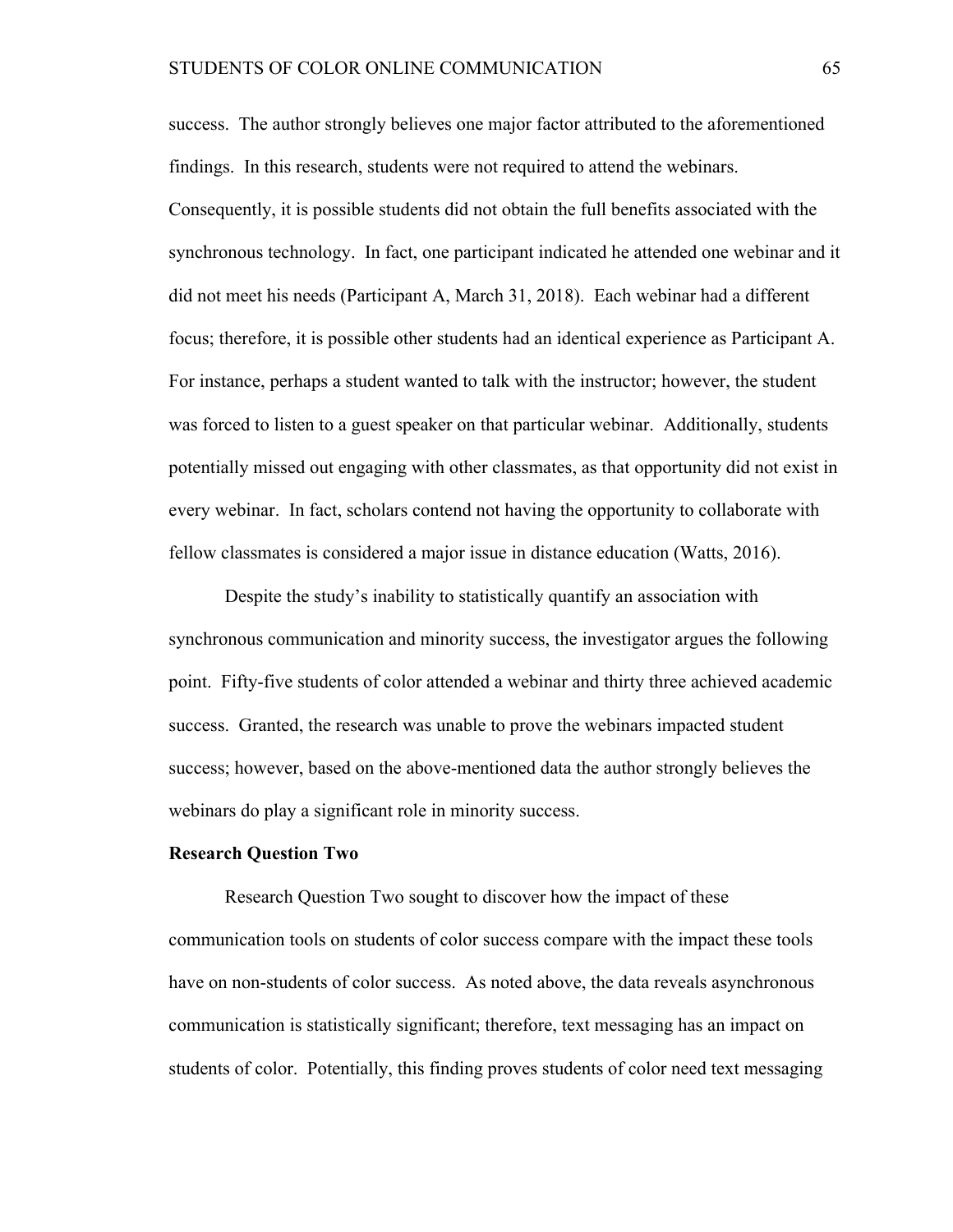success. The author strongly believes one major factor attributed to the aforementioned findings. In this research, students were not required to attend the webinars. Consequently, it is possible students did not obtain the full benefits associated with the synchronous technology. In fact, one participant indicated he attended one webinar and it did not meet his needs (Participant A, March 31, 2018). Each webinar had a different focus; therefore, it is possible other students had an identical experience as Participant A. For instance, perhaps a student wanted to talk with the instructor; however, the student was forced to listen to a guest speaker on that particular webinar. Additionally, students potentially missed out engaging with other classmates, as that opportunity did not exist in every webinar. In fact, scholars contend not having the opportunity to collaborate with fellow classmates is considered a major issue in distance education (Watts, 2016).

Despite the study's inability to statistically quantify an association with synchronous communication and minority success, the investigator argues the following point. Fifty-five students of color attended a webinar and thirty three achieved academic success. Granted, the research was unable to prove the webinars impacted student success; however, based on the above-mentioned data the author strongly believes the webinars do play a significant role in minority success.

#### **Research Question Two**

Research Question Two sought to discover how the impact of these communication tools on students of color success compare with the impact these tools have on non-students of color success. As noted above, the data reveals asynchronous communication is statistically significant; therefore, text messaging has an impact on students of color. Potentially, this finding proves students of color need text messaging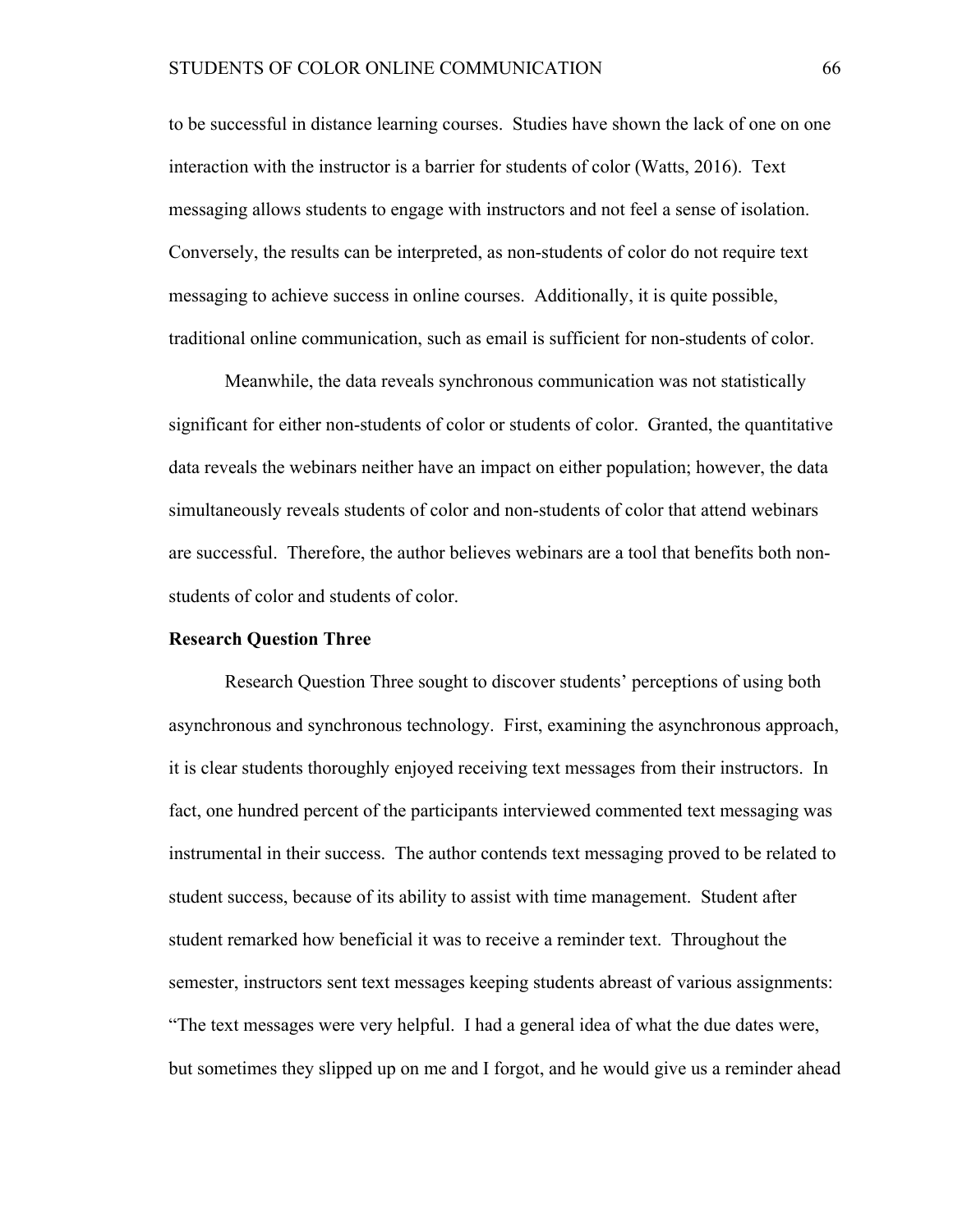to be successful in distance learning courses. Studies have shown the lack of one on one interaction with the instructor is a barrier for students of color (Watts, 2016). Text messaging allows students to engage with instructors and not feel a sense of isolation. Conversely, the results can be interpreted, as non-students of color do not require text messaging to achieve success in online courses. Additionally, it is quite possible, traditional online communication, such as email is sufficient for non-students of color.

Meanwhile, the data reveals synchronous communication was not statistically significant for either non-students of color or students of color. Granted, the quantitative data reveals the webinars neither have an impact on either population; however, the data simultaneously reveals students of color and non-students of color that attend webinars are successful. Therefore, the author believes webinars are a tool that benefits both nonstudents of color and students of color.

#### **Research Question Three**

Research Question Three sought to discover students' perceptions of using both asynchronous and synchronous technology. First, examining the asynchronous approach, it is clear students thoroughly enjoyed receiving text messages from their instructors. In fact, one hundred percent of the participants interviewed commented text messaging was instrumental in their success. The author contends text messaging proved to be related to student success, because of its ability to assist with time management. Student after student remarked how beneficial it was to receive a reminder text. Throughout the semester, instructors sent text messages keeping students abreast of various assignments: "The text messages were very helpful. I had a general idea of what the due dates were, but sometimes they slipped up on me and I forgot, and he would give us a reminder ahead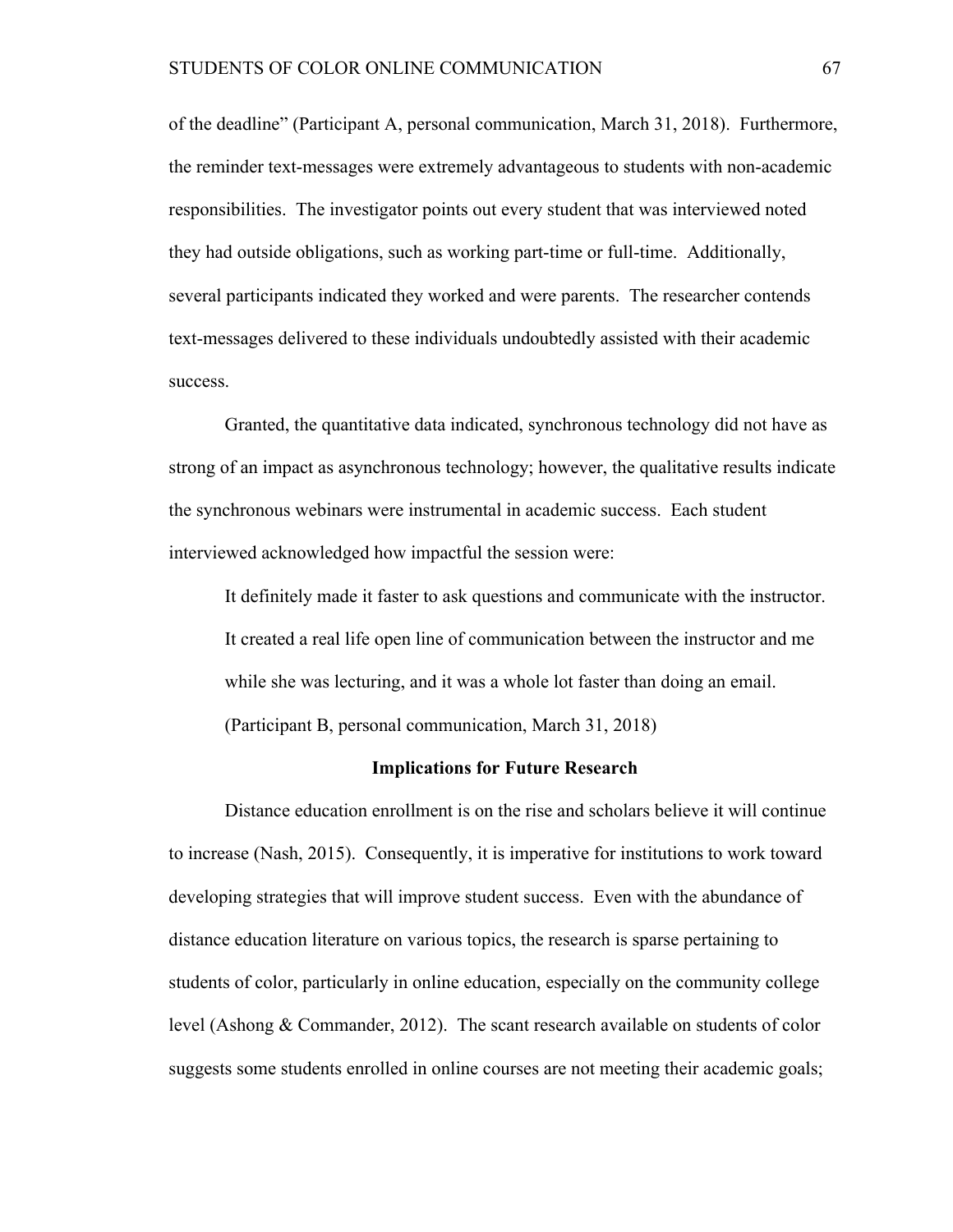of the deadline" (Participant A, personal communication, March 31, 2018). Furthermore, the reminder text-messages were extremely advantageous to students with non-academic responsibilities. The investigator points out every student that was interviewed noted they had outside obligations, such as working part-time or full-time. Additionally, several participants indicated they worked and were parents. The researcher contends text-messages delivered to these individuals undoubtedly assisted with their academic success.

Granted, the quantitative data indicated, synchronous technology did not have as strong of an impact as asynchronous technology; however, the qualitative results indicate the synchronous webinars were instrumental in academic success. Each student interviewed acknowledged how impactful the session were:

It definitely made it faster to ask questions and communicate with the instructor. It created a real life open line of communication between the instructor and me while she was lecturing, and it was a whole lot faster than doing an email. (Participant B, personal communication, March 31, 2018)

#### **Implications for Future Research**

Distance education enrollment is on the rise and scholars believe it will continue to increase (Nash, 2015). Consequently, it is imperative for institutions to work toward developing strategies that will improve student success. Even with the abundance of distance education literature on various topics, the research is sparse pertaining to students of color, particularly in online education, especially on the community college level (Ashong & Commander, 2012). The scant research available on students of color suggests some students enrolled in online courses are not meeting their academic goals;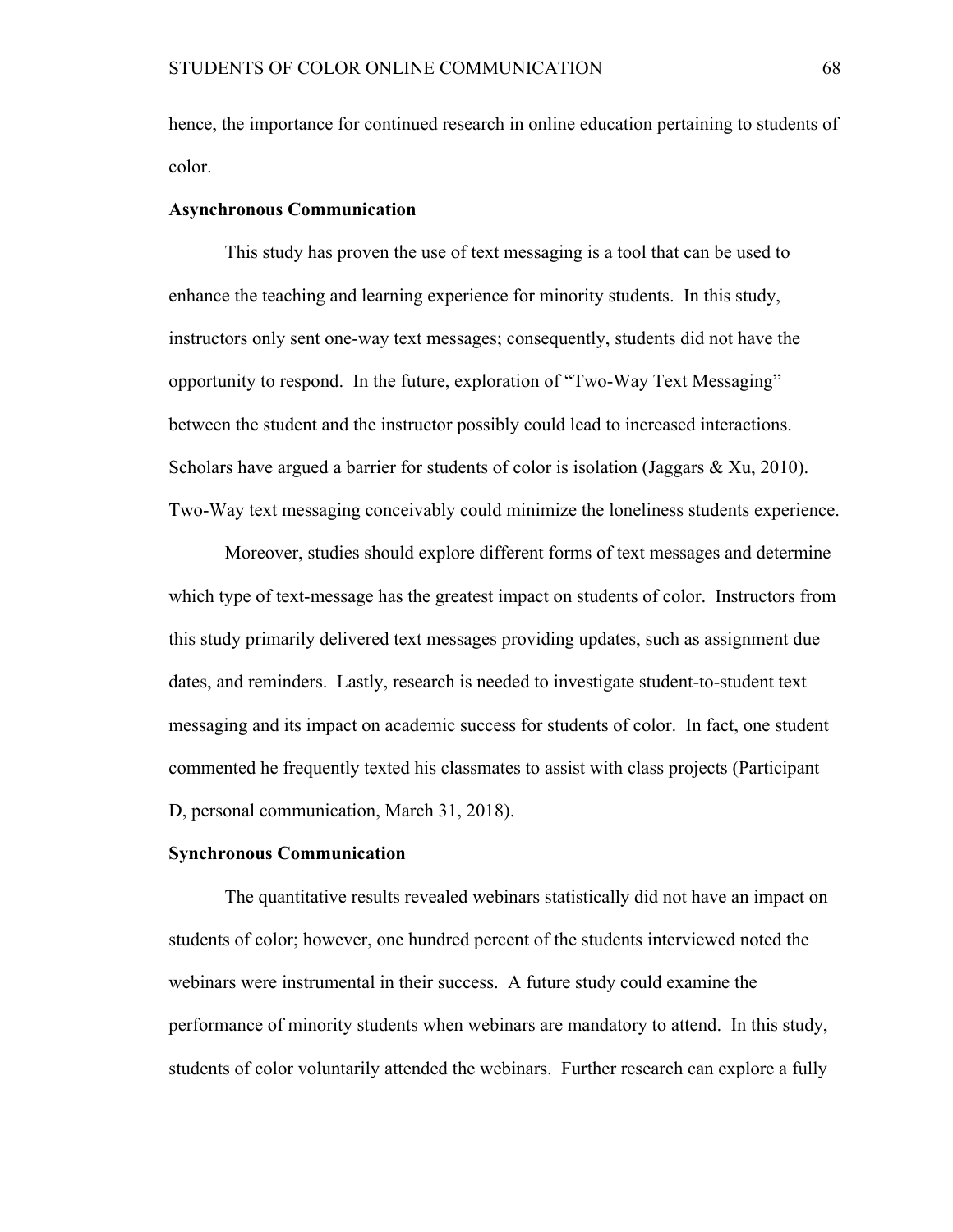hence, the importance for continued research in online education pertaining to students of color.

#### **Asynchronous Communication**

This study has proven the use of text messaging is a tool that can be used to enhance the teaching and learning experience for minority students. In this study, instructors only sent one-way text messages; consequently, students did not have the opportunity to respond. In the future, exploration of "Two-Way Text Messaging" between the student and the instructor possibly could lead to increased interactions. Scholars have argued a barrier for students of color is isolation (Jaggars & Xu, 2010). Two-Way text messaging conceivably could minimize the loneliness students experience.

Moreover, studies should explore different forms of text messages and determine which type of text-message has the greatest impact on students of color. Instructors from this study primarily delivered text messages providing updates, such as assignment due dates, and reminders. Lastly, research is needed to investigate student-to-student text messaging and its impact on academic success for students of color. In fact, one student commented he frequently texted his classmates to assist with class projects (Participant D, personal communication, March 31, 2018).

#### **Synchronous Communication**

The quantitative results revealed webinars statistically did not have an impact on students of color; however, one hundred percent of the students interviewed noted the webinars were instrumental in their success. A future study could examine the performance of minority students when webinars are mandatory to attend. In this study, students of color voluntarily attended the webinars. Further research can explore a fully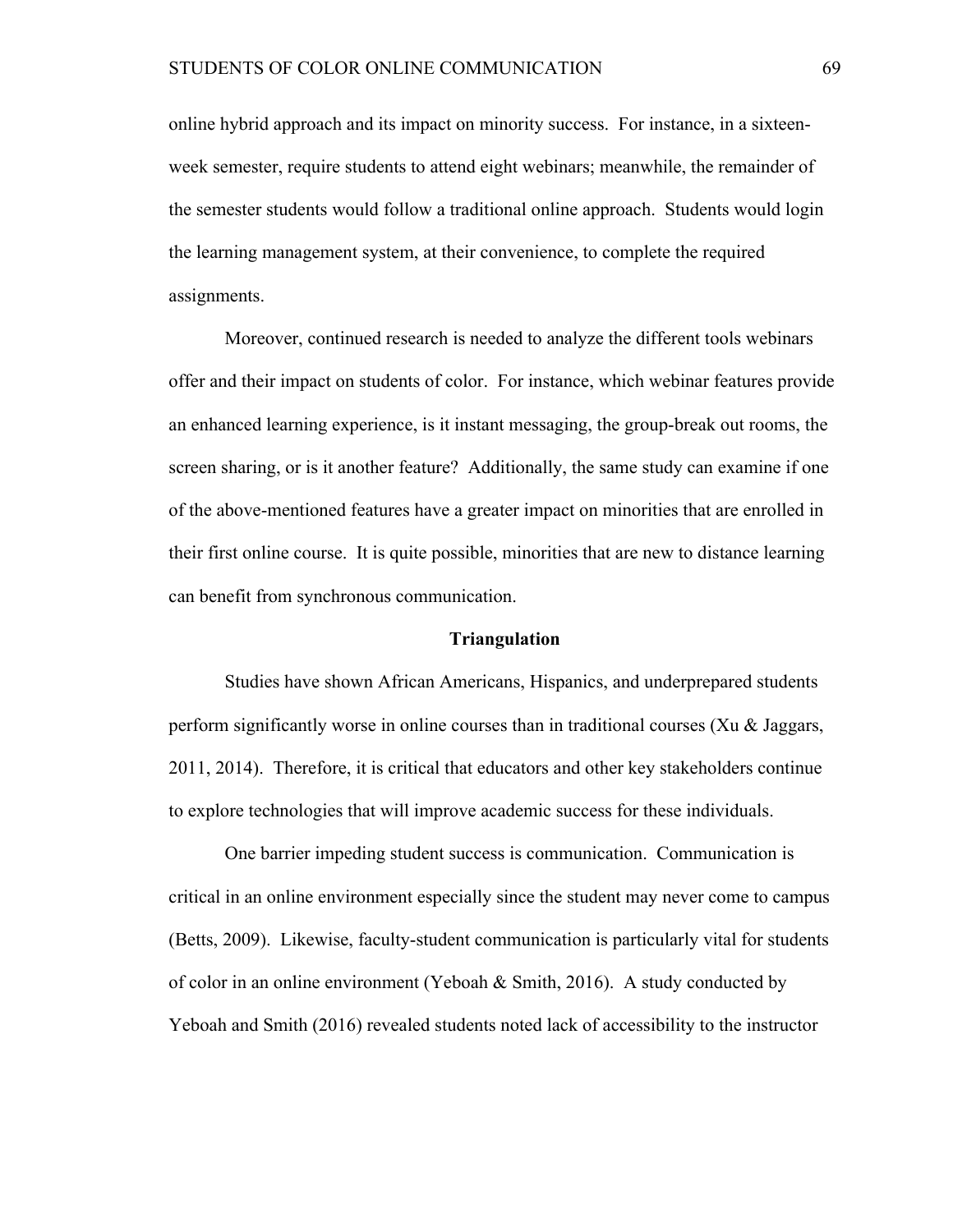online hybrid approach and its impact on minority success. For instance, in a sixteenweek semester, require students to attend eight webinars; meanwhile, the remainder of the semester students would follow a traditional online approach. Students would login the learning management system, at their convenience, to complete the required assignments.

Moreover, continued research is needed to analyze the different tools webinars offer and their impact on students of color. For instance, which webinar features provide an enhanced learning experience, is it instant messaging, the group-break out rooms, the screen sharing, or is it another feature? Additionally, the same study can examine if one of the above-mentioned features have a greater impact on minorities that are enrolled in their first online course. It is quite possible, minorities that are new to distance learning can benefit from synchronous communication.

#### **Triangulation**

Studies have shown African Americans, Hispanics, and underprepared students perform significantly worse in online courses than in traditional courses (Xu  $\&$  Jaggars, 2011, 2014). Therefore, it is critical that educators and other key stakeholders continue to explore technologies that will improve academic success for these individuals.

One barrier impeding student success is communication. Communication is critical in an online environment especially since the student may never come to campus (Betts, 2009). Likewise, faculty-student communication is particularly vital for students of color in an online environment (Yeboah  $\&$  Smith, 2016). A study conducted by Yeboah and Smith (2016) revealed students noted lack of accessibility to the instructor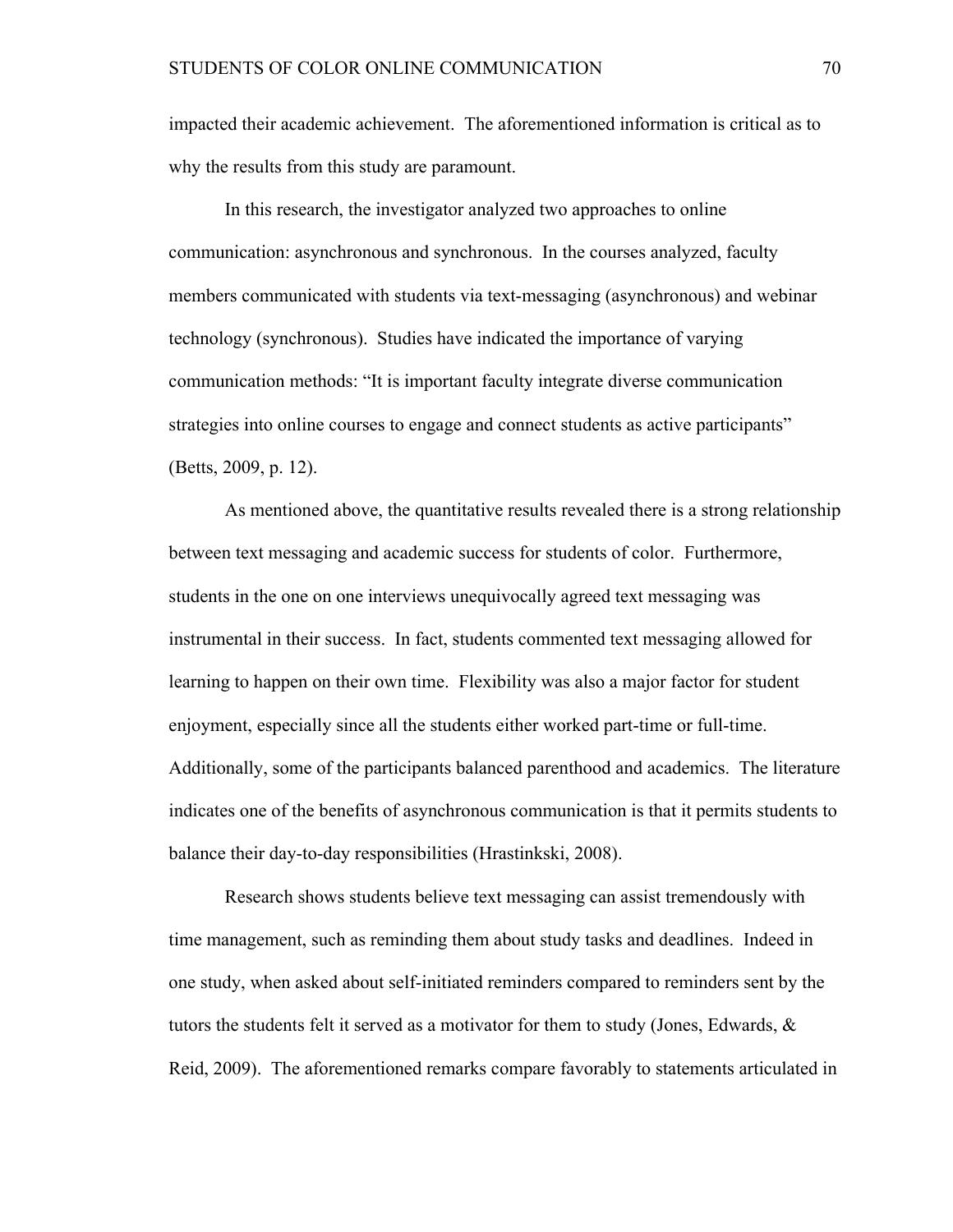impacted their academic achievement. The aforementioned information is critical as to why the results from this study are paramount.

In this research, the investigator analyzed two approaches to online communication: asynchronous and synchronous. In the courses analyzed, faculty members communicated with students via text-messaging (asynchronous) and webinar technology (synchronous). Studies have indicated the importance of varying communication methods: "It is important faculty integrate diverse communication strategies into online courses to engage and connect students as active participants" (Betts, 2009, p. 12).

As mentioned above, the quantitative results revealed there is a strong relationship between text messaging and academic success for students of color. Furthermore, students in the one on one interviews unequivocally agreed text messaging was instrumental in their success. In fact, students commented text messaging allowed for learning to happen on their own time. Flexibility was also a major factor for student enjoyment, especially since all the students either worked part-time or full-time. Additionally, some of the participants balanced parenthood and academics. The literature indicates one of the benefits of asynchronous communication is that it permits students to balance their day-to-day responsibilities (Hrastinkski, 2008).

Research shows students believe text messaging can assist tremendously with time management, such as reminding them about study tasks and deadlines. Indeed in one study, when asked about self-initiated reminders compared to reminders sent by the tutors the students felt it served as a motivator for them to study (Jones, Edwards, & Reid, 2009). The aforementioned remarks compare favorably to statements articulated in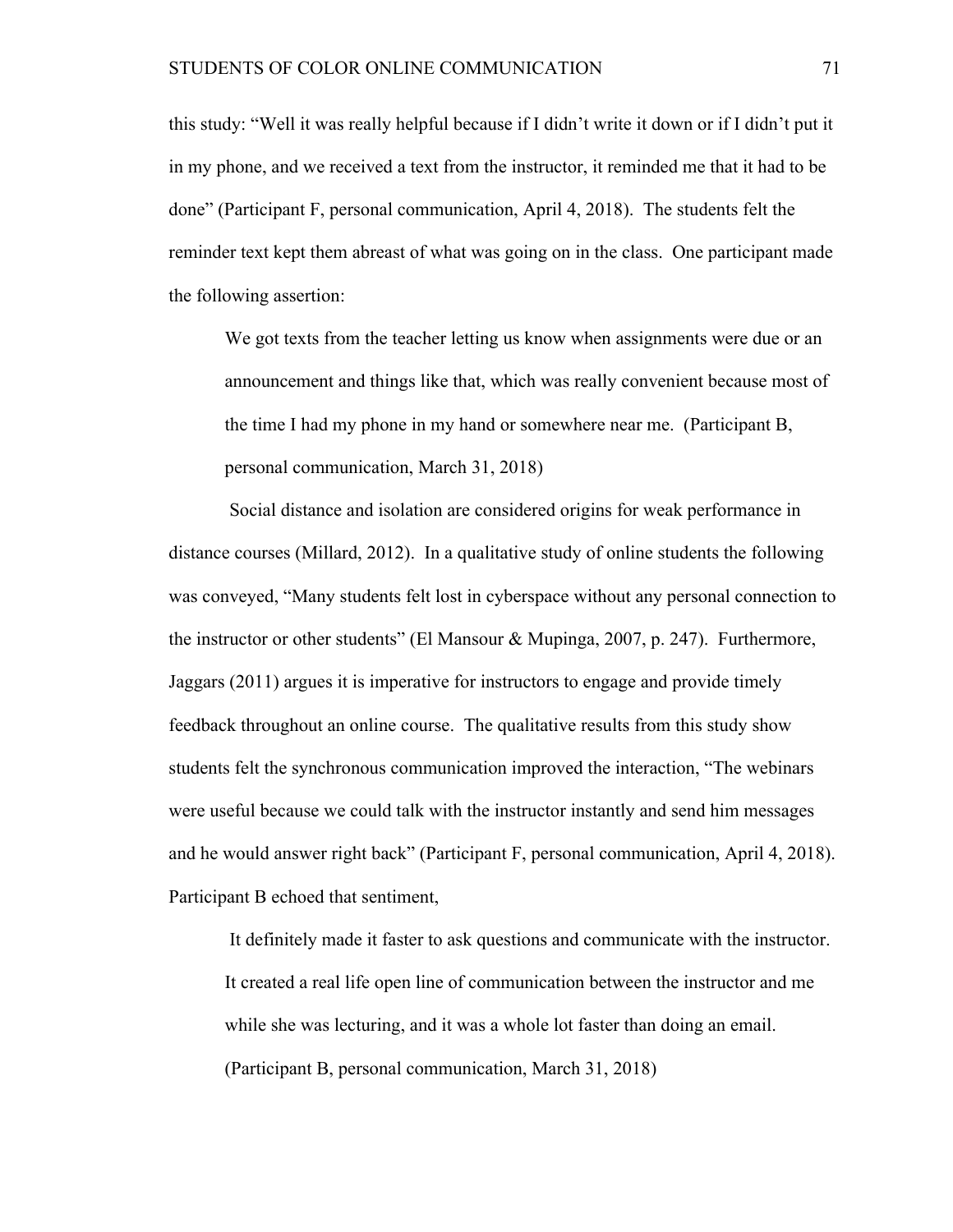this study: "Well it was really helpful because if I didn't write it down or if I didn't put it in my phone, and we received a text from the instructor, it reminded me that it had to be done" (Participant F, personal communication, April 4, 2018). The students felt the reminder text kept them abreast of what was going on in the class. One participant made the following assertion:

We got texts from the teacher letting us know when assignments were due or an announcement and things like that, which was really convenient because most of the time I had my phone in my hand or somewhere near me. (Participant B, personal communication, March 31, 2018)

Social distance and isolation are considered origins for weak performance in distance courses (Millard, 2012). In a qualitative study of online students the following was conveyed, "Many students felt lost in cyberspace without any personal connection to the instructor or other students" (El Mansour & Mupinga, 2007, p. 247). Furthermore, Jaggars (2011) argues it is imperative for instructors to engage and provide timely feedback throughout an online course. The qualitative results from this study show students felt the synchronous communication improved the interaction, "The webinars were useful because we could talk with the instructor instantly and send him messages and he would answer right back" (Participant F, personal communication, April 4, 2018). Participant B echoed that sentiment,

It definitely made it faster to ask questions and communicate with the instructor. It created a real life open line of communication between the instructor and me while she was lecturing, and it was a whole lot faster than doing an email. (Participant B, personal communication, March 31, 2018)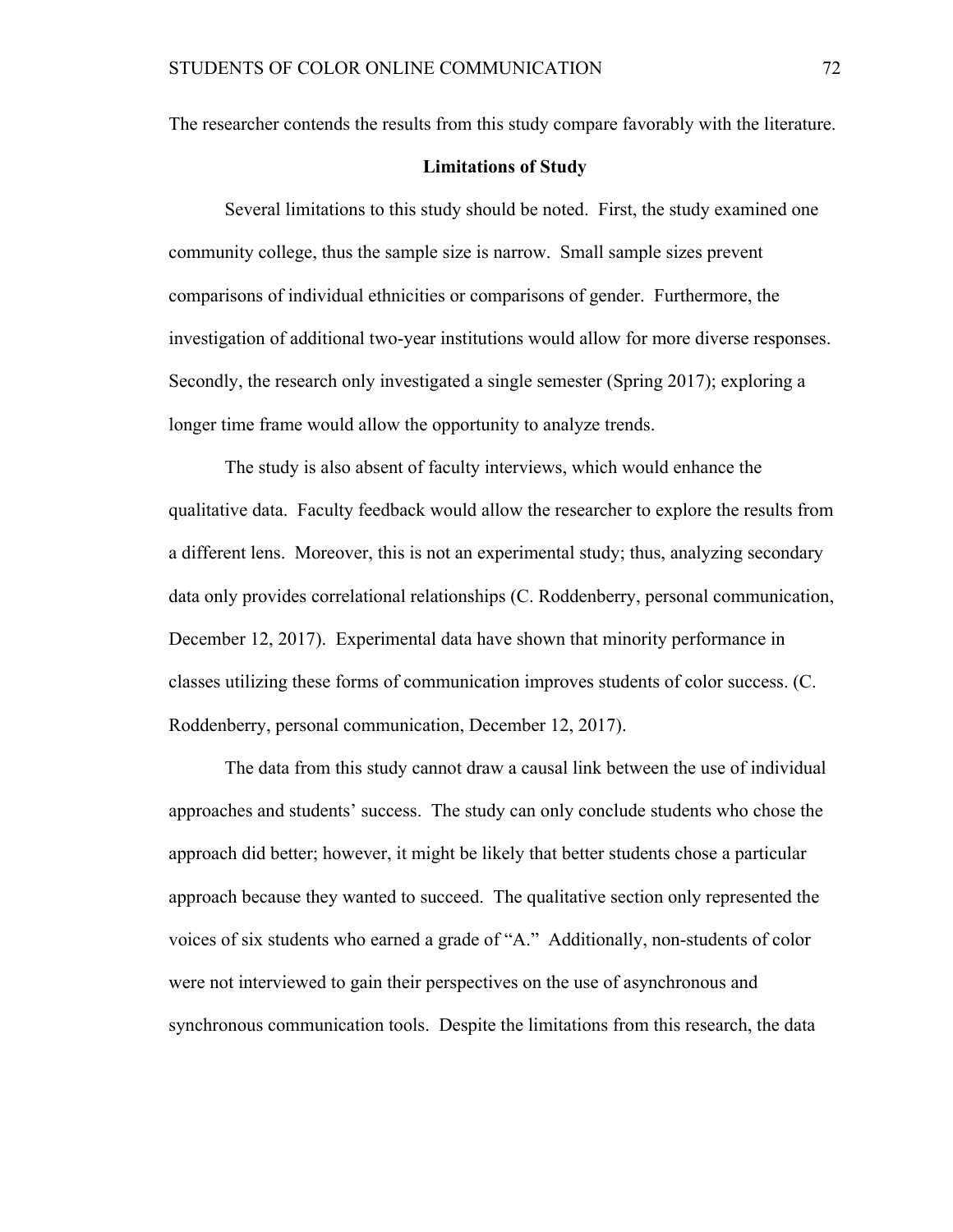The researcher contends the results from this study compare favorably with the literature.

#### **Limitations of Study**

Several limitations to this study should be noted. First, the study examined one community college, thus the sample size is narrow. Small sample sizes prevent comparisons of individual ethnicities or comparisons of gender. Furthermore, the investigation of additional two-year institutions would allow for more diverse responses. Secondly, the research only investigated a single semester (Spring 2017); exploring a longer time frame would allow the opportunity to analyze trends.

The study is also absent of faculty interviews, which would enhance the qualitative data. Faculty feedback would allow the researcher to explore the results from a different lens. Moreover, this is not an experimental study; thus, analyzing secondary data only provides correlational relationships (C. Roddenberry, personal communication, December 12, 2017). Experimental data have shown that minority performance in classes utilizing these forms of communication improves students of color success. (C. Roddenberry, personal communication, December 12, 2017).

The data from this study cannot draw a causal link between the use of individual approaches and students' success. The study can only conclude students who chose the approach did better; however, it might be likely that better students chose a particular approach because they wanted to succeed. The qualitative section only represented the voices of six students who earned a grade of "A." Additionally, non-students of color were not interviewed to gain their perspectives on the use of asynchronous and synchronous communication tools. Despite the limitations from this research, the data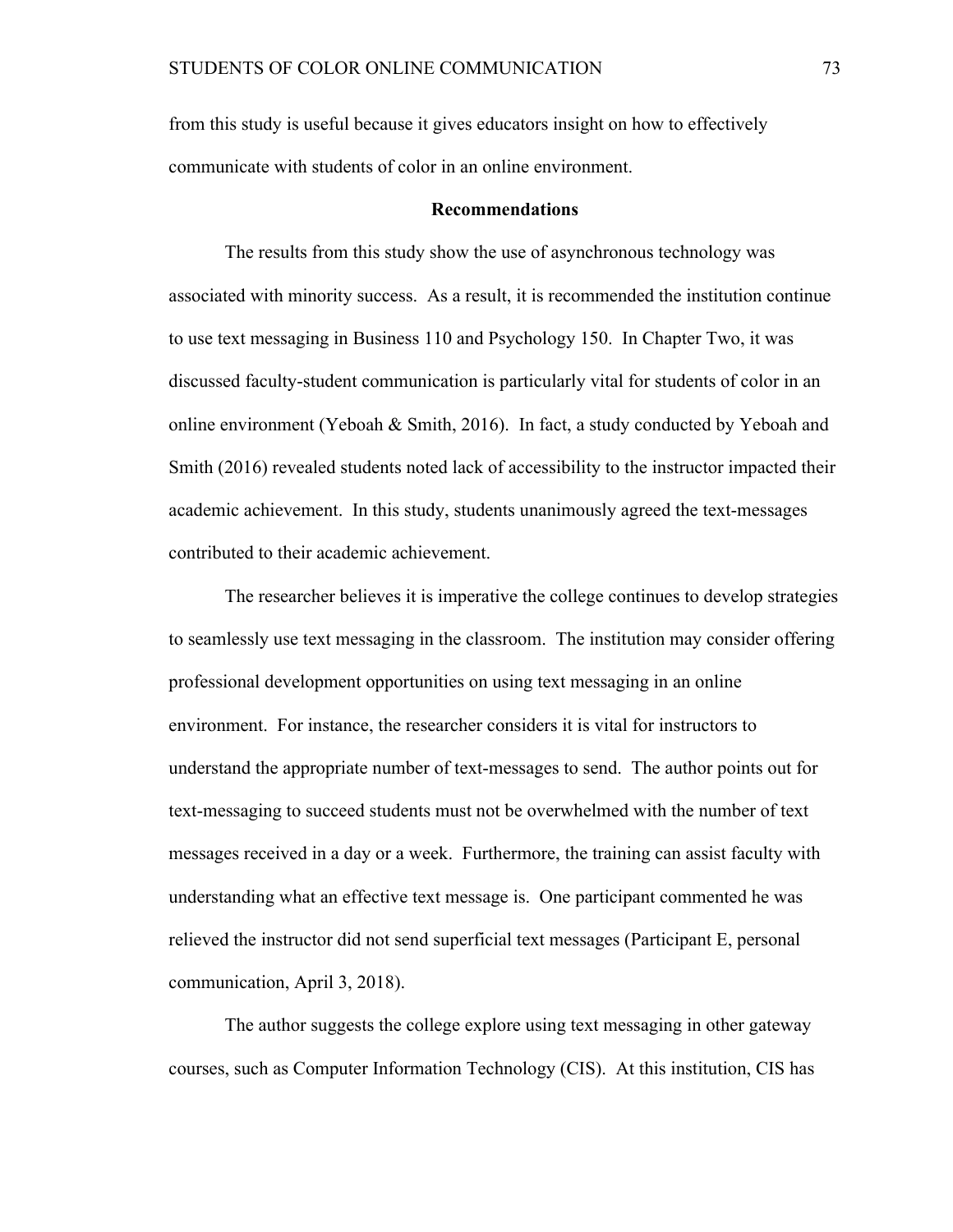from this study is useful because it gives educators insight on how to effectively communicate with students of color in an online environment.

#### **Recommendations**

The results from this study show the use of asynchronous technology was associated with minority success. As a result, it is recommended the institution continue to use text messaging in Business 110 and Psychology 150. In Chapter Two, it was discussed faculty-student communication is particularly vital for students of color in an online environment (Yeboah & Smith, 2016). In fact, a study conducted by Yeboah and Smith (2016) revealed students noted lack of accessibility to the instructor impacted their academic achievement. In this study, students unanimously agreed the text-messages contributed to their academic achievement.

The researcher believes it is imperative the college continues to develop strategies to seamlessly use text messaging in the classroom. The institution may consider offering professional development opportunities on using text messaging in an online environment. For instance, the researcher considers it is vital for instructors to understand the appropriate number of text-messages to send. The author points out for text-messaging to succeed students must not be overwhelmed with the number of text messages received in a day or a week. Furthermore, the training can assist faculty with understanding what an effective text message is. One participant commented he was relieved the instructor did not send superficial text messages (Participant E, personal communication, April 3, 2018).

The author suggests the college explore using text messaging in other gateway courses, such as Computer Information Technology (CIS). At this institution, CIS has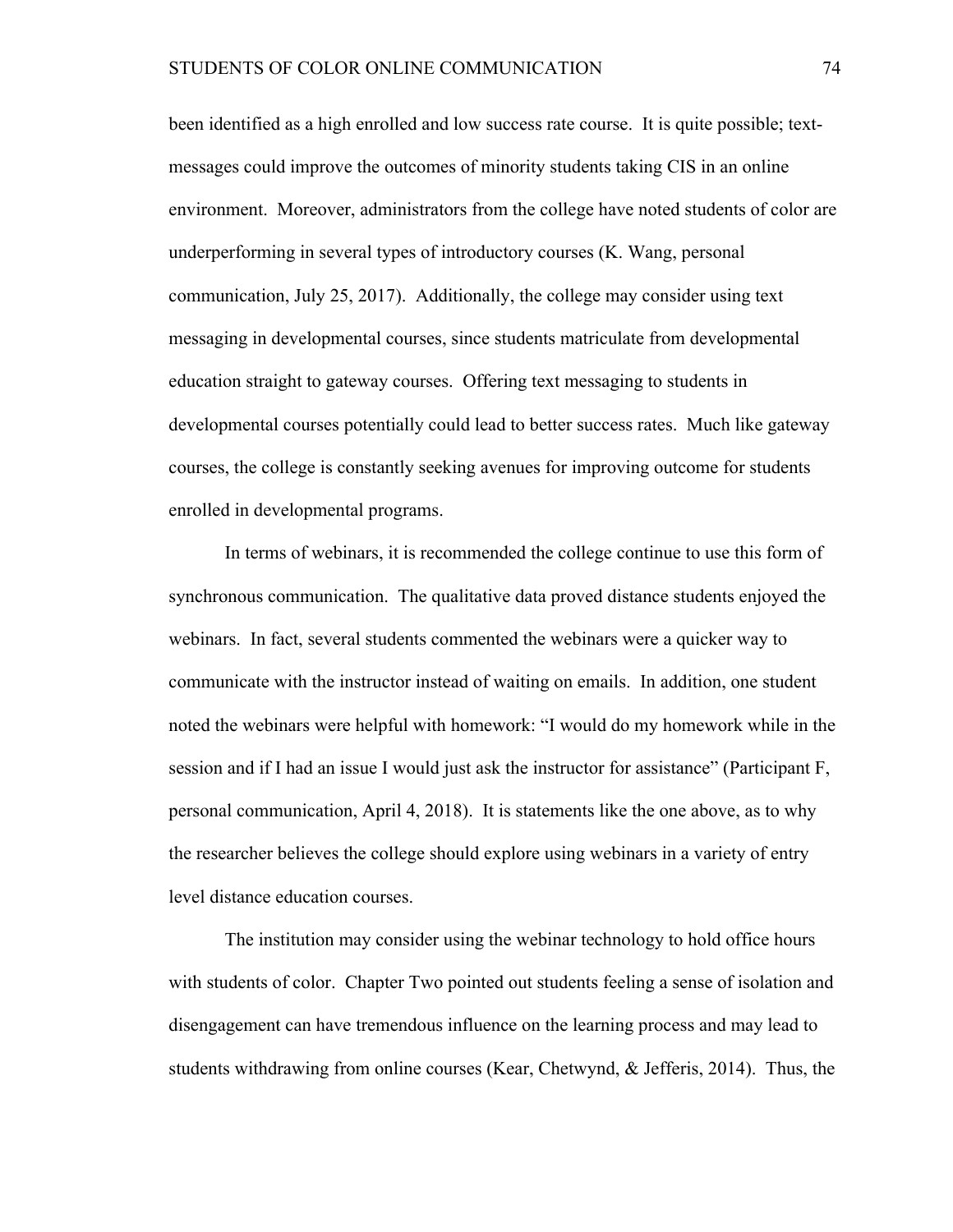been identified as a high enrolled and low success rate course. It is quite possible; textmessages could improve the outcomes of minority students taking CIS in an online environment. Moreover, administrators from the college have noted students of color are underperforming in several types of introductory courses (K. Wang, personal communication, July 25, 2017). Additionally, the college may consider using text messaging in developmental courses, since students matriculate from developmental education straight to gateway courses. Offering text messaging to students in developmental courses potentially could lead to better success rates. Much like gateway courses, the college is constantly seeking avenues for improving outcome for students enrolled in developmental programs.

In terms of webinars, it is recommended the college continue to use this form of synchronous communication. The qualitative data proved distance students enjoyed the webinars. In fact, several students commented the webinars were a quicker way to communicate with the instructor instead of waiting on emails. In addition, one student noted the webinars were helpful with homework: "I would do my homework while in the session and if I had an issue I would just ask the instructor for assistance" (Participant F, personal communication, April 4, 2018). It is statements like the one above, as to why the researcher believes the college should explore using webinars in a variety of entry level distance education courses.

The institution may consider using the webinar technology to hold office hours with students of color. Chapter Two pointed out students feeling a sense of isolation and disengagement can have tremendous influence on the learning process and may lead to students withdrawing from online courses (Kear, Chetwynd, & Jefferis, 2014). Thus, the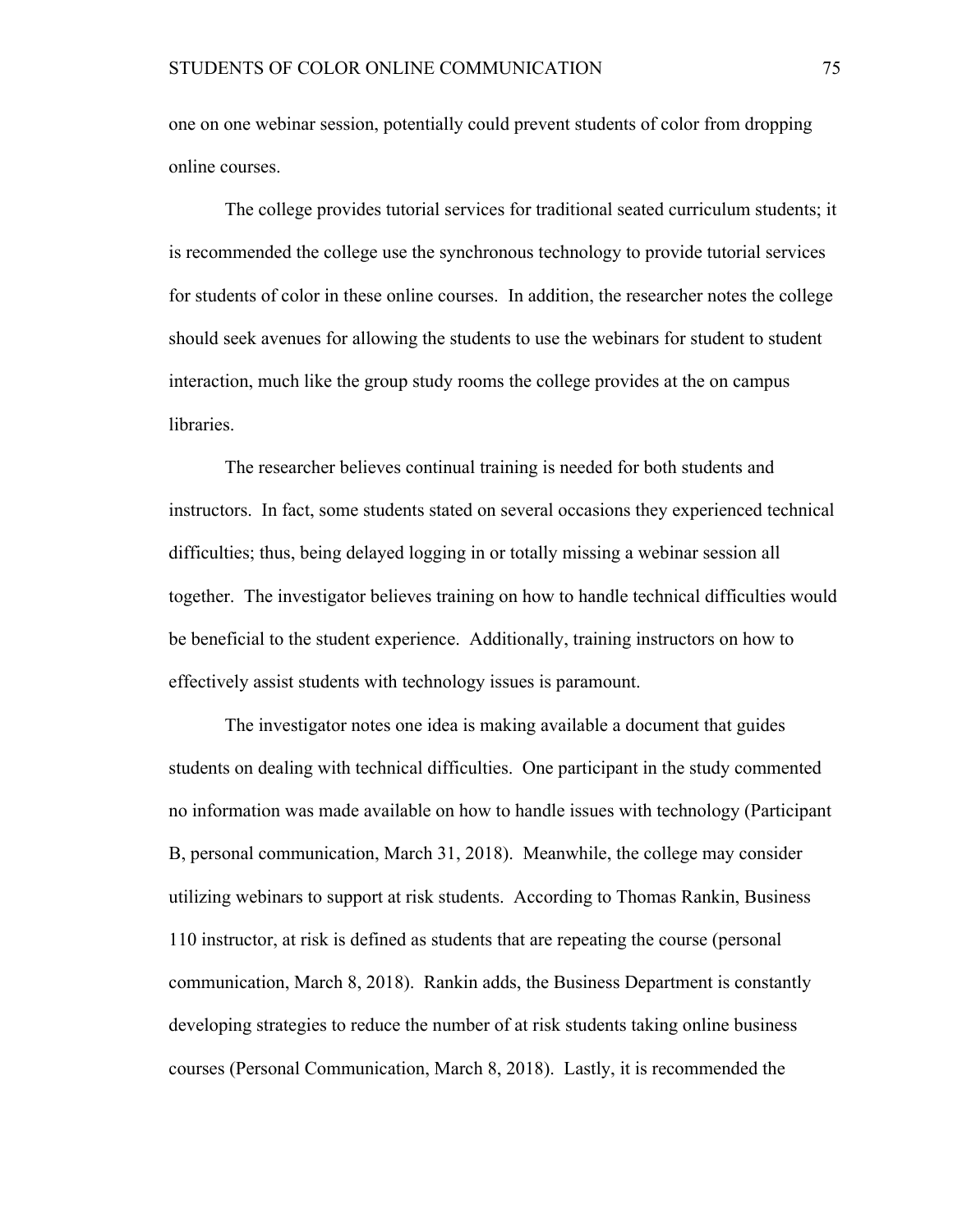one on one webinar session, potentially could prevent students of color from dropping online courses.

The college provides tutorial services for traditional seated curriculum students; it is recommended the college use the synchronous technology to provide tutorial services for students of color in these online courses. In addition, the researcher notes the college should seek avenues for allowing the students to use the webinars for student to student interaction, much like the group study rooms the college provides at the on campus libraries.

The researcher believes continual training is needed for both students and instructors. In fact, some students stated on several occasions they experienced technical difficulties; thus, being delayed logging in or totally missing a webinar session all together. The investigator believes training on how to handle technical difficulties would be beneficial to the student experience. Additionally, training instructors on how to effectively assist students with technology issues is paramount.

The investigator notes one idea is making available a document that guides students on dealing with technical difficulties. One participant in the study commented no information was made available on how to handle issues with technology (Participant B, personal communication, March 31, 2018). Meanwhile, the college may consider utilizing webinars to support at risk students. According to Thomas Rankin, Business 110 instructor, at risk is defined as students that are repeating the course (personal communication, March 8, 2018). Rankin adds, the Business Department is constantly developing strategies to reduce the number of at risk students taking online business courses (Personal Communication, March 8, 2018). Lastly, it is recommended the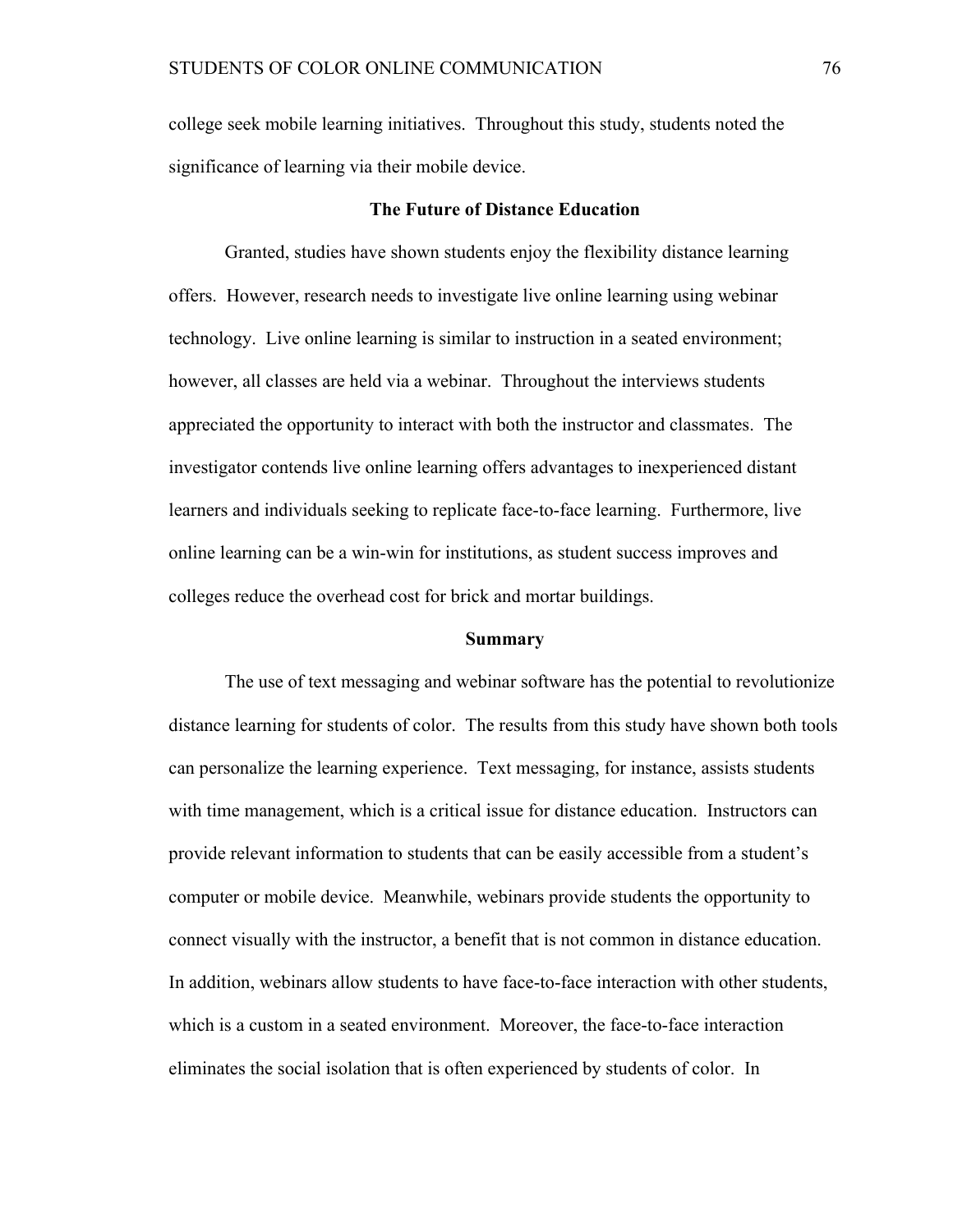college seek mobile learning initiatives. Throughout this study, students noted the significance of learning via their mobile device.

#### **The Future of Distance Education**

Granted, studies have shown students enjoy the flexibility distance learning offers. However, research needs to investigate live online learning using webinar technology. Live online learning is similar to instruction in a seated environment; however, all classes are held via a webinar. Throughout the interviews students appreciated the opportunity to interact with both the instructor and classmates. The investigator contends live online learning offers advantages to inexperienced distant learners and individuals seeking to replicate face-to-face learning. Furthermore, live online learning can be a win-win for institutions, as student success improves and colleges reduce the overhead cost for brick and mortar buildings.

#### **Summary**

The use of text messaging and webinar software has the potential to revolutionize distance learning for students of color. The results from this study have shown both tools can personalize the learning experience. Text messaging, for instance, assists students with time management, which is a critical issue for distance education. Instructors can provide relevant information to students that can be easily accessible from a student's computer or mobile device. Meanwhile, webinars provide students the opportunity to connect visually with the instructor, a benefit that is not common in distance education. In addition, webinars allow students to have face-to-face interaction with other students, which is a custom in a seated environment. Moreover, the face-to-face interaction eliminates the social isolation that is often experienced by students of color. In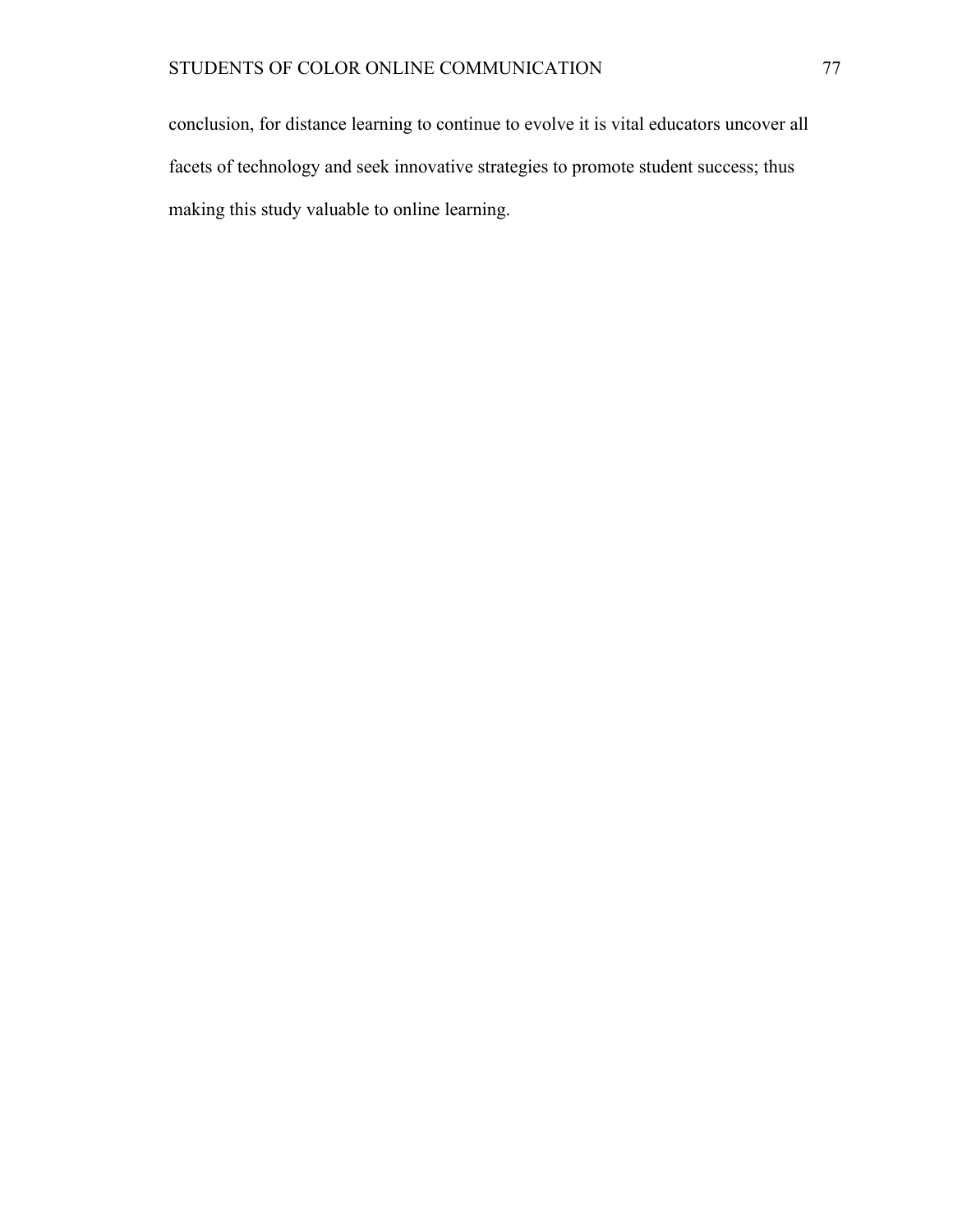conclusion, for distance learning to continue to evolve it is vital educators uncover all facets of technology and seek innovative strategies to promote student success; thus making this study valuable to online learning.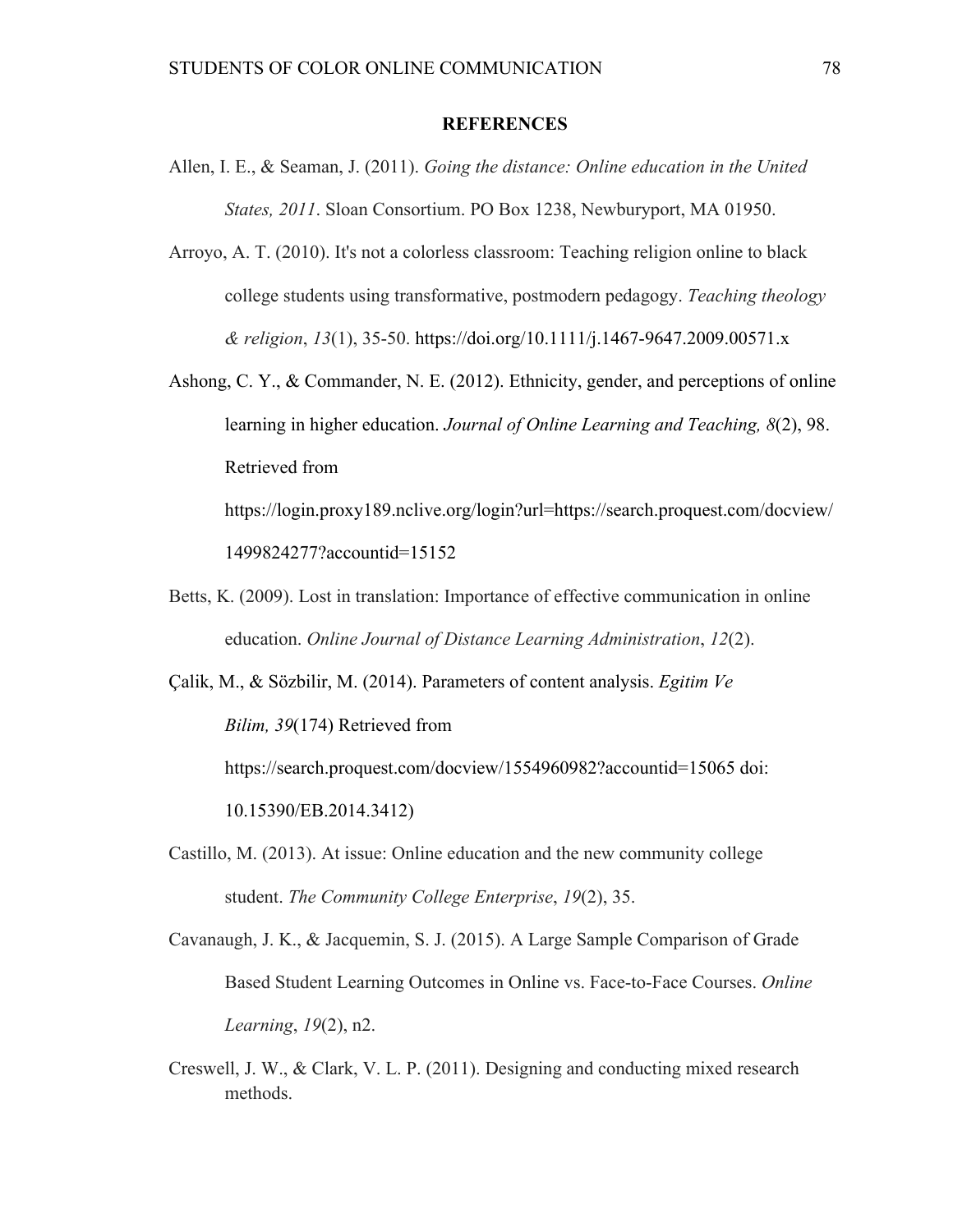#### **REFERENCES**

- Allen, I. E., & Seaman, J. (2011). *Going the distance: Online education in the United States, 2011*. Sloan Consortium. PO Box 1238, Newburyport, MA 01950.
- Arroyo, A. T. (2010). It's not a colorless classroom: Teaching religion online to black college students using transformative, postmodern pedagogy. *Teaching theology & religion*, *13*(1), 35-50. https://doi.org/10.1111/j.1467-9647.2009.00571.x
- Ashong, C. Y., & Commander, N. E. (2012). Ethnicity, gender, and perceptions of online learning in higher education. *Journal of Online Learning and Teaching, 8*(2), 98. Retrieved from

https://login.proxy189.nclive.org/login?url=https://search.proquest.com/docview/ 1499824277?accountid=15152

Betts, K. (2009). Lost in translation: Importance of effective communication in online education. *Online Journal of Distance Learning Administration*, *12*(2).

Çalik, M., & Sözbilir, M. (2014). Parameters of content analysis. *Egitim Ve Bilim, 39*(174) Retrieved from

https://search.proquest.com/docview/1554960982?accountid=15065 doi:

10.15390/EB.2014.3412)

Castillo, M. (2013). At issue: Online education and the new community college student. *The Community College Enterprise*, *19*(2), 35.

Cavanaugh, J. K., & Jacquemin, S. J. (2015). A Large Sample Comparison of Grade Based Student Learning Outcomes in Online vs. Face-to-Face Courses. *Online Learning*, *19*(2), n2.

Creswell, J. W., & Clark, V. L. P. (2011). Designing and conducting mixed research methods.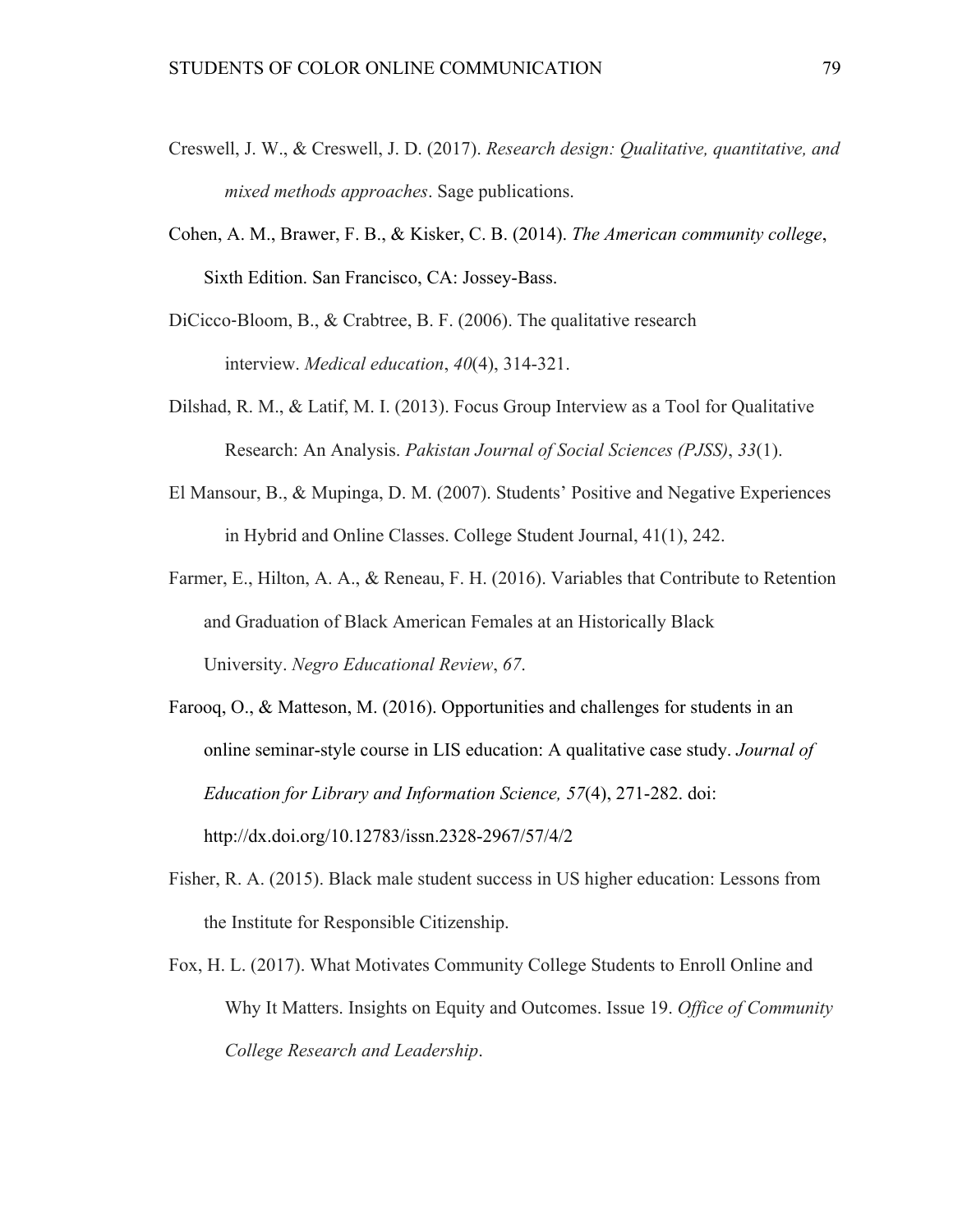- Creswell, J. W., & Creswell, J. D. (2017). *Research design: Qualitative, quantitative, and mixed methods approaches*. Sage publications.
- Cohen, A. M., Brawer, F. B., & Kisker, C. B. (2014). *The American community college*, Sixth Edition. San Francisco, CA: Jossey-Bass.
- DiCicco-Bloom, B., & Crabtree, B. F. (2006). The qualitative research interview. *Medical education*, *40*(4), 314-321.
- Dilshad, R. M., & Latif, M. I. (2013). Focus Group Interview as a Tool for Qualitative Research: An Analysis. *Pakistan Journal of Social Sciences (PJSS)*, *33*(1).
- El Mansour, B., & Mupinga, D. M. (2007). Students' Positive and Negative Experiences in Hybrid and Online Classes. College Student Journal, 41(1), 242.
- Farmer, E., Hilton, A. A., & Reneau, F. H. (2016). Variables that Contribute to Retention and Graduation of Black American Females at an Historically Black University. *Negro Educational Review*, *67*.
- Farooq, O., & Matteson, M. (2016). Opportunities and challenges for students in an online seminar-style course in LIS education: A qualitative case study. *Journal of Education for Library and Information Science, 57*(4), 271-282. doi: http://dx.doi.org/10.12783/issn.2328-2967/57/4/2
- Fisher, R. A. (2015). Black male student success in US higher education: Lessons from the Institute for Responsible Citizenship.
- Fox, H. L. (2017). What Motivates Community College Students to Enroll Online and Why It Matters. Insights on Equity and Outcomes. Issue 19. *Office of Community College Research and Leadership*.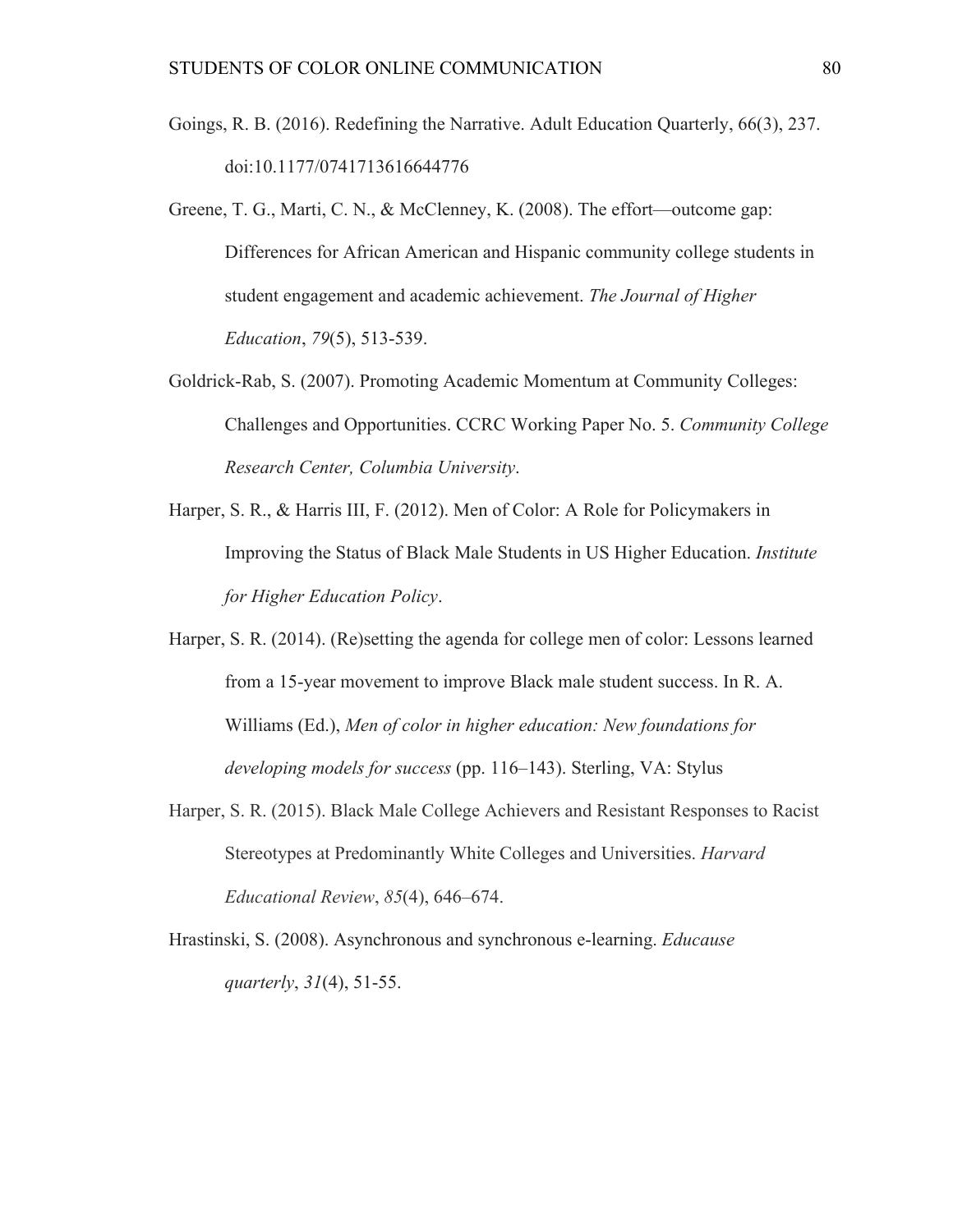- Goings, R. B. (2016). Redefining the Narrative. Adult Education Quarterly, 66(3), 237. doi:10.1177/0741713616644776
- Greene, T. G., Marti, C. N., & McClenney, K. (2008). The effort—outcome gap: Differences for African American and Hispanic community college students in student engagement and academic achievement. *The Journal of Higher Education*, *79*(5), 513-539.
- Goldrick-Rab, S. (2007). Promoting Academic Momentum at Community Colleges: Challenges and Opportunities. CCRC Working Paper No. 5. *Community College Research Center, Columbia University*.
- Harper, S. R., & Harris III, F. (2012). Men of Color: A Role for Policymakers in Improving the Status of Black Male Students in US Higher Education. *Institute for Higher Education Policy*.
- Harper, S. R. (2014). (Re)setting the agenda for college men of color: Lessons learned from a 15-year movement to improve Black male student success. In R. A. Williams (Ed.), *Men of color in higher education: New foundations for developing models for success* (pp. 116–143). Sterling, VA: Stylus
- Harper, S. R. (2015). Black Male College Achievers and Resistant Responses to Racist Stereotypes at Predominantly White Colleges and Universities. *Harvard Educational Review*, *85*(4), 646–674.
- Hrastinski, S. (2008). Asynchronous and synchronous e-learning. *Educause quarterly*, *31*(4), 51-55.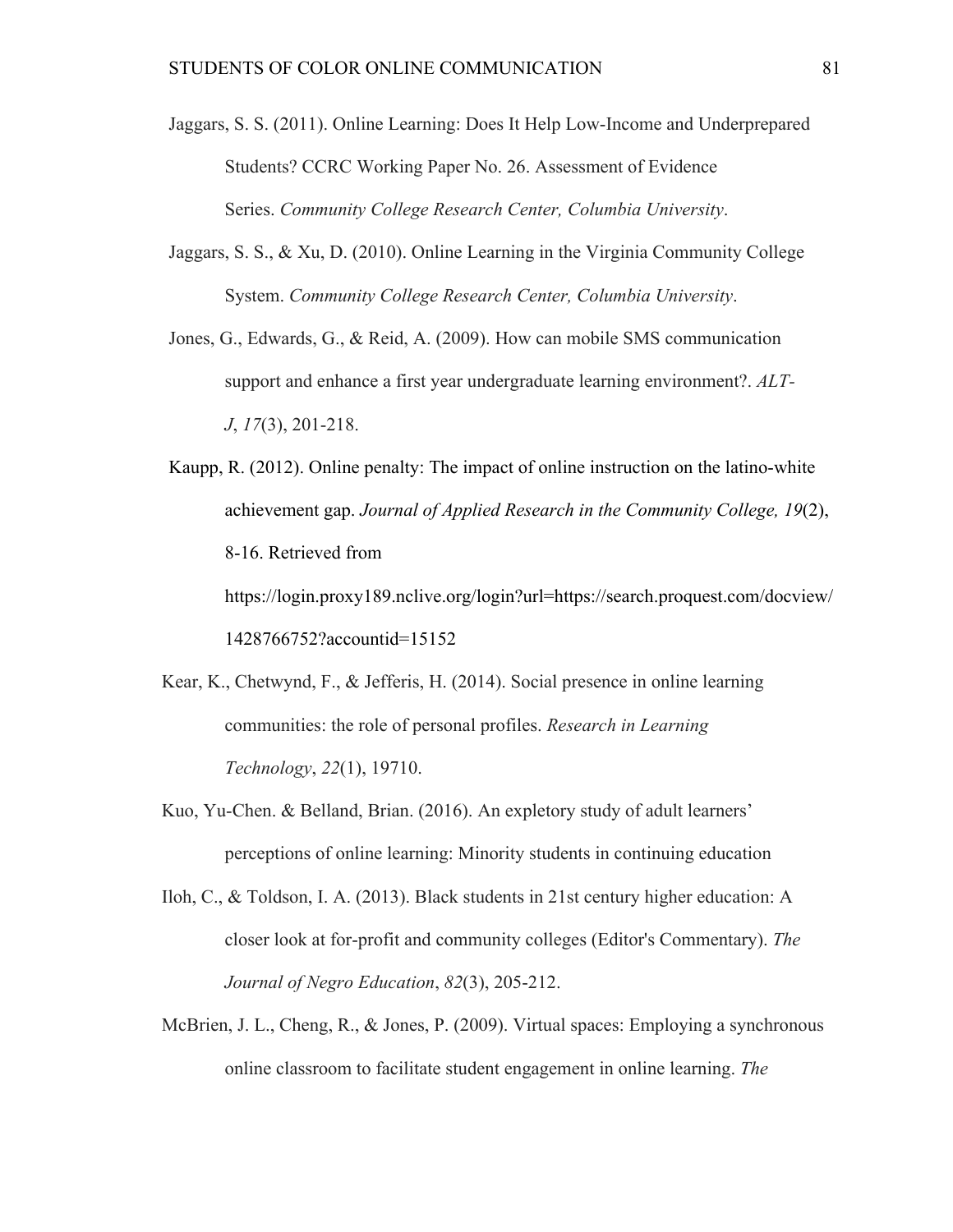- Jaggars, S. S. (2011). Online Learning: Does It Help Low-Income and Underprepared Students? CCRC Working Paper No. 26. Assessment of Evidence Series. *Community College Research Center, Columbia University*.
- Jaggars, S. S., & Xu, D. (2010). Online Learning in the Virginia Community College System. *Community College Research Center, Columbia University*.
- Jones, G., Edwards, G., & Reid, A. (2009). How can mobile SMS communication support and enhance a first year undergraduate learning environment?. *ALT-J*, *17*(3), 201-218.

Kaupp, R. (2012). Online penalty: The impact of online instruction on the latino-white achievement gap. *Journal of Applied Research in the Community College, 19*(2), 8-16. Retrieved from https://login.proxy189.nclive.org/login?url=https://search.proquest.com/docview/ 1428766752?accountid=15152

- Kear, K., Chetwynd, F., & Jefferis, H. (2014). Social presence in online learning communities: the role of personal profiles. *Research in Learning Technology*, *22*(1), 19710.
- Kuo, Yu-Chen. & Belland, Brian. (2016). An expletory study of adult learners' perceptions of online learning: Minority students in continuing education
- Iloh, C., & Toldson, I. A. (2013). Black students in 21st century higher education: A closer look at for-profit and community colleges (Editor's Commentary). *The Journal of Negro Education*, *82*(3), 205-212.
- McBrien, J. L., Cheng, R., & Jones, P. (2009). Virtual spaces: Employing a synchronous online classroom to facilitate student engagement in online learning. *The*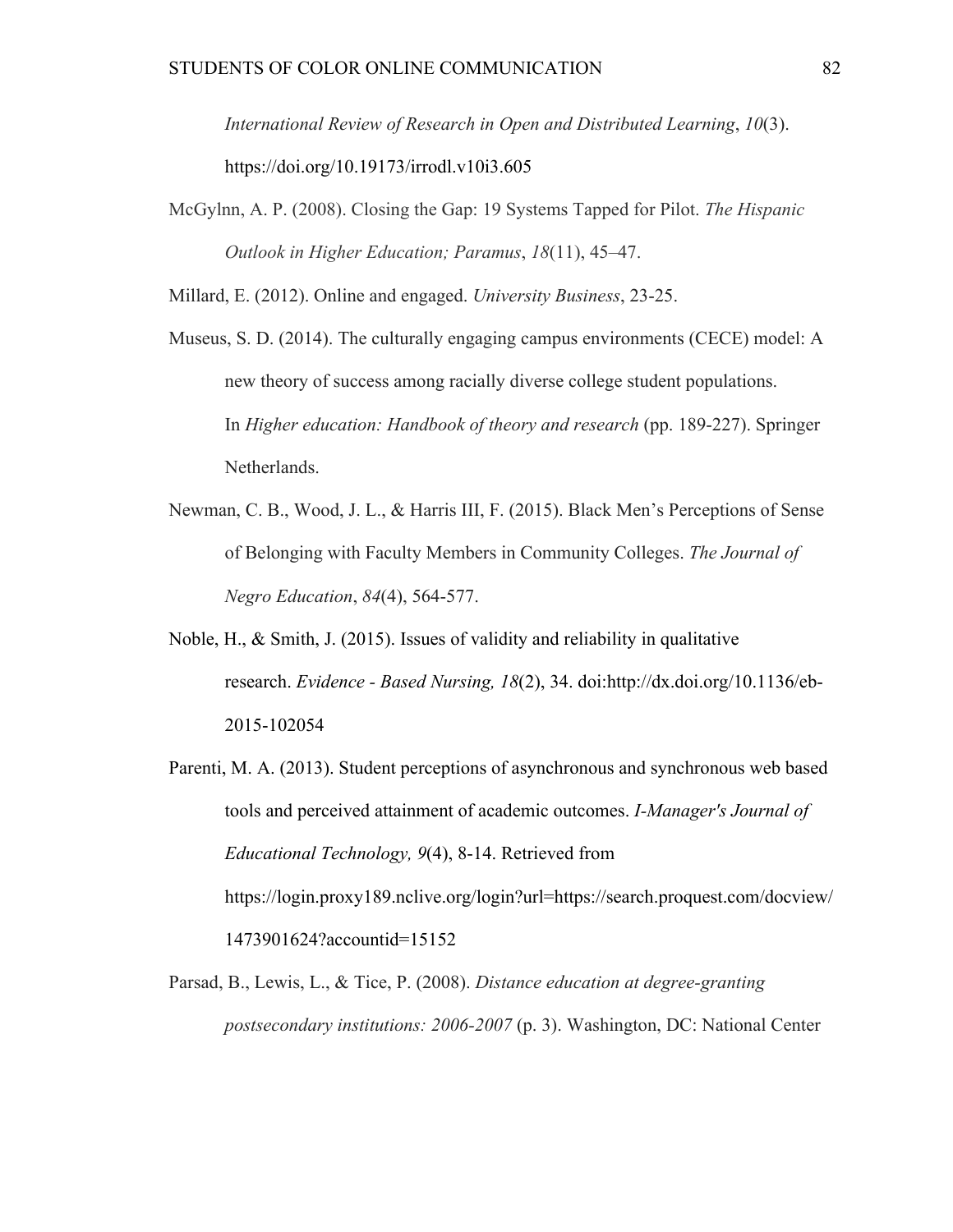*International Review of Research in Open and Distributed Learning*, *10*(3). https://doi.org/10.19173/irrodl.v10i3.605

McGylnn, A. P. (2008). Closing the Gap: 19 Systems Tapped for Pilot. *The Hispanic Outlook in Higher Education; Paramus*, *18*(11), 45–47.

Millard, E. (2012). Online and engaged. *University Business*, 23-25.

- Museus, S. D. (2014). The culturally engaging campus environments (CECE) model: A new theory of success among racially diverse college student populations. In *Higher education: Handbook of theory and research* (pp. 189-227). Springer Netherlands.
- Newman, C. B., Wood, J. L., & Harris III, F. (2015). Black Men's Perceptions of Sense of Belonging with Faculty Members in Community Colleges. *The Journal of Negro Education*, *84*(4), 564-577.
- Noble, H., & Smith, J. (2015). Issues of validity and reliability in qualitative research. *Evidence - Based Nursing, 18*(2), 34. doi:http://dx.doi.org/10.1136/eb-2015-102054
- Parenti, M. A. (2013). Student perceptions of asynchronous and synchronous web based tools and perceived attainment of academic outcomes. *I-Manager's Journal of Educational Technology, 9*(4), 8-14. Retrieved from https://login.proxy189.nclive.org/login?url=https://search.proquest.com/docview/ 1473901624?accountid=15152
- Parsad, B., Lewis, L., & Tice, P. (2008). *Distance education at degree-granting postsecondary institutions: 2006-2007* (p. 3). Washington, DC: National Center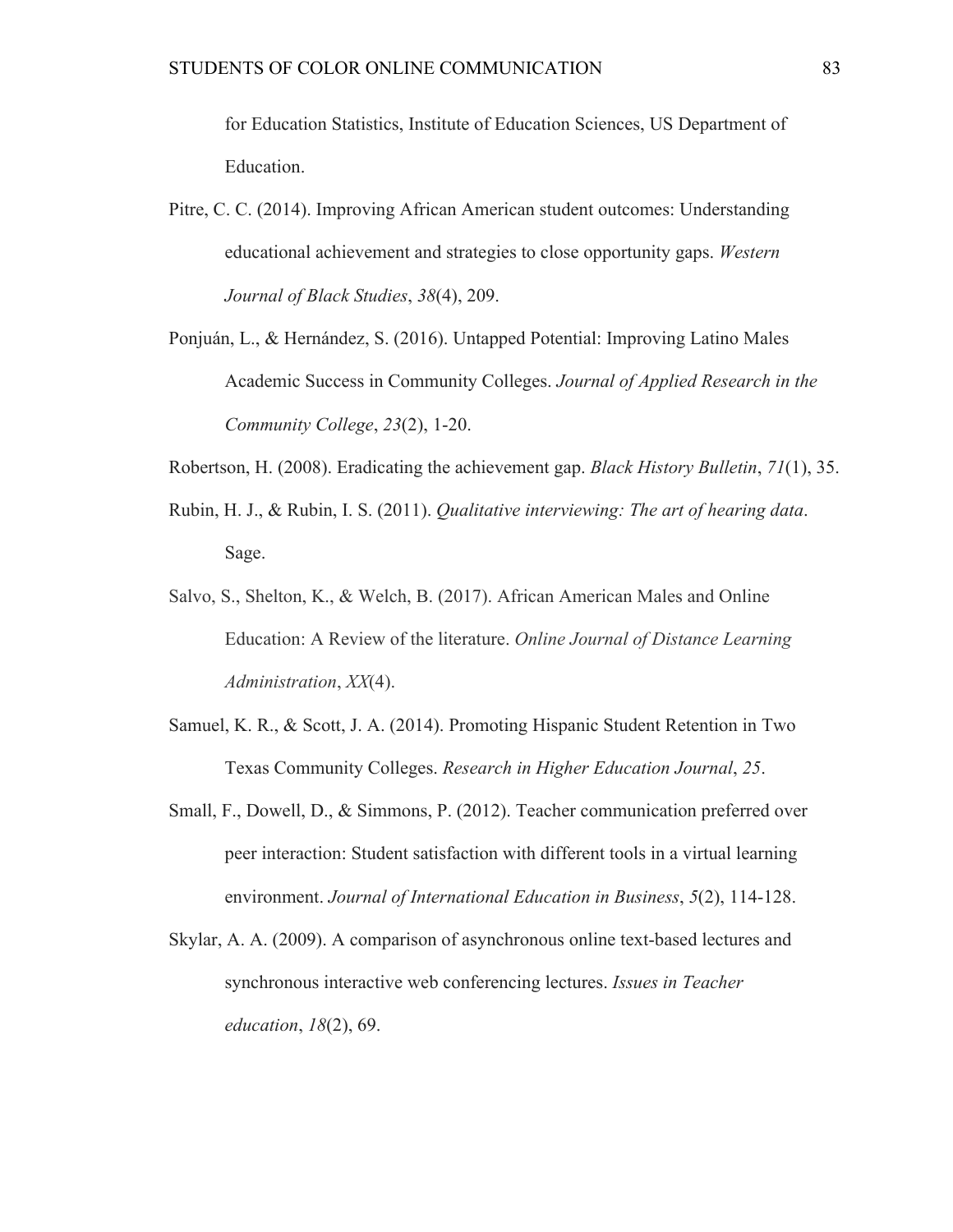for Education Statistics, Institute of Education Sciences, US Department of Education.

- Pitre, C. C. (2014). Improving African American student outcomes: Understanding educational achievement and strategies to close opportunity gaps. *Western Journal of Black Studies*, *38*(4), 209.
- Ponjuán, L., & Hernández, S. (2016). Untapped Potential: Improving Latino Males Academic Success in Community Colleges. *Journal of Applied Research in the Community College*, *23*(2), 1-20.
- Robertson, H. (2008). Eradicating the achievement gap. *Black History Bulletin*, *71*(1), 35.
- Rubin, H. J., & Rubin, I. S. (2011). *Qualitative interviewing: The art of hearing data*. Sage.
- Salvo, S., Shelton, K., & Welch, B. (2017). African American Males and Online Education: A Review of the literature. *Online Journal of Distance Learning Administration*, *XX*(4).
- Samuel, K. R., & Scott, J. A. (2014). Promoting Hispanic Student Retention in Two Texas Community Colleges. *Research in Higher Education Journal*, *25*.
- Small, F., Dowell, D., & Simmons, P. (2012). Teacher communication preferred over peer interaction: Student satisfaction with different tools in a virtual learning environment. *Journal of International Education in Business*, *5*(2), 114-128.
- Skylar, A. A. (2009). A comparison of asynchronous online text-based lectures and synchronous interactive web conferencing lectures. *Issues in Teacher education*, *18*(2), 69.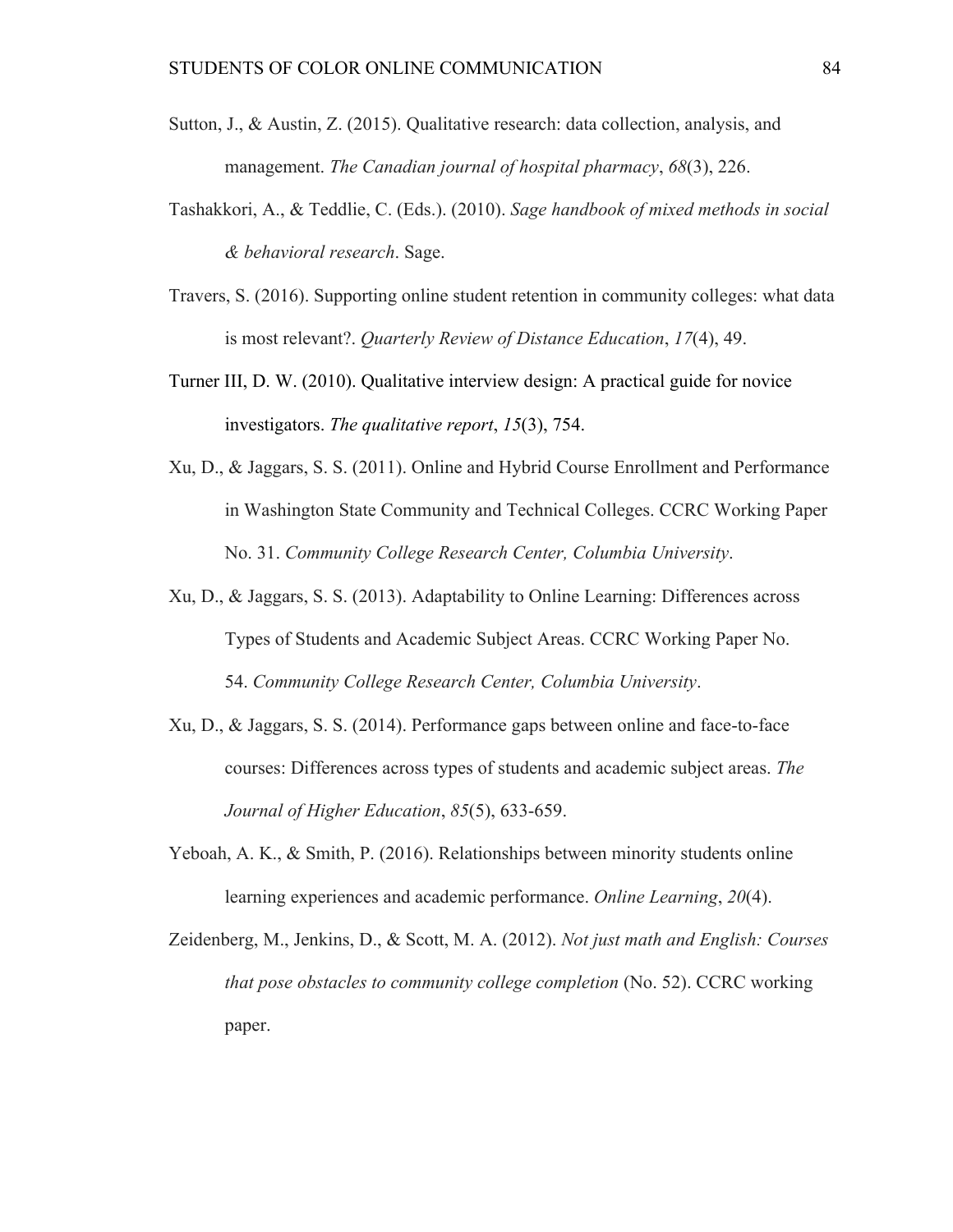- Sutton, J., & Austin, Z. (2015). Qualitative research: data collection, analysis, and management. *The Canadian journal of hospital pharmacy*, *68*(3), 226.
- Tashakkori, A., & Teddlie, C. (Eds.). (2010). *Sage handbook of mixed methods in social & behavioral research*. Sage.
- Travers, S. (2016). Supporting online student retention in community colleges: what data is most relevant?. *Quarterly Review of Distance Education*, *17*(4), 49.
- Turner III, D. W. (2010). Qualitative interview design: A practical guide for novice investigators. *The qualitative report*, *15*(3), 754.
- Xu, D., & Jaggars, S. S. (2011). Online and Hybrid Course Enrollment and Performance in Washington State Community and Technical Colleges. CCRC Working Paper No. 31. *Community College Research Center, Columbia University*.
- Xu, D., & Jaggars, S. S. (2013). Adaptability to Online Learning: Differences across Types of Students and Academic Subject Areas. CCRC Working Paper No. 54. *Community College Research Center, Columbia University*.
- Xu, D., & Jaggars, S. S. (2014). Performance gaps between online and face-to-face courses: Differences across types of students and academic subject areas. *The Journal of Higher Education*, *85*(5), 633-659.
- Yeboah, A. K., & Smith, P. (2016). Relationships between minority students online learning experiences and academic performance. *Online Learning*, *20*(4).
- Zeidenberg, M., Jenkins, D., & Scott, M. A. (2012). *Not just math and English: Courses that pose obstacles to community college completion* (No. 52). CCRC working paper.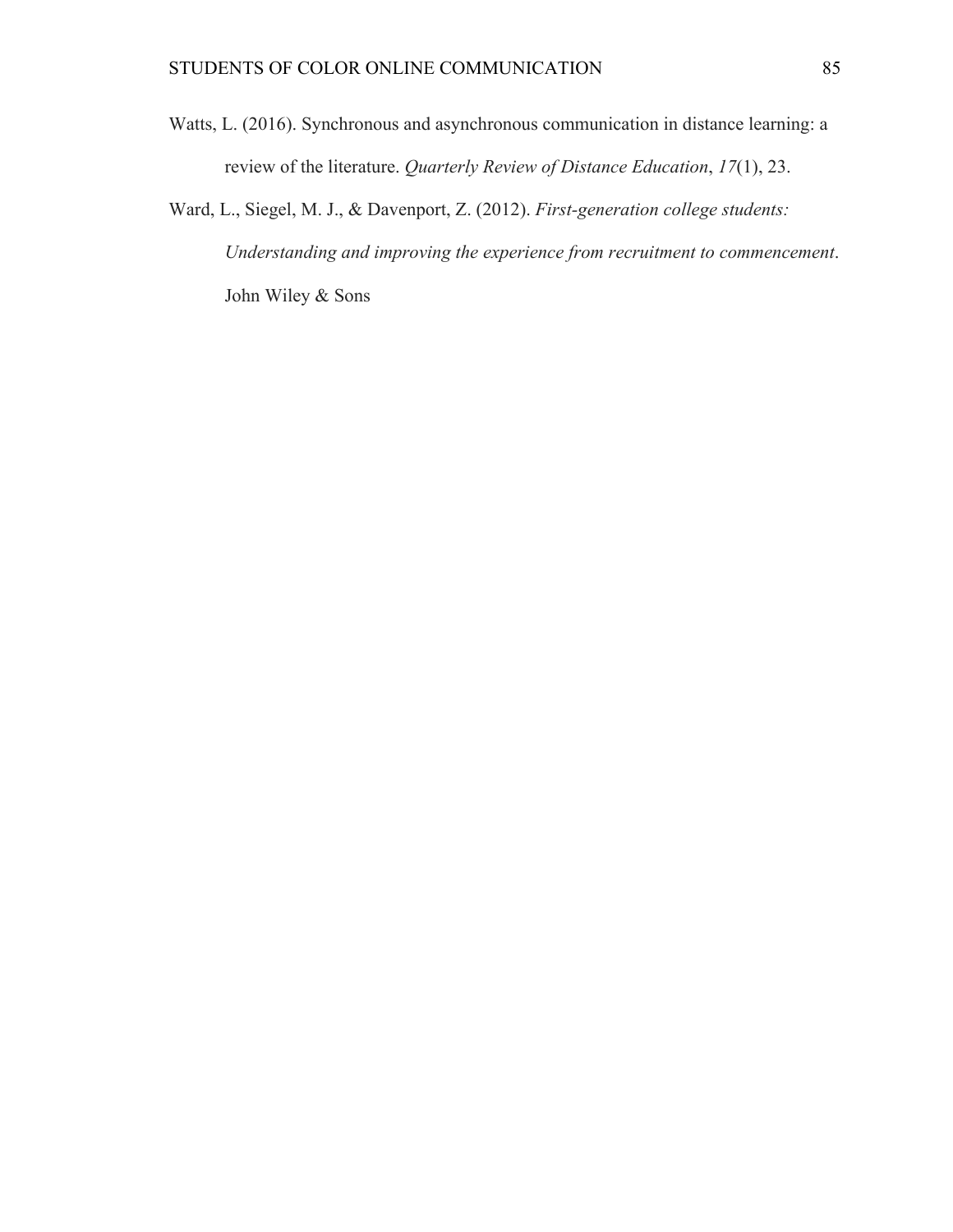- Watts, L. (2016). Synchronous and asynchronous communication in distance learning: a review of the literature. *Quarterly Review of Distance Education*, *17*(1), 23.
- Ward, L., Siegel, M. J., & Davenport, Z. (2012). *First-generation college students: Understanding and improving the experience from recruitment to commencement*. John Wiley & Sons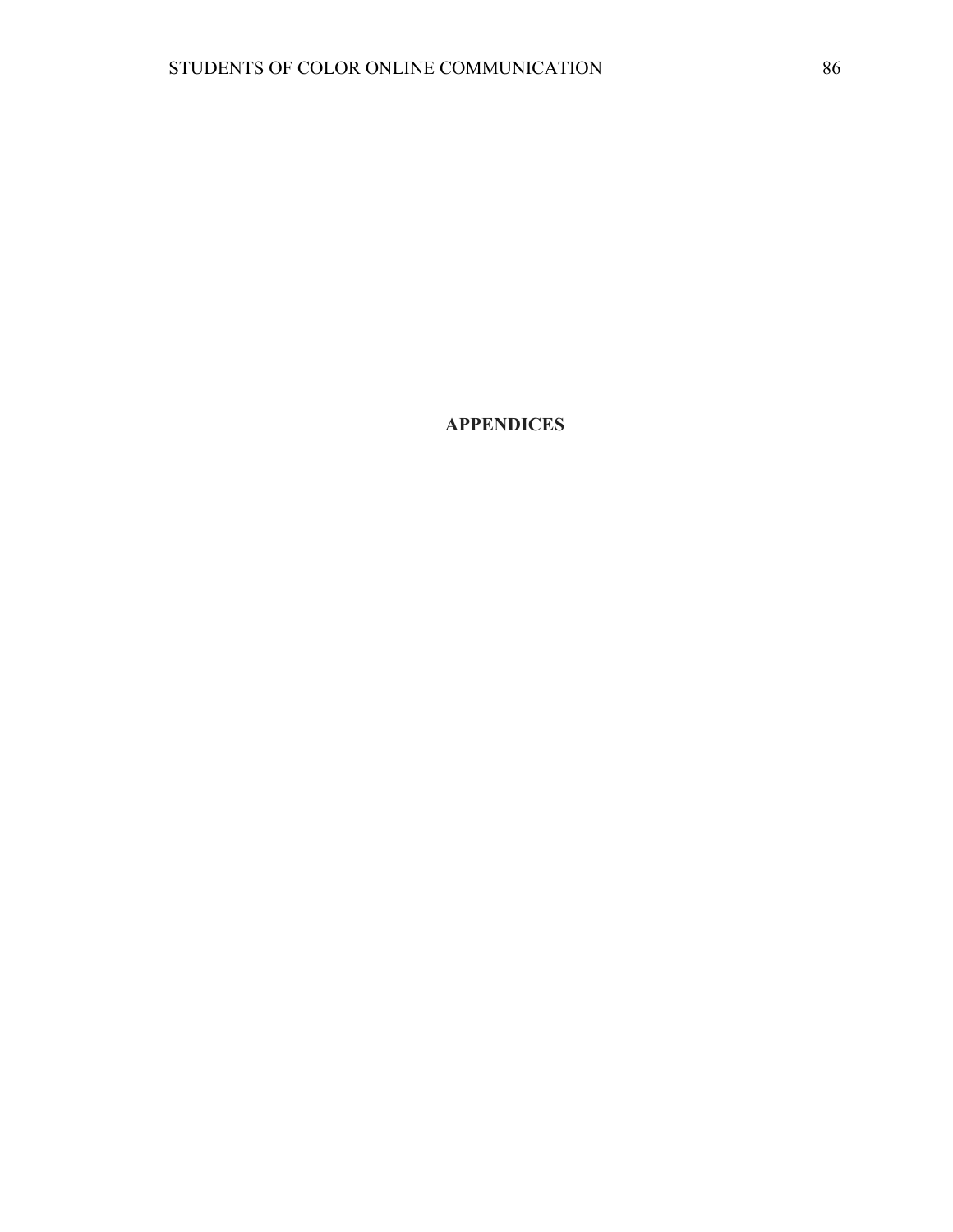**APPENDICES**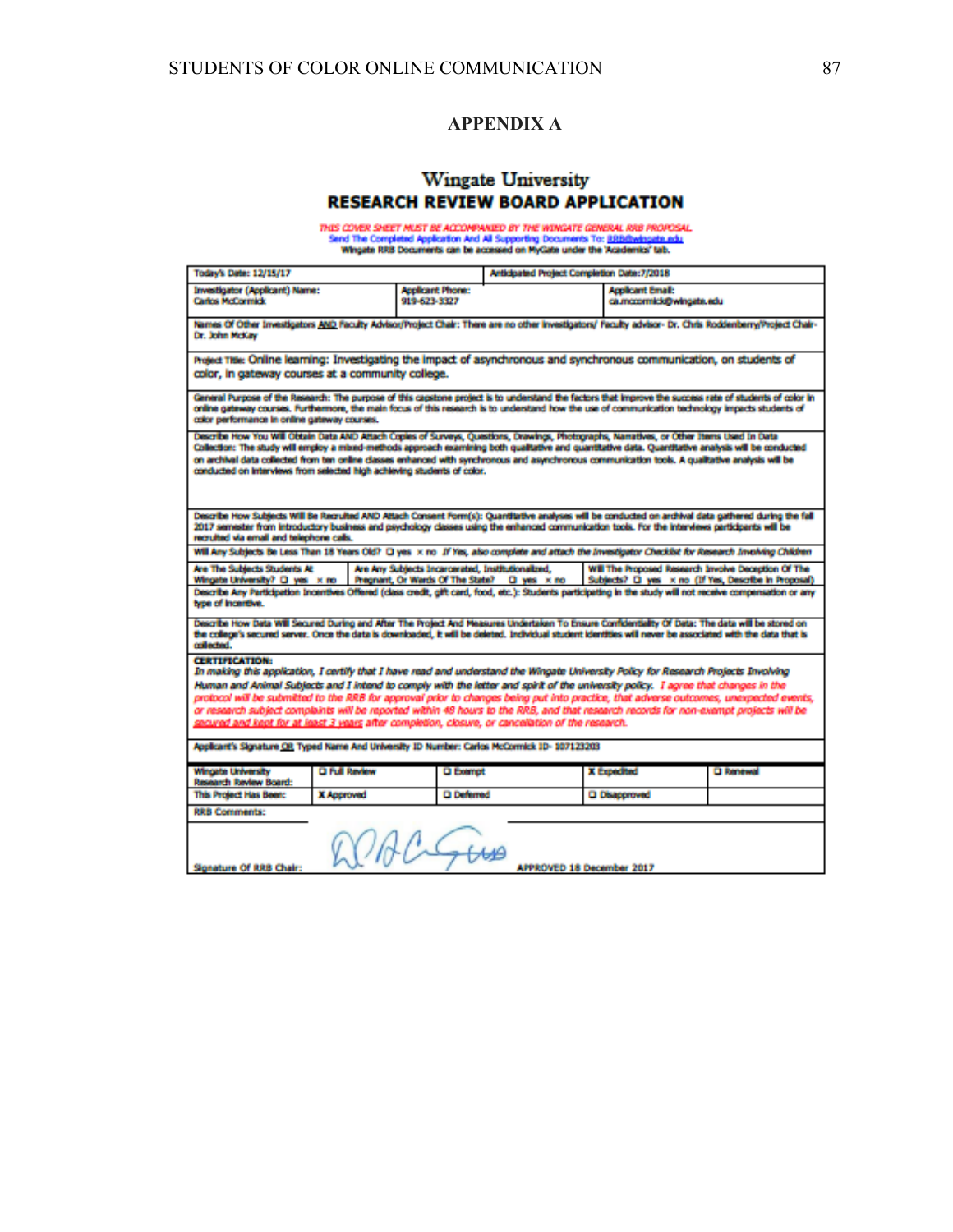#### **APPENDIX A**

## **Wingate University RESEARCH REVIEW BOARD APPLICATION**

THIS COVER SHEET MUST BE ACCOMPANIED BY THE WINGATE GEMERAL RRB PROPOSAL.<br>Sand The Completed Application And All Supporting Documents To: <u>RRBBWingate.edu</u><br>Wingate RRB Documents can be accessed on MyGate under the 'Academi

| <b>Today's Date: 12/15/17</b>                                                                                                                                                                                                                                                                                                                                                                                                                                                                                                                                                                                                                                                             |                      |                                                   | Anticipated Project Completion Date:7/2018 |                                                     |                                                     |  |
|-------------------------------------------------------------------------------------------------------------------------------------------------------------------------------------------------------------------------------------------------------------------------------------------------------------------------------------------------------------------------------------------------------------------------------------------------------------------------------------------------------------------------------------------------------------------------------------------------------------------------------------------------------------------------------------------|----------------------|---------------------------------------------------|--------------------------------------------|-----------------------------------------------------|-----------------------------------------------------|--|
| Investigator (Applicant) Name:<br><b>Carlos McCormick</b>                                                                                                                                                                                                                                                                                                                                                                                                                                                                                                                                                                                                                                 |                      | <b>Acolicant Phone:</b><br>919-623-3327           |                                            | <b>Applicant Email:</b><br>ca.mccormick@wingate.edu |                                                     |  |
| Names Of Other Investigators AND Faculty Advisor/Project Chair: There are no other investigators/ Faculty advisor- Dr. Chris Roddenberry/Project Chair-<br>Dr. John McKay                                                                                                                                                                                                                                                                                                                                                                                                                                                                                                                 |                      |                                                   |                                            |                                                     |                                                     |  |
| Project Title: Online learning: Investigating the impact of asynchronous and synchronous communication, on students of<br>color, in gateway courses at a community college.                                                                                                                                                                                                                                                                                                                                                                                                                                                                                                               |                      |                                                   |                                            |                                                     |                                                     |  |
| General Purpose of the Research: The purpose of this capstone project is to understand the factors that improve the success rate of students of color in<br>online gateway courses. Furthermore, the main focus of this research is to understand how the use of communication technology impacts students of<br>color performance in online gateway courses.                                                                                                                                                                                                                                                                                                                             |                      |                                                   |                                            |                                                     |                                                     |  |
| Describe How You Will Obtain Data AND Attach Copies of Surveys, Questions, Drawings, Photographs, Namatives, or Other Items Used In Data<br>Collection: The study will employ a mixed-methods approach examining both qualitative and quantitative data. Quantitative analysis will be conducted<br>on archival data collected from ten online classes enhanced with synchronous and asynchronous communication tools. A qualitative analysis will be<br>conducted on interviews from selected high achieving students of color.                                                                                                                                                          |                      |                                                   |                                            |                                                     |                                                     |  |
| Describe How Subjects Will Be Recruited AND Attach Consent Form(s): Quantitative analyses will be conducted on archival data gathered during the fall<br>2017 semester from introductory business and psychology classes using the enhanced communication tools. For the interviews participants will be<br>recruited via email and telephone calls.                                                                                                                                                                                                                                                                                                                                      |                      |                                                   |                                            |                                                     |                                                     |  |
| Will Any Subjects Be Less Than 18 Years Old? Q yes x no If Yes, also complete and attach the Investigator Checklist for Research Involving Children                                                                                                                                                                                                                                                                                                                                                                                                                                                                                                                                       |                      |                                                   |                                            |                                                     |                                                     |  |
| Are The Subjects Students At<br>Wingste University? [3] yes x no                                                                                                                                                                                                                                                                                                                                                                                                                                                                                                                                                                                                                          |                      | Are Any Subjects Incercerated, Institutionalized, |                                            |                                                     | Will The Proposed Research Involve Deception Of The |  |
| Pregnant, Or Wards Of The State?  La yes x no<br>Subjects? El yes x no (If Yes, Describe in Proposal)<br>Describe Any Participation Incentives Offered (class credit, gift card, food, etc.): Students participating in the study will not receive compensation or any<br>type of incentive.                                                                                                                                                                                                                                                                                                                                                                                              |                      |                                                   |                                            |                                                     |                                                     |  |
| Describe How Data Will Secured During and After The Project And Measures Undertaken To Ensure Confidentiality Of Data: The data will be stored on<br>the college's secured server. Once the data is downloaded, it will be deleted. Individual student identities will never be associated with the data that is<br>collected.                                                                                                                                                                                                                                                                                                                                                            |                      |                                                   |                                            |                                                     |                                                     |  |
| <b>CERTIFICATION:</b><br>In making this application, I certify that I have read and understand the Wingate University Policy for Research Projects Involving<br>Human and Animal Subjects and I intend to comply with the letter and spirit of the university policy. I agree that changes in the<br>protocol will be submitted to the RRB for approval prior to changes being put into practice, that adverse outcomes, unexpected events,<br>or research subject complaints will be reported within 48 hours to the RRB, and that research records for non-exempt projects will be<br>secured and kept for at least 3 years after completion, closure, or cancellation of the research. |                      |                                                   |                                            |                                                     |                                                     |  |
| Applicant's Signature OR Typed Name And University ID Number: Carlos McCormick ID-107123203                                                                                                                                                                                                                                                                                                                                                                                                                                                                                                                                                                                               |                      |                                                   |                                            |                                                     |                                                     |  |
| <b>Wingste University</b><br>Research Review Board:                                                                                                                                                                                                                                                                                                                                                                                                                                                                                                                                                                                                                                       | <b>D Full Review</b> | <b>Q</b> Exempt                                   |                                            | X Expedited                                         | <b>D</b> Renewal                                    |  |
| This Project Has Been:                                                                                                                                                                                                                                                                                                                                                                                                                                                                                                                                                                                                                                                                    | <b>X Approved</b>    | <b>Q</b> Deferred                                 |                                            | <b>Q Disapproved</b>                                |                                                     |  |
| <b>RRB Comments:</b>                                                                                                                                                                                                                                                                                                                                                                                                                                                                                                                                                                                                                                                                      |                      |                                                   |                                            |                                                     |                                                     |  |
| Signature Of RRB Chair:<br><b>APPROVED 18 December 2017</b>                                                                                                                                                                                                                                                                                                                                                                                                                                                                                                                                                                                                                               |                      |                                                   |                                            |                                                     |                                                     |  |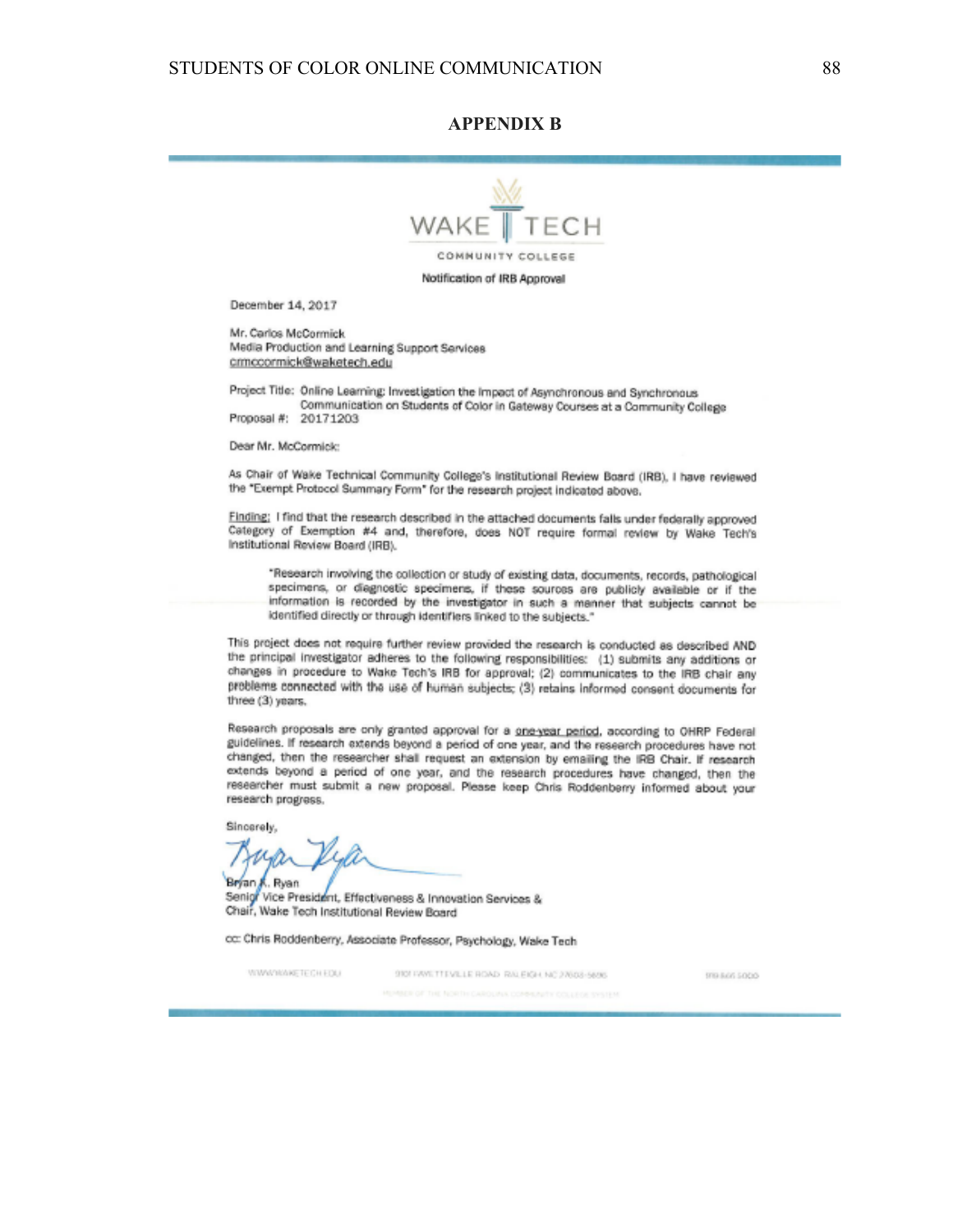#### **APPENDIX B**



December 14, 2017

Mr. Carlos McCormick Media Production and Learning Support Services crmccormick@waketech.edu

Project Title: Online Learning: Investigation the Impact of Asynchronous and Synchronous Communication on Students of Color in Gateway Courses at a Community College Proposal #: 20171203

Dear Mr. McCormick:

As Chair of Wake Technical Community College's institutional Review Board (IRB), I have reviewed the "Exempt Protocol Summary Form" for the research project indicated above.

Finding: I find that the research described in the attached documents falls under federally approved Category of Exemption #4 and, therefore, does NOT require formal review by Wake Tech's Institutional Review Board (IRB).

\*Research involving the collection or study of existing data, documents, records, pathological specimens, or diagnostic specimens, if these sources are publicly available or if the information is recorded by the investigator in such a manner that subjects cannot be identified directly or through identifiers linked to the subjects."

This project does not require further review provided the research is conducted as described AND the principal investigator adheres to the following responsibilities: (1) submits any additions or changes in procedure to Wake Tech's IRB for approval; (2) communicates to the IRB chair any problems connected with the use of human subjects; (3) retains informed consent documents for three (3) years.

Research proposals are only granted approval for a one-year period, according to OHRP Federal guidelines. If research extends beyond a period of one year, and the research procedures have not changed, then the researcher shall request an extension by emailing the IRB Chair. If research extends beyond a period of one year, and the research procedures have changed, then the researcher must submit a new proposal. Please keep Chris Roddenberry informed about your research progress.

Sincerely,

Bryan K. Ryan Senigr Vice President, Effectiveness & Innovation Services & Chair, Wake Tech Institutional Review Board

cc: Chris Roddenberry, Associate Professor, Psychology, Wake Tech

WWWWWETECHEDU

9101 PAWL TTEVILLE ROAD, RALEIGH, NC 27603-5898.

979-945 5000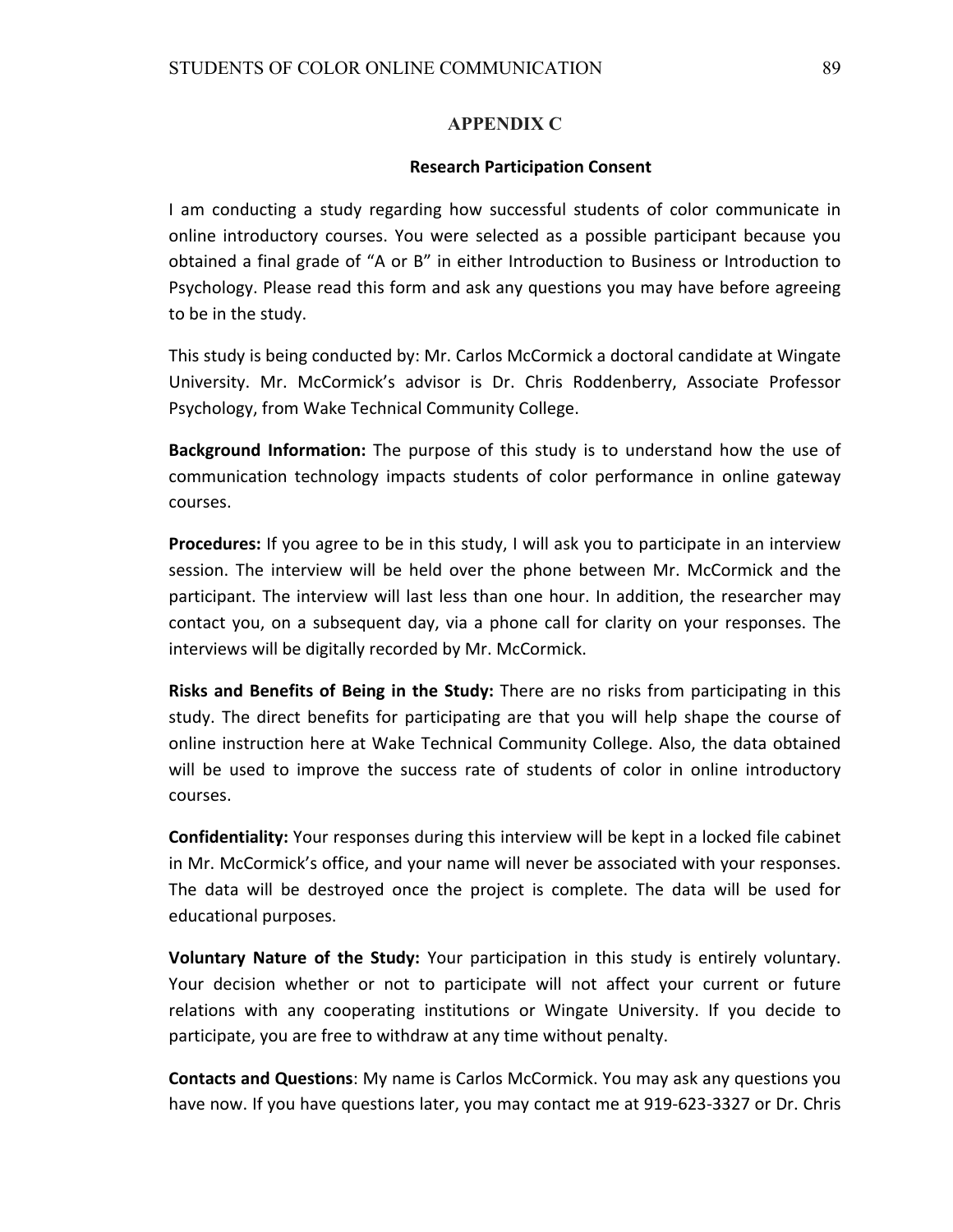#### **APPENDIX C**

#### **Research Participation Consent**

I am conducting a study regarding how successful students of color communicate in online introductory courses. You were selected as a possible participant because you obtained a final grade of "A or B" in either Introduction to Business or Introduction to Psychology. Please read this form and ask any questions you may have before agreeing to be in the study.

This study is being conducted by: Mr. Carlos McCormick a doctoral candidate at Wingate University. Mr. McCormick's advisor is Dr. Chris Roddenberry, Associate Professor Psychology, from Wake Technical Community College.

**Background Information:** The purpose of this study is to understand how the use of communication technology impacts students of color performance in online gateway courses.

**Procedures:** If you agree to be in this study, I will ask you to participate in an interview session. The interview will be held over the phone between Mr. McCormick and the participant. The interview will last less than one hour. In addition, the researcher may contact you, on a subsequent day, via a phone call for clarity on your responses. The interviews will be digitally recorded by Mr. McCormick.

**Risks and Benefits of Being in the Study:** There are no risks from participating in this study. The direct benefits for participating are that you will help shape the course of online instruction here at Wake Technical Community College. Also, the data obtained will be used to improve the success rate of students of color in online introductory courses. 

**Confidentiality:** Your responses during this interview will be kept in a locked file cabinet in Mr. McCormick's office, and your name will never be associated with your responses. The data will be destroyed once the project is complete. The data will be used for educational purposes.

Voluntary Nature of the Study: Your participation in this study is entirely voluntary. Your decision whether or not to participate will not affect your current or future relations with any cooperating institutions or Wingate University. If you decide to participate, you are free to withdraw at any time without penalty.

**Contacts and Questions:** My name is Carlos McCormick. You may ask any questions you have now. If you have questions later, you may contact me at 919-623-3327 or Dr. Chris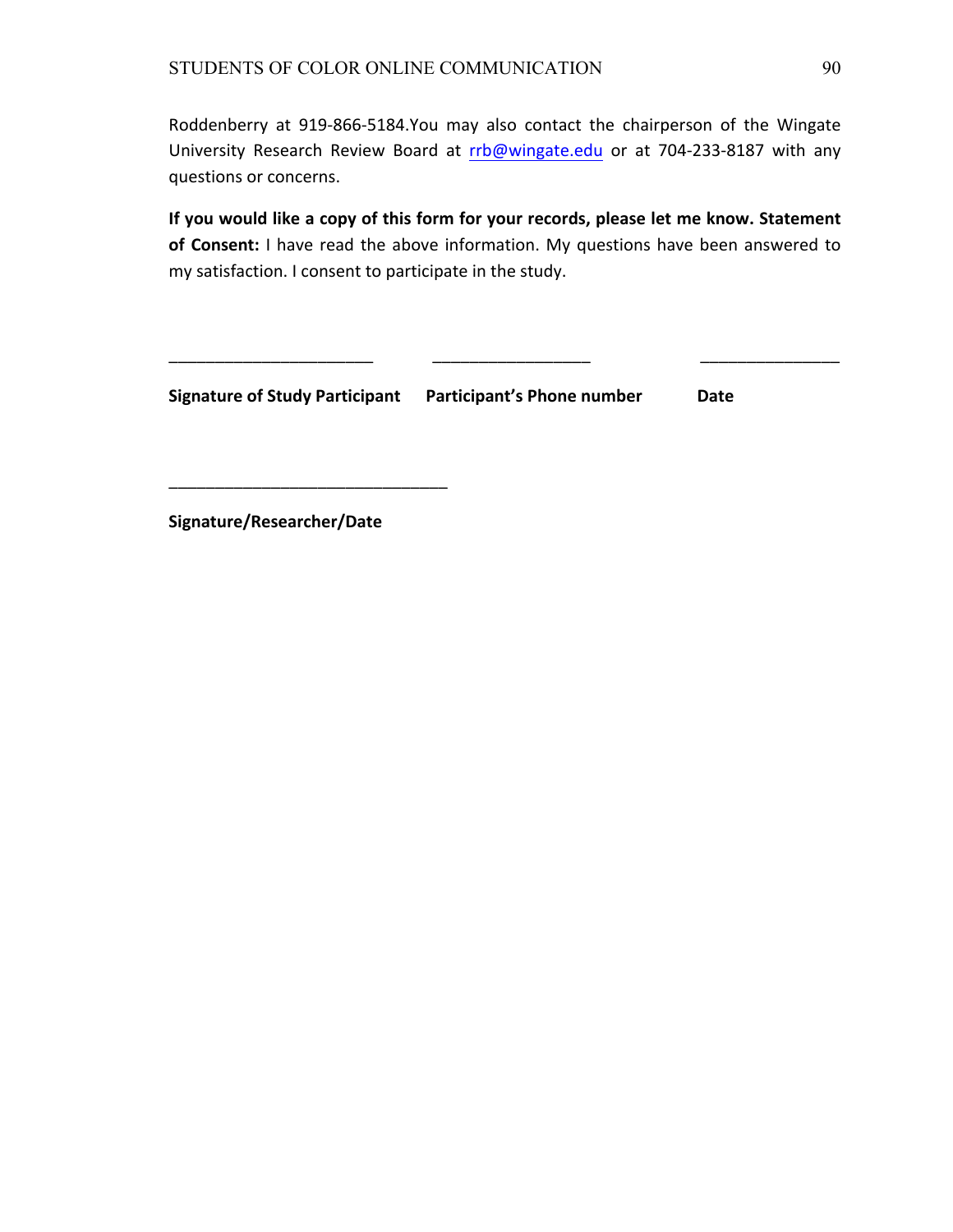Roddenberry at 919-866-5184.You may also contact the chairperson of the Wingate University Research Review Board at rrb@wingate.edu or at 704-233-8187 with any questions or concerns.

If you would like a copy of this form for your records, please let me know. Statement of Consent: I have read the above information. My questions have been answered to my satisfaction. I consent to participate in the study.

\_\_\_\_\_\_\_\_\_\_\_\_\_\_\_\_\_\_\_\_\_\_ \_\_\_\_\_\_\_\_\_\_\_\_\_\_\_\_\_ \_\_\_\_\_\_\_\_\_\_\_\_\_\_\_

**Signature of Study Participant** Participant's Phone number Date

Signature/Researcher/Date

\_\_\_\_\_\_\_\_\_\_\_\_\_\_\_\_\_\_\_\_\_\_\_\_\_\_\_\_\_\_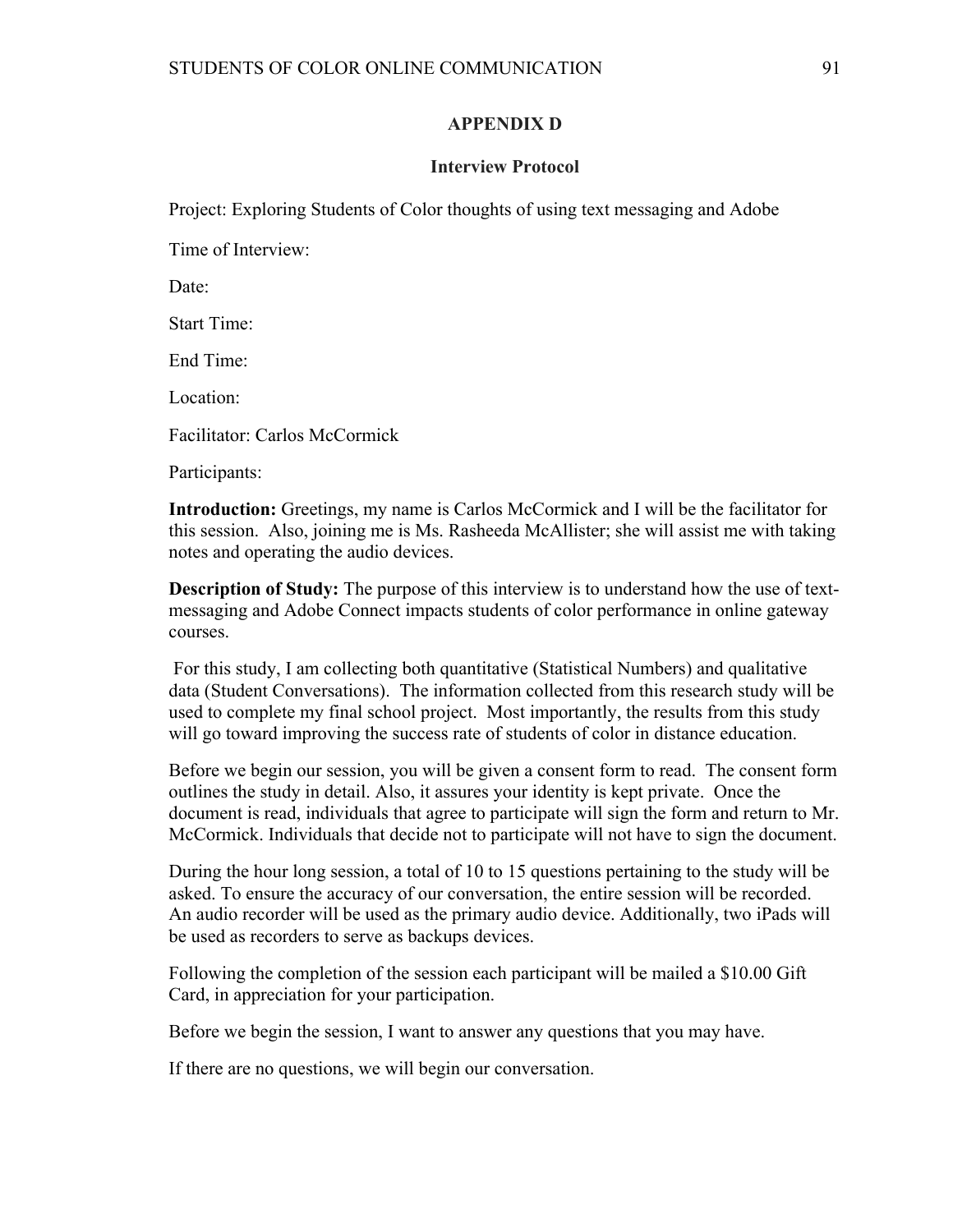#### **APPENDIX D**

#### **Interview Protocol**

Project: Exploring Students of Color thoughts of using text messaging and Adobe

Time of Interview:

Date:

Start Time:

End Time:

Location:

Facilitator: Carlos McCormick

Participants:

**Introduction:** Greetings, my name is Carlos McCormick and I will be the facilitator for this session. Also, joining me is Ms. Rasheeda McAllister; she will assist me with taking notes and operating the audio devices.

**Description of Study:** The purpose of this interview is to understand how the use of textmessaging and Adobe Connect impacts students of color performance in online gateway courses.

For this study, I am collecting both quantitative (Statistical Numbers) and qualitative data (Student Conversations). The information collected from this research study will be used to complete my final school project. Most importantly, the results from this study will go toward improving the success rate of students of color in distance education.

Before we begin our session, you will be given a consent form to read. The consent form outlines the study in detail. Also, it assures your identity is kept private. Once the document is read, individuals that agree to participate will sign the form and return to Mr. McCormick. Individuals that decide not to participate will not have to sign the document.

During the hour long session, a total of 10 to 15 questions pertaining to the study will be asked. To ensure the accuracy of our conversation, the entire session will be recorded. An audio recorder will be used as the primary audio device. Additionally, two iPads will be used as recorders to serve as backups devices.

Following the completion of the session each participant will be mailed a \$10.00 Gift Card, in appreciation for your participation.

Before we begin the session, I want to answer any questions that you may have.

If there are no questions, we will begin our conversation.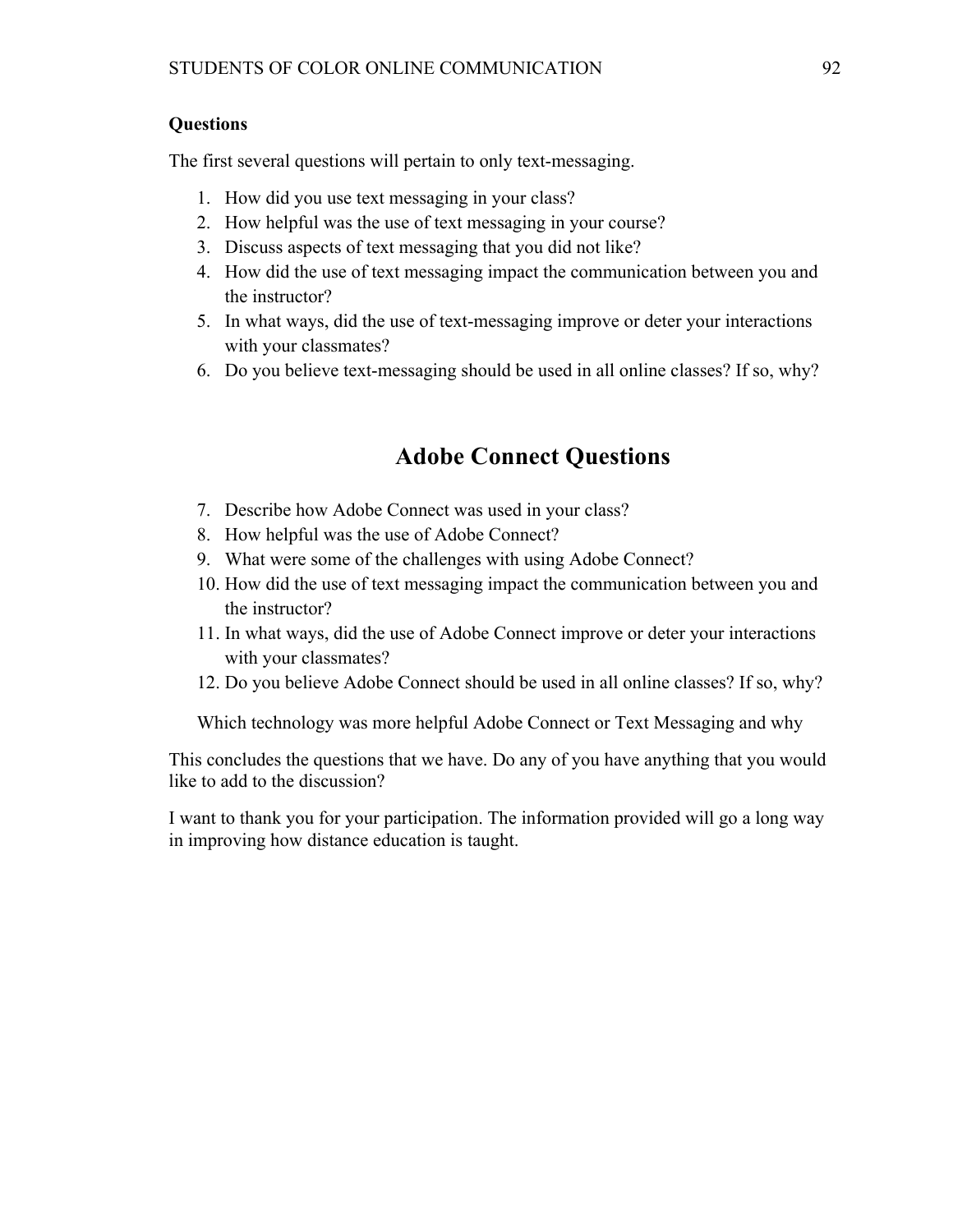### **Questions**

The first several questions will pertain to only text-messaging.

- 1. How did you use text messaging in your class?
- 2. How helpful was the use of text messaging in your course?
- 3. Discuss aspects of text messaging that you did not like?
- 4. How did the use of text messaging impact the communication between you and the instructor?
- 5. In what ways, did the use of text-messaging improve or deter your interactions with your classmates?
- 6. Do you believe text-messaging should be used in all online classes? If so, why?

# **Adobe Connect Questions**

- 7. Describe how Adobe Connect was used in your class?
- 8. How helpful was the use of Adobe Connect?
- 9. What were some of the challenges with using Adobe Connect?
- 10. How did the use of text messaging impact the communication between you and the instructor?
- 11. In what ways, did the use of Adobe Connect improve or deter your interactions with your classmates?
- 12. Do you believe Adobe Connect should be used in all online classes? If so, why?

Which technology was more helpful Adobe Connect or Text Messaging and why

This concludes the questions that we have. Do any of you have anything that you would like to add to the discussion?

I want to thank you for your participation. The information provided will go a long way in improving how distance education is taught.